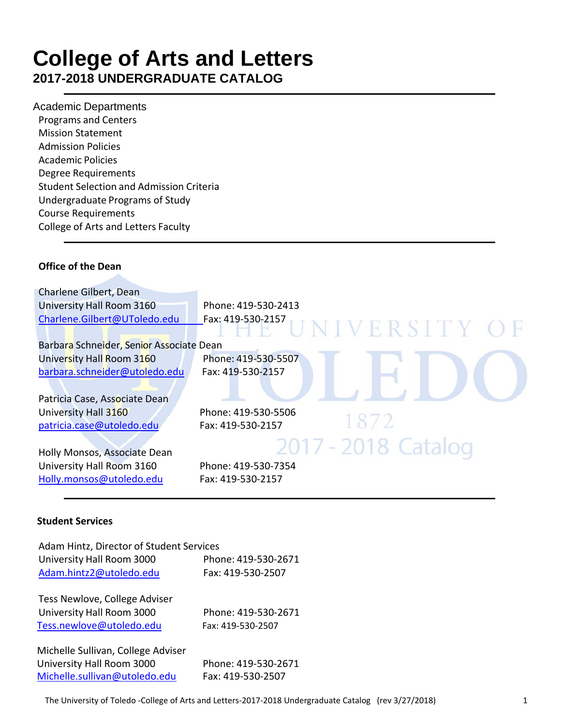# **College of Arts and Letters 2017-2018 UNDERGRADUATE CATALOG**

Academic Departments Programs and Centers Mission Statement Admission Policies Academic Policies Degree Requirements Student Selection and Admission Criteria Undergraduate Programs of Study Course Requirements College of Arts and Letters Faculty

# **Office of the Dean**

| Charlene Gilbert, Dean                   |                                    |
|------------------------------------------|------------------------------------|
| University Hall Room 3160                | Phone: 419-530-2413                |
| Charlene.Gilbert@UToledo.edu             | Fax: 419-530-2157<br>UNIVERSITY OF |
| Barbara Schneider, Senior Associate Dean |                                    |
| University Hall Room 3160                | Phone: 419-530-5507                |
| barbara.schneider@utoledo.edu            | Fax: 419-530-2157                  |
| Patricia Case, Associate Dean            |                                    |
| University Hall 3160                     | Phone: 419-530-5506                |
| patricia.case@utoledo.edu                | 1872<br>Fax: 419-530-2157          |
|                                          | 2017 - 2018 Catalog                |
| Holly Monsos, Associate Dean             |                                    |
| University Hall Room 3160                | Phone: 419-530-7354                |
| Holly.monsos@utoledo.edu                 | Fax: 419-530-2157                  |

#### **Student Services**

| Adam Hintz, Director of Student Services<br>University Hall Room 3000<br>Adam.hintz2@utoledo.edu | Phone: 419-530-2671<br>Fax: 419-530-2507 |
|--------------------------------------------------------------------------------------------------|------------------------------------------|
| Tess Newlove, College Adviser<br>University Hall Room 3000<br>Tess.newlove@utoledo.edu           | Phone: 419-530-2671<br>Fax: 419-530-2507 |
| Michelle Sullivan, College Adviser<br>University Hall Room 3000<br>Michelle.sullivan@utoledo.edu | Phone: 419-530-2671<br>Fax: 419-530-2507 |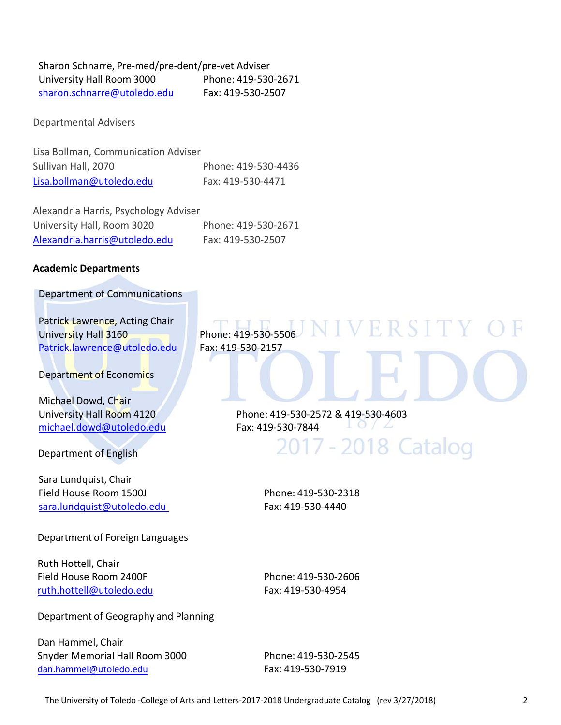Sharon Schnarre, Pre‐med/pre‐dent/pre‐vet Adviser University Hall Room 3000 Phone: 419‐530‐2671 sharon.schnarre@utoledo.edu Fax: 419-530-2507

Departmental Advisers

Lisa Bollman, Communication Adviser Sullivan Hall, 2070 Phone: 419‐530‐4436 Lisa.bollman@utoledo.edu Fax: 419‐530‐4471

Alexandria Harris, Psychology Adviser University Hall, Room 3020 Phone: 419‐530‐2671 Alexandria.harris@utoledo.edu Fax: 419‐530‐2507

#### **Academic Departments**

Department of Communications

Patrick Lawrence, Acting Chair Patrick Lawrence, Acting Chair<br>University Hall 3160 Phone: 419‐530‐5506 NIVERSITY Patrick.lawrence@utoledo.edu Fax: 419‐530‐2157

Department of Economics

Michael Dowd, Chair michael.dowd@utoledo.edu Fax: 419-530-7844

Department of English

Sara Lundquist, Chair Field House Room 1500J Phone: 419‐530‐2318 sara.lundquist@utoledo.edu Fax: 419-530-4440

Department of Foreign Languages

Ruth Hottell, Chair Field House Room 2400F Phone: 419‐530‐2606 ruth.hottell@utoledo.edu Fax: 419-530-4954

Department of Geography and Planning

Dan Hammel, Chair Snyder Memorial Hall Room 3000 Phone: 419‐530‐2545 dan.hammel@utoledo.edu Fax: 419-530-7919

University Hall Room 4120 Phone: 419‐530‐2572 & 419‐530‐4603

2017 - 2018 Catalog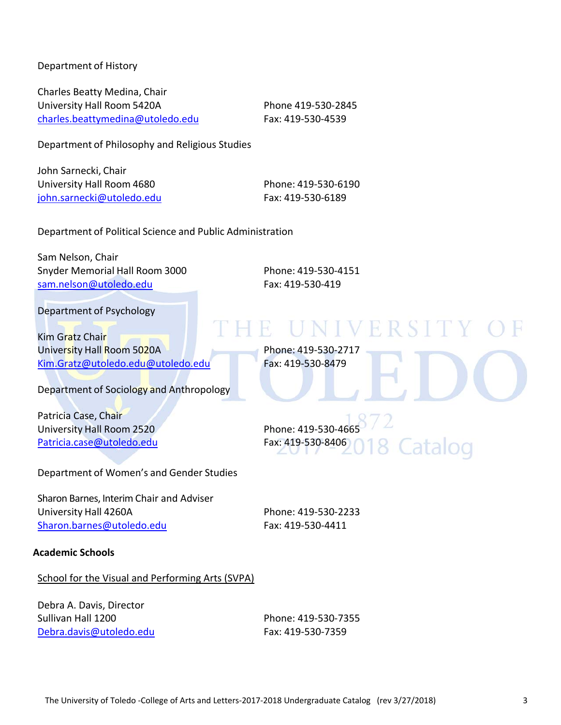Department of History

Charles Beatty Medina, Chair University Hall Room 5420A Phone 419-530-2845 charles.beattymedina@utoledo.edu Fax: 419-530-4539

Department of Philosophy and Religious Studies

John Sarnecki, Chair University Hall Room 4680 Phone: 419‐530‐6190 iohn.sarnecki@utoledo.edu Fax: 419-530-6189

Department of Political Science and Public Administration

Sam Nelson, Chair Snyder Memorial Hall Room 3000 Phone: 419‐530‐4151 sam.nelson@utoledo.edu Fax: 419-530-419

NIVERSIT

Catalog

Department of Psychology

Kim Gratz Chair University Hall Room 5020A Phone: 419-530-2717 Kim.Gratz@utoledo.edu@utoledo.edu Fax: 419‐530‐8479

Department of Sociology and Anthropology

Patricia Case, Chair University Hall Room 2520 Phone: 419-530-4665 Patricia.case@utoledo.edu Fax: 419-530-8406

Department of Women's and Gender Studies

Sharon Barnes, Interim Chair and Adviser University Hall 4260A Phone: 419‐530‐2233 Sharon.barnes@utoledo.edu Fax: 419-530-4411

#### **Academic Schools**

#### School for the Visual and Performing Arts (SVPA)

Debra A. Davis, Director Sullivan Hall 1200 Phone: 419‐530‐7355 Debra.davis@utoledo.edu Fax: 419‐530‐7359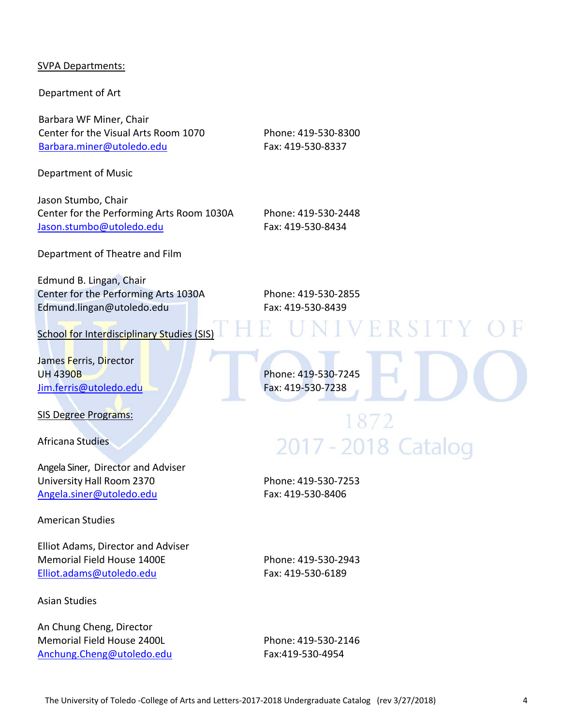#### SVPA Departments:

Department of Art

Barbara WF Miner, Chair Center for the Visual Arts Room 1070 Phone: 419‐530‐8300 Barbara.miner@utoledo.edu Fax: 419-530-8337

Department of Music

Jason Stumbo, Chair Center for the Performing Arts Room 1030A Phone: 419‐530‐2448 Jason.stumbo@utoledo.edu Fax: 419‐530‐8434

Department of Theatre and Film

Edmund B. Lingan, Chair Center for the Performing Arts 1030A Phone: 419‐530‐2855 Edmund.lingan@utoledo.edu Fax: 419‐530‐8439

School for Interdisciplinary Studies (SIS)

James Ferris, Director UH 4390B Phone: 419‐530‐7245 Jim.ferris@utoledo.edu Fax: 419‐530‐7238

SIS Degree Programs:

Africana Studies

Angela Siner, Director and Adviser University Hall Room 2370 Phone: 419‐530‐7253 Angela.siner@utoledo.edu Fax: 419‐530‐8406

American Studies

Elliot Adams, Director and Adviser Memorial Field House 1400E Phone: 419-530-2943 Elliot.adams@utoledo.edu Fax: 419‐530‐6189

Asian Studies

An Chung Cheng, Director Memorial Field House 2400L Phone: 419‐530‐2146 Anchung.Cheng@utoledo.edu Fax:419‐530‐4954

# 1872 2017 - 2018 Catalog

**IVERSITY**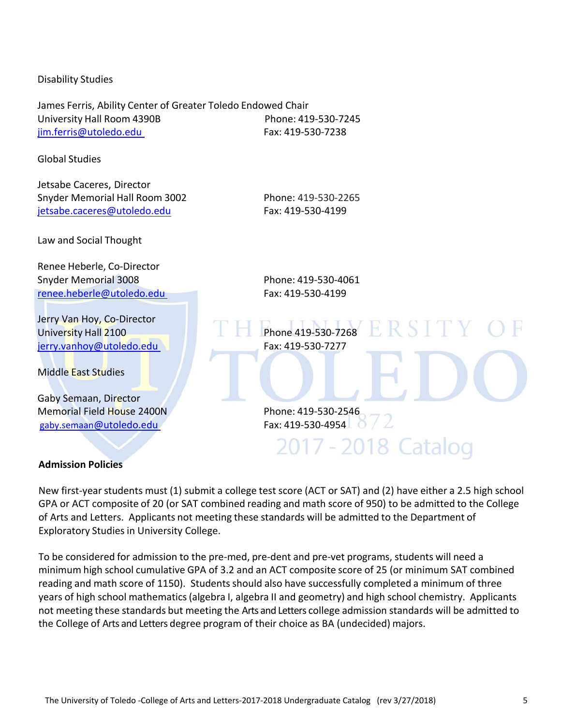#### Disability Studies

James Ferris, Ability Center of Greater Toledo Endowed Chair University Hall Room 4390B Phone: 419‐530‐7245 jim.ferris@utoledo.edu Fax: 419‐530‐7238

Global Studies

Jetsabe Caceres, Director Snyder Memorial Hall Room 3002 Phone: 419‐530‐2265 jetsabe.caceres@utoledo.edu Fax: 419-530-4199

Law and Social Thought

Renee Heberle, Co‐Director Snyder Memorial 3008 Phone: 419‐530‐4061 renee.heberle@utoledo.edu Fax: 419-530-4199

Jerry Van Hoy, Co-Director University Hall 2100 Phone 419-530-7268 R SIT jerry.vanhoy@utoledo.edu Fax: 419-530-7277

Middle East Studies

Gaby Semaan, Director Memorial Field House 2400N Phone: 419-530-2546<br>
gaby.semaan@utoledo.edu Phone: 419-530-4954 gaby.semaan@utoledo.edu

2017 - 2018 Catalog

#### **Admission Policies**

New first-year students must (1) submit a college test score (ACT or SAT) and (2) have either a 2.5 high school GPA or ACT composite of 20 (or SAT combined reading and math score of 950) to be admitted to the College of Arts and Letters. Applicants not meeting these standards will be admitted to the Department of Exploratory Studies in University College.

To be considered for admission to the pre‐med, pre‐dent and pre‐vet programs, students will need a minimum high school cumulative GPA of 3.2 and an ACT composite score of 25 (or minimum SAT combined reading and math score of 1150). Students should also have successfully completed a minimum of three years of high school mathematics(algebra I, algebra II and geometry) and high school chemistry. Applicants not meeting these standards but meeting the Arts and Letters college admission standards will be admitted to the College of Arts and Letters degree program of their choice as BA (undecided) majors.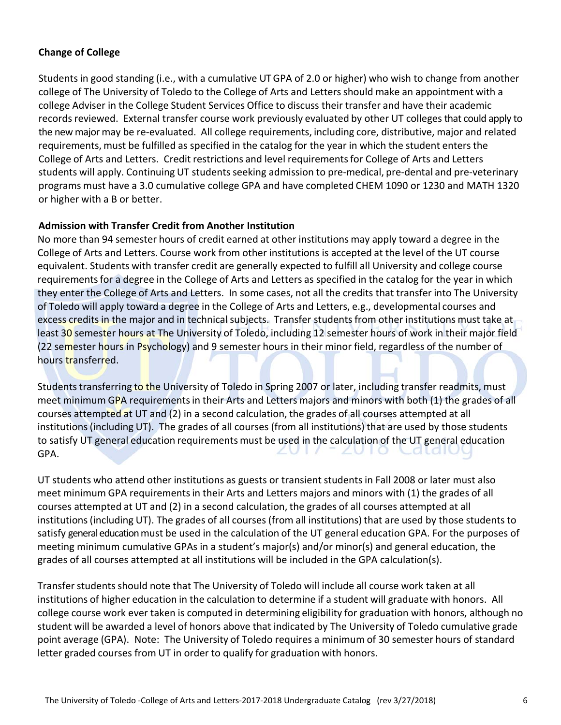# **Change of College**

Studentsin good standing (i.e., with a cumulative UTGPA of 2.0 or higher) who wish to change from another college of The University of Toledo to the College of Arts and Lettersshould make an appointment with a college Adviser in the College Student Services Office to discuss their transfer and have their academic records reviewed. External transfer course work previously evaluated by other UT colleges that could apply to the new major may be re‐evaluated. All college requirements, including core, distributive, major and related requirements, must be fulfilled as specified in the catalog for the year in which the student enters the College of Arts and Letters. Credit restrictions and level requirementsfor College of Arts and Letters students will apply. Continuing UT students seeking admission to pre-medical, pre-dental and pre-veterinary programs must have a 3.0 cumulative college GPA and have completed CHEM 1090 or 1230 and MATH 1320 or higher with a B or better.

#### **Admission with Transfer Credit from Another Institution**

No more than 94 semester hours of credit earned at other institutions may apply toward a degree in the College of Arts and Letters. Course work from other institutions is accepted at the level of the UT course equivalent. Students with transfer credit are generally expected to fulfill all University and college course requirementsfor a degree in the College of Arts and Letters as specified in the catalog for the year in which they enter the College of Arts and Letters. In some cases, not all the credits that transfer into The University of Toledo will apply toward a degree in the College of Arts and Letters, e.g., developmental courses and excess credits in the major and in technical subjects. Transfer students from other institutions must take at least 30 semester hours at The University of Toledo, including 12 semester hours of work in their major field (22 semester hours in Psychology) and 9 semester hours in their minor field, regardless of the number of hours transferred.

Students transferring to the University of Toledo in Spring 2007 or later, including transfer readmits, must meet minimum GPA requirements in their Arts and Letters majors and minors with both (1) the grades of all courses attempted at UT and (2) in a second calculation, the grades of all courses attempted at all institutions(including UT). The grades of all courses (from all institutions) that are used by those students to satisfy UT general education requirements must be used in the calculation of the UT general education GPA.

UT students who attend other institutions as guests or transientstudentsin Fall 2008 or later must also meet minimum GPA requirementsin their Arts and Letters majors and minors with (1) the grades of all courses attempted at UT and (2) in a second calculation, the grades of all courses attempted at all institutions (including UT). The grades of all courses (from all institutions) that are used by those students to satisfy general education must be used in the calculation of the UT general education GPA. For the purposes of meeting minimum cumulative GPAs in a student's major(s) and/or minor(s) and general education, the grades of all courses attempted at all institutions will be included in the GPA calculation(s).

Transfer students should note that The University of Toledo will include all course work taken at all institutions of higher education in the calculation to determine if a student will graduate with honors. All college course work ever taken is computed in determining eligibility for graduation with honors, although no student will be awarded a level of honors above that indicated by The University of Toledo cumulative grade point average (GPA). Note: The University of Toledo requires a minimum of 30 semester hours of standard letter graded courses from UT in order to qualify for graduation with honors.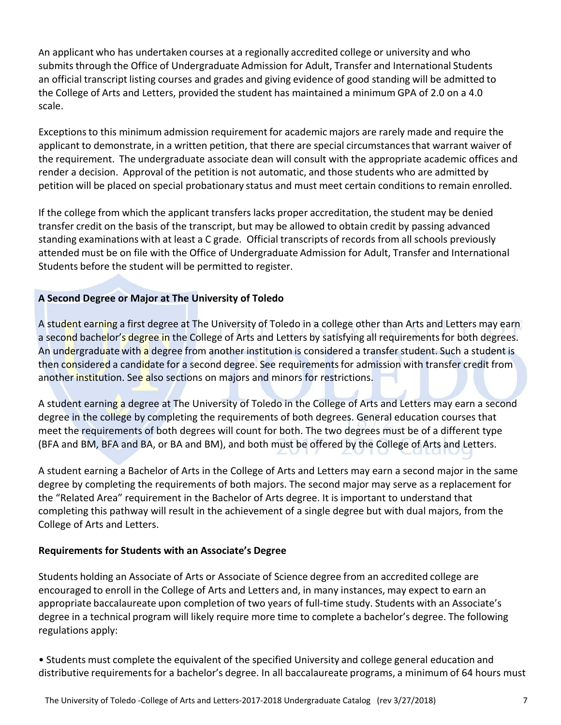An applicant who has undertaken courses at a regionally accredited college or university and who submits through the Office of Undergraduate Admission for Adult, Transfer and International Students an official transcript listing courses and grades and giving evidence of good standing will be admitted to the College of Arts and Letters, provided the student has maintained a minimum GPA of 2.0 on a 4.0 scale.

Exceptionsto this minimum admission requirement for academic majors are rarely made and require the applicant to demonstrate, in a written petition, that there are special circumstances that warrant waiver of the requirement. The undergraduate associate dean will consult with the appropriate academic offices and render a decision. Approval of the petition is not automatic, and those students who are admitted by petition will be placed on special probationary status and must meet certain conditions to remain enrolled.

If the college from which the applicant transfers lacks proper accreditation, the student may be denied transfer credit on the basis of the transcript, but may be allowed to obtain credit by passing advanced standing examinations with at least a C grade. Official transcripts of records from all schools previously attended must be on file with the Office of Undergraduate Admission for Adult, Transfer and International Students before the student will be permitted to register.

# **A Second Degree or Major at The University of Toledo**

A student earning a first degree at The University of Toledo in a college other than Arts and Letters may earn a second bachelor's degree in the College of Arts and Letters by satisfying all requirements for both degrees. An undergraduate with a degree from another institution is considered a transfer student. Such a student is then considered a candidate for a second degree. See requirements for admission with transfer credit from another institution. See also sections on majors and minors for restrictions.

A student earning a degree at The University of Toledo in the College of Arts and Letters may earn a second degree in the college by completing the requirements of both degrees. General education courses that meet the requirements of both degrees will count for both. The two degrees must be of a different type (BFA and BM, BFA and BA, or BA and BM), and both must be offered by the College of Arts and Letters.

A student earning a Bachelor of Arts in the College of Arts and Letters may earn a second major in the same degree by completing the requirements of both majors. The second major may serve as a replacement for the "Related Area" requirement in the Bachelor of Arts degree. It is important to understand that completing this pathway will result in the achievement of a single degree but with dual majors, from the College of Arts and Letters.

# **Requirements for Students with an Associate's Degree**

Students holding an Associate of Arts or Associate of Science degree from an accredited college are encouraged to enroll in the College of Arts and Letters and, in many instances, may expect to earn an appropriate baccalaureate upon completion of two years of full-time study. Students with an Associate's degree in a technical program will likely require more time to complete a bachelor's degree. The following regulations apply:

• Students must complete the equivalent of the specified University and college general education and distributive requirementsfor a bachelor's degree. In all baccalaureate programs, a minimum of 64 hours must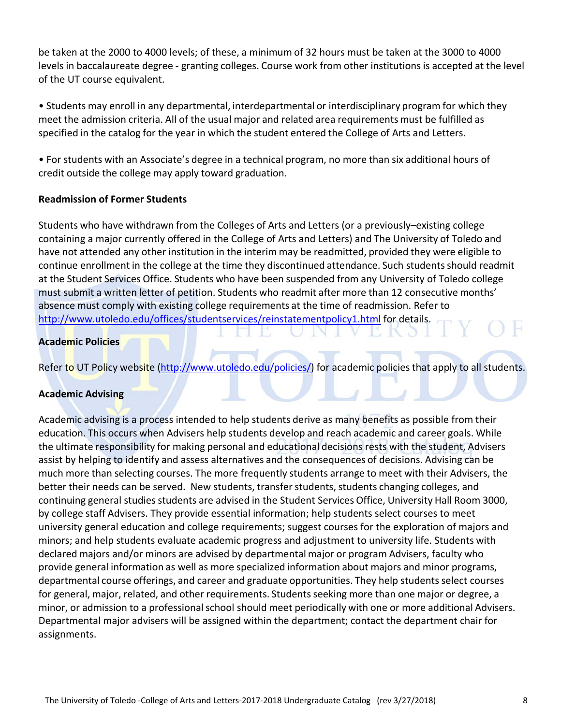be taken at the 2000 to 4000 levels; of these, a minimum of 32 hours must be taken at the 3000 to 4000 levels in baccalaureate degree - granting colleges. Course work from other institutions is accepted at the level of the UT course equivalent.

• Students may enroll in any departmental, interdepartmental or interdisciplinary program for which they meet the admission criteria. All of the usual major and related area requirements must be fulfilled as specified in the catalog for the year in which the student entered the College of Arts and Letters.

• For students with an Associate's degree in a technical program, no more than six additional hours of credit outside the college may apply toward graduation.

#### **Readmission of Former Students**

Students who have withdrawn from the Colleges of Arts and Letters (or a previously–existing college containing a major currently offered in the College of Arts and Letters) and The University of Toledo and have not attended any other institution in the interim may be readmitted, provided they were eligible to continue enrollment in the college at the time they discontinued attendance. Such studentsshould readmit at the Student Services Office. Students who have been suspended from any University of Toledo college must submit a written letter of petition. Students who readmit after more than 12 consecutive months' absence must comply with existing college requirements at the time of readmission. Refer to http://www.utoledo.edu/offices/studentservices/reinstatementpolicy1.html for details.

#### **Academic Policies**

Refer to UT Policy website (http://www.utoledo.edu/policies/) for academic policies that apply to all students.

# **Academic Advising**

Academic advising is a process intended to help students derive as many benefits as possible from their education. This occurs when Advisers help students develop and reach academic and career goals. While the ultimate responsibility for making personal and educational decisions rests with the student, Advisers assist by helping to identify and assess alternatives and the consequences of decisions. Advising can be much more than selecting courses. The more frequently students arrange to meet with their Advisers, the better their needs can be served. New students, transfer students, students changing colleges, and continuing general studies students are advised in the Student Services Office, University Hall Room 3000, by college staff Advisers. They provide essential information; help students select courses to meet university general education and college requirements; suggest courses for the exploration of majors and minors; and help students evaluate academic progress and adjustment to university life. Students with declared majors and/or minors are advised by departmental major or program Advisers, faculty who provide general information as well as more specialized information about majors and minor programs, departmental course offerings, and career and graduate opportunities. They help students select courses for general, major, related, and other requirements. Students seeking more than one major or degree, a minor, or admission to a professional school should meet periodically with one or more additional Advisers. Departmental major advisers will be assigned within the department; contact the department chair for assignments.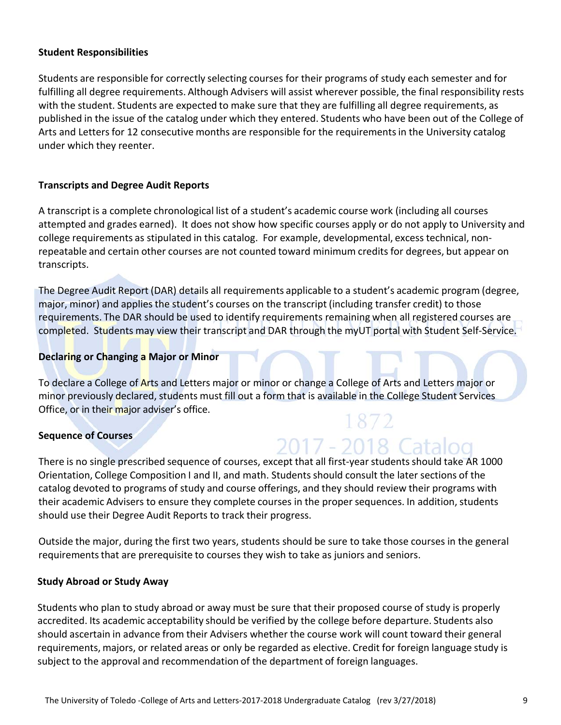#### **Student Responsibilities**

Students are responsible for correctly selecting courses for their programs of study each semester and for fulfilling all degree requirements. Although Advisers will assist wherever possible, the final responsibility rests with the student. Students are expected to make sure that they are fulfilling all degree requirements, as published in the issue of the catalog under which they entered. Students who have been out of the College of Arts and Letters for 12 consecutive months are responsible for the requirements in the University catalog under which they reenter.

#### **Transcripts and Degree Audit Reports**

A transcript is a complete chronological list of a student's academic course work (including all courses attempted and grades earned). It does not show how specific courses apply or do not apply to University and college requirements as stipulated in this catalog. For example, developmental, excess technical, non‐ repeatable and certain other courses are not counted toward minimum credits for degrees, but appear on transcripts.

The Degree Audit Report (DAR) details all requirements applicable to a student's academic program (degree, major, minor) and applies the student's courses on the transcript (including transfer credit) to those requirements. The DAR should be used to identify requirements remaining when all registered courses are completed. Students may view their transcript and DAR through the myUT portal with Student Self-Service.

#### **Declaring or Changing a Major or Minor**

To declare a College of Arts and Letters major or minor or change a College of Arts and Letters major or minor previously declared, students must fill out a form that is available in the College Student Services Office, or in their major adviser's office. 1872

#### **Sequence of Courses**

There is no single prescribed sequence of courses, except that all first-year students should take AR 1000 Orientation, College Composition I and II, and math. Students should consult the later sections of the catalog devoted to programs of study and course offerings, and they should review their programs with their academic Advisers to ensure they complete courses in the proper sequences. In addition, students should use their Degree Audit Reports to track their progress.

2017 - 2018 Catal

Outside the major, during the first two years, students should be sure to take those courses in the general requirements that are prerequisite to courses they wish to take as juniors and seniors.

#### **Study Abroad or Study Away**

Students who plan to study abroad or away must be sure that their proposed course of study is properly accredited. Its academic acceptability should be verified by the college before departure. Students also should ascertain in advance from their Advisers whether the course work will count toward their general requirements, majors, or related areas or only be regarded as elective. Credit for foreign language study is subject to the approval and recommendation of the department of foreign languages.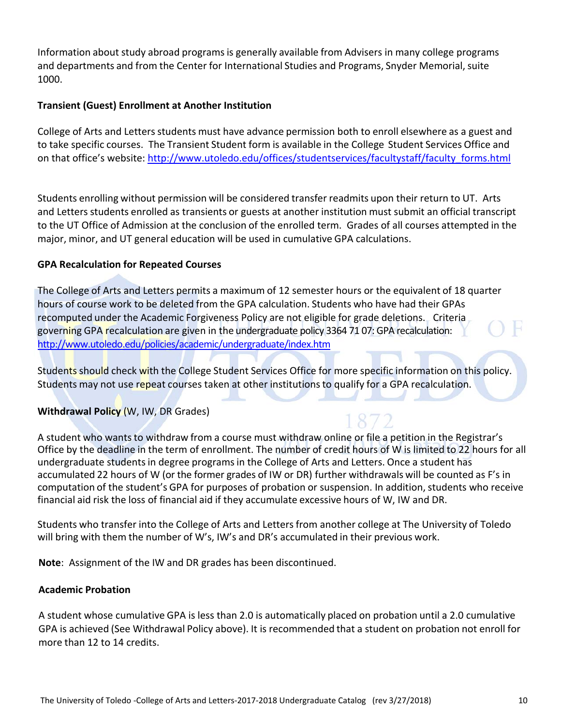Information about study abroad programs is generally available from Advisers in many college programs and departments and from the Center for International Studies and Programs, Snyder Memorial, suite 1000.

#### **Transient (Guest) Enrollment at Another Institution**

College of Arts and Letters students must have advance permission both to enroll elsewhere as a guest and to take specific courses. The Transient Student form is available in the College Student Services Office and on that office's website: http://www.utoledo.edu/offices/studentservices/facultystaff/faculty\_forms.html

Students enrolling without permission will be considered transfer readmits upon their return to UT. Arts and Lettersstudents enrolled as transients or guests at another institution must submit an official transcript to the UT Office of Admission at the conclusion of the enrolled term. Grades of all courses attempted in the major, minor, and UT general education will be used in cumulative GPA calculations.

#### **GPA Recalculation for Repeated Courses**

The College of Arts and Letters permits a maximum of 12 semester hours or the equivalent of 18 quarter hours of course work to be deleted from the GPA calculation. Students who have had their GPAs recomputed under the Academic Forgiveness Policy are not eligible for grade deletions. Criteria governing GPA recalculation are given in the undergraduate policy 3364 71 07: GPA recalculation: http://www.utoledo.edu/policies/academic/undergraduate/index.htm

Students should check with the College Student Services Office for more specific information on this policy. Students may not use repeat courses taken at other institutions to qualify for a GPA recalculation.

# **Withdrawal Policy** (W, IW, DR Grades)

A student who wants to withdraw from a course must withdraw online or file a petition in the Registrar's Office by the deadline in the term of enrollment. The number of credit hours of W is limited to 22 hours for all undergraduate studentsin degree programsin the College of Arts and Letters. Once a student has accumulated 22 hours of W (or the former grades of IW or DR) further withdrawals will be counted as F's in computation of the student's GPA for purposes of probation or suspension. In addition, students who receive financial aid risk the loss of financial aid if they accumulate excessive hours of W, IW and DR.

Students who transfer into the College of Arts and Letters from another college at The University of Toledo will bring with them the number of W's, IW's and DR's accumulated in their previous work.

**Note**: Assignment of the IW and DR grades has been discontinued.

#### **Academic Probation**

A student whose cumulative GPA is less than 2.0 is automatically placed on probation until a 2.0 cumulative GPA is achieved (See Withdrawal Policy above). It is recommended that a student on probation not enroll for more than 12 to 14 credits.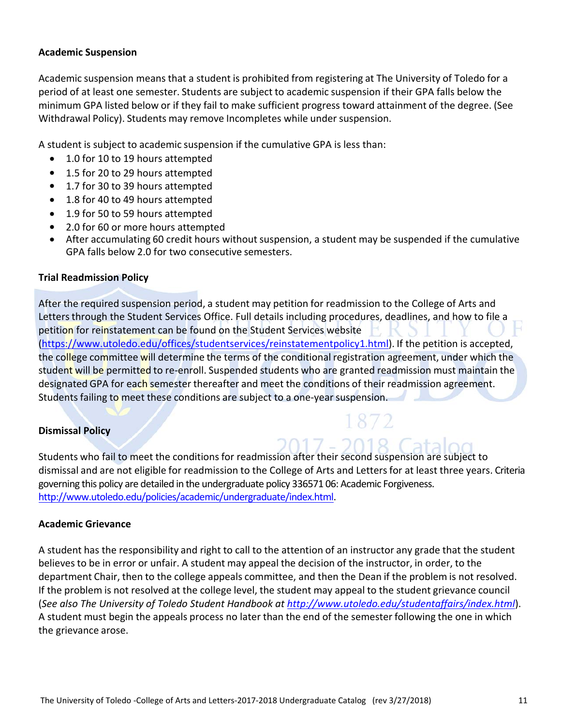#### **Academic Suspension**

Academic suspension means that a student is prohibited from registering at The University of Toledo for a period of at least one semester. Students are subject to academic suspension if their GPA falls below the minimum GPA listed below or if they fail to make sufficient progress toward attainment of the degree. (See Withdrawal Policy). Students may remove Incompletes while under suspension.

A student is subject to academic suspension if the cumulative GPA is less than:

- 1.0 for 10 to 19 hours attempted
- 1.5 for 20 to 29 hours attempted
- 1.7 for 30 to 39 hours attempted
- 1.8 for 40 to 49 hours attempted
- 1.9 for 50 to 59 hours attempted
- 2.0 for 60 or more hours attempted
- After accumulating 60 credit hours without suspension, a student may be suspended if the cumulative GPA falls below 2.0 for two consecutive semesters.

#### **Trial Readmission Policy**

After the required suspension period, a student may petition for readmission to the College of Arts and Letters through the Student Services Office. Full details including procedures, deadlines, and how to file a petition for reinstatement can be found on the Student Services website (https://www.utoledo.edu/offices/studentservices/reinstatementpolicy1.html). If the petition is accepted, the college committee will determine the terms of the conditional registration agreement, under which the student will be permitted to re-enroll. Suspended students who are granted readmission must maintain the designated GPA for each semester thereafter and meet the conditions of their readmission agreement. Students failing to meet these conditions are subject to a one-year suspension.

#### **Dismissal Policy**

Students who fail to meet the conditions for readmission after their second suspension are subject to dismissal and are not eligible for readmission to the College of Arts and Letters for at least three years. Criteria governing this policy are detailed in the undergraduate policy 336571 06: Academic Forgiveness. http://www.utoledo.edu/policies/academic/undergraduate/index.html.

#### **Academic Grievance**

A student has the responsibility and right to call to the attention of an instructor any grade that the student believes to be in error or unfair. A student may appeal the decision of the instructor, in order, to the department Chair, then to the college appeals committee, and then the Dean if the problem is not resolved. If the problem is not resolved at the college level, the student may appeal to the student grievance council (*See also The University of Toledo Student Handbook at http://www.utoledo.edu/studentaffairs/index.html*). A student must begin the appeals process no later than the end of the semester following the one in which the grievance arose.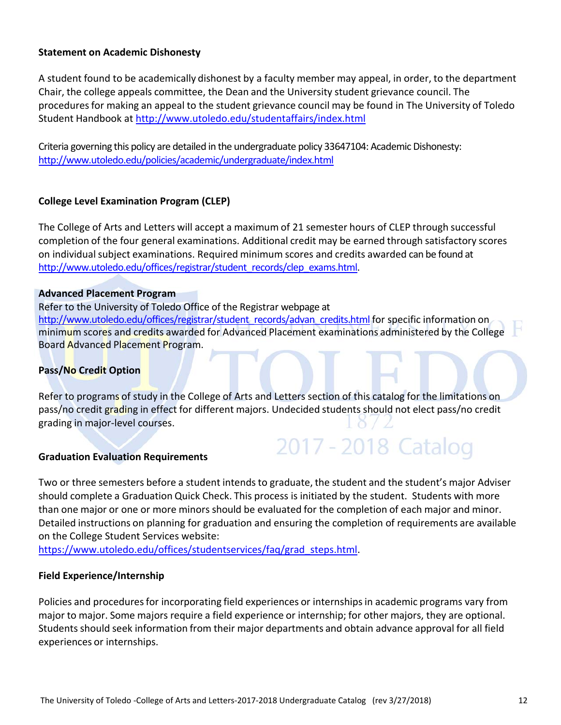#### **Statement on Academic Dishonesty**

A student found to be academically dishonest by a faculty member may appeal, in order, to the department Chair, the college appeals committee, the Dean and the University student grievance council. The procedures for making an appeal to the student grievance council may be found in The University of Toledo Student Handbook at http://www.utoledo.edu/studentaffairs/index.html

Criteria governing this policy are detailed in the undergraduate policy 33647104: Academic Dishonesty: http://www.utoledo.edu/policies/academic/undergraduate/index.html

#### **College Level Examination Program (CLEP)**

The College of Arts and Letters will accept a maximum of 21 semester hours of CLEP through successful completion of the four general examinations. Additional credit may be earned through satisfactory scores on individual subject examinations. Required minimum scores and credits awarded can be found at http://www.utoledo.edu/offices/registrar/student\_records/clep\_exams.html.

#### **Advanced Placement Program**

Refer to the University of Toledo Office of the Registrar webpage at http://www.utoledo.edu/offices/registrar/student\_records/advan\_credits.html for specific information on minimum scores and credits awarded for Advanced Placement examinations administered by the College Board Advanced Placement Program.

#### **Pass/No Credit Option**

Refer to programs of study in the College of Arts and Letters section of this catalog for the limitations on pass/no credit grading in effect for different majors. Undecided students should not elect pass/no credit grading in major‐level courses.

#### **Graduation Evaluation Requirements**

Two or three semesters before a student intends to graduate, the student and the student's major Adviser should complete a Graduation Quick Check. This process is initiated by the student. Students with more than one major or one or more minors should be evaluated for the completion of each major and minor. Detailed instructions on planning for graduation and ensuring the completion of requirements are available on the College Student Services website:

2017 - 2018 Catalog

https://www.utoledo.edu/offices/studentservices/faq/grad\_steps.html.

#### **Field Experience/Internship**

Policies and procedures for incorporating field experiences or internships in academic programs vary from major to major. Some majors require a field experience or internship; for other majors, they are optional. Students should seek information from their major departments and obtain advance approval for all field experiences or internships.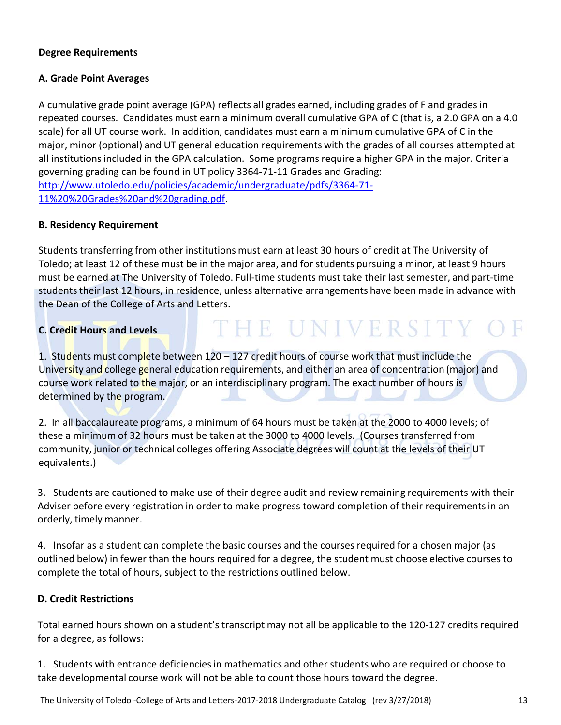#### **Degree Requirements**

#### **A. Grade Point Averages**

A cumulative grade point average (GPA) reflects all grades earned, including grades of F and grades in repeated courses. Candidates must earn a minimum overall cumulative GPA of C (that is, a 2.0 GPA on a 4.0 scale) for all UT course work. In addition, candidates must earn a minimum cumulative GPA of C in the major, minor (optional) and UT general education requirements with the grades of all courses attempted at all institutions included in the GPA calculation. Some programs require a higher GPA in the major. Criteria governing grading can be found in UT policy 3364‐71‐11 Grades and Grading: http://www.utoledo.edu/policies/academic/undergraduate/pdfs/3364‐71‐ 11%20%20Grades%20and%20grading.pdf.

#### **B. Residency Requirement**

Students transferring from other institutions must earn at least 30 hours of credit at The University of Toledo; at least 12 of these must be in the major area, and for students pursuing a minor, at least 9 hours must be earned at The University of Toledo. Full‐time students must take their last semester, and part‐time students their last 12 hours, in residence, unless alternative arrangements have been made in advance with the Dean of the College of Arts and Letters.

# **C. Credit Hours and Levels**

# THE UNIVERSITY OF

1. Students must complete between 120 – 127 credit hours of course work that must include the University and college general education requirements, and either an area of concentration (major) and course work related to the major, or an interdisciplinary program. The exact number of hours is determined by the program.

2. In all baccalaureate programs, a minimum of 64 hours must be taken at the 2000 to 4000 levels; of these a minimum of 32 hours must be taken at the 3000 to 4000 levels. (Courses transferred from community, junior or technical colleges offering Associate degrees will count at the levels of their UT equivalents.)

3. Students are cautioned to make use of their degree audit and review remaining requirements with their Adviser before every registration in order to make progress toward completion of their requirements in an orderly, timely manner.

4. Insofar as a student can complete the basic courses and the courses required for a chosen major (as outlined below) in fewer than the hours required for a degree, the student must choose elective courses to complete the total of hours, subject to the restrictions outlined below.

# **D. Credit Restrictions**

Total earned hours shown on a student's transcript may not all be applicable to the 120‐127 credits required for a degree, as follows:

1. Students with entrance deficienciesin mathematics and other students who are required or choose to take developmental course work will not be able to count those hours toward the degree.

The University of Toledo ‐College of Arts and Letters‐2017‐2018 Undergraduate Catalog (rev 3/27/2018) 13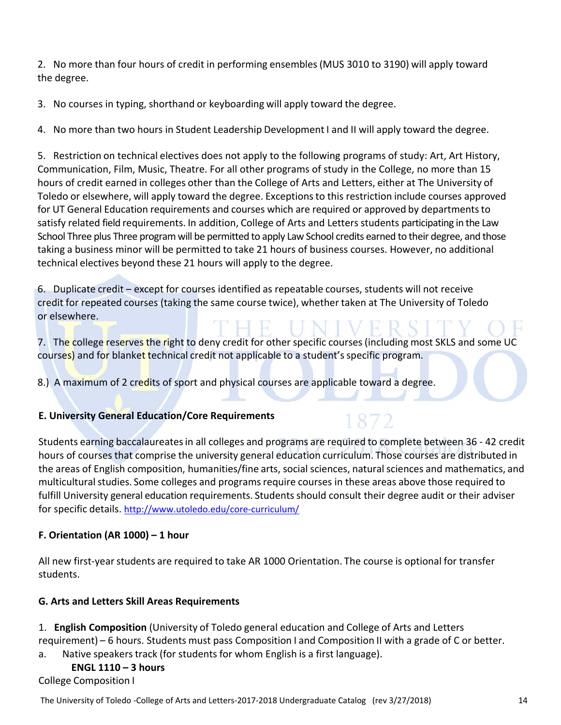2. No more than four hours of credit in performing ensembles(MUS 3010 to 3190) will apply toward the degree.

3. No courses in typing, shorthand or keyboarding will apply toward the degree.

4. No more than two hours in Student Leadership Development I and II will apply toward the degree.

5. Restriction on technical electives does not apply to the following programs of study: Art, Art History, Communication, Film, Music, Theatre. For all other programs of study in the College, no more than 15 hours of credit earned in colleges other than the College of Arts and Letters, either at The University of Toledo or elsewhere, will apply toward the degree. Exceptionsto this restriction include courses approved for UT General Education requirements and courses which are required or approved by departments to satisfy related field requirements. In addition, College of Arts and Letters students participating in the Law School Three plus Three program will be permitted to apply Law School credits earned to their degree, and those taking a business minor will be permitted to take 21 hours of business courses. However, no additional technical electives beyond these 21 hours will apply to the degree.

6. Duplicate credit – except for courses identified as repeatable courses, students will not receive credit for repeated courses (taking the same course twice), whether taken at The University of Toledo or elsewhere.

7. The college reserves the right to deny credit for other specific courses (including most SKLS and some UC courses) and for blanket technical credit not applicable to a student's specific program.

8.) A maximum of 2 credits of sport and physical courses are applicable toward a degree.

# **E. University General Education/Core Requirements**

Students earning baccalaureatesin all colleges and programs are required to complete between 36 ‐ 42 credit hours of courses that comprise the university general education curriculum. Those courses are distributed in the areas of English composition, humanities/fine arts, social sciences, natural sciences and mathematics, and multicultural studies. Some colleges and programs require courses in these areas above those required to fulfill University general education requirements. Studentsshould consult their degree audit or their adviser for specific details. http://www.utoledo.edu/core‐curriculum/

# **F. Orientation (AR 1000) – 1 hour**

All new first-year students are required to take AR 1000 Orientation. The course is optional for transfer students.

# **G. Arts and Letters Skill Areas Requirements**

1. **English Composition** (University of Toledo general education and College of Arts and Letters requirement) – 6 hours. Students must pass Composition I and Composition II with a grade of C or better.

a. Native speakers track (for students for whom English is a first language).

# **ENGL 1110 – 3 hours**

College Composition I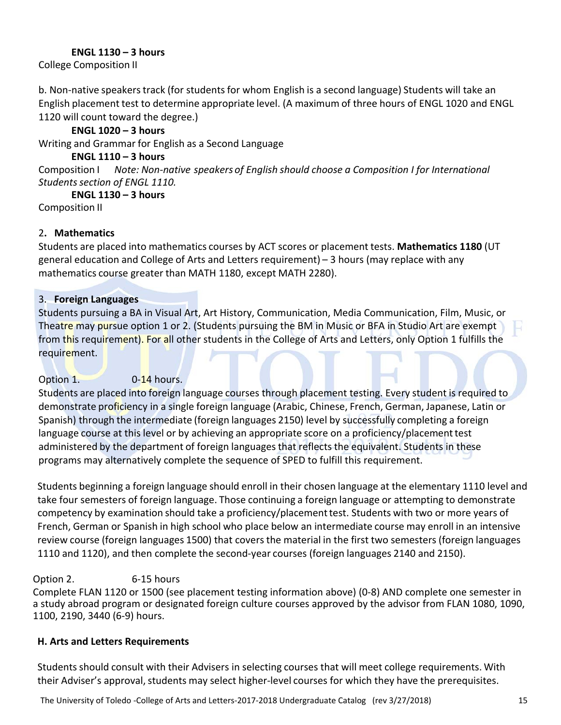#### **ENGL 1130 – 3 hours**

College Composition II

b. Non-native speakers track (for students for whom English is a second language) Students will take an English placement test to determine appropriate level. (A maximum of three hours of ENGL 1020 and ENGL 1120 will count toward the degree.)

# **ENGL 1020 – 3 hours**

Writing and Grammar for English as a Second Language

# **ENGL 1110 – 3 hours**

Composition I *Note: Non‐native speakers of English should choose a Composition I for International Studentssection of ENGL 1110.*

**ENGL 1130 – 3 hours**

Composition II

# 2**. Mathematics**

Students are placed into mathematics courses by ACT scores or placement tests. **Mathematics 1180** (UT general education and College of Arts and Letters requirement) – 3 hours (may replace with any mathematics course greater than MATH 1180, except MATH 2280).

# 3. **Foreign Languages**

Students pursuing a BA in Visual Art, Art History, Communication, Media Communication, Film, Music, or Theatre may pursue option 1 or 2. (Students pursuing the BM in Music or BFA in Studio Art are exempt from this requirement). For all other students in the College of Arts and Letters, only Option 1 fulfills the requirement.

# Option  $1.$  0-14 hours.

Students are placed into foreign language courses through placement testing. Every student is required to demonstrate proficiency in a single foreign language (Arabic, Chinese, French, German, Japanese, Latin or Spanish) through the intermediate (foreign languages 2150) level by successfully completing a foreign language course at this level or by achieving an appropriate score on a proficiency/placement test administered by the department of foreign languages that reflects the equivalent. Students in these programs may alternatively complete the sequence of SPED to fulfill this requirement.

Students beginning a foreign language should enroll in their chosen language at the elementary 1110 level and take four semesters of foreign language. Those continuing a foreign language or attempting to demonstrate competency by examination should take a proficiency/placement test. Students with two or more years of French, German or Spanish in high school who place below an intermediate course may enroll in an intensive review course (foreign languages 1500) that covers the material in the first two semesters (foreign languages 1110 and 1120), and then complete the second-year courses (foreign languages 2140 and 2150).

# Option 2. 6-15 hours

Complete FLAN 1120 or 1500 (see placement testing information above) (0‐8) AND complete one semester in a study abroad program or designated foreign culture courses approved by the advisor from FLAN 1080, 1090, 1100, 2190, 3440 (6‐9) hours.

# **H. Arts and Letters Requirements**

Students should consult with their Advisers in selecting courses that will meet college requirements. With their Adviser's approval, students may select higher-level courses for which they have the prerequisites.

The University of Toledo ‐College of Arts and Letters‐2017‐2018 Undergraduate Catalog (rev 3/27/2018) 15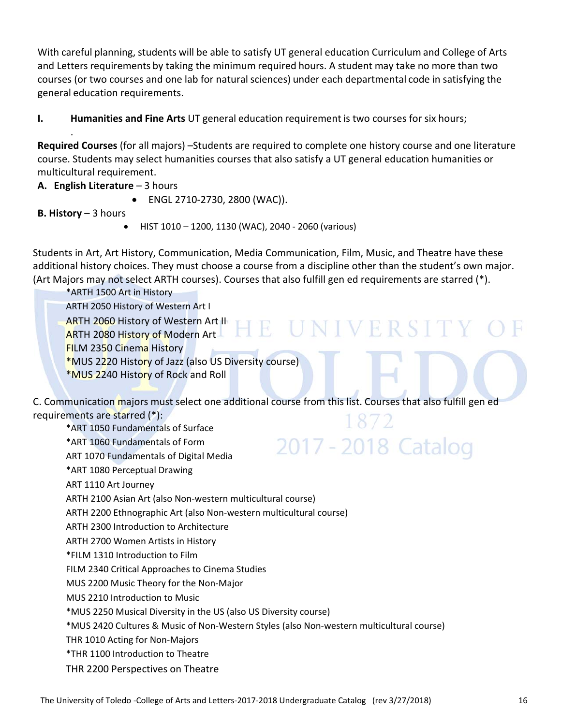With careful planning, students will be able to satisfy UT general education Curriculum and College of Arts and Letters requirements by taking the minimum required hours. A student may take no more than two courses (or two courses and one lab for natural sciences) under each departmental code in satisfying the general education requirements.

**I. Humanities and Fine Arts** UT general education requirement is two courses for six hours;

**Required Courses** (for all majors) –Students are required to complete one history course and one literature course. Students may select humanities courses that also satisfy a UT general education humanities or multicultural requirement.

**A. English Literature** – 3 hours

- ENGL 2710-2730, 2800 (WAC)).
- **B. History** 3 hours

.

● HIST 1010 – 1200, 1130 (WAC), 2040 - 2060 (various)

Students in Art, Art History, Communication, Media Communication, Film, Music, and Theatre have these additional history choices. They must choose a course from a discipline other than the student's own major. (Art Majors may not select ARTH courses). Courses that also fulfill gen ed requirements are starred (\*).

\*ARTH 1500 Art in History ARTH 2050 History of Western Art I ARTH 2060 History of Western Art II HE UNIVERSIT **ARTH 2080 History of Modern Art** FILM 2350 Cinema History \*MUS 2220 History of Jazz (also US Diversity course) \*MUS 2240 History of Rock and Roll

2017 - 2018 Catalog

C. Communication majors must select one additional course from this list. Courses that also fulfill gen ed requirements are starred (\*):

\*ART 1050 Fundamentals of Surface

\*ART 1060 Fundamentals of Form

ART 1070 Fundamentals of Digital Media

\*ART 1080 Perceptual Drawing

ART 1110 Art Journey

ARTH 2100 Asian Art (also Non‐western multicultural course)

ARTH 2200 Ethnographic Art (also Non‐western multicultural course)

ARTH 2300 Introduction to Architecture

ARTH 2700 Women Artists in History

\*FILM 1310 Introduction to Film

FILM 2340 Critical Approaches to Cinema Studies

MUS 2200 Music Theory for the Non‐Major

MUS 2210 Introduction to Music

\*MUS 2250 Musical Diversity in the US (also US Diversity course)

\*MUS 2420 Cultures & Music of Non‐Western Styles (also Non‐western multicultural course)

THR 1010 Acting for Non‐Majors

\*THR 1100 Introduction to Theatre

THR 2200 Perspectives on Theatre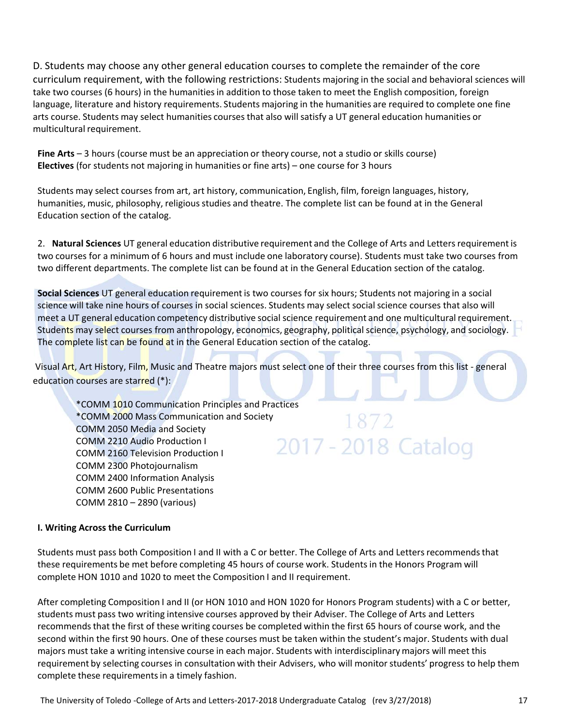D. Students may choose any other general education courses to complete the remainder of the core curriculum requirement, with the following restrictions: Students majoring in the social and behavioral sciences will take two courses (6 hours) in the humanities in addition to those taken to meet the English composition, foreign language, literature and history requirements. Students majoring in the humanities are required to complete one fine arts course. Students may select humanities courses that also will satisfy a UT general education humanities or multicultural requirement.

**Fine Arts** – 3 hours (course must be an appreciation or theory course, not a studio or skills course) **Electives** (for students not majoring in humanities or fine arts) – one course for 3 hours

Students may select courses from art, art history, communication, English, film, foreign languages, history, humanities, music, philosophy, religious studies and theatre. The complete list can be found at in the General Education section of the catalog.

2. **Natural Sciences** UT general education distributive requirement and the College of Arts and Lettersrequirement is two courses for a minimum of 6 hours and must include one laboratory course). Students must take two courses from two different departments. The complete list can be found at in the General Education section of the catalog.

**Social Sciences** UT general education requirementis two courses for six hours; Students not majoring in a social science will take nine hours of courses in social sciences. Students may select social science courses that also will meet a UT general education competency distributive social science requirement and one multicultural requirement. Students may select courses from anthropology, economics, geography, political science, psychology, and sociology. The complete list can be found at in the General Education section of the catalog.

Visual Art, Art History, Film, Music and Theatre majors must select one of their three courses from this list - general education courses are starred (\*):

\*COMM 1010 Communication Principles and Practices \*COMM 2000 Mass Communication and Society COMM 2050 Media and Society COMM 2210 Audio Production I COMM 2160 Television Production I COMM 2300 Photojournalism COMM 2400 Information Analysis COMM 2600 Public Presentations COMM 2810 – 2890 (various)

# 1872 2017 - 2018 Catalog

#### **I. Writing Across the Curriculum**

Students must pass both Composition I and II with a C or better. The College of Arts and Letters recommends that these requirements be met before completing 45 hours of course work. Studentsin the Honors Program will complete HON 1010 and 1020 to meet the Composition I and II requirement.

After completing Composition I and II (or HON 1010 and HON 1020 for Honors Program students) with a C or better, students must pass two writing intensive courses approved by their Adviser. The College of Arts and Letters recommends that the first of these writing courses be completed within the first 65 hours of course work, and the second within the first 90 hours. One of these courses must be taken within the student's major. Students with dual majors must take a writing intensive course in each major. Students with interdisciplinary majors will meet this requirement by selecting courses in consultation with their Advisers, who will monitor students' progress to help them complete these requirements in a timely fashion.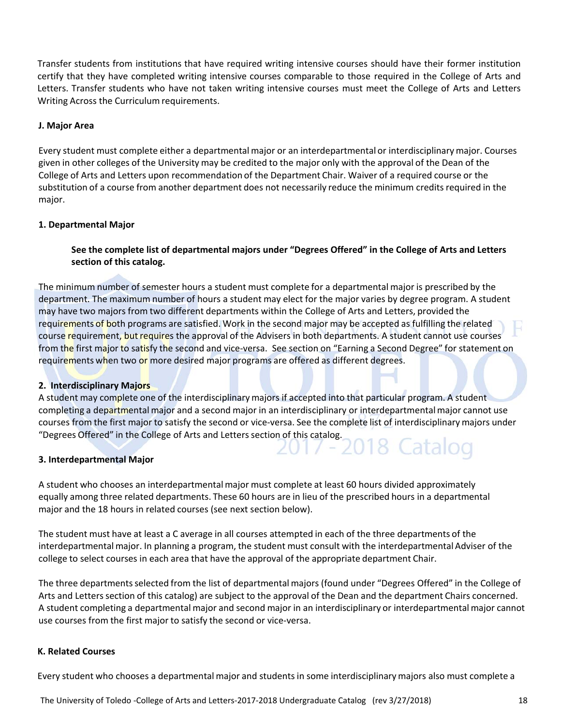Transfer students from institutions that have required writing intensive courses should have their former institution certify that they have completed writing intensive courses comparable to those required in the College of Arts and Letters. Transfer students who have not taken writing intensive courses must meet the College of Arts and Letters Writing Across the Curriculum requirements.

#### **J. Major Area**

Every student must complete either a departmental major or an interdepartmental or interdisciplinary major. Courses given in other colleges of the University may be credited to the major only with the approval of the Dean of the College of Arts and Letters upon recommendation of the Department Chair. Waiver of a required course or the substitution of a course from another department does not necessarily reduce the minimum credits required in the major.

#### **1. Departmental Major**

**See the complete list of departmental majors under "Degrees Offered" in the College of Arts and Letters section of this catalog.**

The minimum number of semester hours a student must complete for a departmental major is prescribed by the department. The maximum number of hours a student may elect for the major varies by degree program. A student may have two majors from two different departments within the College of Arts and Letters, provided the requirements of both programs are satisfied. Work in the second major may be accepted as fulfilling the related course requirement, but requires the approval of the Advisers in both departments. A student cannot use courses from the first major to satisfy the second and vice-versa. See section on "Earning a Second Degree" for statement on requirements when two or more desired major programs are offered as different degrees.

#### **2. Interdisciplinary Majors**

A student may complete one of the interdisciplinary majors if accepted into that particular program. A student completing a departmental major and a second major in an interdisciplinary or interdepartmentalmajor cannot use courses from the first major to satisfy the second or vice-versa. See the complete list of interdisciplinary majors under "Degrees Offered" in the College of Arts and Letters section of this catalog.

#### **3. Interdepartmental Major**

A student who chooses an interdepartmentalmajor must complete at least 60 hours divided approximately equally among three related departments. These 60 hours are in lieu of the prescribed hours in a departmental major and the 18 hours in related courses (see next section below).

The student must have at least a C average in all courses attempted in each of the three departments of the interdepartmental major. In planning a program, the student must consult with the interdepartmental Adviser of the college to select courses in each area that have the approval of the appropriate department Chair.

The three departmentsselected from the list of departmental majors (found under "Degrees Offered" in the College of Arts and Letters section of this catalog) are subject to the approval of the Dean and the department Chairs concerned. A student completing a departmental major and second major in an interdisciplinary or interdepartmentalmajor cannot use courses from the first major to satisfy the second or vice‐versa.

#### **K. Related Courses**

Every student who chooses a departmental major and studentsin some interdisciplinarymajors also must complete a

The University of Toledo ‐College of Arts and Letters‐2017‐2018 Undergraduate Catalog (rev 3/27/2018) 18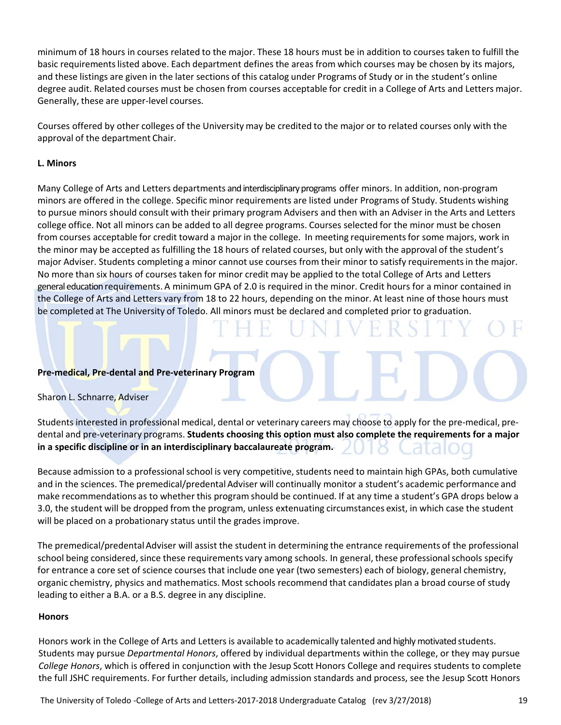minimum of 18 hours in courses related to the major. These 18 hours must be in addition to courses taken to fulfill the basic requirements listed above. Each department defines the areas from which courses may be chosen by its majors, and these listings are given in the later sections of this catalog under Programs of Study or in the student's online degree audit. Related courses must be chosen from courses acceptable for credit in a College of Arts and Letters major. Generally, these are upper‐level courses.

Courses offered by other colleges of the University may be credited to the major or to related courses only with the approval of the department Chair.

#### **L. Minors**

Many College of Arts and Letters departments and interdisciplinary programs offer minors. In addition, non-program minors are offered in the college. Specific minor requirements are listed under Programs of Study. Students wishing to pursue minors should consult with their primary program Advisers and then with an Adviser in the Arts and Letters college office. Not all minors can be added to all degree programs. Courses selected for the minor must be chosen from courses acceptable for credit toward a major in the college. In meeting requirementsfor some majors, work in the minor may be accepted as fulfilling the 18 hours of related courses, but only with the approval of the student's major Adviser. Students completing a minor cannot use courses from their minor to satisfy requirementsin the major. No more than six hours of courses taken for minor credit may be applied to the total College of Arts and Letters general education requirements. A minimum GPA of 2.0 is required in the minor. Credit hours for a minor contained in the College of Arts and Letters vary from 18 to 22 hours, depending on the minor. At least nine of those hours must be completed at The University of Toledo. All minors must be declared and completed prior to graduation.

#### **Pre‐medical, Pre‐dental and Pre‐veterinary Program**

#### Sharon L. Schnarre, Adviser

Students interested in professional medical, dental or veterinary careers may choose to apply for the pre-medical, predental and pre‐veterinary programs. **Students choosing this option must also complete the requirements for a major in a specific discipline or in an interdisciplinary baccalaureate program.**

Because admission to a professional school is very competitive, students need to maintain high GPAs, both cumulative and in the sciences. The premedical/predental Adviser will continually monitor a student's academic performance and make recommendations as to whether this program should be continued. If at any time a student's GPA drops below a 3.0, the student will be dropped from the program, unless extenuating circumstances exist, in which case the student will be placed on a probationary status until the grades improve.

The premedical/predental Adviser will assist the student in determining the entrance requirements of the professional school being considered, since these requirements vary among schools. In general, these professional schools specify for entrance a core set of science courses that include one year (two semesters) each of biology, general chemistry, organic chemistry, physics and mathematics. Most schools recommend that candidates plan a broad course of study leading to either a B.A. or a B.S. degree in any discipline.

#### **Honors**

Honors work in the College of Arts and Lettersis available to academically talented and highlymotivated students. Students may pursue *Departmental Honors*, offered by individual departments within the college, or they may pursue *College Honors*, which is offered in conjunction with the Jesup Scott Honors College and requires students to complete the full JSHC requirements. For further details, including admission standards and process, see the Jesup Scott Honors

The University of Toledo ‐College of Arts and Letters‐2017‐2018 Undergraduate Catalog (rev 3/27/2018) 19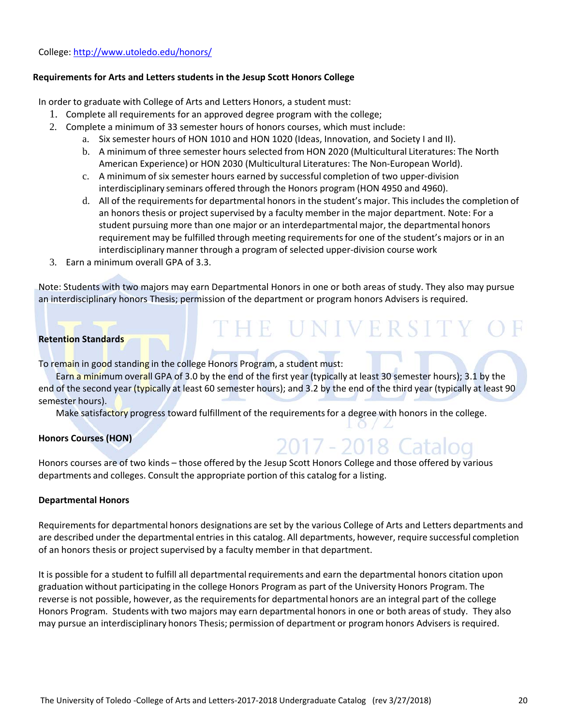#### **Requirements for Arts and Letters students in the Jesup Scott Honors College**

In order to graduate with College of Arts and Letters Honors, a student must:

- 1. Complete all requirements for an approved degree program with the college;
- 2. Complete a minimum of 33 semester hours of honors courses, which must include:
	- a. Six semester hours of HON 1010 and HON 1020 (Ideas, Innovation, and Society I and II).
	- b. A minimum of three semester hours selected from HON 2020 (Multicultural Literatures: The North American Experience) or HON 2030 (Multicultural Literatures: The Non‐European World).
	- c. A minimum of six semester hours earned by successful completion of two upper‐division interdisciplinary seminars offered through the Honors program (HON 4950 and 4960).
	- d. All of the requirements for departmental honors in the student's major. This includes the completion of an honors thesis or project supervised by a faculty member in the major department. Note: For a student pursuing more than one major or an interdepartmental major, the departmental honors requirement may be fulfilled through meeting requirementsfor one of the student's majors or in an interdisciplinary manner through a program of selected upper‐division course work

THE UNIVERSITY O

2017 - 2018 Catalog

3. Earn a minimum overall GPA of 3.3.

Note: Students with two majors may earn Departmental Honors in one or both areas of study. They also may pursue an interdisciplinary honors Thesis; permission of the department or program honors Advisers is required.

#### **Retention Standards**

To remain in good standing in the college Honors Program, a student must:

Earn a minimum overall GPA of 3.0 by the end of the first year (typically at least 30 semester hours); 3.1 by the end of the second year (typically at least 60 semester hours); and 3.2 by the end of the third year (typically at least 90 semester hours).

Make satisfactory progress toward fulfillment of the requirements for a degree with honors in the college.

#### **Honors Courses (HON)**

Honors courses are of two kinds – those offered by the Jesup Scott Honors College and those offered by various departments and colleges. Consult the appropriate portion of this catalog for a listing.

#### **Departmental Honors**

Requirementsfor departmental honors designations are set by the various College of Arts and Letters departments and are described under the departmental entries in this catalog. All departments, however, require successful completion of an honors thesis or project supervised by a faculty member in that department.

It is possible for a student to fulfill all departmentalrequirements and earn the departmental honors citation upon graduation without participating in the college Honors Program as part of the University Honors Program. The reverse is not possible, however, as the requirements for departmental honors are an integral part of the college Honors Program. Students with two majors may earn departmental honors in one or both areas of study. They also may pursue an interdisciplinary honors Thesis; permission of department or program honors Advisers is required.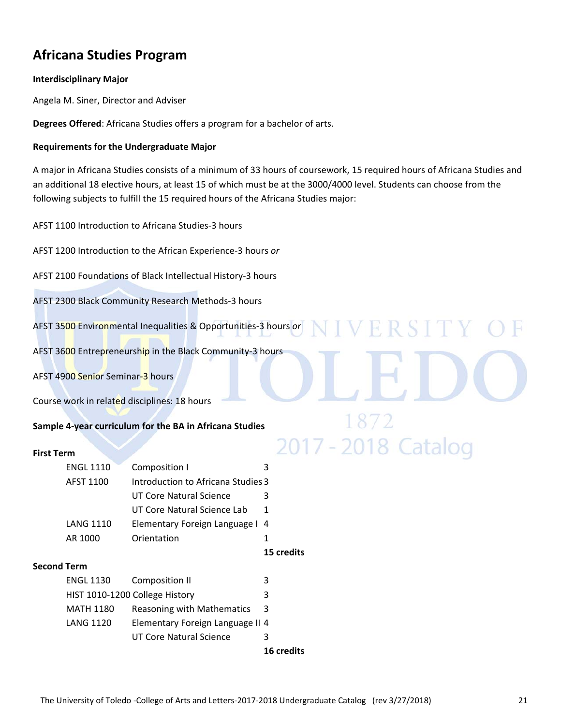# **Africana Studies Program**

#### **Interdisciplinary Major**

Angela M. Siner, Director and Adviser

**Degrees Offered**: Africana Studies offers a program for a bachelor of arts.

#### **Requirements for the Undergraduate Major**

A major in Africana Studies consists of a minimum of 33 hours of coursework, 15 required hours of Africana Studies and an additional 18 elective hours, at least 15 of which must be at the 3000/4000 level. Students can choose from the following subjects to fulfill the 15 required hours of the Africana Studies major:

VERSIT

2017 - 2018 Catalog

AFST 1100 Introduction to Africana Studies‐3 hours

AFST 1200 Introduction to the African Experience‐3 hours *or*

AFST 2100 Foundations of Black Intellectual History‐3 hours

AFST 2300 Black Community Research Methods‐3 hours

AFST 3500 Environmental Inequalities & Opportunities‐3 hours *or* 

AFST 3600 Entrepreneurship in the Black Community‐3 hours

AFST 4900 Senior Seminar-3 hours

Course work in related disciplines: 18 hours

#### **Sample 4‐year curriculum for the BA in Africana Studies**

#### **First Term**

| <b>ENGL 1110</b> |             | Composition I                      |   |
|------------------|-------------|------------------------------------|---|
| AFST 1100        |             | Introduction to Africana Studies 3 |   |
|                  |             | UT Core Natural Science            | 3 |
|                  |             | UT Core Natural Science Lab        | 1 |
| <b>LANG 1110</b> |             | Elementary Foreign Language I 4    |   |
| AR 1000          | Orientation |                                    |   |

**15 credits**

#### **Second Term**

|                                |                                  | <b>16 credits</b> |
|--------------------------------|----------------------------------|-------------------|
|                                | UT Core Natural Science          | 3                 |
| <b>LANG 1120</b>               | Elementary Foreign Language II 4 |                   |
| <b>MATH 1180</b>               | Reasoning with Mathematics       | -3                |
| HIST 1010-1200 College History |                                  | 3                 |
| <b>ENGL 1130</b>               | Composition II                   | 3                 |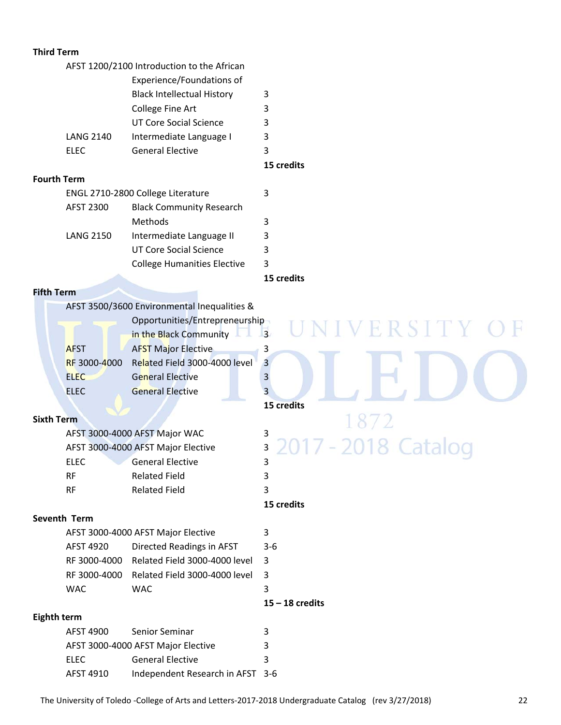#### **Third Term**

|                  | AFST 1200/2100 Introduction to the African |   |
|------------------|--------------------------------------------|---|
|                  | Experience/Foundations of                  |   |
|                  | <b>Black Intellectual History</b>          | 3 |
|                  | <b>College Fine Art</b>                    | 3 |
|                  | UT Core Social Science                     | ੨ |
| <b>LANG 2140</b> | Intermediate Language I                    | 3 |
| FLFC             | <b>General Elective</b>                    | ς |
|                  |                                            |   |

**15 credits**

#### **Fourth Term**

| ENGL 2710-2800 College Literature |                                    |   |
|-----------------------------------|------------------------------------|---|
| AFST 2300                         | <b>Black Community Research</b>    |   |
|                                   | Methods                            | 3 |
| <b>LANG 2150</b>                  | Intermediate Language II           | 3 |
|                                   | UT Core Social Science             | κ |
|                                   | <b>College Humanities Elective</b> |   |
|                                   |                                    |   |

#### **15 credits**

VERSITY

872

7 - 2018 Catalog

 **15 credits**

20

#### **Fifth Term**

AFST 3500/3600 Environmental Inequalities &

|              | Opportunities/Entrepreneurship |   |  |
|--------------|--------------------------------|---|--|
|              | in the Black Community         | 3 |  |
| <b>AFST</b>  | <b>AFST Major Elective</b>     | 3 |  |
| RF 3000-4000 | Related Field 3000-4000 level  | 3 |  |
| <b>ELEC</b>  | <b>General Elective</b>        | 3 |  |
| <b>FLFC</b>  | <b>General Elective</b>        | 3 |  |
|              |                                |   |  |

# **15 credits**

#### **Sixth Term**

|      | AFST 3000-4000 AFST Major WAC      | 3 |
|------|------------------------------------|---|
|      | AFST 3000-4000 AFST Major Elective | 3 |
| ELEC | <b>General Elective</b>            | 3 |
| RF   | <b>Related Field</b>               | 3 |
| RF   | <b>Related Field</b>               | ર |

#### **Seventh Term**

|                                         |                                              | $15 - 18$ credits |  |
|-----------------------------------------|----------------------------------------------|-------------------|--|
| <b>WAC</b>                              | WAC                                          | 3                 |  |
|                                         | RF 3000-4000 Related Field 3000-4000 level 3 |                   |  |
|                                         | RF 3000-4000 Related Field 3000-4000 level   | -3                |  |
| AFST 4920                               | Directed Readings in AFST                    | $3-6$             |  |
| AFST 3000-4000 AFST Major Elective<br>3 |                                              |                   |  |

#### **Eighth term**

| AFST 4900                               | Senior Seminar                   | ٦ |
|-----------------------------------------|----------------------------------|---|
| AFST 3000-4000 AFST Major Elective<br>3 |                                  |   |
| <b>FLFC</b>                             | <b>General Elective</b>          | ર |
| AFST 4910                               | Independent Research in AFST 3-6 |   |

Ħ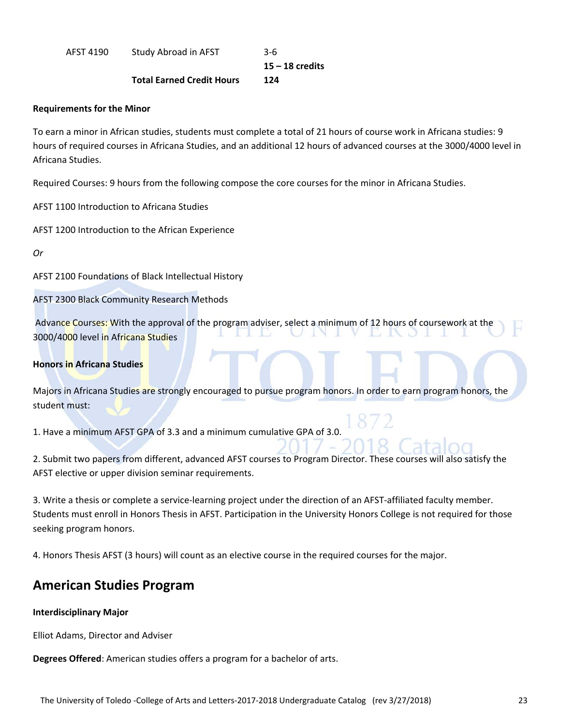AFST 4190 Study Abroad in AFST 3-6

**15 – 18 credits**

#### **Total Earned Credit Hours 124**

#### **Requirements for the Minor**

To earn a minor in African studies, students must complete a total of 21 hours of course work in Africana studies: 9 hours of required courses in Africana Studies, and an additional 12 hours of advanced courses at the 3000/4000 level in Africana Studies.

Required Courses: 9 hours from the following compose the core courses for the minor in Africana Studies.

AFST 1100 Introduction to Africana Studies

AFST 1200 Introduction to the African Experience

*Or*

AFST 2100 Foundations of Black Intellectual History

AFST 2300 Black Community Research Methods

Advance Courses: With the approval of the program adviser, select a minimum of 12 hours of coursework at the 3000/4000 level in Africana Studies

#### **Honors in Africana Studies**

Majors in Africana Studies are strongly encouraged to pursue program honors. In order to earn program honors, the student must:

1. Have a minimum AFST GPA of 3.3 and a minimum cumulative GPA of 3.0.

2. Submit two papers from different, advanced AFST courses to Program Director. These courses will also satisfy the AFST elective or upper division seminar requirements.

3. Write a thesis or complete a service‐learning project under the direction of an AFST‐affiliated faculty member. Students must enroll in Honors Thesis in AFST. Participation in the University Honors College is not required for those seeking program honors.

4. Honors Thesis AFST (3 hours) will count as an elective course in the required courses for the major.

# **American Studies Program**

#### **Interdisciplinary Major**

Elliot Adams, Director and Adviser

**Degrees Offered**: American studies offers a program for a bachelor of arts.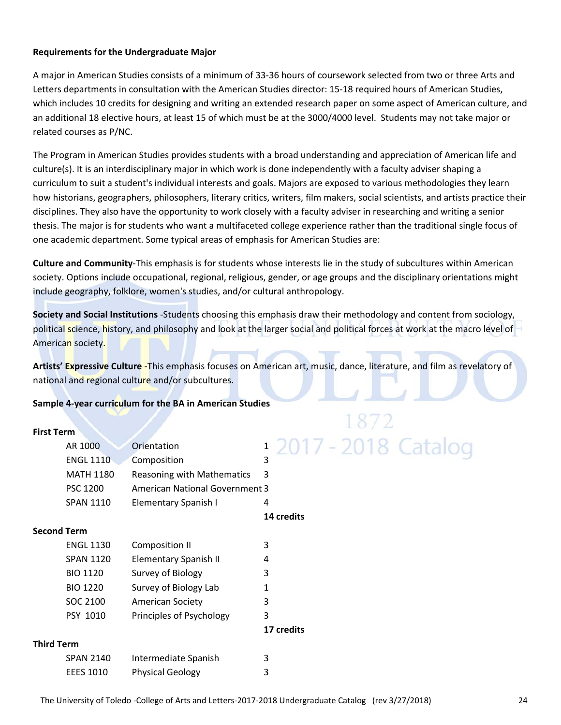#### **Requirements for the Undergraduate Major**

A major in American Studies consists of a minimum of 33‐36 hours of coursework selected from two or three Arts and Letters departments in consultation with the American Studies director: 15‐18 required hours of American Studies, which includes 10 credits for designing and writing an extended research paper on some aspect of American culture, and an additional 18 elective hours, at least 15 of which must be at the 3000/4000 level. Students may not take major or related courses as P/NC.

The Program in American Studies provides students with a broad understanding and appreciation of American life and culture(s). It is an interdisciplinary major in which work is done independently with a faculty adviser shaping a curriculum to suit a student's individual interests and goals. Majors are exposed to various methodologies they learn how historians, geographers, philosophers, literary critics, writers, film makers, social scientists, and artists practice their disciplines. They also have the opportunity to work closely with a faculty adviser in researching and writing a senior thesis. The major is for students who want a multifaceted college experience rather than the traditional single focus of one academic department. Some typical areas of emphasis for American Studies are:

**Culture and Community**‐This emphasis is for students whose interests lie in the study of subcultures within American society. Options include occupational, regional, religious, gender, or age groups and the disciplinary orientations might include geography, folklore, women's studies, and/or cultural anthropology.

**Society and Social Institutions** ‐Students choosing this emphasis draw their methodology and content from sociology, political science, history, and philosophy and look at the larger social and political forces at work at the macro level of American society.

**Artists' Expressive Culture** ‐This emphasis focuses on American art, music, dance, literature, and film as revelatory of national and regional culture and/or subcultures.

#### **Sample 4‐year curriculum for the BA in American Studies**

#### **First Term**

|                   | AR 1000          | Orientation                           | 1                 |
|-------------------|------------------|---------------------------------------|-------------------|
|                   | <b>ENGL 1110</b> | Composition                           | 3                 |
|                   | <b>MATH 1180</b> | Reasoning with Mathematics            | 3                 |
|                   | <b>PSC 1200</b>  | <b>American National Government 3</b> |                   |
|                   | <b>SPAN 1110</b> | Elementary Spanish I                  | 4                 |
|                   |                  |                                       | <b>14 credits</b> |
| Second Term       |                  |                                       |                   |
|                   | <b>ENGL 1130</b> | <b>Composition II</b>                 | 3                 |
|                   | <b>SPAN 1120</b> | <b>Elementary Spanish II</b>          | 4                 |
|                   | <b>BIO 1120</b>  | Survey of Biology                     | 3                 |
|                   | <b>BIO 1220</b>  | Survey of Biology Lab                 | 1                 |
|                   | SOC 2100         | <b>American Society</b>               | 3                 |
|                   | <b>PSY 1010</b>  | Principles of Psychology              | 3                 |
|                   |                  |                                       | 17 credits        |
| <b>Third Term</b> |                  |                                       |                   |
|                   | <b>SPAN 2140</b> | Intermediate Spanish                  | 3                 |
|                   | <b>EEES 1010</b> | <b>Physical Geology</b>               | 3                 |

# 2017 - 2018 Catalog

The University of Toledo ‐College of Arts and Letters‐2017‐2018 Undergraduate Catalog (rev 3/27/2018) 24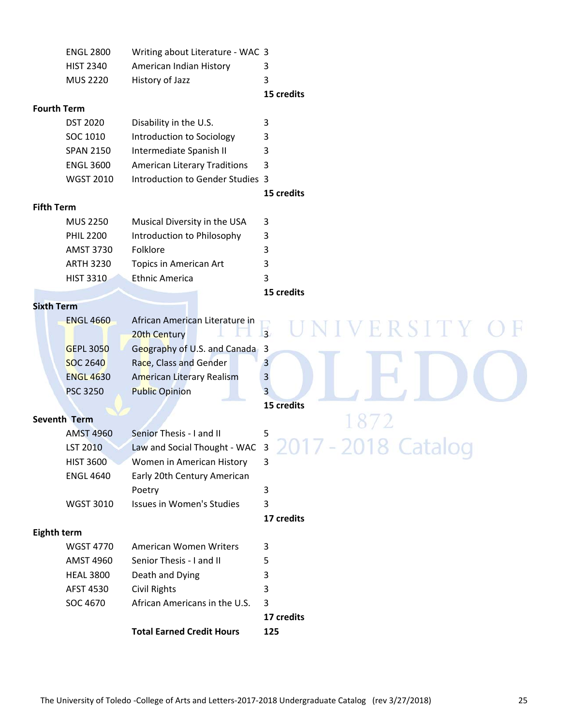|                    | <b>ENGL 2800</b>    | Writing about Literature - WAC 3    |                            |
|--------------------|---------------------|-------------------------------------|----------------------------|
|                    | <b>HIST 2340</b>    | American Indian History             | 3                          |
|                    | <b>MUS 2220</b>     | History of Jazz                     | 3                          |
|                    |                     |                                     | 15 credits                 |
|                    | <b>Fourth Term</b>  |                                     |                            |
|                    | <b>DST 2020</b>     | Disability in the U.S.              | 3                          |
|                    | SOC 1010            | Introduction to Sociology           | 3                          |
|                    | <b>SPAN 2150</b>    | Intermediate Spanish II             | 3                          |
|                    | <b>ENGL 3600</b>    | <b>American Literary Traditions</b> | 3                          |
|                    | <b>WGST 2010</b>    | Introduction to Gender Studies 3    |                            |
|                    |                     |                                     | 15 credits                 |
| <b>Fifth Term</b>  |                     |                                     |                            |
|                    | <b>MUS 2250</b>     | Musical Diversity in the USA        | 3                          |
|                    | <b>PHIL 2200</b>    | Introduction to Philosophy          | 3                          |
|                    | <b>AMST 3730</b>    | Folklore                            | 3                          |
|                    | <b>ARTH 3230</b>    | Topics in American Art              | 3                          |
|                    | <b>HIST 3310</b>    | <b>Ethnic America</b>               | 3                          |
|                    |                     |                                     | 15 credits                 |
| <b>Sixth Term</b>  |                     |                                     |                            |
|                    | <b>ENGL 4660</b>    | African American Literature in      | ERSITY                     |
|                    |                     | 20th Century                        | $\overline{3}$             |
|                    | <b>GEPL 3050</b>    | Geography of U.S. and Canada 3      |                            |
|                    | <b>SOC 2640</b>     | Race, Class and Gender              | 3                          |
|                    | <b>ENGL 4630</b>    | <b>American Literary Realism</b>    | 3                          |
|                    | <b>PSC 3250</b>     | <b>Public Opinion</b>               | 3                          |
|                    |                     |                                     | <b>15 credits</b>          |
|                    | <b>Seventh Term</b> |                                     |                            |
|                    | <b>AMST 4960</b>    | Senior Thesis - I and II            | 5                          |
|                    | <b>LST 2010</b>     | Law and Social Thought - WAC        | 3                          |
|                    | <b>HIST 3600</b>    | Women in American History           | $\tilde{\phantom{a}}$<br>3 |
|                    | <b>ENGL 4640</b>    | Early 20th Century American         |                            |
|                    |                     | Poetry                              | 3                          |
|                    | <b>WGST 3010</b>    | Issues in Women's Studies           | 3                          |
|                    |                     |                                     | 17 credits                 |
| <b>Eighth term</b> |                     |                                     |                            |
|                    | <b>WGST 4770</b>    | American Women Writers              | 3                          |
|                    | <b>AMST 4960</b>    | Senior Thesis - I and II            | 5                          |
|                    | <b>HEAL 3800</b>    | Death and Dying                     | 3                          |
|                    | AFST 4530           | Civil Rights                        | 3                          |
|                    | SOC 4670            | African Americans in the U.S.       | 3                          |
|                    |                     |                                     | 17 credits                 |
|                    |                     | <b>Total Earned Credit Hours</b>    | 125                        |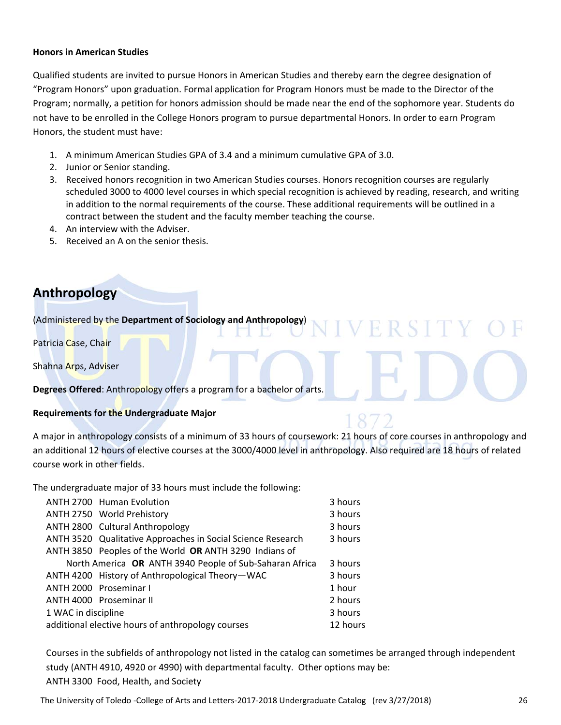#### **Honors in American Studies**

Qualified students are invited to pursue Honors in American Studies and thereby earn the degree designation of "Program Honors" upon graduation. Formal application for Program Honors must be made to the Director of the Program; normally, a petition for honors admission should be made near the end of the sophomore year. Students do not have to be enrolled in the College Honors program to pursue departmental Honors. In order to earn Program Honors, the student must have:

- 1. A minimum American Studies GPA of 3.4 and a minimum cumulative GPA of 3.0.
- 2. Junior or Senior standing.
- 3. Received honors recognition in two American Studies courses. Honors recognition courses are regularly scheduled 3000 to 4000 level courses in which special recognition is achieved by reading, research, and writing in addition to the normal requirements of the course. These additional requirements will be outlined in a contract between the student and the faculty member teaching the course.

FRS1

- 4. An interview with the Adviser.
- 5. Received an A on the senior thesis.

# **Anthropology**

(Administered by the **Department of Sociology and Anthropology**)

Patricia Case, Chair

Shahna Arps, Adviser

**Degrees Offered**: Anthropology offers a program for a bachelor of arts.

#### **Requirements for the Undergraduate Major**

A major in anthropology consists of a minimum of 33 hours of coursework: 21 hours of core courses in anthropology and an additional 12 hours of elective courses at the 3000/4000 level in anthropology. Also required are 18 hours of related course work in other fields.

The undergraduate major of 33 hours must include the following:

|                                | <b>ANTH 2700 Human Evolution</b>                            | 3 hours  |
|--------------------------------|-------------------------------------------------------------|----------|
|                                | ANTH 2750 World Prehistory                                  | 3 hours  |
|                                | ANTH 2800 Cultural Anthropology                             | 3 hours  |
|                                | ANTH 3520 Qualitative Approaches in Social Science Research | 3 hours  |
|                                | ANTH 3850 Peoples of the World OR ANTH 3290 Indians of      |          |
|                                | North America OR ANTH 3940 People of Sub-Saharan Africa     | 3 hours  |
|                                | ANTH 4200 History of Anthropological Theory-WAC             | 3 hours  |
|                                | <b>ANTH 2000 Proseminar I</b>                               | 1 hour   |
|                                | ANTH 4000 Proseminar II                                     | 2 hours  |
| 1 WAC in discipline<br>3 hours |                                                             |          |
|                                | additional elective hours of anthropology courses           | 12 hours |

Courses in the subfields of anthropology not listed in the catalog can sometimes be arranged through independent study (ANTH 4910, 4920 or 4990) with departmental faculty. Other options may be: ANTH 3300 Food, Health, and Society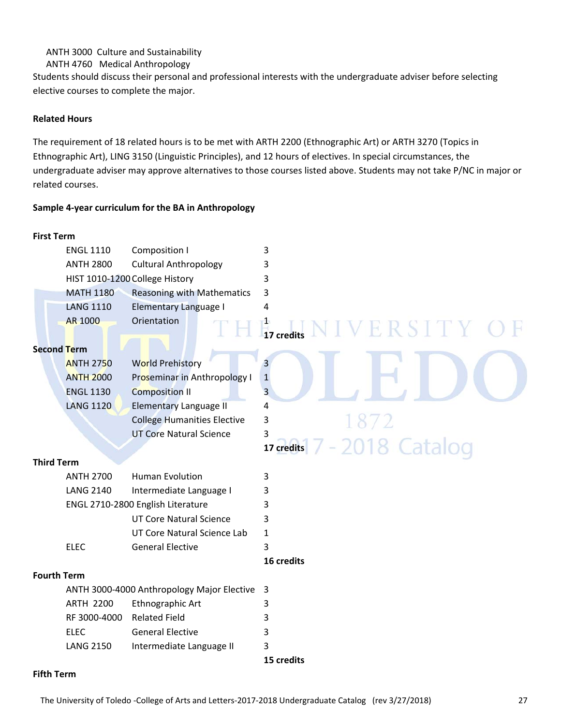#### ANTH 3000 Culture and Sustainability

ANTH 4760 Medical Anthropology

Students should discuss their personal and professional interests with the undergraduate adviser before selecting elective courses to complete the major.

#### **Related Hours**

The requirement of 18 related hours is to be met with ARTH 2200 (Ethnographic Art) or ARTH 3270 (Topics in Ethnographic Art), LING 3150 (Linguistic Principles), and 12 hours of electives. In special circumstances, the undergraduate adviser may approve alternatives to those courses listed above. Students may not take P/NC in major or related courses.

#### **Sample 4‐year curriculum for the BA in Anthropology**

| <b>First Term</b>  |                  |                                            |                                             |
|--------------------|------------------|--------------------------------------------|---------------------------------------------|
|                    | <b>ENGL 1110</b> | <b>Composition I</b>                       | 3                                           |
|                    | <b>ANTH 2800</b> | <b>Cultural Anthropology</b>               | 3                                           |
|                    |                  | HIST 1010-1200 College History             | 3                                           |
|                    | <b>MATH 1180</b> | <b>Reasoning with Mathematics</b>          | 3                                           |
|                    | <b>LANG 1110</b> | <b>Elementary Language I</b>               | 4                                           |
|                    | <b>AR 1000</b>   | Orientation                                | $\frac{1}{17}$ credits<br><b>IVERSITY C</b> |
| <b>Second Term</b> |                  |                                            |                                             |
|                    | <b>ANTH 2750</b> | <b>World Prehistory</b>                    | 3                                           |
|                    | <b>ANTH 2000</b> | Proseminar in Anthropology I               | $\mathbf 1$                                 |
|                    | <b>ENGL 1130</b> | <b>Composition II</b>                      | 3                                           |
|                    | <b>LANG 1120</b> | <b>Elementary Language II</b>              | 4                                           |
|                    |                  | <b>College Humanities Elective</b>         | 3                                           |
|                    |                  | <b>UT Core Natural Science</b>             | 3                                           |
|                    |                  |                                            | 7 - 2018 Catalog<br>17 credits              |
| <b>Third Term</b>  |                  |                                            |                                             |
|                    | <b>ANTH 2700</b> | <b>Human Evolution</b>                     | 3                                           |
|                    | <b>LANG 2140</b> | Intermediate Language I                    | 3                                           |
|                    |                  | ENGL 2710-2800 English Literature          | 3                                           |
|                    |                  | <b>UT Core Natural Science</b>             | 3                                           |
|                    |                  | UT Core Natural Science Lab                | $\mathbf{1}$                                |
|                    | <b>ELEC</b>      | <b>General Elective</b>                    | 3                                           |
|                    |                  |                                            | 16 credits                                  |
| <b>Fourth Term</b> |                  |                                            |                                             |
|                    |                  | ANTH 3000-4000 Anthropology Major Elective | 3                                           |
|                    | <b>ARTH 2200</b> | Ethnographic Art                           | 3                                           |
|                    | RF 3000-4000     | <b>Related Field</b>                       | 3                                           |
|                    | <b>ELEC</b>      | <b>General Elective</b>                    | 3                                           |
|                    | <b>LANG 2150</b> | Intermediate Language II                   | 3                                           |
|                    |                  |                                            | 15 credits                                  |

#### **Fifth Term**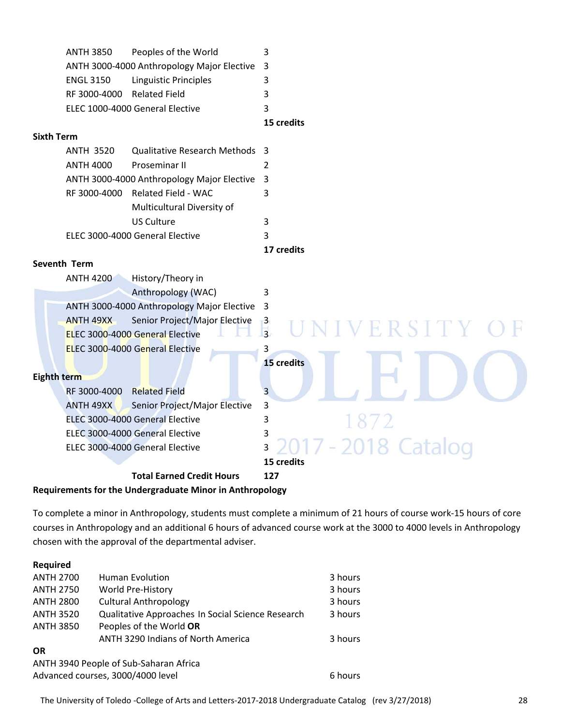|           |                                            | <b>15 credits</b> |
|-----------|--------------------------------------------|-------------------|
|           | ELEC 1000-4000 General Elective            | 3                 |
|           | RF 3000-4000 Related Field                 | ર                 |
| ENGL 3150 | Linguistic Principles                      | 3                 |
|           | ANTH 3000-4000 Anthropology Major Elective | - 3               |
| ANTH 3850 | Peoples of the World                       | 3                 |

#### **Sixth Term**

| ANTH 3520 | Qualitative Research Methods 3               |   |
|-----------|----------------------------------------------|---|
| ANTH 4000 | <b>Proseminar II</b>                         |   |
|           | ANTH 3000-4000 Anthropology Major Elective 3 |   |
|           | RF 3000-4000 Related Field - WAC             |   |
|           | Multicultural Diversity of                   |   |
|           | US Culture                                   | 3 |
|           | ELEC 3000-4000 General Elective              |   |

#### **17 credits**

#### **Seventh Term**

| History/Theory in<br><b>ANTH 4200</b>                           |                                       |
|-----------------------------------------------------------------|---------------------------------------|
| Anthropology (WAC)                                              | 3                                     |
| ANTH 3000-4000 Anthropology Major Elective 3                    |                                       |
| Senior Project/Major Elective<br><b>ANTH 49XX</b>               | $\mathbf{3}$                          |
| ELEC 3000-4000 General Elective                                 | UNIVERSITY OF<br>$\overline{3}$       |
| <b>ELEC 3000-4000 General Elective</b>                          | 3                                     |
|                                                                 | <b>15 credits</b>                     |
| Eighth term                                                     |                                       |
| <b>Related Field</b><br>RF 3000-4000                            | Ρ                                     |
| Senior Project/Major Elective<br><b>ANTH 49XX</b>               | 3                                     |
| ELEC 3000-4000 General Elective                                 | 3                                     |
| ELEC 3000-4000 General Elective                                 | 3                                     |
| ELEC 3000-4000 General Elective                                 | 2017 - 2018 Catalog<br>$\overline{3}$ |
|                                                                 | 15 credits                            |
| <b>Total Earned Credit Hours</b>                                | 127                                   |
| <b>Requirements for the Undergraduate Minor in Anthropology</b> |                                       |

To complete a minor in Anthropology, students must complete a minimum of 21 hours of course work‐15 hours of core courses in Anthropology and an additional 6 hours of advanced course work at the 3000 to 4000 levels in Anthropology chosen with the approval of the departmental adviser.

| Required                                     |                                                   |         |  |
|----------------------------------------------|---------------------------------------------------|---------|--|
| <b>ANTH 2700</b>                             | <b>Human Evolution</b>                            | 3 hours |  |
| <b>ANTH 2750</b>                             | World Pre-History                                 | 3 hours |  |
| <b>ANTH 2800</b>                             | <b>Cultural Anthropology</b>                      | 3 hours |  |
| <b>ANTH 3520</b>                             | Qualitative Approaches In Social Science Research | 3 hours |  |
| <b>ANTH 3850</b>                             | Peoples of the World OR                           |         |  |
|                                              | ANTH 3290 Indians of North America                | 3 hours |  |
| <b>OR</b>                                    |                                                   |         |  |
| ANTH 3940 People of Sub-Saharan Africa       |                                                   |         |  |
| Advanced courses, 3000/4000 level<br>6 hours |                                                   |         |  |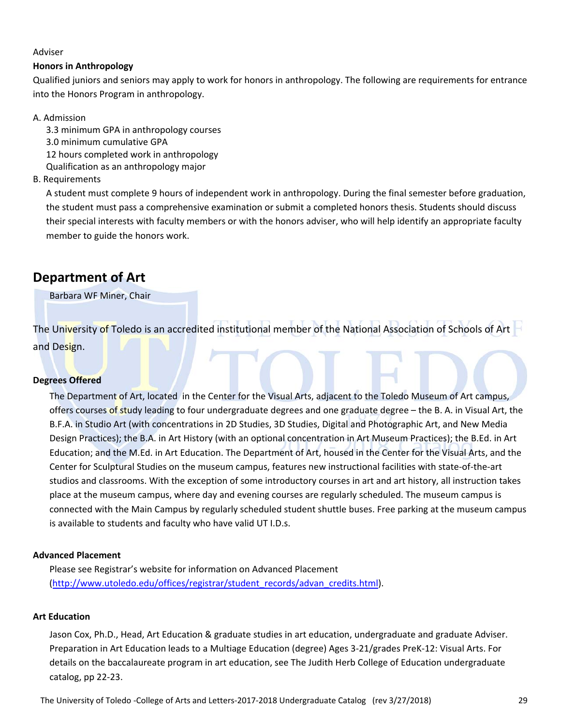#### Adviser

#### **Honors in Anthropology**

Qualified juniors and seniors may apply to work for honors in anthropology. The following are requirements for entrance into the Honors Program in anthropology.

#### A. Admission

3.3 minimum GPA in anthropology courses 3.0 minimum cumulative GPA

12 hours completed work in anthropology

Qualification as an anthropology major

#### B. Requirements

A student must complete 9 hours of independent work in anthropology. During the final semester before graduation, the student must pass a comprehensive examination or submit a completed honors thesis. Students should discuss their special interests with faculty members or with the honors adviser, who will help identify an appropriate faculty member to guide the honors work.

# **Department of Art**

Barbara WF Miner, Chair

The University of Toledo is an accredited institutional member of the National Association of Schools of Art and Design.

#### **Degrees Offered**

The Department of Art, located in the Center for the Visual Arts, adjacent to the Toledo Museum of Art campus, offers courses of study leading to four undergraduate degrees and one graduate degree – the B. A. in Visual Art, the B.F.A. in Studio Art (with concentrations in 2D Studies, 3D Studies, Digital and Photographic Art, and New Media Design Practices); the B.A. in Art History (with an optional concentration in Art Museum Practices); the B.Ed. in Art Education; and the M.Ed. in Art Education. The Department of Art, housed in the Center for the Visual Arts, and the Center for Sculptural Studies on the museum campus, features new instructional facilities with state‐of‐the‐art studios and classrooms. With the exception of some introductory courses in art and art history, all instruction takes place at the museum campus, where day and evening courses are regularly scheduled. The museum campus is connected with the Main Campus by regularly scheduled student shuttle buses. Free parking at the museum campus is available to students and faculty who have valid UT I.D.s.

#### **Advanced Placement**

Please see Registrar's website for information on Advanced Placement (http://www.utoledo.edu/offices/registrar/student\_records/advan\_credits.html).

#### **Art Education**

Jason Cox, Ph.D., Head, Art Education & graduate studies in art education, undergraduate and graduate Adviser. Preparation in Art Education leads to a Multiage Education (degree) Ages 3‐21/grades PreK‐12: Visual Arts. For details on the baccalaureate program in art education, see The Judith Herb College of Education undergraduate catalog, pp 22‐23.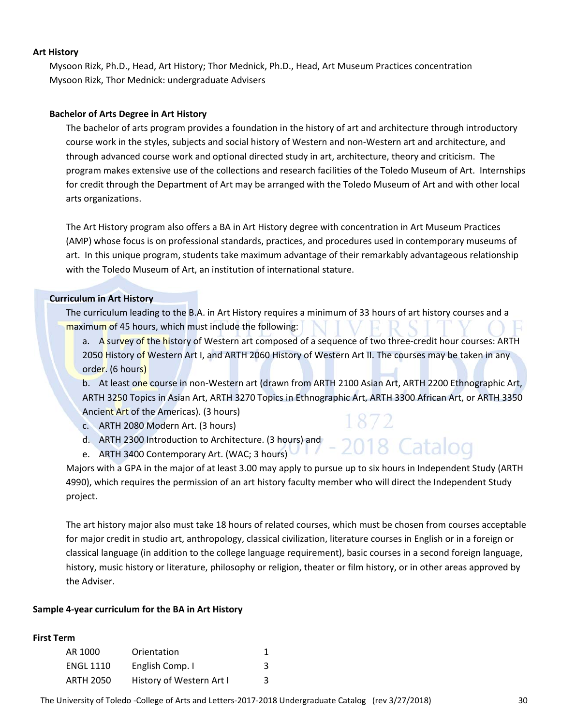#### **Art History**

Mysoon Rizk, Ph.D., Head, Art History; Thor Mednick, Ph.D., Head, Art Museum Practices concentration Mysoon Rizk, Thor Mednick: undergraduate Advisers

#### **Bachelor of Arts Degree in Art History**

The bachelor of arts program provides a foundation in the history of art and architecture through introductory course work in the styles, subjects and social history of Western and non‐Western art and architecture, and through advanced course work and optional directed study in art, architecture, theory and criticism. The program makes extensive use of the collections and research facilities of the Toledo Museum of Art. Internships for credit through the Department of Art may be arranged with the Toledo Museum of Art and with other local arts organizations.

The Art History program also offers a BA in Art History degree with concentration in Art Museum Practices (AMP) whose focus is on professional standards, practices, and procedures used in contemporary museums of art. In this unique program, students take maximum advantage of their remarkably advantageous relationship with the Toledo Museum of Art, an institution of international stature.

#### **Curriculum in Art History**

The curriculum leading to the B.A. in Art History requires a minimum of 33 hours of art history courses and a maximum of 45 hours, which must include the following:

a. A survey of the history of Western art composed of a sequence of two three-credit hour courses: ARTH 2050 History of Western Art I, and ARTH 2060 History of Western Art II. The courses may be taken in any order. (6 hours)

b. At least one course in non-Western art (drawn from ARTH 2100 Asian Art, ARTH 2200 Ethnographic Art, ARTH 3250 Topics in Asian Art, ARTH 3270 Topics in Ethnographic Art, ARTH 3300 African Art, or ARTH 3350 Ancient Art of the Americas). (3 hours)

018 Catalog

- c. ARTH 2080 Modern Art. (3 hours)
- d. ARTH 2300 Introduction to Architecture. (3 hours) and
- e. ARTH 3400 Contemporary Art. (WAC; 3 hours)

Majors with a GPA in the major of at least 3.00 may apply to pursue up to six hours in Independent Study (ARTH 4990), which requires the permission of an art history faculty member who will direct the Independent Study project.

The art history major also must take 18 hours of related courses, which must be chosen from courses acceptable for major credit in studio art, anthropology, classical civilization, literature courses in English or in a foreign or classical language (in addition to the college language requirement), basic courses in a second foreign language, history, music history or literature, philosophy or religion, theater or film history, or in other areas approved by the Adviser.

#### **Sample 4‐year curriculum for the BA in Art History**

#### **First Term**

| AR 1000          | Orientation              |   |
|------------------|--------------------------|---|
| <b>ENGL 1110</b> | English Comp. I          | 3 |
| <b>ARTH 2050</b> | History of Western Art I | 3 |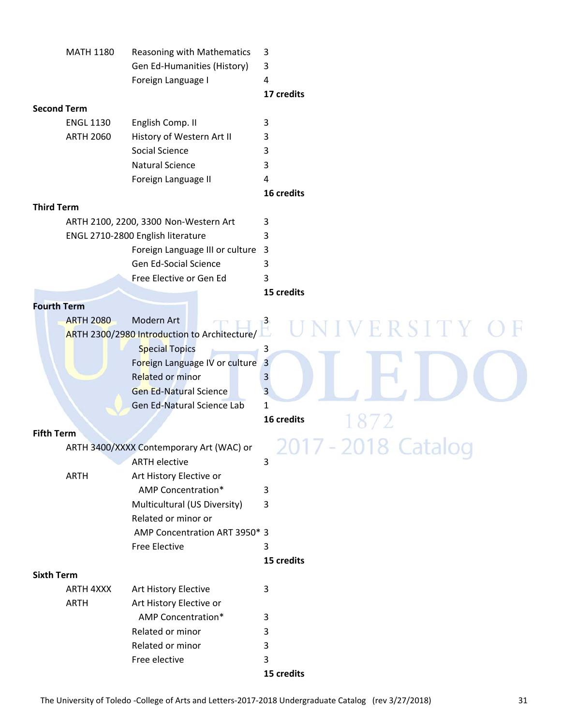| Gen Ed-Humanities (History)<br>3<br>Foreign Language I<br>4<br>17 credits<br><b>Second Term</b><br>English Comp. II<br>3<br><b>ENGL 1130</b><br><b>ARTH 2060</b><br>History of Western Art II<br>3<br>Social Science<br>3<br><b>Natural Science</b><br>3<br>Foreign Language II<br>4<br>16 credits<br><b>Third Term</b><br>ARTH 2100, 2200, 3300 Non-Western Art<br>3<br>ENGL 2710-2800 English literature<br>3<br>$\overline{3}$<br>Foreign Language III or culture<br><b>Gen Ed-Social Science</b><br>3<br>Free Elective or Gen Ed<br>3<br>15 credits<br><b>Fourth Term</b><br>ARTH 2300/2980 Introduction to Architecture/<br><b>IVERSITY</b><br><b>Special Topics</b><br>3<br>Foreign Language IV or culture<br>$\overline{3}$<br><b>Related or minor</b><br>3<br><b>Gen Ed-Natural Science</b><br>3<br>Gen Ed-Natural Science Lab<br>1<br>16 credits<br><b>Fifth Term</b><br>ARTH 3400/XXXX Contemporary Art (WAC) or<br><b>ARTH elective</b><br>3<br>Art History Elective or<br><b>ARTH</b><br><b>AMP Concentration*</b><br>3<br>Multicultural (US Diversity)<br>3<br>Related or minor or<br>AMP Concentration ART 3950* 3<br><b>Free Elective</b><br>3<br>15 credits<br><b>Sixth Term</b><br>ARTH 4XXX<br>Art History Elective<br>3<br><b>ARTH</b><br>Art History Elective or<br><b>AMP Concentration*</b><br>3<br>Related or minor<br>3<br>Related or minor<br>3<br>Free elective<br>3 | <b>MATH 1180</b> | Reasoning with Mathematics | 3          |
|------------------------------------------------------------------------------------------------------------------------------------------------------------------------------------------------------------------------------------------------------------------------------------------------------------------------------------------------------------------------------------------------------------------------------------------------------------------------------------------------------------------------------------------------------------------------------------------------------------------------------------------------------------------------------------------------------------------------------------------------------------------------------------------------------------------------------------------------------------------------------------------------------------------------------------------------------------------------------------------------------------------------------------------------------------------------------------------------------------------------------------------------------------------------------------------------------------------------------------------------------------------------------------------------------------------------------------------------------------------------------------------------|------------------|----------------------------|------------|
|                                                                                                                                                                                                                                                                                                                                                                                                                                                                                                                                                                                                                                                                                                                                                                                                                                                                                                                                                                                                                                                                                                                                                                                                                                                                                                                                                                                                |                  |                            |            |
|                                                                                                                                                                                                                                                                                                                                                                                                                                                                                                                                                                                                                                                                                                                                                                                                                                                                                                                                                                                                                                                                                                                                                                                                                                                                                                                                                                                                |                  |                            |            |
|                                                                                                                                                                                                                                                                                                                                                                                                                                                                                                                                                                                                                                                                                                                                                                                                                                                                                                                                                                                                                                                                                                                                                                                                                                                                                                                                                                                                |                  |                            |            |
|                                                                                                                                                                                                                                                                                                                                                                                                                                                                                                                                                                                                                                                                                                                                                                                                                                                                                                                                                                                                                                                                                                                                                                                                                                                                                                                                                                                                |                  |                            |            |
|                                                                                                                                                                                                                                                                                                                                                                                                                                                                                                                                                                                                                                                                                                                                                                                                                                                                                                                                                                                                                                                                                                                                                                                                                                                                                                                                                                                                |                  |                            |            |
|                                                                                                                                                                                                                                                                                                                                                                                                                                                                                                                                                                                                                                                                                                                                                                                                                                                                                                                                                                                                                                                                                                                                                                                                                                                                                                                                                                                                |                  |                            |            |
|                                                                                                                                                                                                                                                                                                                                                                                                                                                                                                                                                                                                                                                                                                                                                                                                                                                                                                                                                                                                                                                                                                                                                                                                                                                                                                                                                                                                |                  |                            |            |
|                                                                                                                                                                                                                                                                                                                                                                                                                                                                                                                                                                                                                                                                                                                                                                                                                                                                                                                                                                                                                                                                                                                                                                                                                                                                                                                                                                                                |                  |                            |            |
|                                                                                                                                                                                                                                                                                                                                                                                                                                                                                                                                                                                                                                                                                                                                                                                                                                                                                                                                                                                                                                                                                                                                                                                                                                                                                                                                                                                                |                  |                            |            |
|                                                                                                                                                                                                                                                                                                                                                                                                                                                                                                                                                                                                                                                                                                                                                                                                                                                                                                                                                                                                                                                                                                                                                                                                                                                                                                                                                                                                |                  |                            |            |
|                                                                                                                                                                                                                                                                                                                                                                                                                                                                                                                                                                                                                                                                                                                                                                                                                                                                                                                                                                                                                                                                                                                                                                                                                                                                                                                                                                                                |                  |                            |            |
|                                                                                                                                                                                                                                                                                                                                                                                                                                                                                                                                                                                                                                                                                                                                                                                                                                                                                                                                                                                                                                                                                                                                                                                                                                                                                                                                                                                                |                  |                            |            |
|                                                                                                                                                                                                                                                                                                                                                                                                                                                                                                                                                                                                                                                                                                                                                                                                                                                                                                                                                                                                                                                                                                                                                                                                                                                                                                                                                                                                |                  |                            |            |
|                                                                                                                                                                                                                                                                                                                                                                                                                                                                                                                                                                                                                                                                                                                                                                                                                                                                                                                                                                                                                                                                                                                                                                                                                                                                                                                                                                                                |                  |                            |            |
|                                                                                                                                                                                                                                                                                                                                                                                                                                                                                                                                                                                                                                                                                                                                                                                                                                                                                                                                                                                                                                                                                                                                                                                                                                                                                                                                                                                                |                  |                            |            |
|                                                                                                                                                                                                                                                                                                                                                                                                                                                                                                                                                                                                                                                                                                                                                                                                                                                                                                                                                                                                                                                                                                                                                                                                                                                                                                                                                                                                |                  |                            |            |
|                                                                                                                                                                                                                                                                                                                                                                                                                                                                                                                                                                                                                                                                                                                                                                                                                                                                                                                                                                                                                                                                                                                                                                                                                                                                                                                                                                                                |                  |                            |            |
|                                                                                                                                                                                                                                                                                                                                                                                                                                                                                                                                                                                                                                                                                                                                                                                                                                                                                                                                                                                                                                                                                                                                                                                                                                                                                                                                                                                                |                  |                            |            |
|                                                                                                                                                                                                                                                                                                                                                                                                                                                                                                                                                                                                                                                                                                                                                                                                                                                                                                                                                                                                                                                                                                                                                                                                                                                                                                                                                                                                |                  |                            |            |
|                                                                                                                                                                                                                                                                                                                                                                                                                                                                                                                                                                                                                                                                                                                                                                                                                                                                                                                                                                                                                                                                                                                                                                                                                                                                                                                                                                                                |                  |                            |            |
|                                                                                                                                                                                                                                                                                                                                                                                                                                                                                                                                                                                                                                                                                                                                                                                                                                                                                                                                                                                                                                                                                                                                                                                                                                                                                                                                                                                                |                  |                            |            |
|                                                                                                                                                                                                                                                                                                                                                                                                                                                                                                                                                                                                                                                                                                                                                                                                                                                                                                                                                                                                                                                                                                                                                                                                                                                                                                                                                                                                |                  |                            |            |
|                                                                                                                                                                                                                                                                                                                                                                                                                                                                                                                                                                                                                                                                                                                                                                                                                                                                                                                                                                                                                                                                                                                                                                                                                                                                                                                                                                                                |                  |                            |            |
|                                                                                                                                                                                                                                                                                                                                                                                                                                                                                                                                                                                                                                                                                                                                                                                                                                                                                                                                                                                                                                                                                                                                                                                                                                                                                                                                                                                                |                  |                            |            |
|                                                                                                                                                                                                                                                                                                                                                                                                                                                                                                                                                                                                                                                                                                                                                                                                                                                                                                                                                                                                                                                                                                                                                                                                                                                                                                                                                                                                |                  |                            |            |
|                                                                                                                                                                                                                                                                                                                                                                                                                                                                                                                                                                                                                                                                                                                                                                                                                                                                                                                                                                                                                                                                                                                                                                                                                                                                                                                                                                                                |                  |                            |            |
|                                                                                                                                                                                                                                                                                                                                                                                                                                                                                                                                                                                                                                                                                                                                                                                                                                                                                                                                                                                                                                                                                                                                                                                                                                                                                                                                                                                                |                  |                            |            |
|                                                                                                                                                                                                                                                                                                                                                                                                                                                                                                                                                                                                                                                                                                                                                                                                                                                                                                                                                                                                                                                                                                                                                                                                                                                                                                                                                                                                |                  |                            |            |
|                                                                                                                                                                                                                                                                                                                                                                                                                                                                                                                                                                                                                                                                                                                                                                                                                                                                                                                                                                                                                                                                                                                                                                                                                                                                                                                                                                                                |                  |                            |            |
|                                                                                                                                                                                                                                                                                                                                                                                                                                                                                                                                                                                                                                                                                                                                                                                                                                                                                                                                                                                                                                                                                                                                                                                                                                                                                                                                                                                                |                  |                            |            |
|                                                                                                                                                                                                                                                                                                                                                                                                                                                                                                                                                                                                                                                                                                                                                                                                                                                                                                                                                                                                                                                                                                                                                                                                                                                                                                                                                                                                |                  |                            |            |
|                                                                                                                                                                                                                                                                                                                                                                                                                                                                                                                                                                                                                                                                                                                                                                                                                                                                                                                                                                                                                                                                                                                                                                                                                                                                                                                                                                                                |                  |                            |            |
|                                                                                                                                                                                                                                                                                                                                                                                                                                                                                                                                                                                                                                                                                                                                                                                                                                                                                                                                                                                                                                                                                                                                                                                                                                                                                                                                                                                                |                  |                            |            |
|                                                                                                                                                                                                                                                                                                                                                                                                                                                                                                                                                                                                                                                                                                                                                                                                                                                                                                                                                                                                                                                                                                                                                                                                                                                                                                                                                                                                |                  |                            |            |
|                                                                                                                                                                                                                                                                                                                                                                                                                                                                                                                                                                                                                                                                                                                                                                                                                                                                                                                                                                                                                                                                                                                                                                                                                                                                                                                                                                                                |                  |                            |            |
|                                                                                                                                                                                                                                                                                                                                                                                                                                                                                                                                                                                                                                                                                                                                                                                                                                                                                                                                                                                                                                                                                                                                                                                                                                                                                                                                                                                                |                  |                            |            |
|                                                                                                                                                                                                                                                                                                                                                                                                                                                                                                                                                                                                                                                                                                                                                                                                                                                                                                                                                                                                                                                                                                                                                                                                                                                                                                                                                                                                |                  |                            |            |
|                                                                                                                                                                                                                                                                                                                                                                                                                                                                                                                                                                                                                                                                                                                                                                                                                                                                                                                                                                                                                                                                                                                                                                                                                                                                                                                                                                                                |                  |                            |            |
|                                                                                                                                                                                                                                                                                                                                                                                                                                                                                                                                                                                                                                                                                                                                                                                                                                                                                                                                                                                                                                                                                                                                                                                                                                                                                                                                                                                                |                  |                            |            |
|                                                                                                                                                                                                                                                                                                                                                                                                                                                                                                                                                                                                                                                                                                                                                                                                                                                                                                                                                                                                                                                                                                                                                                                                                                                                                                                                                                                                |                  |                            |            |
|                                                                                                                                                                                                                                                                                                                                                                                                                                                                                                                                                                                                                                                                                                                                                                                                                                                                                                                                                                                                                                                                                                                                                                                                                                                                                                                                                                                                |                  |                            |            |
|                                                                                                                                                                                                                                                                                                                                                                                                                                                                                                                                                                                                                                                                                                                                                                                                                                                                                                                                                                                                                                                                                                                                                                                                                                                                                                                                                                                                |                  |                            |            |
|                                                                                                                                                                                                                                                                                                                                                                                                                                                                                                                                                                                                                                                                                                                                                                                                                                                                                                                                                                                                                                                                                                                                                                                                                                                                                                                                                                                                |                  |                            |            |
|                                                                                                                                                                                                                                                                                                                                                                                                                                                                                                                                                                                                                                                                                                                                                                                                                                                                                                                                                                                                                                                                                                                                                                                                                                                                                                                                                                                                |                  |                            | 15 credits |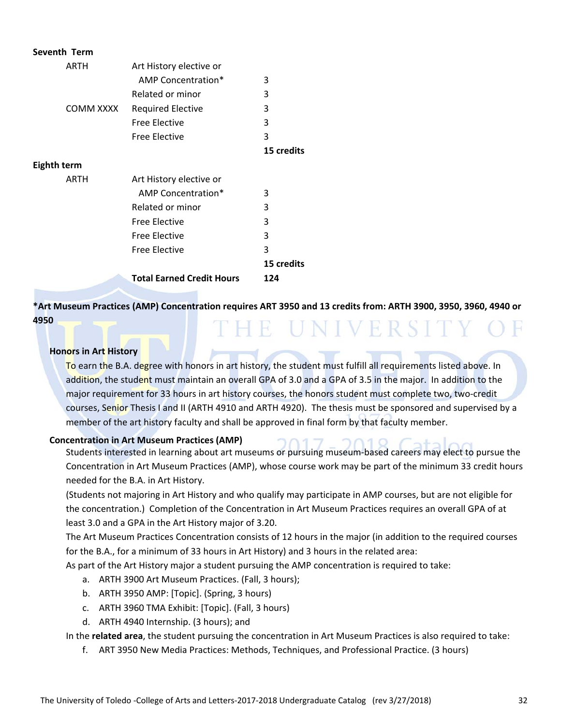| Seventh Term |                                  |            |
|--------------|----------------------------------|------------|
| ARTH         | Art History elective or          |            |
|              | AMP Concentration*               | 3          |
|              | Related or minor                 | 3          |
| COMM XXXX    | <b>Required Elective</b>         | 3          |
|              | <b>Free Elective</b>             | 3          |
|              | <b>Free Elective</b>             | 3          |
|              |                                  | 15 credits |
| Eighth term  |                                  |            |
| ARTH         | Art History elective or          |            |
|              | AMP Concentration*               | 3          |
|              | Related or minor                 | 3          |
|              | <b>Free Elective</b>             | 3          |
|              | <b>Free Elective</b>             | 3          |
|              | <b>Free Elective</b>             | 3          |
|              |                                  | 15 credits |
|              | <b>Total Earned Credit Hours</b> | 124        |
|              |                                  |            |

\*Art Museum Practices (AMP) Concentration requires ART 3950 and 13 credits from: ARTH 3900, 3950, 3960, 4940 or **4950** LHE UNIVERSIT

#### **Honors in Art History**

To earn the B.A. degree with honors in art history, the student must fulfill all requirements listed above. In addition, the student must maintain an overall GPA of 3.0 and a GPA of 3.5 in the major. In addition to the major requirement for 33 hours in art history courses, the honors student must complete two, two-credit courses, Senior Thesis I and II (ARTH 4910 and ARTH 4920). The thesis must be sponsored and supervised by a member of the art history faculty and shall be approved in final form by that faculty member.

#### **Concentration in Art Museum Practices (AMP)**

Students interested in learning about art museums or pursuing museum‐based careers may elect to pursue the Concentration in Art Museum Practices (AMP), whose course work may be part of the minimum 33 credit hours needed for the B.A. in Art History.

(Students not majoring in Art History and who qualify may participate in AMP courses, but are not eligible for the concentration.) Completion of the Concentration in Art Museum Practices requires an overall GPA of at least 3.0 and a GPA in the Art History major of 3.20.

The Art Museum Practices Concentration consists of 12 hours in the major (in addition to the required courses for the B.A., for a minimum of 33 hours in Art History) and 3 hours in the related area:

As part of the Art History major a student pursuing the AMP concentration is required to take:

- a. ARTH 3900 Art Museum Practices. (Fall, 3 hours);
- b. ARTH 3950 AMP: [Topic]. (Spring, 3 hours)
- c. ARTH 3960 TMA Exhibit: [Topic]. (Fall, 3 hours)
- d. ARTH 4940 Internship. (3 hours); and

In the **related area**, the student pursuing the concentration in Art Museum Practices is also required to take:

f. ART 3950 New Media Practices: Methods, Techniques, and Professional Practice. (3 hours)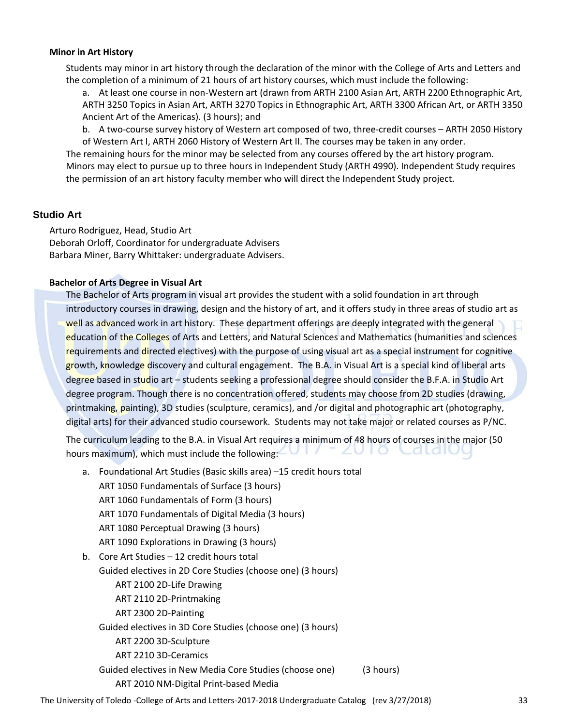#### **Minor in Art History**

Students may minor in art history through the declaration of the minor with the College of Arts and Letters and the completion of a minimum of 21 hours of art history courses, which must include the following:

a. At least one course in non-Western art (drawn from ARTH 2100 Asian Art, ARTH 2200 Ethnographic Art, ARTH 3250 Topics in Asian Art, ARTH 3270 Topics in Ethnographic Art, ARTH 3300 African Art, or ARTH 3350 Ancient Art of the Americas). (3 hours); and

b. A two-course survey history of Western art composed of two, three-credit courses – ARTH 2050 History of Western Art I, ARTH 2060 History of Western Art II. The courses may be taken in any order.

The remaining hours for the minor may be selected from any courses offered by the art history program. Minors may elect to pursue up to three hours in Independent Study (ARTH 4990). Independent Study requires the permission of an art history faculty member who will direct the Independent Study project.

#### **Studio Art**

Arturo Rodriguez, Head, Studio Art Deborah Orloff, Coordinator for undergraduate Advisers Barbara Miner, Barry Whittaker: undergraduate Advisers.

#### **Bachelor of Arts Degree in Visual Art**

The Bachelor of Arts program in visual art provides the student with a solid foundation in art through introductory courses in drawing, design and the history of art, and it offers study in three areas of studio art as well as advanced work in art history. These department offerings are deeply integrated with the general education of the Colleges of Arts and Letters, and Natural Sciences and Mathematics (humanities and sciences requirements and directed electives) with the purpose of using visual art as a special instrument for cognitive growth, knowledge discovery and cultural engagement. The B.A. in Visual Art is a special kind of liberal arts degree based in studio art – students seeking a professional degree should consider the B.F.A. in Studio Art degree program. Though there is no concentration offered, students may choose from 2D studies (drawing, printmaking, painting), 3D studies (sculpture, ceramics), and /or digital and photographic art (photography, digital arts) for their advanced studio coursework. Students may not take major or related courses as P/NC.

The curriculum leading to the B.A. in Visual Art requires a minimum of 48 hours of courses in the major (50 hours maximum), which must include the following: ZUIO Cataluc

a. Foundational Art Studies (Basic skills area) –15 credit hours total ART 1050 Fundamentals of Surface (3 hours) ART 1060 Fundamentals of Form (3 hours) ART 1070 Fundamentals of Digital Media (3 hours) ART 1080 Perceptual Drawing (3 hours) ART 1090 Explorations in Drawing (3 hours) b. Core Art Studies – 12 credit hours total Guided electives in 2D Core Studies (choose one) (3 hours) ART 2100 2D‐Life Drawing ART 2110 2D‐Printmaking ART 2300 2D‐Painting Guided electives in 3D Core Studies (choose one) (3 hours) ART 2200 3D‐Sculpture ART 2210 3D‐Ceramics Guided electives in New Media Core Studies (choose one) (3 hours) ART 2010 NM‐Digital Print‐based Media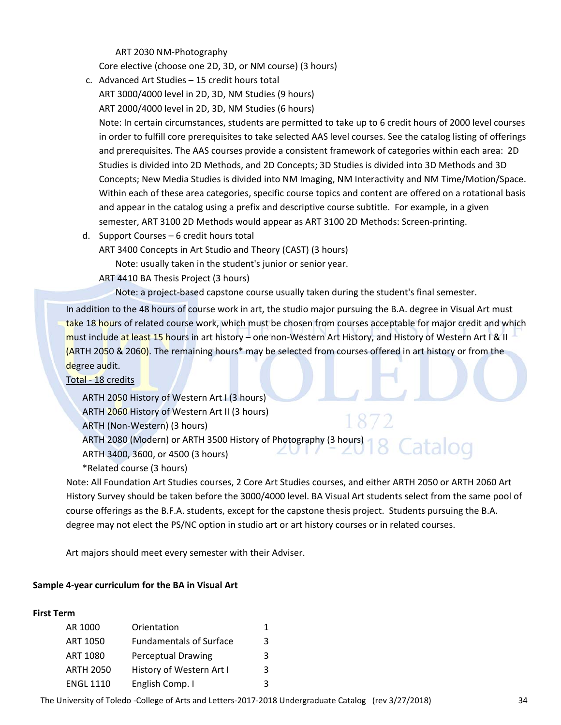ART 2030 NM‐Photography

Core elective (choose one 2D, 3D, or NM course) (3 hours)

- c. Advanced Art Studies 15 credit hours total ART 3000/4000 level in 2D, 3D, NM Studies (9 hours) ART 2000/4000 level in 2D, 3D, NM Studies (6 hours) Note: In certain circumstances, students are permitted to take up to 6 credit hours of 2000 level courses in order to fulfill core prerequisites to take selected AAS level courses. See the catalog listing of offerings and prerequisites. The AAS courses provide a consistent framework of categories within each area: 2D Studies is divided into 2D Methods, and 2D Concepts; 3D Studies is divided into 3D Methods and 3D Concepts; New Media Studies is divided into NM Imaging, NM Interactivity and NM Time/Motion/Space. Within each of these area categories, specific course topics and content are offered on a rotational basis and appear in the catalog using a prefix and descriptive course subtitle. For example, in a given semester, ART 3100 2D Methods would appear as ART 3100 2D Methods: Screen-printing.
- d. Support Courses 6 credit hours total

ART 3400 Concepts in Art Studio and Theory (CAST) (3 hours)

Note: usually taken in the student's junior or senior year.

- ART 4410 BA Thesis Project (3 hours)
	- Note: a project-based capstone course usually taken during the student's final semester.

In addition to the 48 hours of course work in art, the studio major pursuing the B.A. degree in Visual Art must take 18 hours of related course work, which must be chosen from courses acceptable for major credit and which must include at least 15 hours in art history – one non‐Western Art History, and History of Western Art I & II (ARTH 2050 & 2060). The remaining hours\* may be selected from courses offered in art history or from the degree audit.

#### Total ‐ 18 credits

ARTH 2050 History of Western Art I (3 hours) ARTH 2060 History of Western Art II (3 hours) ARTH (Non‐Western) (3 hours) ARTH 2080 (Modern) or ARTH 3500 History of Photography (3 hours) ARTH 3400, 3600, or 4500 (3 hours)

\*Related course (3 hours)

Note: All Foundation Art Studies courses, 2 Core Art Studies courses, and either ARTH 2050 or ARTH 2060 Art History Survey should be taken before the 3000/4000 level. BA Visual Art students select from the same pool of course offerings as the B.F.A. students, except for the capstone thesis project. Students pursuing the B.A. degree may not elect the PS/NC option in studio art or art history courses or in related courses.

Art majors should meet every semester with their Adviser.

#### **Sample 4‐year curriculum for the BA in Visual Art**

#### **First Term**

| AR 1000          | Orientation                    | 1 |
|------------------|--------------------------------|---|
| <b>ART 1050</b>  | <b>Fundamentals of Surface</b> | 3 |
| <b>ART 1080</b>  | <b>Perceptual Drawing</b>      | 3 |
| <b>ARTH 2050</b> | History of Western Art I       | 3 |
| <b>ENGL 1110</b> | English Comp. I                | 3 |

The University of Toledo ‐College of Arts and Letters‐2017‐2018 Undergraduate Catalog (rev 3/27/2018) 34

Catalog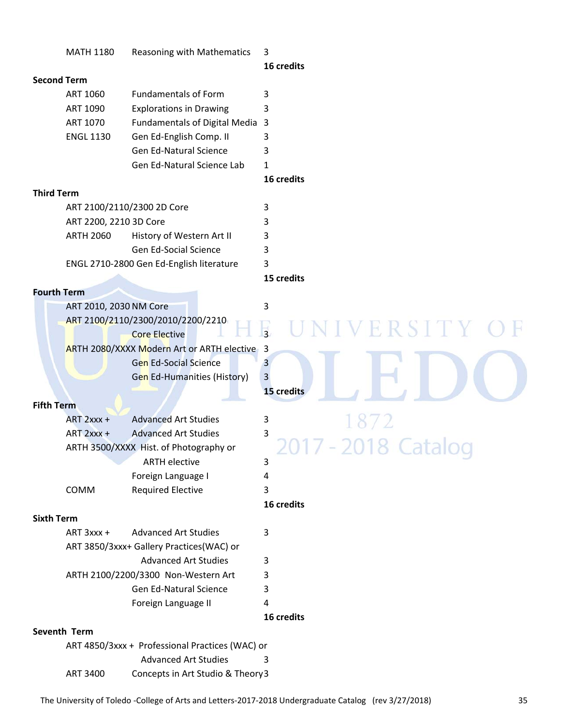|                   | <b>MATH 1180</b>       | Reasoning with Mathematics                      | 3<br>16 credits                                |
|-------------------|------------------------|-------------------------------------------------|------------------------------------------------|
|                   | <b>Second Term</b>     |                                                 |                                                |
|                   | ART 1060               | <b>Fundamentals of Form</b>                     | 3                                              |
|                   | ART 1090               | <b>Explorations in Drawing</b>                  | 3                                              |
|                   | ART 1070               | Fundamentals of Digital Media 3                 |                                                |
|                   | <b>ENGL 1130</b>       | Gen Ed-English Comp. II                         | 3                                              |
|                   |                        | <b>Gen Ed-Natural Science</b>                   | 3                                              |
|                   |                        | Gen Ed-Natural Science Lab                      | $\mathbf{1}$                                   |
|                   |                        |                                                 | 16 credits                                     |
| <b>Third Term</b> |                        |                                                 |                                                |
|                   |                        | ART 2100/2110/2300 2D Core                      | 3                                              |
|                   | ART 2200, 2210 3D Core |                                                 | 3                                              |
|                   | <b>ARTH 2060</b>       | History of Western Art II                       | 3                                              |
|                   |                        | <b>Gen Ed-Social Science</b>                    | 3                                              |
|                   |                        | ENGL 2710-2800 Gen Ed-English literature        | 3                                              |
|                   |                        |                                                 | 15 credits                                     |
|                   | <b>Fourth Term</b>     |                                                 |                                                |
|                   | ART 2010, 2030 NM Core |                                                 | 3                                              |
|                   |                        | ART 2100/2110/2300/2010/2200/2210               | ERSITY                                         |
|                   |                        | <b>Core Elective</b>                            | $\frac{1}{3}$                                  |
|                   |                        | ARTH 2080/XXXX Modern Art or ARTH elective 3    |                                                |
|                   |                        | <b>Gen Ed-Social Science</b>                    | $\overline{3}$                                 |
|                   |                        | <b>Gen Ed-Humanities (History)</b>              | $\overline{3}$                                 |
|                   |                        |                                                 | 15 credits                                     |
| <b>Fifth Term</b> |                        |                                                 |                                                |
|                   | $ART 2xxx +$           | <b>Advanced Art Studies</b>                     | 3                                              |
|                   | $ART 2xxx +$           | <b>Advanced Art Studies</b>                     | 3                                              |
|                   |                        | ARTH 3500/XXXX Hist. of Photography or          | $-2$<br><b>Service Service Service Service</b> |
|                   |                        | <b>ARTH elective</b>                            | 3                                              |
|                   |                        | Foreign Language I                              | 4                                              |
|                   | COMM                   | <b>Required Elective</b>                        | 3                                              |
|                   |                        |                                                 | 16 credits                                     |
| <b>Sixth Term</b> | ART 3xxx +             | <b>Advanced Art Studies</b>                     |                                                |
|                   |                        | ART 3850/3xxx+ Gallery Practices(WAC) or        | 3                                              |
|                   |                        | <b>Advanced Art Studies</b>                     |                                                |
|                   |                        | ARTH 2100/2200/3300 Non-Western Art             | 3<br>3                                         |
|                   |                        | Gen Ed-Natural Science                          | 3                                              |
|                   |                        | Foreign Language II                             | 4                                              |
|                   |                        |                                                 | 16 credits                                     |
|                   | Seventh Term           |                                                 |                                                |
|                   |                        | ART 4850/3xxx + Professional Practices (WAC) or |                                                |
|                   |                        | <b>Advanced Art Studies</b>                     | 3                                              |
|                   | <b>ART 3400</b>        | Concepts in Art Studio & Theory3                |                                                |
|                   |                        |                                                 |                                                |

The University of Toledo -College of Arts and Letters-2017-2018 Undergraduate Catalog (rev 3/27/2018) 35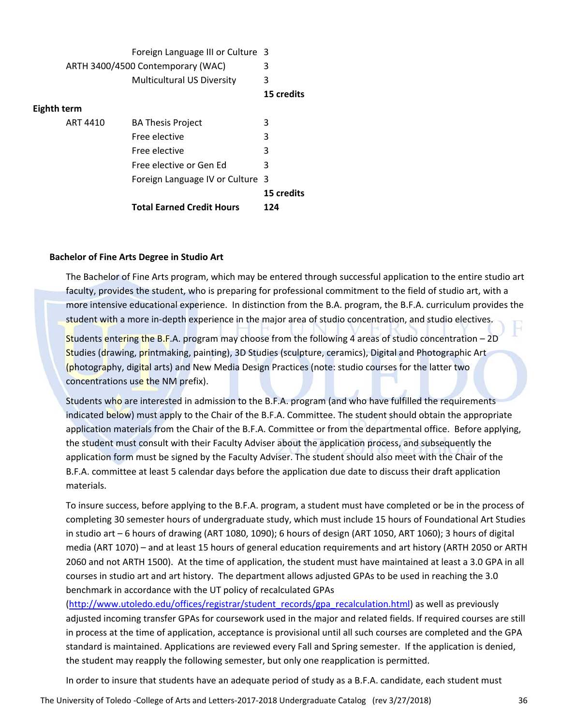|             | Foreign Language III or Culture 3 |            |  |
|-------------|-----------------------------------|------------|--|
|             | ARTH 3400/4500 Contemporary (WAC) | 3          |  |
|             | <b>Multicultural US Diversity</b> | 3          |  |
|             |                                   | 15 credits |  |
| Eighth term |                                   |            |  |
| ART 4410    | <b>BA Thesis Project</b>          | 3          |  |
|             | Free elective                     | 3          |  |
|             | Free elective                     | 3          |  |
|             | Free elective or Gen Ed           | 3          |  |
|             | Foreign Language IV or Culture 3  |            |  |
|             |                                   | 15 credits |  |
|             | <b>Total Earned Credit Hours</b>  | 124        |  |

#### **Bachelor of Fine Arts Degree in Studio Art**

The Bachelor of Fine Arts program, which may be entered through successful application to the entire studio art faculty, provides the student, who is preparing for professional commitment to the field of studio art, with a more intensive educational experience. In distinction from the B.A. program, the B.F.A. curriculum provides the student with a more in‐depth experience in the major area of studio concentration, and studio electives.

Students entering the B.F.A. program may choose from the following 4 areas of studio concentration – 2D Studies (drawing, printmaking, painting), 3D Studies (sculpture, ceramics), Digital and Photographic Art (photography, digital arts) and New Media Design Practices (note: studio courses for the latter two concentrations use the NM prefix).

Students who are interested in admission to the B.F.A. program (and who have fulfilled the requirements indicated below) must apply to the Chair of the B.F.A. Committee. The student should obtain the appropriate application materials from the Chair of the B.F.A. Committee or from the departmental office. Before applying, the student must consult with their Faculty Adviser about the application process, and subsequently the application form must be signed by the Faculty Adviser. The student should also meet with the Chair of the B.F.A. committee at least 5 calendar days before the application due date to discuss their draft application materials.

To insure success, before applying to the B.F.A. program, a student must have completed or be in the process of completing 30 semester hours of undergraduate study, which must include 15 hours of Foundational Art Studies in studio art – 6 hours of drawing (ART 1080, 1090); 6 hours of design (ART 1050, ART 1060); 3 hours of digital media (ART 1070) – and at least 15 hours of general education requirements and art history (ARTH 2050 or ARTH 2060 and not ARTH 1500). At the time of application, the student must have maintained at least a 3.0 GPA in all courses in studio art and art history. The department allows adjusted GPAs to be used in reaching the 3.0 benchmark in accordance with the UT policy of recalculated GPAs

(http://www.utoledo.edu/offices/registrar/student\_records/gpa\_recalculation.html) as well as previously adjusted incoming transfer GPAs for coursework used in the major and related fields. If required courses are still in process at the time of application, acceptance is provisional until all such courses are completed and the GPA standard is maintained. Applications are reviewed every Fall and Spring semester. If the application is denied, the student may reapply the following semester, but only one reapplication is permitted.

In order to insure that students have an adequate period of study as a B.F.A. candidate, each student must

The University of Toledo ‐College of Arts and Letters‐2017‐2018 Undergraduate Catalog (rev 3/27/2018) 36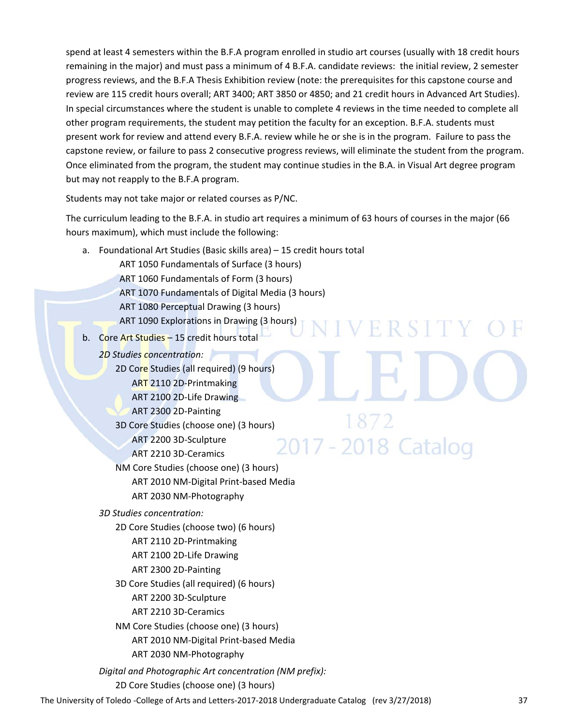spend at least 4 semesters within the B.F.A program enrolled in studio art courses (usually with 18 credit hours remaining in the major) and must pass a minimum of 4 B.F.A. candidate reviews: the initial review, 2 semester progress reviews, and the B.F.A Thesis Exhibition review (note: the prerequisites for this capstone course and review are 115 credit hours overall; ART 3400; ART 3850 or 4850; and 21 credit hours in Advanced Art Studies). In special circumstances where the student is unable to complete 4 reviews in the time needed to complete all other program requirements, the student may petition the faculty for an exception. B.F.A. students must present work for review and attend every B.F.A. review while he or she is in the program. Failure to pass the capstone review, or failure to pass 2 consecutive progress reviews, will eliminate the student from the program. Once eliminated from the program, the student may continue studies in the B.A. in Visual Art degree program but may not reapply to the B.F.A program.

Students may not take major or related courses as P/NC.

The curriculum leading to the B.F.A. in studio art requires a minimum of 63 hours of courses in the major (66 hours maximum), which must include the following:

VERSITY

2017 - 2018 Catalog

- a. Foundational Art Studies (Basic skills area) 15 credit hours total
	- ART 1050 Fundamentals of Surface (3 hours)
	- ART 1060 Fundamentals of Form (3 hours)
	- ART 1070 Fundamentals of Digital Media (3 hours)
	- ART 1080 Perceptual Drawing (3 hours)
	- ART 1090 Explorations in Drawing (3 hours)
- b. Core Art Studies 15 credit hours total
	- *2D Studies concentration:*
		- 2D Core Studies (all required) (9 hours) ART 2110 2D‐Printmaking
			- ART 2100 2D‐Life Drawing
			- ART 2300 2D‐Painting
		- 3D Core Studies (choose one) (3 hours)
			- ART 2200 3D‐Sculpture
			- ART 2210 3D‐Ceramics
		- NM Core Studies (choose one) (3 hours)
			- ART 2010 NM‐Digital Print‐based Media
			- ART 2030 NM‐Photography
	- *3D Studies concentration:*
		- 2D Core Studies (choose two) (6 hours)
			- ART 2110 2D‐Printmaking ART 2100 2D‐Life Drawing
			-
			- ART 2300 2D‐Painting
		- 3D Core Studies (all required) (6 hours) ART 2200 3D‐Sculpture ART 2210 3D‐Ceramics
		- NM Core Studies (choose one) (3 hours) ART 2010 NM‐Digital Print‐based Media ART 2030 NM‐Photography
	- *Digital and Photographic Art concentration (NM prefix):*
		- 2D Core Studies (choose one) (3 hours)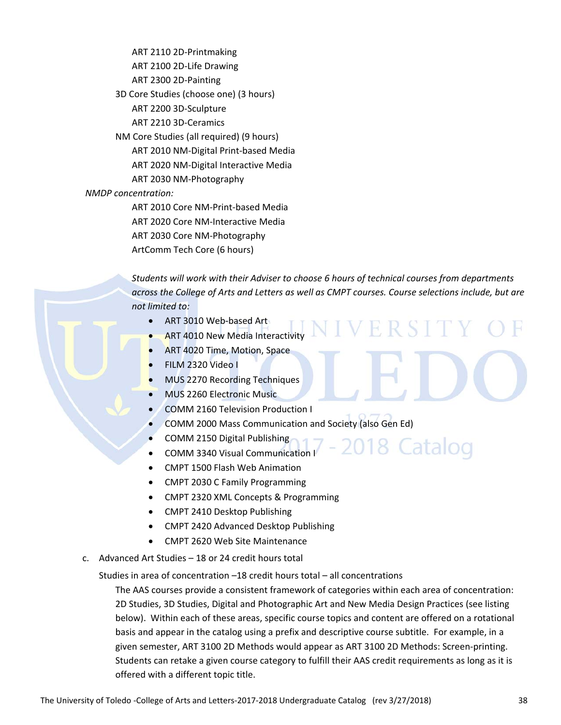ART 2110 2D‐Printmaking ART 2100 2D‐Life Drawing ART 2300 2D‐Painting 3D Core Studies (choose one) (3 hours) ART 2200 3D‐Sculpture ART 2210 3D‐Ceramics NM Core Studies (all required) (9 hours) ART 2010 NM‐Digital Print‐based Media ART 2020 NM‐Digital Interactive Media ART 2030 NM‐Photography *NMDP concentration:* ART 2010 Core NM‐Print‐based Media

ART 2020 Core NM‐Interactive Media ART 2030 Core NM‐Photography ArtComm Tech Core (6 hours)

*Students will work with their Adviser to choose 6 hours of technical courses from departments across the College of Arts and Letters as well as CMPT courses. Course selections include, but are not limited to:*

ER ST

018 Catalog

- ART 3010 Web‐based Art
- ART 4010 New Media Interactivity
- ART 4020 Time, Motion, Space
- FILM 2320 Video I
- MUS 2270 Recording Techniques
- MUS 2260 Electronic Music
- COMM 2160 Television Production I
- COMM 2000 Mass Communication and Society (also Gen Ed)
- COMM 2150 Digital Publishing
- COMM 3340 Visual Communication I
- CMPT 1500 Flash Web Animation
- CMPT 2030 C Family Programming
- CMPT 2320 XML Concepts & Programming
- CMPT 2410 Desktop Publishing
- CMPT 2420 Advanced Desktop Publishing
- CMPT 2620 Web Site Maintenance
- c. Advanced Art Studies 18 or 24 credit hours total

Studies in area of concentration –18 credit hours total – all concentrations

The AAS courses provide a consistent framework of categories within each area of concentration: 2D Studies, 3D Studies, Digital and Photographic Art and New Media Design Practices (see listing below). Within each of these areas, specific course topics and content are offered on a rotational basis and appear in the catalog using a prefix and descriptive course subtitle. For example, in a given semester, ART 3100 2D Methods would appear as ART 3100 2D Methods: Screen‐printing. Students can retake a given course category to fulfill their AAS credit requirements as long as it is offered with a different topic title.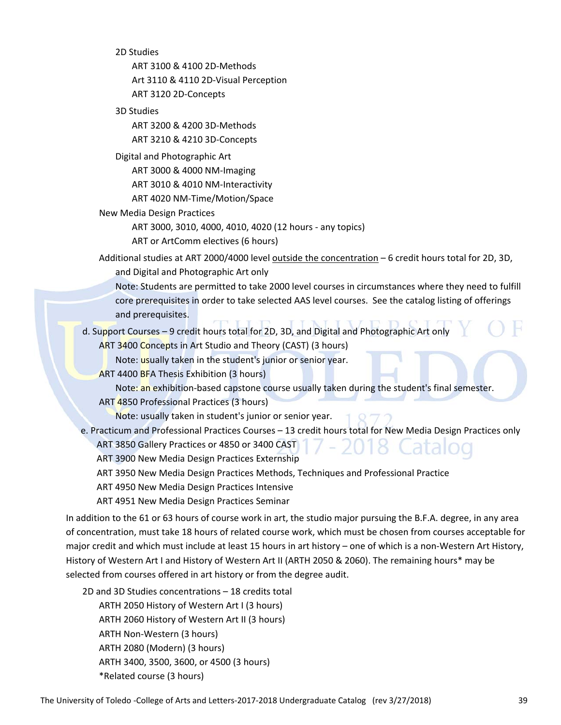2D Studies

ART 3100 & 4100 2D‐Methods Art 3110 & 4110 2D‐Visual Perception ART 3120 2D‐Concepts

3D Studies

ART 3200 & 4200 3D‐Methods ART 3210 & 4210 3D‐Concepts

Digital and Photographic Art

ART 3000 & 4000 NM‐Imaging

ART 3010 & 4010 NM‐Interactivity

ART 4020 NM‐Time/Motion/Space

New Media Design Practices

ART 3000, 3010, 4000, 4010, 4020 (12 hours ‐ any topics)

ART or ArtComm electives (6 hours)

- Additional studies at ART 2000/4000 level outside the concentration 6 credit hours total for 2D, 3D, and Digital and Photographic Art only
	- Note: Students are permitted to take 2000 level courses in circumstances where they need to fulfill core prerequisites in order to take selected AAS level courses. See the catalog listing of offerings and prerequisites.
- d. Support Courses 9 credit hours total for 2D, 3D, and Digital and Photographic Art only

ART 3400 Concepts in Art Studio and Theory (CAST) (3 hours)

Note: usually taken in the student's junior or senior year.

ART 4400 BFA Thesis Exhibition (3 hours)

Note: an exhibition-based capstone course usually taken during the student's final semester.

ART 4850 Professional Practices (3 hours)

Note: usually taken in student's junior or senior year.

 e. Practicum and Professional Practices Courses – 13 credit hours total for New Media Design Practices only ART 3850 Gallery Practices or 4850 or 3400 CAST

ART 3900 New Media Design Practices Externship

ART 3950 New Media Design Practices Methods, Techniques and Professional Practice

ART 4950 New Media Design Practices Intensive

ART 4951 New Media Design Practices Seminar

In addition to the 61 or 63 hours of course work in art, the studio major pursuing the B.F.A. degree, in any area of concentration, must take 18 hours of related course work, which must be chosen from courses acceptable for major credit and which must include at least 15 hours in art history – one of which is a non‐Western Art History, History of Western Art I and History of Western Art II (ARTH 2050 & 2060). The remaining hours\* may be selected from courses offered in art history or from the degree audit.

2D and 3D Studies concentrations – 18 credits total ARTH 2050 History of Western Art I (3 hours) ARTH 2060 History of Western Art II (3 hours) ARTH Non‐Western (3 hours) ARTH 2080 (Modern) (3 hours) ARTH 3400, 3500, 3600, or 4500 (3 hours) \*Related course (3 hours)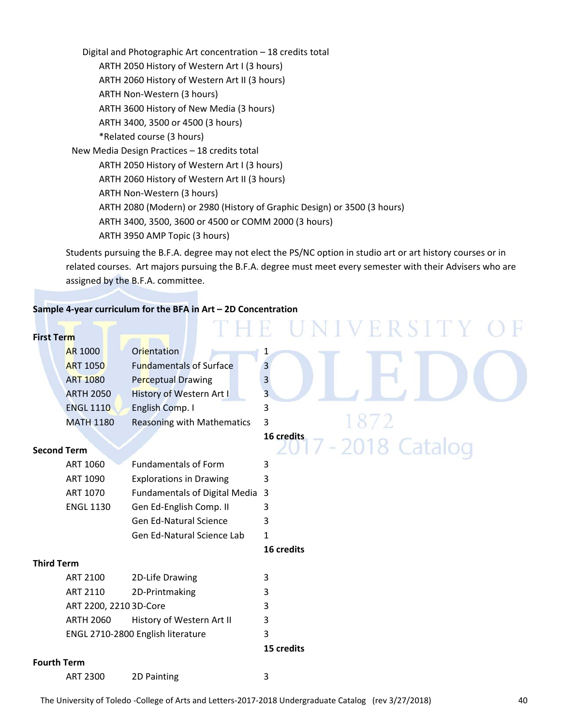Digital and Photographic Art concentration – 18 credits total ARTH 2050 History of Western Art I (3 hours) ARTH 2060 History of Western Art II (3 hours) ARTH Non‐Western (3 hours) ARTH 3600 History of New Media (3 hours) ARTH 3400, 3500 or 4500 (3 hours) \*Related course (3 hours) New Media Design Practices – 18 credits total ARTH 2050 History of Western Art I (3 hours) ARTH 2060 History of Western Art II (3 hours) ARTH Non‐Western (3 hours) ARTH 2080 (Modern) or 2980 (History of Graphic Design) or 3500 (3 hours) ARTH 3400, 3500, 3600 or 4500 or COMM 2000 (3 hours) ARTH 3950 AMP Topic (3 hours)

Students pursuing the B.F.A. degree may not elect the PS/NC option in studio art or art history courses or in related courses. Art majors pursuing the B.F.A. degree must meet every semester with their Advisers who are assigned by the B.F.A. committee.

#### **Sample 4‐year curriculum for the BFA in Art – 2D Concentration**

|                    |                        |                                      | UNIVERSITY<br>E.        |
|--------------------|------------------------|--------------------------------------|-------------------------|
| <b>First Term</b>  |                        |                                      |                         |
|                    | <b>AR 1000</b>         | Orientation                          | 1                       |
|                    | <b>ART 1050</b>        | <b>Fundamentals of Surface</b>       | 3                       |
|                    | <b>ART 1080</b>        | <b>Perceptual Drawing</b>            | $\overline{\mathbf{3}}$ |
|                    | <b>ARTH 2050</b>       | History of Western Art I             | $\overline{3}$          |
|                    | <b>ENGL 1110</b>       | English Comp. I                      | 3                       |
|                    | <b>MATH 1180</b>       | <b>Reasoning with Mathematics</b>    | 3                       |
|                    |                        |                                      | 16 credits              |
| <b>Second Term</b> |                        |                                      | $2017 - 2018$ Catalog   |
|                    | ART 1060               | <b>Fundamentals of Form</b>          | 3                       |
|                    | ART 1090               | <b>Explorations in Drawing</b>       | 3                       |
|                    | ART 1070               | <b>Fundamentals of Digital Media</b> | 3                       |
|                    | <b>ENGL 1130</b>       | Gen Ed-English Comp. II              | 3                       |
|                    |                        | <b>Gen Ed-Natural Science</b>        | 3                       |
|                    |                        | <b>Gen Ed-Natural Science Lab</b>    | $\mathbf{1}$            |
|                    |                        |                                      | 16 credits              |
| <b>Third Term</b>  |                        |                                      |                         |
|                    | ART 2100               | 2D-Life Drawing                      | 3                       |
|                    | ART 2110               | 2D-Printmaking                       | 3                       |
|                    | ART 2200, 2210 3D-Core |                                      | 3                       |
|                    | <b>ARTH 2060</b>       | History of Western Art II            | 3                       |
|                    |                        | ENGL 2710-2800 English literature    | 3                       |
|                    |                        |                                      | 15 credits              |
| <b>Fourth Term</b> |                        |                                      |                         |
|                    | <b>ART 2300</b>        | 2D Painting                          | 3                       |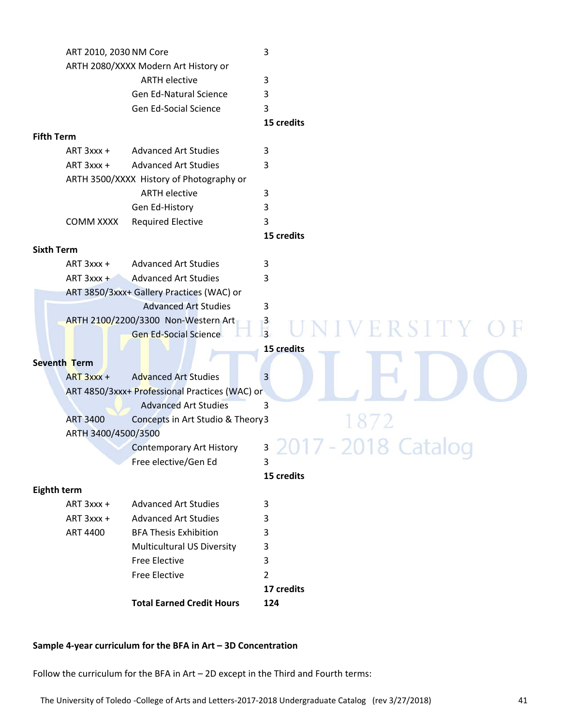|                                      | ART 2010, 2030 NM Core                         | 3                          |
|--------------------------------------|------------------------------------------------|----------------------------|
| ARTH 2080/XXXX Modern Art History or |                                                |                            |
| <b>ARTH elective</b>                 |                                                | 3                          |
|                                      | <b>Gen Ed-Natural Science</b>                  | 3                          |
|                                      | Gen Ed-Social Science                          | 3                          |
|                                      |                                                | 15 credits                 |
| <b>Fifth Term</b>                    |                                                |                            |
| ART 3xxx +                           | <b>Advanced Art Studies</b>                    | 3                          |
| ART 3xxx +                           | <b>Advanced Art Studies</b>                    | 3                          |
|                                      | ARTH 3500/XXXX History of Photography or       |                            |
|                                      | <b>ARTH elective</b>                           | 3                          |
|                                      | Gen Ed-History                                 | 3                          |
| <b>COMM XXXX</b>                     | <b>Required Elective</b>                       | 3                          |
|                                      |                                                | 15 credits                 |
| <b>Sixth Term</b>                    |                                                |                            |
| ART 3xxx +                           | <b>Advanced Art Studies</b>                    | 3                          |
|                                      | ART 3xxx + Advanced Art Studies                | 3                          |
|                                      | ART 3850/3xxx+ Gallery Practices (WAC) or      |                            |
|                                      | <b>Advanced Art Studies</b>                    | 3                          |
|                                      | ARTH 2100/2200/3300 Non-Western Art            | $\frac{3}{3}$<br>ERSITY OF |
|                                      | <b>Gen Ed-Social Science</b>                   |                            |
|                                      |                                                | 15 credits                 |
| Seventh Term                         |                                                |                            |
| $ART 3xxx +$                         | <b>Advanced Art Studies</b>                    | 3                          |
|                                      | ART 4850/3xxx+ Professional Practices (WAC) or |                            |
|                                      | <b>Advanced Art Studies</b>                    | 3                          |
| <b>ART 3400</b>                      | Concepts in Art Studio & Theory3               |                            |
|                                      | ARTH 3400/4500/3500                            |                            |
|                                      | <b>Contemporary Art History</b>                | 3                          |
|                                      | Free elective/Gen Ed                           | $\tilde{\phantom{a}}$<br>3 |
|                                      |                                                | 15 credits                 |
| <b>Eighth term</b>                   |                                                |                            |
| ART 3xxx +                           | <b>Advanced Art Studies</b>                    | 3                          |
| ART 3xxx +                           | <b>Advanced Art Studies</b>                    | 3                          |
| ART 4400                             | <b>BFA Thesis Exhibition</b>                   | 3                          |
|                                      | <b>Multicultural US Diversity</b>              | 3                          |
|                                      | <b>Free Elective</b>                           | 3                          |
|                                      | <b>Free Elective</b>                           | 2                          |
|                                      |                                                | 17 credits                 |
|                                      | <b>Total Earned Credit Hours</b>               | 124                        |

#### **Sample 4‐year curriculum for the BFA in Art – 3D Concentration**

Follow the curriculum for the BFA in Art – 2D except in the Third and Fourth terms: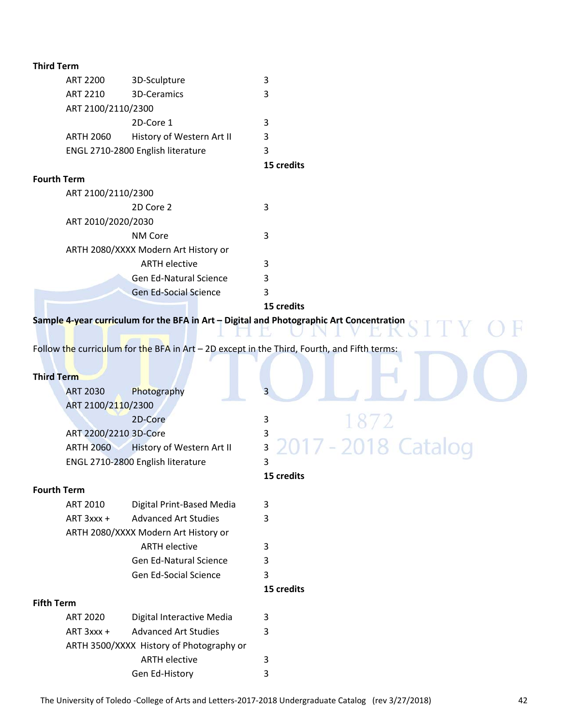| <b>Third Term</b>  |                       |                                          |                                                                                             |
|--------------------|-----------------------|------------------------------------------|---------------------------------------------------------------------------------------------|
|                    | <b>ART 2200</b>       | 3D-Sculpture                             | 3                                                                                           |
|                    | <b>ART 2210</b>       | 3D-Ceramics                              | 3                                                                                           |
|                    | ART 2100/2110/2300    |                                          |                                                                                             |
|                    |                       | 2D-Core 1                                | 3                                                                                           |
|                    | <b>ARTH 2060</b>      | History of Western Art II                | 3                                                                                           |
|                    |                       | ENGL 2710-2800 English literature        | 3                                                                                           |
|                    |                       |                                          | 15 credits                                                                                  |
| <b>Fourth Term</b> |                       |                                          |                                                                                             |
|                    | ART 2100/2110/2300    |                                          |                                                                                             |
|                    |                       | 2D Core 2                                | 3                                                                                           |
|                    | ART 2010/2020/2030    |                                          |                                                                                             |
|                    |                       | NM Core                                  | 3                                                                                           |
|                    |                       | ARTH 2080/XXXX Modern Art History or     |                                                                                             |
|                    |                       | <b>ARTH elective</b>                     | 3                                                                                           |
|                    |                       | <b>Gen Ed-Natural Science</b>            | 3                                                                                           |
|                    |                       | <b>Gen Ed-Social Science</b>             | 3                                                                                           |
|                    |                       |                                          | 15 credits                                                                                  |
|                    |                       |                                          | Sample 4-year curriculum for the BFA in Art - Digital and Photographic Art Concentration    |
|                    |                       |                                          |                                                                                             |
|                    |                       |                                          | Follow the curriculum for the BFA in Art - 2D except in the Third, Fourth, and Fifth terms: |
|                    |                       |                                          |                                                                                             |
| <b>Third Term</b>  |                       |                                          |                                                                                             |
|                    | <b>ART 2030</b>       | Photography                              | 3                                                                                           |
|                    | ART 2100/2110/2300    |                                          |                                                                                             |
|                    |                       | 2D-Core                                  | 3                                                                                           |
|                    | ART 2200/2210 3D-Core |                                          | 3                                                                                           |
|                    | <b>ARTH 2060</b>      | History of Western Art II                | -2018 Cata<br>3                                                                             |
|                    |                       | ENGL 2710-2800 English literature        | 3                                                                                           |
|                    |                       |                                          | 15 credits                                                                                  |
| <b>Fourth Term</b> |                       |                                          |                                                                                             |
|                    | <b>ART 2010</b>       | Digital Print-Based Media                | 3                                                                                           |
|                    | ART 3xxx +            | <b>Advanced Art Studies</b>              | 3                                                                                           |
|                    |                       | ARTH 2080/XXXX Modern Art History or     |                                                                                             |
|                    |                       | <b>ARTH elective</b>                     | 3                                                                                           |
|                    |                       | Gen Ed-Natural Science                   | 3                                                                                           |
|                    |                       | Gen Ed-Social Science                    | 3                                                                                           |
|                    |                       |                                          | 15 credits                                                                                  |
| <b>Fifth Term</b>  |                       |                                          |                                                                                             |
|                    | <b>ART 2020</b>       | Digital Interactive Media                | 3                                                                                           |
|                    | ART 3xxx +            | <b>Advanced Art Studies</b>              | 3                                                                                           |
|                    |                       | ARTH 3500/XXXX History of Photography or |                                                                                             |
|                    |                       | <b>ARTH elective</b>                     | 3                                                                                           |
|                    |                       | Gen Ed-History                           | 3                                                                                           |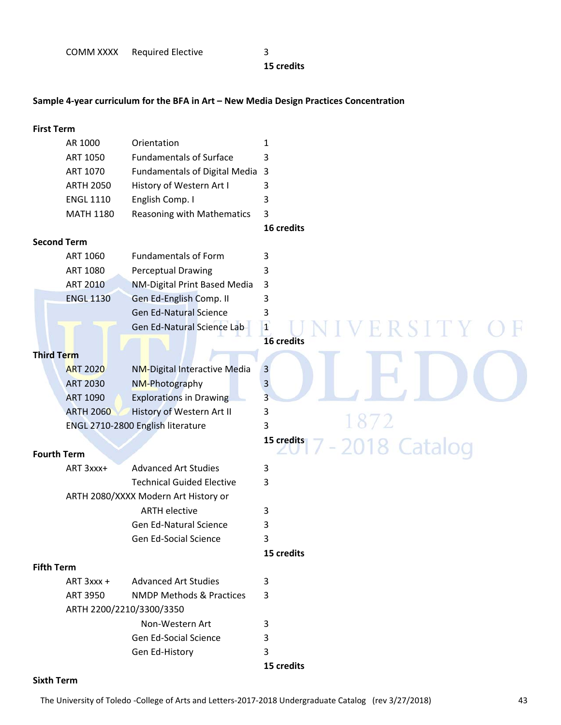**15 credits**

#### **Sample 4‐year curriculum for the BFA in Art – New Media Design Practices Concentration**

#### **First Term**

| Orientation                     |   |
|---------------------------------|---|
| <b>Fundamentals of Surface</b>  |   |
| Fundamentals of Digital Media 3 |   |
| History of Western Art I        |   |
| English Comp. I                 | 3 |
| Reasoning with Mathematics 3    |   |
|                                 |   |

**16 credits**

#### **Second Term**

| ART 1060         | <b>Fundamentals of Form</b>   |    |  |
|------------------|-------------------------------|----|--|
| ART 1080         | Perceptual Drawing            |    |  |
| <b>ART 2010</b>  | NM-Digital Print Based Media  | -3 |  |
| <b>ENGL 1130</b> | Gen Ed-English Comp. II       |    |  |
|                  | <b>Gen Ed-Natural Science</b> |    |  |
|                  | Gen Ed-Natural Science Lab    |    |  |

#### **Third Term**

| <b>ART 2020</b>  | <b>NM-Digital Interactive Media</b> | 3 |  |
|------------------|-------------------------------------|---|--|
| <b>ART 2030</b>  | NM-Photography                      |   |  |
| <b>ART 1090</b>  | <b>Explorations in Drawing</b>      |   |  |
| <b>ARTH 2060</b> | History of Western Art II           |   |  |
|                  | ENGL 2710-2800 English literature   |   |  |

#### **Fourth Term**

| ART 3xxx+ | <b>Advanced Art Studies</b>          | 3 |
|-----------|--------------------------------------|---|
|           | <b>Technical Guided Elective</b>     | 3 |
|           | ARTH 2080/XXXX Modern Art History or |   |
|           | <b>ARTH elective</b>                 | 3 |
|           | Gen Ed-Natural Science               | 3 |
|           | Gen Ed-Social Science                | ર |

## **16 credits**

## 2018 Catalog **15 credits**

## **Fifth Term**

| $ART 3$ xxx + | <b>Advanced Art Studies</b> |   |
|---------------|-----------------------------|---|
| ART 3950      | NMDP Methods & Practices    | 3 |
|               | ARTH 2200/2210/3300/3350    |   |
|               | Non-Western Art             |   |
|               | Gen Ed-Social Science       | 3 |
|               | Gen Ed-History              |   |

**15 credits**

**15 credits**

#### **Sixth Term**

Ħ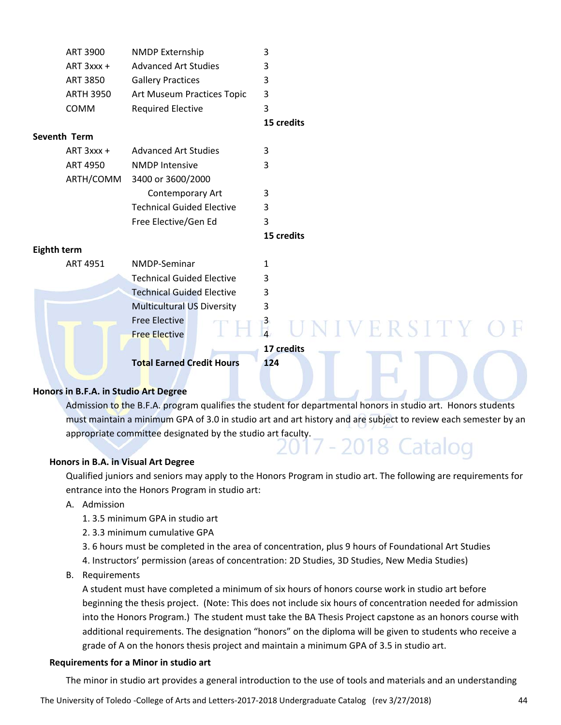| <b>ART 3900</b>  | NMDP Externship                   | 3            |
|------------------|-----------------------------------|--------------|
| ART 3xxx +       | <b>Advanced Art Studies</b>       | 3            |
| <b>ART 3850</b>  | <b>Gallery Practices</b>          | 3            |
| <b>ARTH 3950</b> | Art Museum Practices Topic        | 3            |
| COMM             | <b>Required Elective</b>          | 3            |
|                  |                                   | 15 credits   |
| Seventh Term     |                                   |              |
| ART 3xxx +       | <b>Advanced Art Studies</b>       | 3            |
| <b>ART 4950</b>  | <b>NMDP Intensive</b>             | 3            |
| ARTH/COMM        | 3400 or 3600/2000                 |              |
|                  | Contemporary Art                  | 3            |
|                  | <b>Technical Guided Elective</b>  | 3            |
|                  | Free Elective/Gen Ed              | 3            |
|                  |                                   | 15 credits   |
| Eighth term      |                                   |              |
| ART 4951         | NMDP-Seminar                      | 1            |
|                  | <b>Technical Guided Elective</b>  | 3            |
|                  | <b>Technical Guided Elective</b>  | 3            |
|                  | <b>Multicultural US Diversity</b> | 3            |
|                  | <b>Free Elective</b>              | UNIVERSITY C |
|                  | <b>Free Elective</b>              |              |
|                  |                                   | 17 credits   |
|                  | <b>Total Earned Credit Hours</b>  | 124          |
|                  |                                   |              |

#### **Honors in B.F.A. in Studio Art Degree**

Admission to the B.F.A. program qualifies the student for departmental honors in studio art. Honors students must maintain a minimum GPA of 3.0 in studio art and art history and are subject to review each semester by an appropriate committee designated by the studio art faculty.<br> $2017 - 2018$  Catalog

#### **Honors in B.A. in Visual Art Degree**

Qualified juniors and seniors may apply to the Honors Program in studio art. The following are requirements for entrance into the Honors Program in studio art:

A. Admission

1. 3.5 minimum GPA in studio art

2. 3.3 minimum cumulative GPA

3. 6 hours must be completed in the area of concentration, plus 9 hours of Foundational Art Studies

- 4. Instructors' permission (areas of concentration: 2D Studies, 3D Studies, New Media Studies)
- B. Requirements

A student must have completed a minimum of six hours of honors course work in studio art before beginning the thesis project. (Note: This does not include six hours of concentration needed for admission into the Honors Program.) The student must take the BA Thesis Project capstone as an honors course with additional requirements. The designation "honors" on the diploma will be given to students who receive a grade of A on the honors thesis project and maintain a minimum GPA of 3.5 in studio art.

#### **Requirements for a Minor in studio art**

The minor in studio art provides a general introduction to the use of tools and materials and an understanding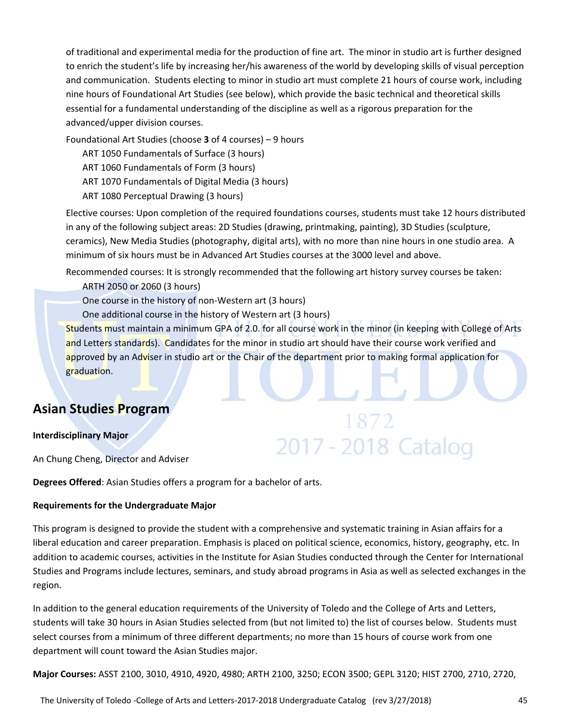of traditional and experimental media for the production of fine art. The minor in studio art is further designed to enrich the student's life by increasing her/his awareness of the world by developing skills of visual perception and communication. Students electing to minor in studio art must complete 21 hours of course work, including nine hours of Foundational Art Studies (see below), which provide the basic technical and theoretical skills essential for a fundamental understanding of the discipline as well as a rigorous preparation for the advanced/upper division courses.

Foundational Art Studies (choose **3** of 4 courses) – 9 hours

ART 1050 Fundamentals of Surface (3 hours)

- ART 1060 Fundamentals of Form (3 hours)
- ART 1070 Fundamentals of Digital Media (3 hours)
- ART 1080 Perceptual Drawing (3 hours)

Elective courses: Upon completion of the required foundations courses, students must take 12 hours distributed in any of the following subject areas: 2D Studies (drawing, printmaking, painting), 3D Studies (sculpture, ceramics), New Media Studies (photography, digital arts), with no more than nine hours in one studio area. A minimum of six hours must be in Advanced Art Studies courses at the 3000 level and above.

Recommended courses: It is strongly recommended that the following art history survey courses be taken:

ARTH 2050 or 2060 (3 hours)

One course in the history of non‐Western art (3 hours)

One additional course in the history of Western art (3 hours)

Students must maintain a minimum GPA of 2.0. for all course work in the minor (in keeping with College of Arts and Letters standards). Candidates for the minor in studio art should have their course work verified and approved by an Adviser in studio art or the Chair of the department prior to making formal application for graduation.

1872

2017 - 2018 Catalog

## **Asian Studies Program**

#### **Interdisciplinary Major**

An Chung Cheng, Director and Adviser

**Degrees Offered**: Asian Studies offers a program for a bachelor of arts.

#### **Requirements for the Undergraduate Major**

This program is designed to provide the student with a comprehensive and systematic training in Asian affairs for a liberal education and career preparation. Emphasis is placed on political science, economics, history, geography, etc. In addition to academic courses, activities in the Institute for Asian Studies conducted through the Center for International Studies and Programs include lectures, seminars, and study abroad programs in Asia as well as selected exchanges in the region.

In addition to the general education requirements of the University of Toledo and the College of Arts and Letters, students will take 30 hours in Asian Studies selected from (but not limited to) the list of courses below. Students must select courses from a minimum of three different departments; no more than 15 hours of course work from one department will count toward the Asian Studies major.

**Major Courses:** ASST 2100, 3010, 4910, 4920, 4980; ARTH 2100, 3250; ECON 3500; GEPL 3120; HIST 2700, 2710, 2720,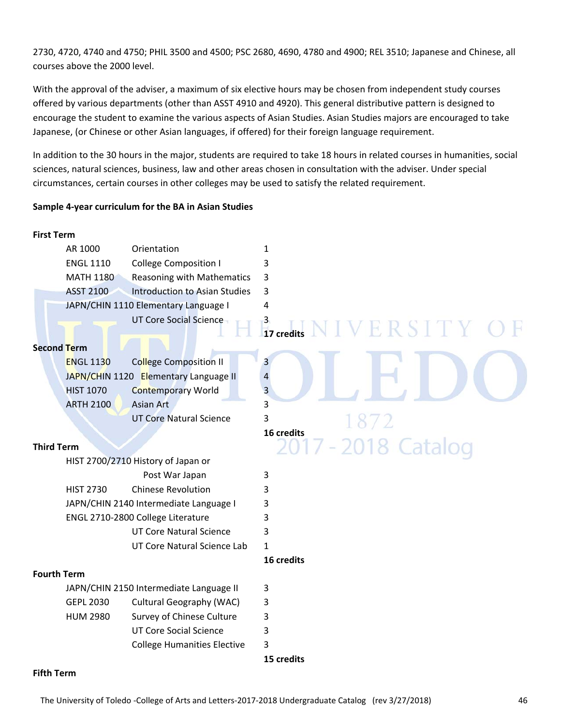2730, 4720, 4740 and 4750; PHIL 3500 and 4500; PSC 2680, 4690, 4780 and 4900; REL 3510; Japanese and Chinese, all courses above the 2000 level.

With the approval of the adviser, a maximum of six elective hours may be chosen from independent study courses offered by various departments (other than ASST 4910 and 4920). This general distributive pattern is designed to encourage the student to examine the various aspects of Asian Studies. Asian Studies majors are encouraged to take Japanese, (or Chinese or other Asian languages, if offered) for their foreign language requirement.

In addition to the 30 hours in the major, students are required to take 18 hours in related courses in humanities, social sciences, natural sciences, business, law and other areas chosen in consultation with the adviser. Under special circumstances, certain courses in other colleges may be used to satisfy the related requirement.

#### **Sample 4‐year curriculum for the BA in Asian Studies**

### **First Term**  AR 1000 Orientation 1 ENGL 1110 College Composition I 3 MATH 1180 Reasoning with Mathematics 3 ASST 2100 Introduction to Asian Studies 3 JAPN/CHIN 1110 Elementary Language I 4 UT Core Social Science 3 **17 17 credits Second Term**  ENGL 1130 College Composition II 3 JAPN/CHIN 1120 Elementary Language II 4 HIST 1070 Contemporary World 3 ARTH 2100 Asian Art 3 UT Core Natural Science 3 **16 credits** 2018 Catalog **Third Term**  HIST 2700/2710 History of Japan or Post War Japan 3 HIST 2730 Chinese Revolution 3 JAPN/CHIN 2140 Intermediate Language I 3 ENGL 2710-2800 College Literature 3 UT Core Natural Science 3 UT Core Natural Science Lab 1 **16 credits Fourth Term**  JAPN/CHIN 2150 Intermediate Language II 3 GEPL 2030 Cultural Geography (WAC) 3 HUM 2980 Survey of Chinese Culture 3 UT Core Social Science 3 College Humanities Elective 3 **15 credits**

#### **Fifth Term**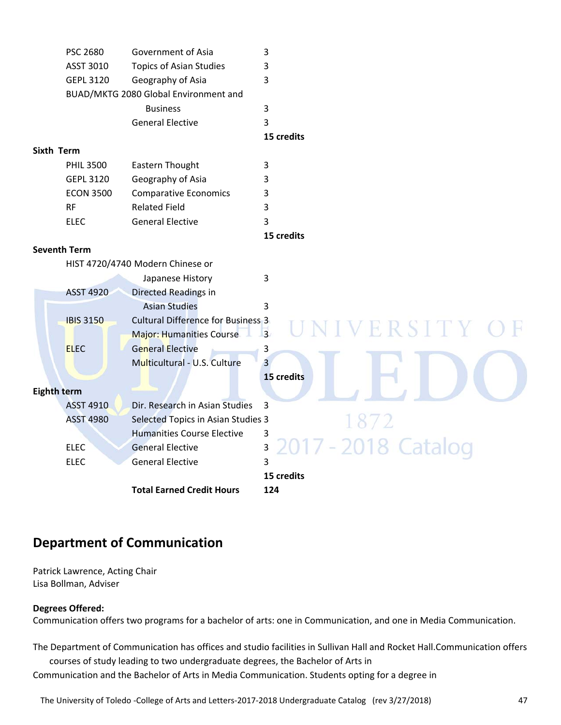|                    | PSC 2680            | Government of Asia                        | 3                     |
|--------------------|---------------------|-------------------------------------------|-----------------------|
|                    | ASST 3010           | <b>Topics of Asian Studies</b>            | 3                     |
|                    | <b>GEPL 3120</b>    | Geography of Asia                         | 3                     |
|                    |                     | BUAD/MKTG 2080 Global Environment and     |                       |
|                    |                     | <b>Business</b>                           | 3                     |
|                    |                     | <b>General Elective</b>                   | 3                     |
|                    |                     |                                           | 15 credits            |
| <b>Sixth Term</b>  |                     |                                           |                       |
|                    | <b>PHIL 3500</b>    | Eastern Thought                           | 3                     |
|                    | <b>GEPL 3120</b>    | Geography of Asia                         | 3                     |
|                    | <b>ECON 3500</b>    | <b>Comparative Economics</b>              | 3                     |
|                    | <b>RF</b>           | <b>Related Field</b>                      | 3                     |
|                    | <b>ELEC</b>         | <b>General Elective</b>                   | 3                     |
|                    |                     |                                           | 15 credits            |
|                    | <b>Seventh Term</b> |                                           |                       |
|                    |                     | HIST 4720/4740 Modern Chinese or          |                       |
|                    |                     | Japanese History                          | 3                     |
|                    | <b>ASST 4920</b>    | Directed Readings in                      |                       |
|                    |                     | <b>Asian Studies</b>                      | 3                     |
|                    | <b>IBIS 3150</b>    | <b>Cultural Difference for Business 3</b> | ERSITY                |
|                    |                     | <b>Major: Humanities Course</b>           | $\overline{3}$        |
|                    | <b>ELEC</b>         | <b>General Elective</b>                   | 3                     |
|                    |                     | Multicultural - U.S. Culture              | $\overline{3}$        |
|                    |                     |                                           | 15 credits            |
| <b>Eighth term</b> |                     |                                           |                       |
|                    | <b>ASST 4910</b>    | Dir. Research in Asian Studies            | 3                     |
|                    | <b>ASST 4980</b>    | Selected Topics in Asian Studies 3        | 1872                  |
|                    |                     | <b>Humanities Course Elective</b>         | 3                     |
|                    | <b>ELEC</b>         | <b>General Elective</b>                   | 7 - 2018 Catalog<br>3 |
|                    | <b>ELEC</b>         | <b>General Elective</b>                   | 3                     |
|                    |                     |                                           | 15 credits            |
|                    |                     | <b>Total Earned Credit Hours</b>          | 124                   |
|                    |                     |                                           |                       |

## **Department of Communication**

Patrick Lawrence, Acting Chair Lisa Bollman, Adviser

#### **Degrees Offered:**

Communication offers two programs for a bachelor of arts: one in Communication, and one in Media Communication.

The Department of Communication has offices and studio facilities in Sullivan Hall and Rocket Hall.Communication offers courses of study leading to two undergraduate degrees, the Bachelor of Arts in Communication and the Bachelor of Arts in Media Communication. Students opting for a degree in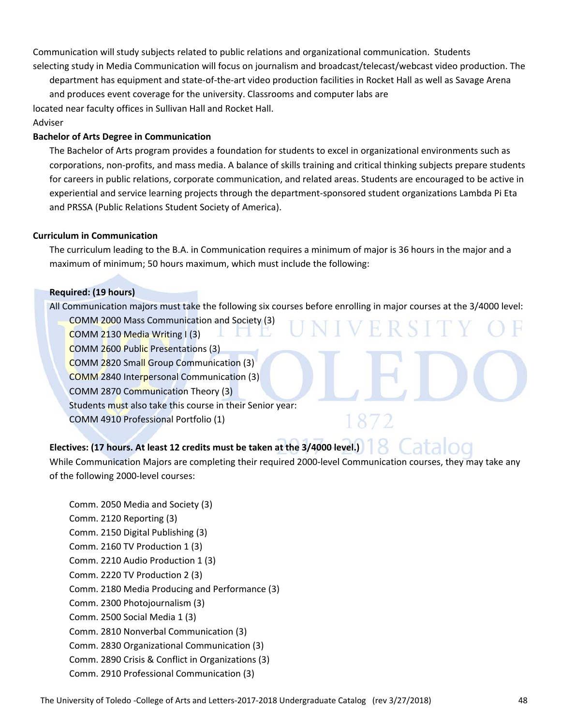Communication will study subjects related to public relations and organizational communication. Students selecting study in Media Communication will focus on journalism and broadcast/telecast/webcast video production. The

department has equipment and state‐of‐the‐art video production facilities in Rocket Hall as well as Savage Arena and produces event coverage for the university. Classrooms and computer labs are located near faculty offices in Sullivan Hall and Rocket Hall. Adviser

#### **Bachelor of Arts Degree in Communication**

The Bachelor of Arts program provides a foundation for students to excel in organizational environments such as corporations, non‐profits, and mass media. A balance of skills training and critical thinking subjects prepare students for careers in public relations, corporate communication, and related areas. Students are encouraged to be active in experiential and service learning projects through the department‐sponsored student organizations Lambda Pi Eta and PRSSA (Public Relations Student Society of America).

#### **Curriculum in Communication**

The curriculum leading to the B.A. in Communication requires a minimum of major is 36 hours in the major and a maximum of minimum; 50 hours maximum, which must include the following:

#### **Required: (19 hours)**

All Communication majors must take the following six courses before enrolling in major courses at the 3/4000 level:

ERSI

COMM 2000 Mass Communication and Society (3)

COMM 2130 Media Writing I (3)

COMM 2600 Public Presentations (3)

COMM 2820 Small Group Communication (3)

COMM 2840 Interpersonal Communication (3)

COMM 2870 Communication Theory (3)

Students must also take this course in their Senior year:

COMM 4910 Professional Portfolio (1)

## **Electives: (17 hours. At least 12 credits must be taken at the 3/4000 level.)**

While Communication Majors are completing their required 2000-level Communication courses, they may take any of the following 2000‐level courses:

Comm. 2050 Media and Society (3) Comm. 2120 Reporting (3) Comm. 2150 Digital Publishing (3) Comm. 2160 TV Production 1 (3) Comm. 2210 Audio Production 1 (3) Comm. 2220 TV Production 2 (3) Comm. 2180 Media Producing and Performance (3) Comm. 2300 Photojournalism (3) Comm. 2500 Social Media 1 (3) Comm. 2810 Nonverbal Communication (3) Comm. 2830 Organizational Communication (3) Comm. 2890 Crisis & Conflict in Organizations (3) Comm. 2910 Professional Communication (3)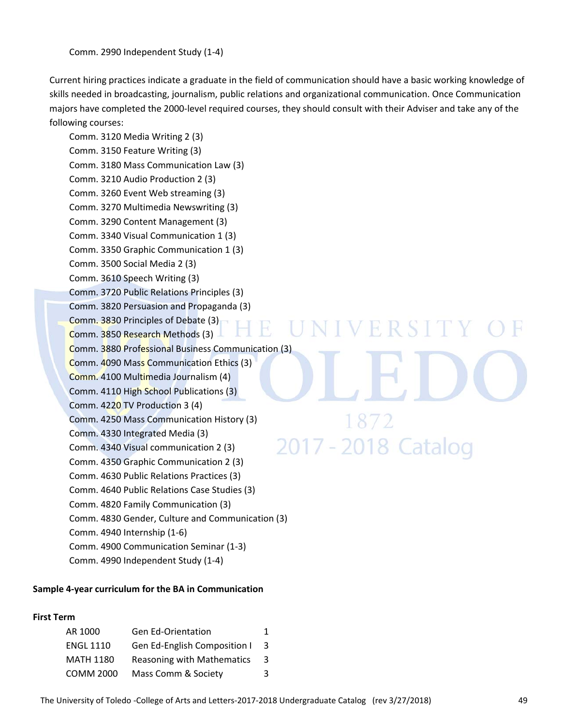Current hiring practices indicate a graduate in the field of communication should have a basic working knowledge of skills needed in broadcasting, journalism, public relations and organizational communication. Once Communication majors have completed the 2000-level required courses, they should consult with their Adviser and take any of the following courses:

Comm. 3120 Media Writing 2 (3) Comm. 3150 Feature Writing (3) Comm. 3180 Mass Communication Law (3) Comm. 3210 Audio Production 2 (3) Comm. 3260 Event Web streaming (3) Comm. 3270 Multimedia Newswriting (3) Comm. 3290 Content Management (3) Comm. 3340 Visual Communication 1 (3) Comm. 3350 Graphic Communication 1 (3) Comm. 3500 Social Media 2 (3) Comm. 3610 Speech Writing (3) Comm. 3720 Public Relations Principles (3) Comm. 3820 Persuasion and Propaganda (3) Comm. 3830 Principles of Debate (3) NIVERSITY H. Comm. 3850 Research Methods (3) Comm. 3880 Professional Business Communication (3) Comm. 4090 Mass Communication Ethics (3) Comm. 4100 Multimedia Journalism (4) Comm. 4110 High School Publications (3) Comm. 4220 TV Production 3 (4) Comm. 4250 Mass Communication History (3) 1872 Comm. 4330 Integrated Media (3) 2017 - 2018 Catalog Comm. 4340 Visual communication 2 (3) Comm. 4350 Graphic Communication 2 (3) Comm. 4630 Public Relations Practices (3) Comm. 4640 Public Relations Case Studies (3) Comm. 4820 Family Communication (3) Comm. 4830 Gender, Culture and Communication (3) Comm. 4940 Internship (1‐6)

- Comm. 4900 Communication Seminar (1‐3)
- Comm. 4990 Independent Study (1‐4)

#### **Sample 4‐year curriculum for the BA in Communication**

#### **First Term**

| AR 1000          | <b>Gen Ed-Orientation</b>         | 1 |
|------------------|-----------------------------------|---|
| <b>ENGL 1110</b> | Gen Ed-English Composition I      | 3 |
| <b>MATH 1180</b> | <b>Reasoning with Mathematics</b> | 3 |
| <b>COMM 2000</b> | Mass Comm & Society               | 3 |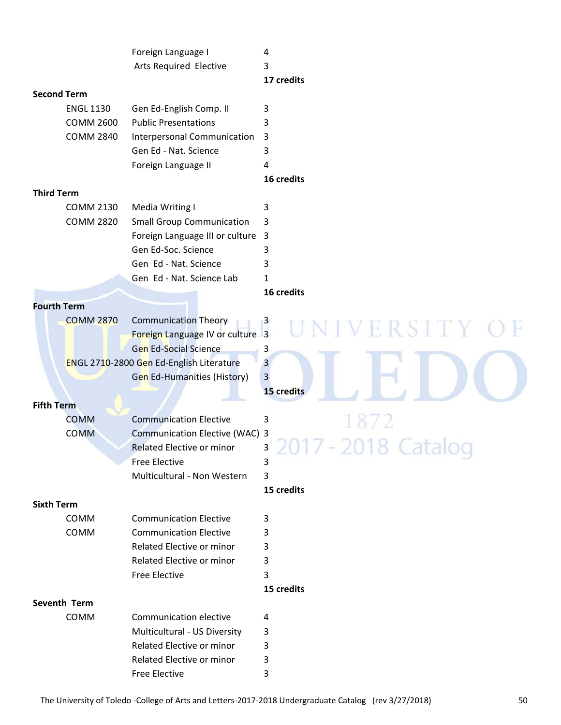|                    | Foreign Language I                       | 4                                        |
|--------------------|------------------------------------------|------------------------------------------|
|                    | Arts Required Elective                   | 3                                        |
|                    |                                          | 17 credits                               |
| <b>Second Term</b> |                                          |                                          |
| <b>ENGL 1130</b>   | Gen Ed-English Comp. II                  | 3                                        |
| <b>COMM 2600</b>   | <b>Public Presentations</b>              | 3                                        |
| <b>COMM 2840</b>   | Interpersonal Communication              | 3                                        |
|                    | Gen Ed - Nat. Science                    | 3                                        |
|                    | Foreign Language II                      | 4                                        |
|                    |                                          | 16 credits                               |
| <b>Third Term</b>  |                                          |                                          |
|                    |                                          |                                          |
| <b>COMM 2130</b>   | Media Writing I                          | 3                                        |
| <b>COMM 2820</b>   | <b>Small Group Communication</b>         | 3                                        |
|                    | Foreign Language III or culture          | $\overline{\mathbf{3}}$                  |
|                    | Gen Ed-Soc. Science                      | 3                                        |
|                    | Gen Ed - Nat. Science                    | 3                                        |
|                    | Gen Ed - Nat. Science Lab                | 1                                        |
|                    |                                          | 16 credits                               |
| <b>Fourth Term</b> |                                          |                                          |
| <b>COMM 2870</b>   | <b>Communication Theory</b>              | $\mathsf{B}$                             |
|                    | Foreign Language IV or culture 3         | ERSITY                                   |
|                    | <b>Gen Ed-Social Science</b>             | 3                                        |
|                    | ENGL 2710-2800 Gen Ed-English Literature | $\overline{3}$                           |
|                    | <b>Gen Ed-Humanities (History)</b>       | 3                                        |
|                    |                                          | 15 credits                               |
| <b>Fifth Term</b>  |                                          |                                          |
| <b>COMM</b>        | <b>Communication Elective</b>            | 3                                        |
| <b>COMM</b>        | <b>Communication Elective (WAC) 3</b>    |                                          |
|                    |                                          |                                          |
|                    | <b>Related Elective or minor</b>         | 3<br><b>Contract</b><br>$\sim$<br>$-0.0$ |
|                    | <b>Free Elective</b>                     | 3                                        |
|                    | Multicultural - Non Western              | 3                                        |
|                    |                                          | 15 credits                               |
| <b>Sixth Term</b>  |                                          |                                          |
| COMM               | <b>Communication Elective</b>            | 3                                        |
| COMM               | <b>Communication Elective</b>            | 3                                        |
|                    | <b>Related Elective or minor</b>         | 3                                        |
|                    | <b>Related Elective or minor</b>         | 3                                        |
|                    | <b>Free Elective</b>                     | 3                                        |
|                    |                                          | 15 credits                               |
| Seventh Term       |                                          |                                          |
| COMM               | Communication elective                   | 4                                        |
|                    | Multicultural - US Diversity             | 3                                        |
|                    | Related Elective or minor                | 3                                        |
|                    | Related Elective or minor                | 3                                        |
|                    | Free Elective                            | 3                                        |
|                    |                                          |                                          |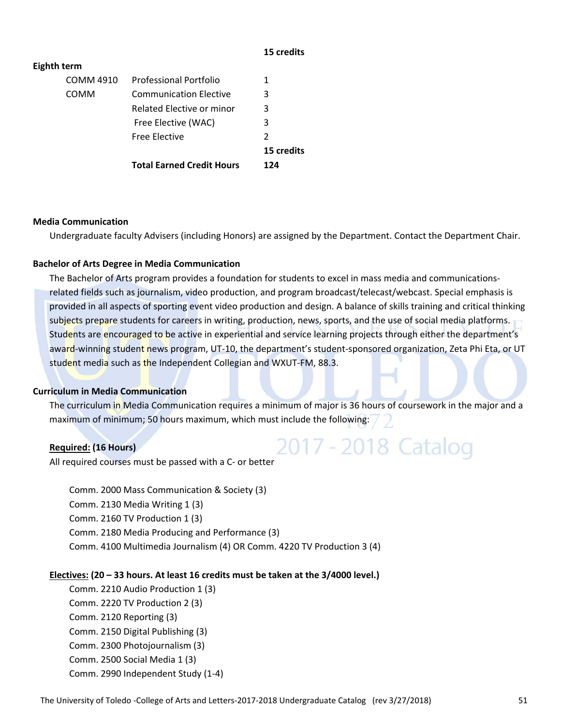#### **15 credits**

| <b>Eighth term</b> |                                  |            |
|--------------------|----------------------------------|------------|
| COMM 4910          | <b>Professional Portfolio</b>    | 1          |
| <b>COMM</b>        | <b>Communication Elective</b>    | 3          |
|                    | Related Elective or minor        | 3          |
|                    | Free Elective (WAC)              | 3          |
|                    | <b>Free Elective</b>             | 2          |
|                    |                                  | 15 credits |
|                    | <b>Total Earned Credit Hours</b> | 124        |

#### **Media Communication**

Undergraduate faculty Advisers (including Honors) are assigned by the Department. Contact the Department Chair.

#### **Bachelor of Arts Degree in Media Communication**

The Bachelor of Arts program provides a foundation for students to excel in mass media and communications‐ related fields such as journalism, video production, and program broadcast/telecast/webcast. Special emphasis is provided in all aspects of sporting event video production and design. A balance of skills training and critical thinking subjects prepare students for careers in writing, production, news, sports, and the use of social media platforms. Students are encouraged to be active in experiential and service learning projects through either the department's award-winning student news program, UT-10, the department's student-sponsored organization, Zeta Phi Eta, or UT student media such as the Independent Collegian and WXUT-FM, 88.3.

#### **Curriculum in Media Communication**

The curriculum in Media Communication requires a minimum of major is 36 hours of coursework in the major and a maximum of minimum; 50 hours maximum, which must include the following:

2017 - 2018 Catalog

#### **Required: (16 Hours)**

All required courses must be passed with a C‐ or better

Comm. 2000 Mass Communication & Society (3) Comm. 2130 Media Writing 1 (3) Comm. 2160 TV Production 1 (3) Comm. 2180 Media Producing and Performance (3) Comm. 4100 Multimedia Journalism (4) OR Comm. 4220 TV Production 3 (4)

#### **Electives: (20 – 33 hours. At least 16 credits must be taken at the 3/4000 level.)**

Comm. 2210 Audio Production 1 (3) Comm. 2220 TV Production 2 (3) Comm. 2120 Reporting (3) Comm. 2150 Digital Publishing (3) Comm. 2300 Photojournalism (3) Comm. 2500 Social Media 1 (3) Comm. 2990 Independent Study (1‐4)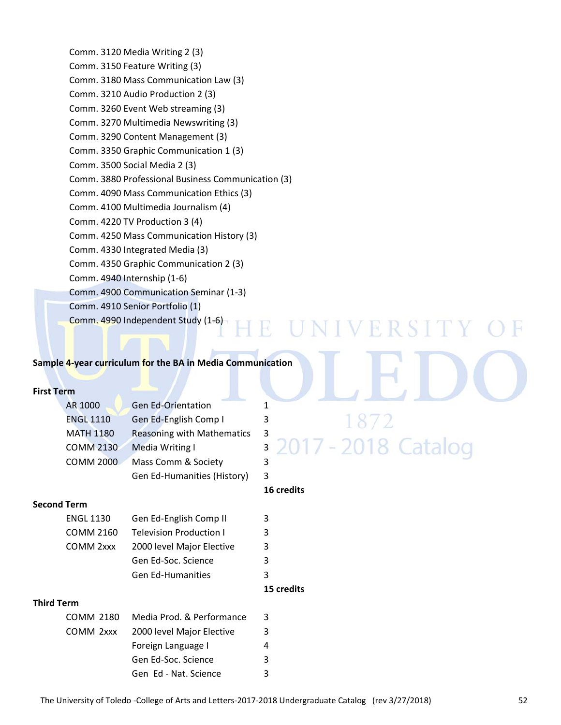Comm. 3120 Media Writing 2 (3) Comm. 3150 Feature Writing (3) Comm. 3180 Mass Communication Law (3) Comm. 3210 Audio Production 2 (3) Comm. 3260 Event Web streaming (3) Comm. 3270 Multimedia Newswriting (3) Comm. 3290 Content Management (3) Comm. 3350 Graphic Communication 1 (3) Comm. 3500 Social Media 2 (3) Comm. 3880 Professional Business Communication (3) Comm. 4090 Mass Communication Ethics (3) Comm. 4100 Multimedia Journalism (4) Comm. 4220 TV Production 3 (4) Comm. 4250 Mass Communication History (3) Comm. 4330 Integrated Media (3) Comm. 4350 Graphic Communication 2 (3) Comm. 4940 Internship (1‐6) Comm. 4900 Communication Seminar (1‐3) Comm. 4910 Senior Portfolio (1) Comm. 4990 Independent Study (1‐6) H. 

#### **Sample 4‐year curriculum for the BA in Media Communication**

#### **First Term**

| AR 1000          | <b>Gen Ed-Orientation</b>         |                          |                              |
|------------------|-----------------------------------|--------------------------|------------------------------|
| <b>ENGL 1110</b> | Gen Ed-English Comp I             |                          | 1872                         |
| <b>MATH 1180</b> | <b>Reasoning with Mathematics</b> | $\overline{\phantom{a}}$ |                              |
| <b>COMM 2130</b> | Media Writing I                   |                          | <b>3 2017 - 2018 Catalog</b> |
| <b>COMM 2000</b> | Mass Comm & Society               |                          |                              |
|                  | Gen Ed-Humanities (History)       |                          |                              |

#### **16 credits**

NIVERSITY

#### **Second Term**

| <b>ENGL 1130</b> | Gen Ed-English Comp II    |   |  |  |
|------------------|---------------------------|---|--|--|
| COMM 2160        | Television Production I   | 3 |  |  |
| COMM 2xxx        | 2000 level Major Elective | 3 |  |  |
|                  | Gen Ed-Soc. Science       | ર |  |  |
|                  | <b>Gen Ed-Humanities</b>  |   |  |  |
|                  |                           |   |  |  |

#### **15 credits**

#### **Third Term**

| COMM 2180 | Media Prod. & Performance | 3 |
|-----------|---------------------------|---|
| COMM 2xxx | 2000 level Major Elective | 3 |
|           | Foreign Language I        | 4 |
|           | Gen Ed-Soc. Science       | 3 |
|           | Gen Ed - Nat. Science     | २ |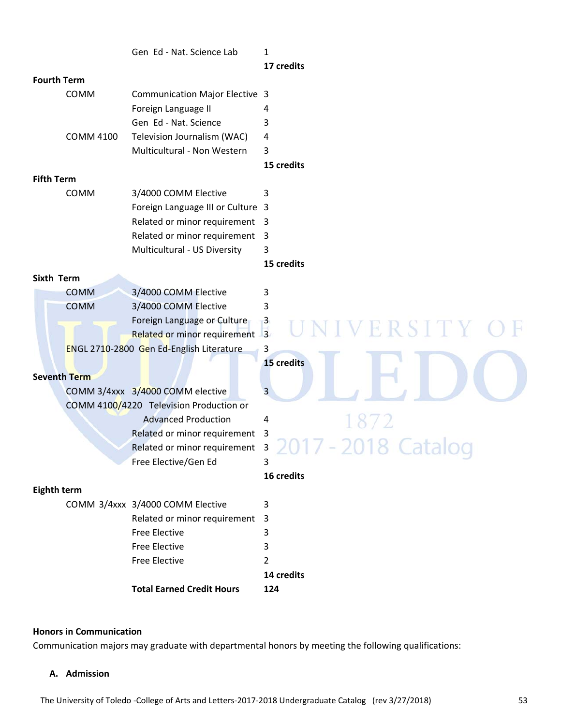|                    |                     | Gen Ed - Nat. Science Lab                | 1                                                                                                                                                                            |
|--------------------|---------------------|------------------------------------------|------------------------------------------------------------------------------------------------------------------------------------------------------------------------------|
|                    |                     |                                          | 17 credits                                                                                                                                                                   |
| <b>Fourth Term</b> |                     |                                          |                                                                                                                                                                              |
|                    | COMM                | <b>Communication Major Elective 3</b>    |                                                                                                                                                                              |
|                    |                     | Foreign Language II                      | 4                                                                                                                                                                            |
|                    |                     | Gen Ed - Nat. Science                    | 3                                                                                                                                                                            |
|                    | <b>COMM 4100</b>    | Television Journalism (WAC)              | 4                                                                                                                                                                            |
|                    |                     | Multicultural - Non Western              | 3                                                                                                                                                                            |
|                    |                     |                                          | 15 credits                                                                                                                                                                   |
| <b>Fifth Term</b>  |                     |                                          |                                                                                                                                                                              |
|                    | COMM                | 3/4000 COMM Elective                     | 3                                                                                                                                                                            |
|                    |                     | Foreign Language III or Culture 3        |                                                                                                                                                                              |
|                    |                     | Related or minor requirement 3           |                                                                                                                                                                              |
|                    |                     | Related or minor requirement             | $\overline{3}$                                                                                                                                                               |
|                    |                     | Multicultural - US Diversity             | 3                                                                                                                                                                            |
|                    |                     |                                          | 15 credits                                                                                                                                                                   |
| <b>Sixth Term</b>  |                     |                                          |                                                                                                                                                                              |
|                    | <b>COMM</b>         | 3/4000 COMM Elective                     | 3                                                                                                                                                                            |
|                    | <b>COMM</b>         | 3/4000 COMM Elective                     | 3                                                                                                                                                                            |
|                    |                     | Foreign Language or Culture              | $\mathbf{3}$                                                                                                                                                                 |
|                    |                     | Related or minor requirement 3           | <b>RSITY</b>                                                                                                                                                                 |
|                    |                     | ENGL 2710-2800 Gen Ed-English Literature | 3                                                                                                                                                                            |
|                    |                     |                                          | 15 credits                                                                                                                                                                   |
|                    | <b>Seventh Term</b> |                                          |                                                                                                                                                                              |
|                    |                     | COMM 3/4xxx 3/4000 COMM elective         | 3                                                                                                                                                                            |
|                    |                     | COMM 4100/4220 Television Production or  |                                                                                                                                                                              |
|                    |                     | <b>Advanced Production</b>               | 4                                                                                                                                                                            |
|                    |                     | Related or minor requirement             | 3                                                                                                                                                                            |
|                    |                     | Related or minor requirement             | 3<br>$\mathcal{L} = \mathcal{L} \mathcal{L} = \mathcal{L} \mathcal{L} = \mathcal{L} \mathcal{L} \mathcal{L} = \mathcal{L} \mathcal{L} \mathcal{L} = \mathcal{L} \mathcal{L}$ |
|                    |                     | Free Elective/Gen Ed                     | 3                                                                                                                                                                            |
|                    |                     |                                          | 16 credits                                                                                                                                                                   |
| <b>Eighth term</b> |                     |                                          |                                                                                                                                                                              |
|                    |                     | COMM 3/4xxx 3/4000 COMM Elective         | 3                                                                                                                                                                            |
|                    |                     | Related or minor requirement             | 3                                                                                                                                                                            |
|                    |                     | <b>Free Elective</b>                     | 3                                                                                                                                                                            |
|                    |                     | <b>Free Elective</b>                     | 3                                                                                                                                                                            |
|                    |                     | <b>Free Elective</b>                     | 2                                                                                                                                                                            |
|                    |                     |                                          | 14 credits                                                                                                                                                                   |
|                    |                     | <b>Total Earned Credit Hours</b>         | 124                                                                                                                                                                          |
|                    |                     |                                          |                                                                                                                                                                              |

#### **Honors in Communication**

Communication majors may graduate with departmental honors by meeting the following qualifications:

#### **A. Admission**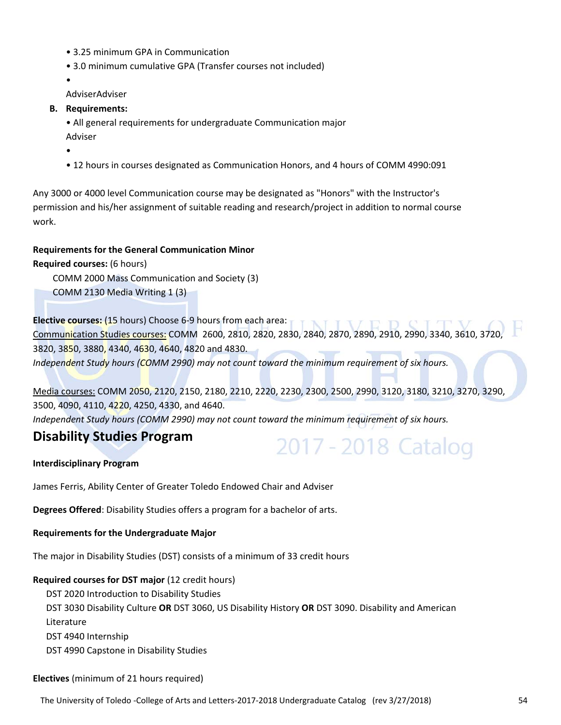- 3.25 minimum GPA in Communication
- 3.0 minimum cumulative GPA (Transfer courses not included)

•

AdviserAdviser

#### **B. Requirements:**

• All general requirements for undergraduate Communication major

Adviser

•

• 12 hours in courses designated as Communication Honors, and 4 hours of COMM 4990:091

Any 3000 or 4000 level Communication course may be designated as "Honors" with the Instructor's permission and his/her assignment of suitable reading and research/project in addition to normal course work.

#### **Requirements for the General Communication Minor**

**Required courses:** (6 hours)

COMM 2000 Mass Communication and Society (3)

COMM 2130 Media Writing 1 (3)

**Elective courses:** (15 hours) Choose 6-9 hours from each area: THATTATTATT Communication Studies courses: COMM 2600, 2810, 2820, 2830, 2840, 2870, 2890, 2910, 2990, 3340, 3610, 3720, 3820, 3850, 3880, 4340, 4630, 4640, 4820 and 4830. *Independent Study hours (COMM 2990) may not count toward the minimum requirement of six hours.*

Media courses: COMM 2050, 2120, 2150, 2180, 2210, 2220, 2230, 2300, 2500, 2990, 3120, 3180, 3210, 3270, 3290, 3500, 4090, 4110, 4220, 4250, 4330, and 4640.

2017 - 2018 Catalog

*Independent Study hours (COMM 2990) may not count toward the minimum requirement of six hours.*

### **Disability Studies Program**

#### **Interdisciplinary Program**

James Ferris, Ability Center of Greater Toledo Endowed Chair and Adviser

**Degrees Offered**: Disability Studies offers a program for a bachelor of arts.

**Requirements for the Undergraduate Major**

The major in Disability Studies (DST) consists of a minimum of 33 credit hours

#### **Required courses for DST major** (12 credit hours)

DST 2020 Introduction to Disability Studies DST 3030 Disability Culture **OR** DST 3060, US Disability History **OR** DST 3090. Disability and American Literature DST 4940 Internship DST 4990 Capstone in Disability Studies

#### **Electives** (minimum of 21 hours required)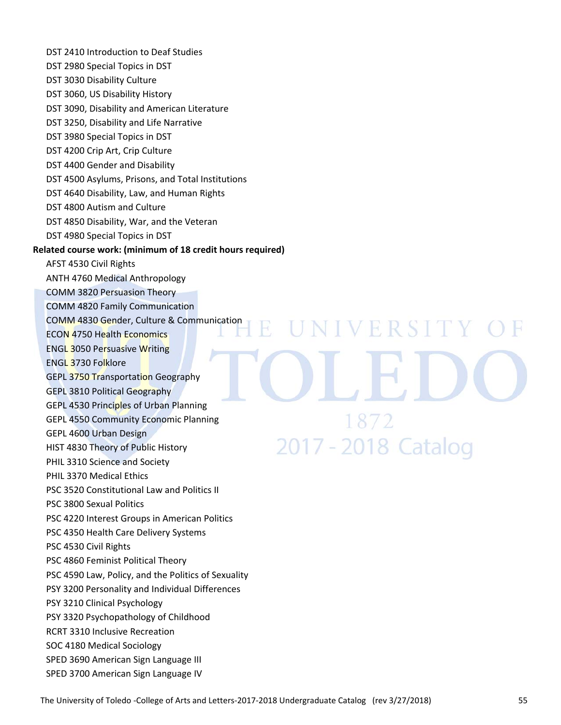DST 2410 Introduction to Deaf Studies DST 2980 Special Topics in DST DST 3030 Disability Culture DST 3060, US Disability History DST 3090, Disability and American Literature DST 3250, Disability and Life Narrative DST 3980 Special Topics in DST DST 4200 Crip Art, Crip Culture DST 4400 Gender and Disability DST 4500 Asylums, Prisons, and Total Institutions DST 4640 Disability, Law, and Human Rights DST 4800 Autism and Culture DST 4850 Disability, War, and the Veteran DST 4980 Special Topics in DST **Related course work: (minimum of 18 credit hours required)** AFST 4530 Civil Rights ANTH 4760 Medical Anthropology COMM 3820 Persuasion Theory COMM 4820 Family Communication COMM 4830 Gender, Culture & Communication UNIVERSITY 4 ECON 4750 Health Economics ENGL 3050 Persuasive Writing ENGL 3730 Folklore GEPL 3750 Transportation Geography GEPL 3810 Political Geography GEPL 4530 Principles of Urban Planning 1872 GEPL 4550 Community Economic Planning GEPL 4600 Urban Design 2017 - 2018 Catalog HIST 4830 Theory of Public History PHIL 3310 Science and Society PHIL 3370 Medical Ethics PSC 3520 Constitutional Law and Politics II PSC 3800 Sexual Politics PSC 4220 Interest Groups in American Politics PSC 4350 Health Care Delivery Systems PSC 4530 Civil Rights PSC 4860 Feminist Political Theory PSC 4590 Law, Policy, and the Politics of Sexuality PSY 3200 Personality and Individual Differences PSY 3210 Clinical Psychology PSY 3320 Psychopathology of Childhood RCRT 3310 Inclusive Recreation SOC 4180 Medical Sociology SPED 3690 American Sign Language III SPED 3700 American Sign Language IV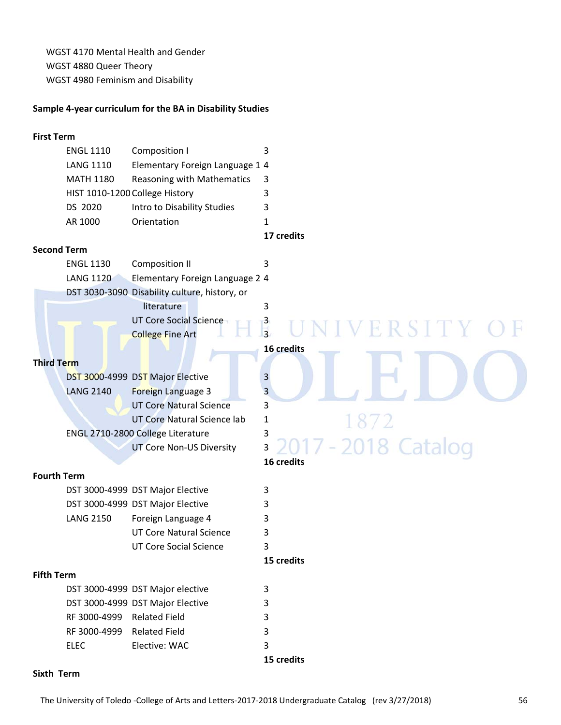WGST 4170 Mental Health and Gender WGST 4880 Queer Theory WGST 4980 Feminism and Disability

#### **Sample 4‐year curriculum for the BA in Disability Studies**

#### **First Term**

| <b>ENGL 1110</b> | Composition I                   |   |
|------------------|---------------------------------|---|
| <b>LANG 1110</b> | Elementary Foreign Language 1 4 |   |
| <b>MATH 1180</b> | Reasoning with Mathematics      |   |
|                  | HIST 1010-1200 College History  |   |
| DS 2020          | Intro to Disability Studies     | 3 |
| AR 1000          | Orientation                     |   |

**17 credits**

**16 credits**

**16 credits**

3 2017 - 2018 Catalog

#### **Second Term**

| <b>ENGL 1130</b> | Composition II                                |  |  |  |  |
|------------------|-----------------------------------------------|--|--|--|--|
| <b>LANG 1120</b> | Elementary Foreign Language 2 4               |  |  |  |  |
|                  | DST 3030-3090 Disability culture, history, or |  |  |  |  |
|                  | literature                                    |  |  |  |  |
|                  | UT Core Social Science                        |  |  |  |  |
|                  | <b>College Fine Art</b>                       |  |  |  |  |

#### **Third Term**

|                  | DST 3000-4999 DST Major Elective   | 3 |
|------------------|------------------------------------|---|
| <b>LANG 2140</b> | Foreign Language 3                 | 3 |
|                  | <b>UT Core Natural Science</b>     | 3 |
|                  | <b>UT Core Natural Science lab</b> | 1 |
|                  | ENGL 2710-2800 College Literature  | 3 |
|                  | <b>UT Core Non-US Diversity</b>    | 3 |

**Fourth Term** 

| DST 3000-4999 DST Major Elective |  |
|----------------------------------|--|
| DST 3000-4999 DST Major Elective |  |
| Foreign Language 4<br>LANG 2150  |  |
| UT Core Natural Science          |  |
| UT Core Social Science           |  |

#### **Fifth Term**

|              | DST 3000-4999 DST Major elective | 3 |
|--------------|----------------------------------|---|
|              | DST 3000-4999 DST Major Elective | ર |
| RF 3000-4999 | Related Field                    | 2 |
| RF 3000-4999 | Related Field                    | ર |
| <b>ELEC</b>  | Elective: WAC                    |   |

**15 credits**

**15 credits**

#### **Sixth Term**

Ħ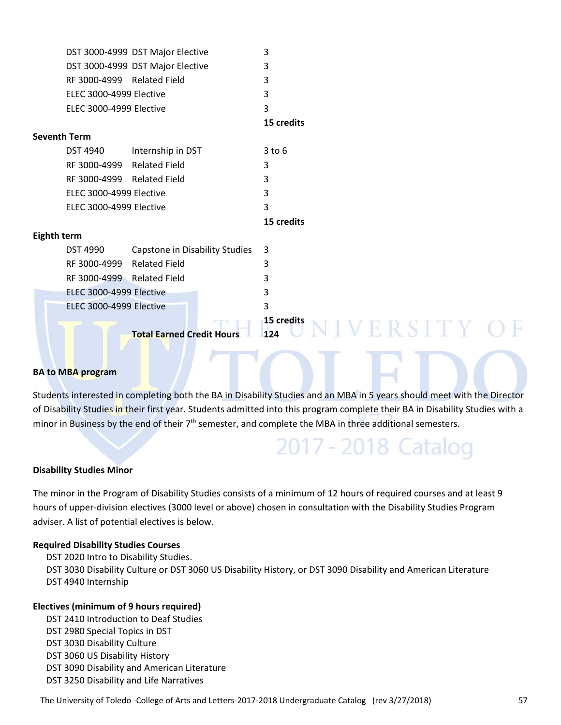|             |                            | DST 3000-4999 DST Major Elective                                 | 3                                                                                                                          |
|-------------|----------------------------|------------------------------------------------------------------|----------------------------------------------------------------------------------------------------------------------------|
|             |                            | DST 3000-4999 DST Major Elective                                 | 3                                                                                                                          |
|             | RF 3000-4999 Related Field |                                                                  | 3                                                                                                                          |
|             | ELEC 3000-4999 Elective    |                                                                  | 3                                                                                                                          |
|             | ELEC 3000-4999 Elective    |                                                                  | 3                                                                                                                          |
|             |                            |                                                                  | 15 credits                                                                                                                 |
|             | <b>Seventh Term</b>        |                                                                  |                                                                                                                            |
|             | <b>DST 4940</b>            | Internship in DST                                                | $3$ to $6$                                                                                                                 |
|             | RF 3000-4999 Related Field |                                                                  | 3                                                                                                                          |
|             | RF 3000-4999 Related Field |                                                                  | 3                                                                                                                          |
|             | ELEC 3000-4999 Elective    |                                                                  | 3                                                                                                                          |
|             | ELEC 3000-4999 Elective    |                                                                  | 3                                                                                                                          |
|             |                            |                                                                  | 15 credits                                                                                                                 |
| Eighth term |                            |                                                                  |                                                                                                                            |
|             | <b>DST 4990</b>            | Capstone in Disability Studies                                   | 3                                                                                                                          |
|             | RF 3000-4999               | <b>Related Field</b>                                             | 3                                                                                                                          |
|             | RF 3000-4999 Related Field |                                                                  | 3                                                                                                                          |
|             | ELEC 3000-4999 Elective    |                                                                  | 3                                                                                                                          |
|             | ELEC 3000-4999 Elective    |                                                                  | 3                                                                                                                          |
|             |                            | <b>Total Earned Credit Hours</b><br><b>The Company's Company</b> | <b>15 credits</b><br>ERSITY C<br>124<br><b>Contract Contract Contract</b><br>the property of the control of the control of |

#### **BA to MBA program**

Students interested in completing both the BA in Disability Studies and an MBA in 5 years should meet with the Director of Disability Studies in their first year. Students admitted into this program complete their BA in Disability Studies with a minor in Business by the end of their 7<sup>th</sup> semester, and complete the MBA in three additional semesters.

2017 - 2018 Catalog

#### **Disability Studies Minor**

The minor in the Program of Disability Studies consists of a minimum of 12 hours of required courses and at least 9 hours of upper‐division electives (3000 level or above) chosen in consultation with the Disability Studies Program adviser. A list of potential electives is below.

#### **Required Disability Studies Courses**

DST 2020 Intro to Disability Studies. DST 3030 Disability Culture or DST 3060 US Disability History, or DST 3090 Disability and American Literature DST 4940 Internship

#### **Electives (minimum of 9 hours required)**

DST 2410 Introduction to Deaf Studies DST 2980 Special Topics in DST DST 3030 Disability Culture DST 3060 US Disability History DST 3090 Disability and American Literature DST 3250 Disability and Life Narratives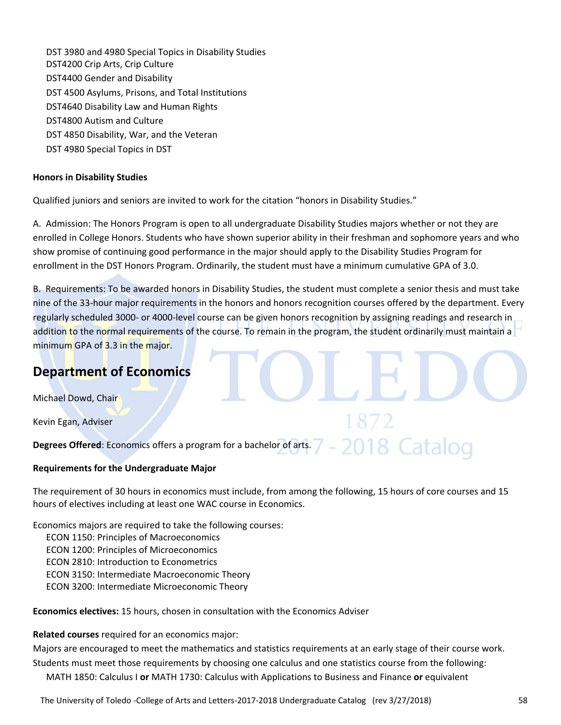DST 3980 and 4980 Special Topics in Disability Studies DST4200 Crip Arts, Crip Culture DST4400 Gender and Disability DST 4500 Asylums, Prisons, and Total Institutions DST4640 Disability Law and Human Rights DST4800 Autism and Culture DST 4850 Disability, War, and the Veteran DST 4980 Special Topics in DST

#### **Honors in Disability Studies**

Qualified juniors and seniors are invited to work for the citation "honors in Disability Studies."

A. Admission: The Honors Program is open to all undergraduate Disability Studies majors whether or not they are enrolled in College Honors. Students who have shown superior ability in their freshman and sophomore years and who show promise of continuing good performance in the major should apply to the Disability Studies Program for enrollment in the DST Honors Program. Ordinarily, the student must have a minimum cumulative GPA of 3.0.

B. Requirements: To be awarded honors in Disability Studies, the student must complete a senior thesis and must take nine of the 33‐hour major requirements in the honors and honors recognition courses offered by the department. Every regularly scheduled 3000‐ or 4000‐level course can be given honors recognition by assigning readings and research in addition to the normal requirements of the course. To remain in the program, the student ordinarily must maintain a minimum GPA of 3.3 in the major.

## **Department of Economics**

Michael Dowd, Chair

Kevin Egan, Adviser

**Degrees Offered**: Economics offers a program for a bachelor of arts.

#### **Requirements for the Undergraduate Major**

The requirement of 30 hours in economics must include, from among the following, 15 hours of core courses and 15 hours of electives including at least one WAC course in Economics.

Economics majors are required to take the following courses:

ECON 1150: Principles of Macroeconomics

ECON 1200: Principles of Microeconomics

ECON 2810: Introduction to Econometrics

ECON 3150: Intermediate Macroeconomic Theory

ECON 3200: Intermediate Microeconomic Theory

**Economics electives:** 15 hours, chosen in consultation with the Economics Adviser

**Related courses** required for an economics major:

Majors are encouraged to meet the mathematics and statistics requirements at an early stage of their course work. Students must meet those requirements by choosing one calculus and one statistics course from the following: MATH 1850: Calculus I **or** MATH 1730: Calculus with Applications to Business and Finance **or** equivalent

The University of Toledo ‐College of Arts and Letters‐2017‐2018 Undergraduate Catalog (rev 3/27/2018) 58

18 Catalog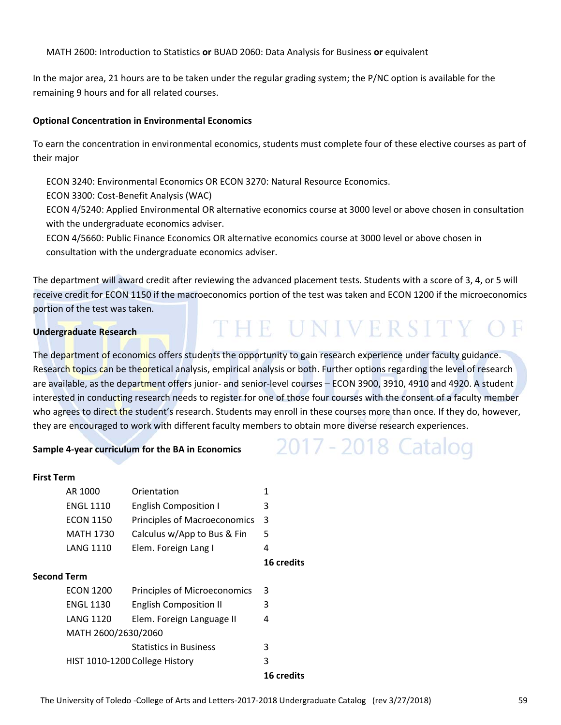MATH 2600: Introduction to Statistics **or** BUAD 2060: Data Analysis for Business **or** equivalent

In the major area, 21 hours are to be taken under the regular grading system; the P/NC option is available for the remaining 9 hours and for all related courses.

#### **Optional Concentration in Environmental Economics**

To earn the concentration in environmental economics, students must complete four of these elective courses as part of their major

ECON 3240: Environmental Economics OR ECON 3270: Natural Resource Economics.

ECON 3300: Cost‐Benefit Analysis (WAC)

ECON 4/5240: Applied Environmental OR alternative economics course at 3000 level or above chosen in consultation with the undergraduate economics adviser.

ECON 4/5660: Public Finance Economics OR alternative economics course at 3000 level or above chosen in consultation with the undergraduate economics adviser.

The department will award credit after reviewing the advanced placement tests. Students with a score of 3, 4, or 5 will receive credit for ECON 1150 if the macroeconomics portion of the test was taken and ECON 1200 if the microeconomics portion of the test was taken.

THE UNIVERSITY OF

2017 - 2018 Catalog

#### **Undergraduate Research**

The department of economics offers students the opportunity to gain research experience under faculty guidance. Research topics can be theoretical analysis, empirical analysis or both. Further options regarding the level of research are available, as the department offers junior- and senior-level courses – ECON 3900, 3910, 4910 and 4920. A student interested in conducting research needs to register for one of those four courses with the consent of a faculty member who agrees to direct the student's research. Students may enroll in these courses more than once. If they do, however, they are encouraged to work with different faculty members to obtain more diverse research experiences.

#### **Sample 4‐year curriculum for the BA in Economics**

#### **First Term**

|                    | AR 1000             | Orientation                    | 1                 |
|--------------------|---------------------|--------------------------------|-------------------|
|                    | <b>ENGL 1110</b>    | <b>English Composition I</b>   | 3                 |
|                    | <b>ECON 1150</b>    | Principles of Macroeconomics   | -3                |
|                    | <b>MATH 1730</b>    | Calculus w/App to Bus & Fin    | 5                 |
|                    | <b>LANG 1110</b>    | Elem. Foreign Lang I           | 4                 |
|                    |                     |                                | 16 credits        |
| <b>Second Term</b> |                     |                                |                   |
|                    | <b>ECON 1200</b>    | Principles of Microeconomics   | 3                 |
|                    | <b>ENGL 1130</b>    | <b>English Composition II</b>  | 3                 |
|                    | <b>LANG 1120</b>    | Elem. Foreign Language II      | 4                 |
|                    | MATH 2600/2630/2060 |                                |                   |
|                    |                     | <b>Statistics in Business</b>  | 3                 |
|                    |                     | HIST 1010-1200 College History | 3                 |
|                    |                     |                                | <b>16 credits</b> |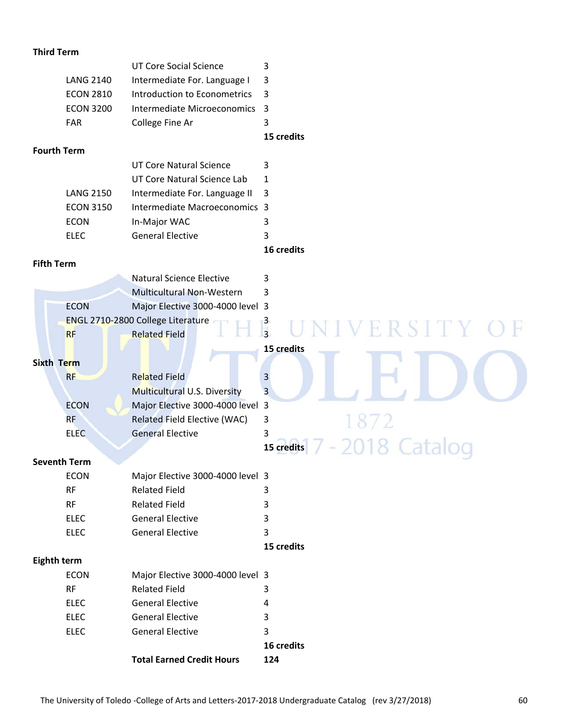#### **Third Term**

|                    |                            | <b>UT Core Social Science</b>                | 3                                |
|--------------------|----------------------------|----------------------------------------------|----------------------------------|
|                    | <b>LANG 2140</b>           | Intermediate For. Language I                 | 3                                |
|                    | <b>ECON 2810</b>           | Introduction to Econometrics                 | 3                                |
|                    | <b>ECON 3200</b>           | Intermediate Microeconomics                  | $\overline{3}$                   |
|                    | FAR                        | College Fine Ar                              | 3                                |
|                    |                            |                                              | 15 credits                       |
| <b>Fourth Term</b> |                            |                                              |                                  |
|                    |                            | <b>UT Core Natural Science</b>               | 3                                |
|                    |                            | UT Core Natural Science Lab                  | $\mathbf{1}$                     |
|                    | <b>LANG 2150</b>           | Intermediate For. Language II                | 3                                |
|                    | <b>ECON 3150</b>           | Intermediate Macroeconomics 3                |                                  |
|                    | <b>ECON</b>                | In-Major WAC                                 | 3                                |
|                    | <b>ELEC</b>                | <b>General Elective</b>                      | 3                                |
|                    |                            |                                              | 16 credits                       |
| <b>Fifth Term</b>  |                            |                                              |                                  |
|                    |                            | <b>Natural Science Elective</b>              | 3                                |
|                    |                            | Multicultural Non-Western                    | 3                                |
|                    | <b>ECON</b>                | Major Elective 3000-4000 level 3             |                                  |
|                    |                            | ENGL 2710-2800 College Literature            | $\frac{3}{3}$<br><b>IVERSITY</b> |
|                    | <b>RF</b>                  | <b>Related Field</b>                         |                                  |
|                    |                            |                                              | 15 credits                       |
| <b>Sixth Term</b>  |                            |                                              |                                  |
|                    | <b>RF</b>                  | <b>Related Field</b>                         | 3                                |
|                    |                            | Multicultural U.S. Diversity                 | 3                                |
|                    | <b>ECON</b>                | Major Elective 3000-4000 level 3             |                                  |
|                    | <b>RF</b>                  | Related Field Elective (WAC)                 | 3<br>1872                        |
|                    | <b>ELEC</b>                | <b>General Elective</b>                      | 3                                |
|                    |                            |                                              | 018 Cata<br>15 credits           |
|                    | <b>Seventh Term</b>        |                                              |                                  |
|                    | <b>ECON</b>                | Major Elective 3000-4000 level 3             |                                  |
|                    | <b>RF</b><br><b>RF</b>     | <b>Related Field</b><br><b>Related Field</b> | 3                                |
|                    |                            | <b>General Elective</b>                      | 3                                |
|                    | <b>ELEC</b><br><b>ELEC</b> | <b>General Elective</b>                      | 3<br>3                           |
|                    |                            |                                              | 15 credits                       |
| Eighth term        |                            |                                              |                                  |
|                    | <b>ECON</b>                | Major Elective 3000-4000 level 3             |                                  |
|                    | <b>RF</b>                  | <b>Related Field</b>                         | 3                                |
|                    | <b>ELEC</b>                | <b>General Elective</b>                      | 4                                |
|                    | <b>ELEC</b>                | <b>General Elective</b>                      | 3                                |
|                    | <b>ELEC</b>                | <b>General Elective</b>                      | 3                                |
|                    |                            |                                              | 16 credits                       |
|                    |                            | <b>Total Earned Credit Hours</b>             | 124                              |
|                    |                            |                                              |                                  |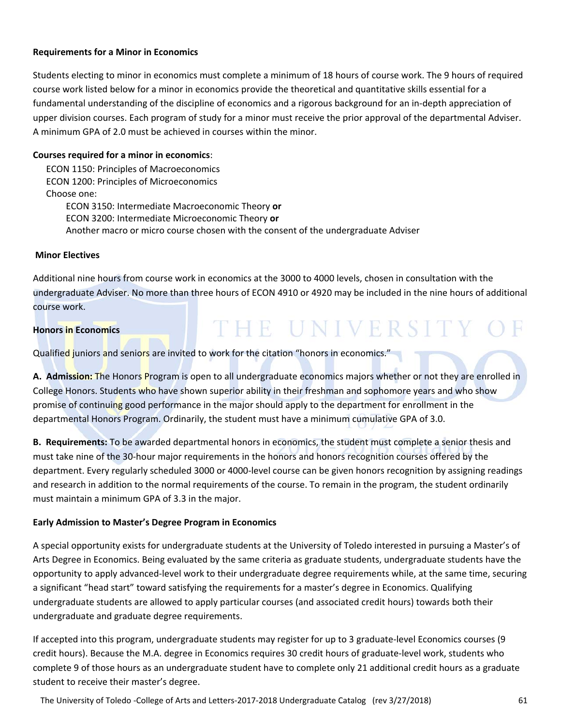#### **Requirements for a Minor in Economics**

Students electing to minor in economics must complete a minimum of 18 hours of course work. The 9 hours of required course work listed below for a minor in economics provide the theoretical and quantitative skills essential for a fundamental understanding of the discipline of economics and a rigorous background for an in‐depth appreciation of upper division courses. Each program of study for a minor must receive the prior approval of the departmental Adviser. A minimum GPA of 2.0 must be achieved in courses within the minor.

#### **Courses required for a minor in economics**:

ECON 1150: Principles of Macroeconomics ECON 1200: Principles of Microeconomics Choose one: ECON 3150: Intermediate Macroeconomic Theory **or**  ECON 3200: Intermediate Microeconomic Theory **or** Another macro or micro course chosen with the consent of the undergraduate Adviser

#### **Minor Electives**

Additional nine hours from course work in economics at the 3000 to 4000 levels, chosen in consultation with the undergraduate Adviser. No more than three hours of ECON 4910 or 4920 may be included in the nine hours of additional course work.

THE UNIVERSITY OF

#### **Honors in Economics**

Qualified juniors and seniors are invited to work for the citation "honors in economics."

**A. Admission:** The Honors Program is open to all undergraduate economics majors whether or not they are enrolled in College Honors. Students who have shown superior ability in their freshman and sophomore years and who show promise of continuing good performance in the major should apply to the department for enrollment in the departmental Honors Program. Ordinarily, the student must have a minimum cumulative GPA of 3.0.

**B. Requirements:** To be awarded departmental honors in economics, the student must complete a senior thesis and must take nine of the 30‐hour major requirements in the honors and honors recognition courses offered by the department. Every regularly scheduled 3000 or 4000‐level course can be given honors recognition by assigning readings and research in addition to the normal requirements of the course. To remain in the program, the student ordinarily must maintain a minimum GPA of 3.3 in the major.

#### **Early Admission to Master's Degree Program in Economics**

A special opportunity exists for undergraduate students at the University of Toledo interested in pursuing a Master's of Arts Degree in Economics. Being evaluated by the same criteria as graduate students, undergraduate students have the opportunity to apply advanced‐level work to their undergraduate degree requirements while, at the same time, securing a significant "head start" toward satisfying the requirements for a master's degree in Economics. Qualifying undergraduate students are allowed to apply particular courses (and associated credit hours) towards both their undergraduate and graduate degree requirements.

If accepted into this program, undergraduate students may register for up to 3 graduate‐level Economics courses (9 credit hours). Because the M.A. degree in Economics requires 30 credit hours of graduate‐level work, students who complete 9 of those hours as an undergraduate student have to complete only 21 additional credit hours as a graduate student to receive their master's degree.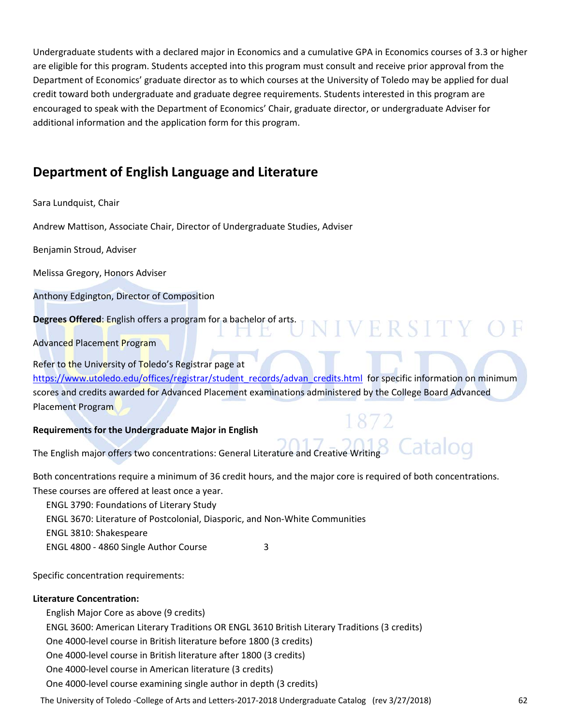Undergraduate students with a declared major in Economics and a cumulative GPA in Economics courses of 3.3 or higher are eligible for this program. Students accepted into this program must consult and receive prior approval from the Department of Economics' graduate director as to which courses at the University of Toledo may be applied for dual credit toward both undergraduate and graduate degree requirements. Students interested in this program are encouraged to speak with the Department of Economics' Chair, graduate director, or undergraduate Adviser for additional information and the application form for this program.

## **Department of English Language and Literature**

#### Sara Lundquist, Chair

Andrew Mattison, Associate Chair, Director of Undergraduate Studies, Adviser

Benjamin Stroud, Adviser

Melissa Gregory, Honors Adviser

Anthony Edgington, Director of Composition

**Degrees Offered**: English offers a program for a bachelor of arts.

Advanced Placement Program

Refer to the University of Toledo's Registrar page at

https://www.utoledo.edu/offices/registrar/student\_records/advan\_credits.html for specific information on minimum scores and credits awarded for Advanced Placement examinations administered by the College Board Advanced Placement Program

IVERSITY

#### **Requirements for the Undergraduate Major in English**

The English major offers two concentrations: General Literature and Creative Writing

Both concentrations require a minimum of 36 credit hours, and the major core is required of both concentrations. These courses are offered at least once a year.

ENGL 3790: Foundations of Literary Study

ENGL 3670: Literature of Postcolonial, Diasporic, and Non‐White Communities

ENGL 3810: Shakespeare

ENGL 4800 - 4860 Single Author Course 3

Specific concentration requirements:

#### **Literature Concentration:**

English Major Core as above (9 credits) ENGL 3600: American Literary Traditions OR ENGL 3610 British Literary Traditions (3 credits) One 4000‐level course in British literature before 1800 (3 credits) One 4000‐level course in British literature after 1800 (3 credits) One 4000‐level course in American literature (3 credits) One 4000‐level course examining single author in depth (3 credits)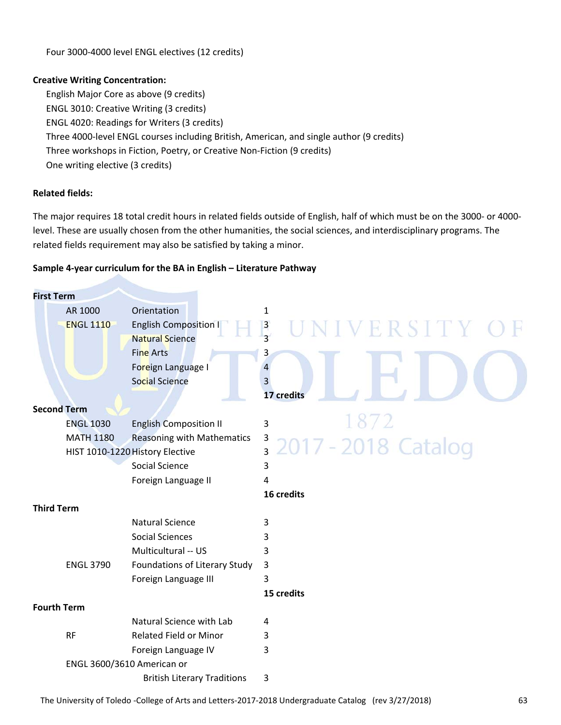Four 3000‐4000 level ENGL electives (12 credits)

#### **Creative Writing Concentration:**

English Major Core as above (9 credits) ENGL 3010: Creative Writing (3 credits) ENGL 4020: Readings for Writers (3 credits) Three 4000‐level ENGL courses including British, American, and single author (9 credits) Three workshops in Fiction, Poetry, or Creative Non‐Fiction (9 credits) One writing elective (3 credits)

#### **Related fields:**

The major requires 18 total credit hours in related fields outside of English, half of which must be on the 3000‐ or 4000‐ level. These are usually chosen from the other humanities, the social sciences, and interdisciplinary programs. The related fields requirement may also be satisfied by taking a minor.

#### **Sample 4‐year curriculum for the BA in English – Literature Pathway**

| <b>First Term</b>  |                            |                                    |                                                |
|--------------------|----------------------------|------------------------------------|------------------------------------------------|
|                    | AR 1000                    | Orientation                        | $\mathbf{1}$                                   |
|                    | <b>ENGL 1110</b>           | <b>English Composition I</b>       | $\overline{\mathbf{3}}$<br>VERSITY C           |
|                    |                            | <b>Natural Science</b>             | $\overline{3}$                                 |
|                    |                            | <b>Fine Arts</b>                   | 3                                              |
|                    |                            | Foreign Language I                 |                                                |
|                    |                            | <b>Social Science</b>              | 3                                              |
|                    |                            |                                    | 17 credits                                     |
| <b>Second Term</b> |                            |                                    |                                                |
|                    | <b>ENGL 1030</b>           | <b>English Composition II</b>      | $\mathbf{3}$                                   |
|                    | <b>MATH 1180</b>           | <b>Reasoning with Mathematics</b>  | $\overline{\mathbf{3}}$<br>2017 - 2018 Catalog |
|                    |                            | HIST 1010-1220 History Elective    | $\overline{3}$                                 |
|                    |                            | <b>Social Science</b>              | 3                                              |
|                    |                            | Foreign Language II                | 4                                              |
|                    |                            |                                    |                                                |
|                    |                            |                                    | 16 credits                                     |
| <b>Third Term</b>  |                            |                                    |                                                |
|                    |                            | <b>Natural Science</b>             | 3                                              |
|                    |                            | <b>Social Sciences</b>             | 3                                              |
|                    |                            | Multicultural -- US                | 3                                              |
|                    | <b>ENGL 3790</b>           | Foundations of Literary Study      | 3                                              |
|                    |                            | Foreign Language III               | 3                                              |
|                    |                            |                                    | 15 credits                                     |
| <b>Fourth Term</b> |                            |                                    |                                                |
|                    |                            | Natural Science with Lab           | 4                                              |
|                    | <b>RF</b>                  | <b>Related Field or Minor</b>      | 3                                              |
|                    |                            | Foreign Language IV                | 3                                              |
|                    | ENGL 3600/3610 American or | <b>British Literary Traditions</b> | 3                                              |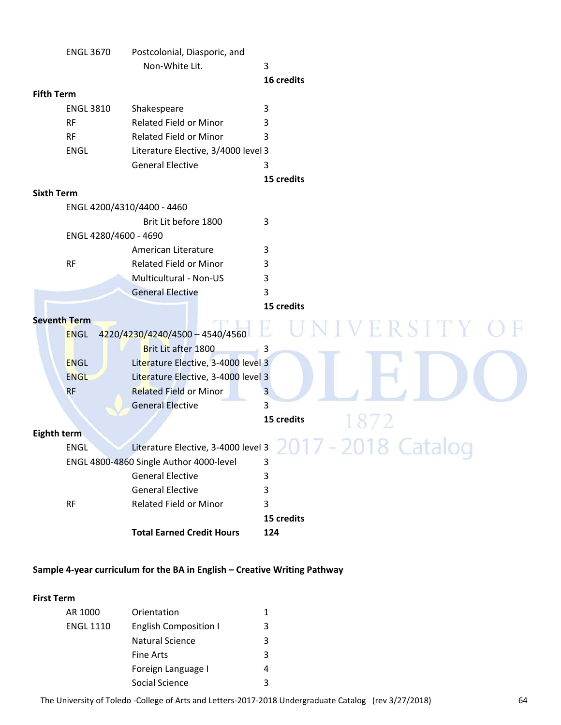| Non-White Lit.<br>3<br>16 credits<br><b>Fifth Term</b><br>Shakespeare<br><b>ENGL 3810</b><br>3<br><b>Related Field or Minor</b><br><b>RF</b><br>3<br><b>RF</b><br><b>Related Field or Minor</b><br>3<br>ENGL<br>Literature Elective, 3/4000 level 3<br><b>General Elective</b><br>3<br>15 credits<br><b>Sixth Term</b><br>ENGL 4200/4310/4400 - 4460<br>Brit Lit before 1800<br>3<br>ENGL 4280/4600 - 4690<br>American Literature<br>3<br><b>RF</b><br>Related Field or Minor<br>3<br>Multicultural - Non-US<br>3<br><b>General Elective</b><br>3<br>15 credits<br><b>Seventh Term</b><br>2 S T T T<br>4220/4230/4240/4500 - 4540/4560<br><b>ENGL</b><br>Brit Lit after 1800<br>3<br><b>ENGL</b><br>Literature Elective, 3-4000 level 3<br><b>ENGL</b><br>Literature Elective, 3-4000 level 3<br><b>Related Field or Minor</b><br><b>RF</b><br>3<br>3<br><b>General Elective</b><br>15 credits<br>Eighth term<br>Literature Elective, 3-4000 level 3<br><b>ENGL</b><br>P<br>ENGL 4800-4860 Single Author 4000-level<br>3<br><b>General Elective</b><br>3<br><b>General Elective</b><br>3<br><b>Related Field or Minor</b><br>3<br><b>RF</b><br>15 credits<br><b>Total Earned Credit Hours</b><br>124 | <b>ENGL 3670</b> | Postcolonial, Diasporic, and |  |
|------------------------------------------------------------------------------------------------------------------------------------------------------------------------------------------------------------------------------------------------------------------------------------------------------------------------------------------------------------------------------------------------------------------------------------------------------------------------------------------------------------------------------------------------------------------------------------------------------------------------------------------------------------------------------------------------------------------------------------------------------------------------------------------------------------------------------------------------------------------------------------------------------------------------------------------------------------------------------------------------------------------------------------------------------------------------------------------------------------------------------------------------------------------------------------------------------|------------------|------------------------------|--|
|                                                                                                                                                                                                                                                                                                                                                                                                                                                                                                                                                                                                                                                                                                                                                                                                                                                                                                                                                                                                                                                                                                                                                                                                      |                  |                              |  |
|                                                                                                                                                                                                                                                                                                                                                                                                                                                                                                                                                                                                                                                                                                                                                                                                                                                                                                                                                                                                                                                                                                                                                                                                      |                  |                              |  |
|                                                                                                                                                                                                                                                                                                                                                                                                                                                                                                                                                                                                                                                                                                                                                                                                                                                                                                                                                                                                                                                                                                                                                                                                      |                  |                              |  |
|                                                                                                                                                                                                                                                                                                                                                                                                                                                                                                                                                                                                                                                                                                                                                                                                                                                                                                                                                                                                                                                                                                                                                                                                      |                  |                              |  |
|                                                                                                                                                                                                                                                                                                                                                                                                                                                                                                                                                                                                                                                                                                                                                                                                                                                                                                                                                                                                                                                                                                                                                                                                      |                  |                              |  |
|                                                                                                                                                                                                                                                                                                                                                                                                                                                                                                                                                                                                                                                                                                                                                                                                                                                                                                                                                                                                                                                                                                                                                                                                      |                  |                              |  |
|                                                                                                                                                                                                                                                                                                                                                                                                                                                                                                                                                                                                                                                                                                                                                                                                                                                                                                                                                                                                                                                                                                                                                                                                      |                  |                              |  |
|                                                                                                                                                                                                                                                                                                                                                                                                                                                                                                                                                                                                                                                                                                                                                                                                                                                                                                                                                                                                                                                                                                                                                                                                      |                  |                              |  |
|                                                                                                                                                                                                                                                                                                                                                                                                                                                                                                                                                                                                                                                                                                                                                                                                                                                                                                                                                                                                                                                                                                                                                                                                      |                  |                              |  |
|                                                                                                                                                                                                                                                                                                                                                                                                                                                                                                                                                                                                                                                                                                                                                                                                                                                                                                                                                                                                                                                                                                                                                                                                      |                  |                              |  |
|                                                                                                                                                                                                                                                                                                                                                                                                                                                                                                                                                                                                                                                                                                                                                                                                                                                                                                                                                                                                                                                                                                                                                                                                      |                  |                              |  |
|                                                                                                                                                                                                                                                                                                                                                                                                                                                                                                                                                                                                                                                                                                                                                                                                                                                                                                                                                                                                                                                                                                                                                                                                      |                  |                              |  |
|                                                                                                                                                                                                                                                                                                                                                                                                                                                                                                                                                                                                                                                                                                                                                                                                                                                                                                                                                                                                                                                                                                                                                                                                      |                  |                              |  |
|                                                                                                                                                                                                                                                                                                                                                                                                                                                                                                                                                                                                                                                                                                                                                                                                                                                                                                                                                                                                                                                                                                                                                                                                      |                  |                              |  |
|                                                                                                                                                                                                                                                                                                                                                                                                                                                                                                                                                                                                                                                                                                                                                                                                                                                                                                                                                                                                                                                                                                                                                                                                      |                  |                              |  |
|                                                                                                                                                                                                                                                                                                                                                                                                                                                                                                                                                                                                                                                                                                                                                                                                                                                                                                                                                                                                                                                                                                                                                                                                      |                  |                              |  |
|                                                                                                                                                                                                                                                                                                                                                                                                                                                                                                                                                                                                                                                                                                                                                                                                                                                                                                                                                                                                                                                                                                                                                                                                      |                  |                              |  |
|                                                                                                                                                                                                                                                                                                                                                                                                                                                                                                                                                                                                                                                                                                                                                                                                                                                                                                                                                                                                                                                                                                                                                                                                      |                  |                              |  |
|                                                                                                                                                                                                                                                                                                                                                                                                                                                                                                                                                                                                                                                                                                                                                                                                                                                                                                                                                                                                                                                                                                                                                                                                      |                  |                              |  |
|                                                                                                                                                                                                                                                                                                                                                                                                                                                                                                                                                                                                                                                                                                                                                                                                                                                                                                                                                                                                                                                                                                                                                                                                      |                  |                              |  |
|                                                                                                                                                                                                                                                                                                                                                                                                                                                                                                                                                                                                                                                                                                                                                                                                                                                                                                                                                                                                                                                                                                                                                                                                      |                  |                              |  |
|                                                                                                                                                                                                                                                                                                                                                                                                                                                                                                                                                                                                                                                                                                                                                                                                                                                                                                                                                                                                                                                                                                                                                                                                      |                  |                              |  |
|                                                                                                                                                                                                                                                                                                                                                                                                                                                                                                                                                                                                                                                                                                                                                                                                                                                                                                                                                                                                                                                                                                                                                                                                      |                  |                              |  |
|                                                                                                                                                                                                                                                                                                                                                                                                                                                                                                                                                                                                                                                                                                                                                                                                                                                                                                                                                                                                                                                                                                                                                                                                      |                  |                              |  |
|                                                                                                                                                                                                                                                                                                                                                                                                                                                                                                                                                                                                                                                                                                                                                                                                                                                                                                                                                                                                                                                                                                                                                                                                      |                  |                              |  |
|                                                                                                                                                                                                                                                                                                                                                                                                                                                                                                                                                                                                                                                                                                                                                                                                                                                                                                                                                                                                                                                                                                                                                                                                      |                  |                              |  |
|                                                                                                                                                                                                                                                                                                                                                                                                                                                                                                                                                                                                                                                                                                                                                                                                                                                                                                                                                                                                                                                                                                                                                                                                      |                  |                              |  |
|                                                                                                                                                                                                                                                                                                                                                                                                                                                                                                                                                                                                                                                                                                                                                                                                                                                                                                                                                                                                                                                                                                                                                                                                      |                  |                              |  |
|                                                                                                                                                                                                                                                                                                                                                                                                                                                                                                                                                                                                                                                                                                                                                                                                                                                                                                                                                                                                                                                                                                                                                                                                      |                  |                              |  |
|                                                                                                                                                                                                                                                                                                                                                                                                                                                                                                                                                                                                                                                                                                                                                                                                                                                                                                                                                                                                                                                                                                                                                                                                      |                  |                              |  |
|                                                                                                                                                                                                                                                                                                                                                                                                                                                                                                                                                                                                                                                                                                                                                                                                                                                                                                                                                                                                                                                                                                                                                                                                      |                  |                              |  |
|                                                                                                                                                                                                                                                                                                                                                                                                                                                                                                                                                                                                                                                                                                                                                                                                                                                                                                                                                                                                                                                                                                                                                                                                      |                  |                              |  |
|                                                                                                                                                                                                                                                                                                                                                                                                                                                                                                                                                                                                                                                                                                                                                                                                                                                                                                                                                                                                                                                                                                                                                                                                      |                  |                              |  |
|                                                                                                                                                                                                                                                                                                                                                                                                                                                                                                                                                                                                                                                                                                                                                                                                                                                                                                                                                                                                                                                                                                                                                                                                      |                  |                              |  |

#### **Sample 4‐year curriculum for the BA in English – Creative Writing Pathway**

#### **First Term**

| AR 1000          | Orientation                  |   |  |  |
|------------------|------------------------------|---|--|--|
| <b>ENGL 1110</b> | <b>English Composition I</b> | 3 |  |  |
|                  | Natural Science              | 3 |  |  |
|                  | Fine Arts                    | 3 |  |  |
|                  | Foreign Language I           | 4 |  |  |
|                  | Social Science               | ົ |  |  |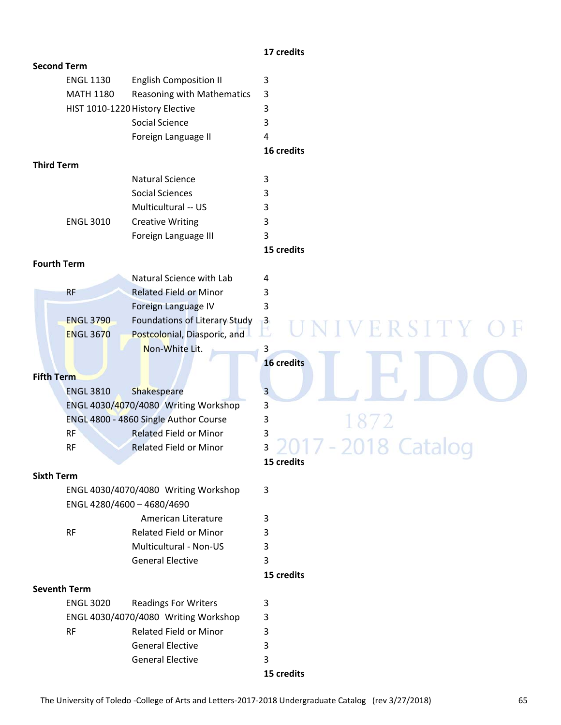#### **17 credits**

| <b>Second Term</b>  |                  |                                       |                         |
|---------------------|------------------|---------------------------------------|-------------------------|
|                     | <b>ENGL 1130</b> | <b>English Composition II</b>         | 3                       |
|                     | <b>MATH 1180</b> | Reasoning with Mathematics            | 3                       |
|                     |                  | HIST 1010-1220 History Elective       | 3                       |
|                     |                  | Social Science                        | 3                       |
|                     |                  | Foreign Language II                   | 4                       |
|                     |                  |                                       | 16 credits              |
| <b>Third Term</b>   |                  |                                       |                         |
|                     |                  | <b>Natural Science</b>                | 3                       |
|                     |                  | <b>Social Sciences</b>                | 3                       |
|                     |                  | Multicultural -- US                   | 3                       |
|                     | <b>ENGL 3010</b> | <b>Creative Writing</b>               | 3                       |
|                     |                  | Foreign Language III                  | 3                       |
|                     |                  |                                       | 15 credits              |
| <b>Fourth Term</b>  |                  |                                       |                         |
|                     |                  | Natural Science with Lab              | 4                       |
|                     | RF               | <b>Related Field or Minor</b>         | 3                       |
|                     |                  | Foreign Language IV                   | 3                       |
|                     | <b>ENGL 3790</b> | Foundations of Literary Study         | $\overline{\mathbf{3}}$ |
|                     | <b>ENGL 3670</b> | Postcolonial, Diasporic, and          | VERSITY                 |
|                     |                  | Non-White Lit.                        | 3                       |
|                     |                  |                                       | 16 credits              |
| <b>Fifth Term</b>   |                  |                                       |                         |
|                     | <b>ENGL 3810</b> | <b>Shakespeare</b>                    | 3                       |
|                     |                  | ENGL 4030/4070/4080 Writing Workshop  | 3                       |
|                     |                  | ENGL 4800 - 4860 Single Author Course | 3<br>1872               |
|                     | <b>RF</b>        | <b>Related Field or Minor</b>         | 3                       |
|                     | <b>RF</b>        | <b>Related Field or Minor</b>         | -2018 Ca<br>3           |
|                     |                  |                                       | 15 credits              |
| <b>Sixth Term</b>   |                  |                                       |                         |
|                     |                  | ENGL 4030/4070/4080 Writing Workshop  | 3                       |
|                     |                  | ENGL 4280/4600 - 4680/4690            |                         |
|                     |                  | American Literature                   | 3                       |
|                     | <b>RF</b>        | <b>Related Field or Minor</b>         | 3                       |
|                     |                  | <b>Multicultural - Non-US</b>         | 3                       |
|                     |                  | <b>General Elective</b>               | 3                       |
|                     |                  |                                       | 15 credits              |
| <b>Seventh Term</b> |                  |                                       |                         |
|                     | <b>ENGL 3020</b> | <b>Readings For Writers</b>           | 3                       |
|                     |                  | ENGL 4030/4070/4080 Writing Workshop  | 3                       |
|                     | <b>RF</b>        | Related Field or Minor                | 3                       |
|                     |                  | <b>General Elective</b>               | 3                       |
|                     |                  | <b>General Elective</b>               |                         |
|                     |                  |                                       | 3                       |

 **15 credits**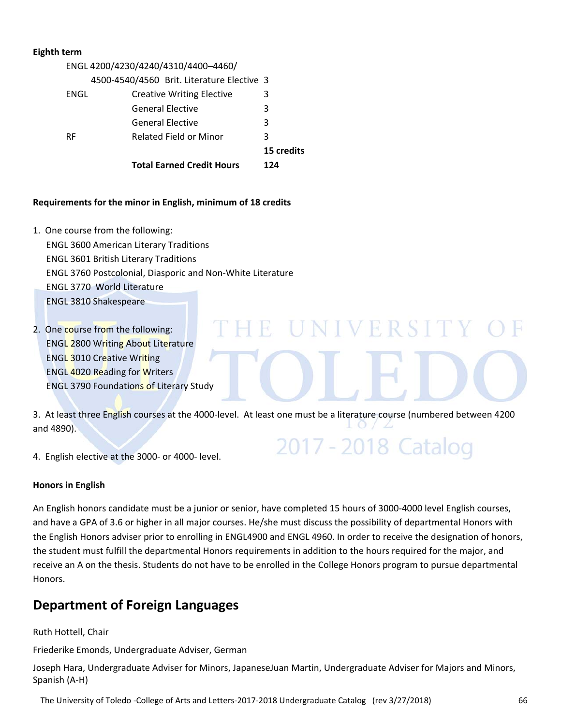#### **Eighth term**

| ENGL 4200/4230/4240/4310/4400-4460/        |                                  |            |  |  |
|--------------------------------------------|----------------------------------|------------|--|--|
| 4500-4540/4560 Brit. Literature Elective 3 |                                  |            |  |  |
| ENGL                                       | <b>Creative Writing Elective</b> | 3          |  |  |
|                                            | <b>General Elective</b>          | 3          |  |  |
|                                            | <b>General Elective</b>          | 3          |  |  |
| RF.                                        | <b>Related Field or Minor</b>    | 3          |  |  |
|                                            |                                  | 15 credits |  |  |
|                                            | <b>Total Earned Credit Hours</b> | 124        |  |  |

#### **Requirements for the minor in English, minimum of 18 credits**

- 1. One course from the following: ENGL 3600 American Literary Traditions ENGL 3601 British Literary Traditions ENGL 3760 Postcolonial, Diasporic and Non‐White Literature ENGL 3770 World Literature ENGL 3810 Shakespeare
- 2. One course from the following: ENGL 2800 Writing About Literature ENGL 3010 Creative Writing ENGL 4020 Reading for Writers ENGL 3790 Foundations of Literary Study

3. At least three English courses at the 4000‐level. At least one must be a literature course (numbered between 4200 and 4890).

NIVERSIT

2017 - 2018 Catalog

4. English elective at the 3000‐ or 4000‐ level.

#### **Honors in English**

An English honors candidate must be a junior or senior, have completed 15 hours of 3000‐4000 level English courses, and have a GPA of 3.6 or higher in all major courses. He/she must discuss the possibility of departmental Honors with the English Honors adviser prior to enrolling in ENGL4900 and ENGL 4960. In order to receive the designation of honors, the student must fulfill the departmental Honors requirements in addition to the hours required for the major, and receive an A on the thesis. Students do not have to be enrolled in the College Honors program to pursue departmental Honors.

## **Department of Foreign Languages**

Ruth Hottell, Chair

Friederike Emonds, Undergraduate Adviser, German

Joseph Hara, Undergraduate Adviser for Minors, JapaneseJuan Martin, Undergraduate Adviser for Majors and Minors, Spanish (A‐H)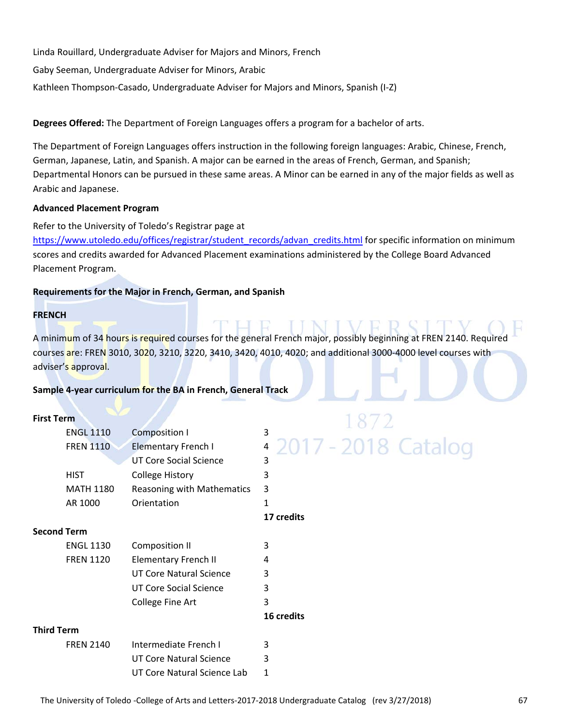Linda Rouillard, Undergraduate Adviser for Majors and Minors, French Gaby Seeman, Undergraduate Adviser for Minors, Arabic Kathleen Thompson‐Casado, Undergraduate Adviser for Majors and Minors, Spanish (I‐Z)

**Degrees Offered:** The Department of Foreign Languages offers a program for a bachelor of arts.

The Department of Foreign Languages offers instruction in the following foreign languages: Arabic, Chinese, French, German, Japanese, Latin, and Spanish. A major can be earned in the areas of French, German, and Spanish; Departmental Honors can be pursued in these same areas. A Minor can be earned in any of the major fields as well as Arabic and Japanese.

#### **Advanced Placement Program**

Refer to the University of Toledo's Registrar page at

https://www.utoledo.edu/offices/registrar/student\_records/advan\_credits.html for specific information on minimum scores and credits awarded for Advanced Placement examinations administered by the College Board Advanced Placement Program.

#### **Requirements for the Major in French, German, and Spanish**

#### **FRENCH**

A minimum of 34 hours is required courses for the general French major, possibly beginning at FREN 2140. Required courses are: FREN 3010, 3020, 3210, 3220, 3410, 3420, 4010, 4020; and additional 3000‐4000 level courses with adviser's approval.

 $\mathbb{E}$ 

#### **Sample 4‐year curriculum for the BA in French, General Track**

#### **First Term**

|                   |                  |                               | $\sim$                |
|-------------------|------------------|-------------------------------|-----------------------|
|                   | <b>ENGL 1110</b> | Composition I                 | 3                     |
|                   | <b>FREN 1110</b> | <b>Elementary French I</b>    | 4 2017 - 2018 Catalog |
|                   |                  | <b>UT Core Social Science</b> | 3                     |
|                   | <b>HIST</b>      | <b>College History</b>        | 3                     |
|                   | <b>MATH 1180</b> | Reasoning with Mathematics    | 3                     |
|                   | AR 1000          | Orientation                   | 1                     |
|                   |                  |                               | 17 credits            |
| Second Term       |                  |                               |                       |
|                   | <b>ENGL 1130</b> | <b>Composition II</b>         | 3                     |
|                   | <b>FREN 1120</b> | <b>Elementary French II</b>   | 4                     |
|                   |                  | UT Core Natural Science       | 3                     |
|                   |                  | UT Core Social Science        | 3                     |
|                   |                  | College Fine Art              | 3                     |
|                   |                  |                               | 16 credits            |
| <b>Third Term</b> |                  |                               |                       |
|                   | <b>FREN 2140</b> | Intermediate French I         | 3                     |
|                   |                  | UT Core Natural Science       | 3                     |
|                   |                  | UT Core Natural Science Lab   | 1                     |

# 1872<br>017 - 2018 Catalog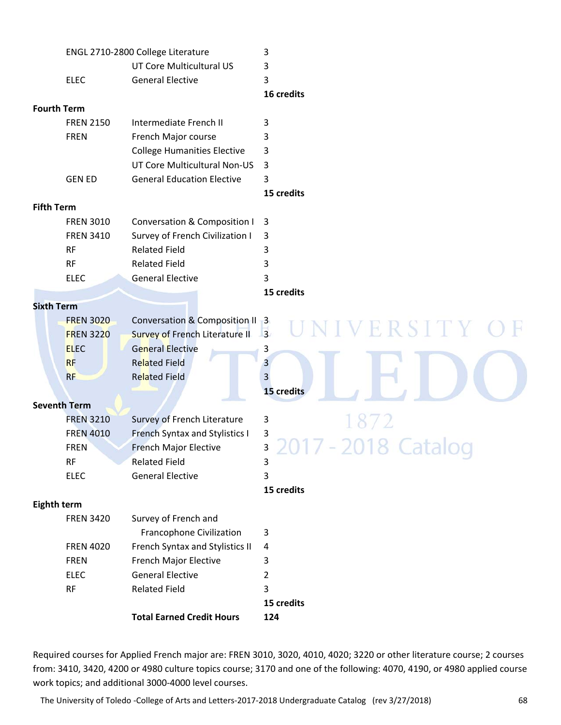|                     | ENGL 2710-2800 College Literature       | 3              |
|---------------------|-----------------------------------------|----------------|
|                     | UT Core Multicultural US                | 3              |
| <b>ELEC</b>         | <b>General Elective</b>                 | $\overline{3}$ |
|                     |                                         | 16 credits     |
| <b>Fourth Term</b>  |                                         |                |
| <b>FREN 2150</b>    | Intermediate French II                  | 3              |
| <b>FREN</b>         | French Major course                     | 3              |
|                     | <b>College Humanities Elective</b>      | 3              |
|                     | UT Core Multicultural Non-US            | 3              |
| <b>GEN ED</b>       | <b>General Education Elective</b>       | 3              |
|                     |                                         | 15 credits     |
| <b>Fifth Term</b>   |                                         |                |
| <b>FREN 3010</b>    | <b>Conversation &amp; Composition I</b> | 3              |
| <b>FREN 3410</b>    | Survey of French Civilization I         | 3              |
| <b>RF</b>           | <b>Related Field</b>                    | 3              |
| <b>RF</b>           | <b>Related Field</b>                    | 3              |
| <b>ELEC</b>         | <b>General Elective</b>                 | $\overline{3}$ |
|                     |                                         | 15 credits     |
| <b>Sixth Term</b>   |                                         |                |
| <b>FREN 3020</b>    | Conversation & Composition II 3         | ERSITY         |
| <b>FREN 3220</b>    | <b>Survey of French Literature II</b>   | $\overline{3}$ |
| <b>ELEC</b>         | <b>General Elective</b>                 | 3              |
| <b>RF</b>           | <b>Related Field</b>                    | $\overline{3}$ |
| <b>RF</b>           | <b>Related Field</b>                    | $\overline{3}$ |
|                     |                                         | 15 credits     |
| <b>Seventh Term</b> |                                         |                |
| <b>FREN 3210</b>    | Survey of French Literature             | 3              |
| <b>FREN 4010</b>    | <b>French Syntax and Stylistics I</b>   | 3              |
| <b>FREN</b>         | <b>French Major Elective</b>            | 3<br>ر         |
| <b>RF</b>           | <b>Related Field</b>                    | 3              |
| <b>ELEC</b>         | <b>General Elective</b>                 | 3              |
|                     |                                         | 15 credits     |
| <b>Eighth term</b>  |                                         |                |
| <b>FREN 3420</b>    | Survey of French and                    |                |
|                     | <b>Francophone Civilization</b>         | 3              |
| <b>FREN 4020</b>    | French Syntax and Stylistics II         | $\overline{a}$ |
| <b>FREN</b>         | French Major Elective                   | 3              |
| <b>ELEC</b>         | <b>General Elective</b>                 | $\overline{2}$ |
| <b>RF</b>           | <b>Related Field</b>                    | 3              |
|                     |                                         | 15 credits     |
|                     | <b>Total Earned Credit Hours</b>        | 124            |
|                     |                                         |                |

Required courses for Applied French major are: FREN 3010, 3020, 4010, 4020; 3220 or other literature course; 2 courses from: 3410, 3420, 4200 or 4980 culture topics course; 3170 and one of the following: 4070, 4190, or 4980 applied course work topics; and additional 3000‐4000 level courses.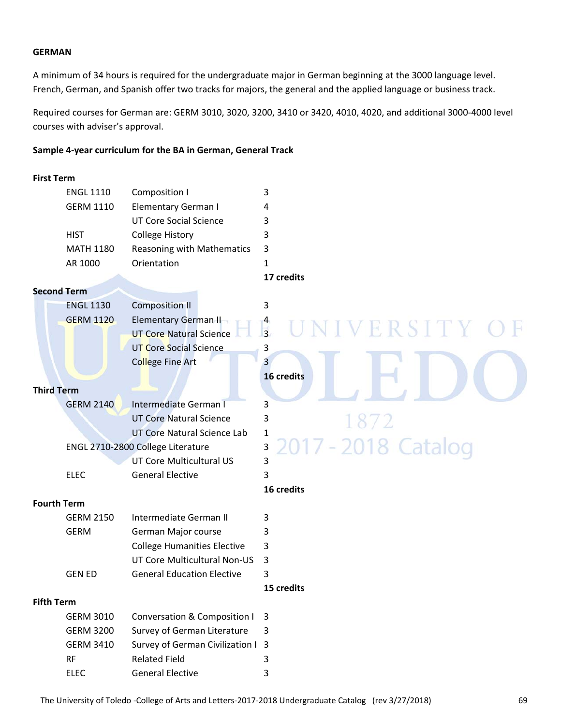#### **GERMAN**

A minimum of 34 hours is required for the undergraduate major in German beginning at the 3000 language level. French, German, and Spanish offer two tracks for majors, the general and the applied language or business track.

Required courses for German are: GERM 3010, 3020, 3200, 3410 or 3420, 4010, 4020, and additional 3000‐4000 level courses with adviser's approval.

#### **Sample 4‐year curriculum for the BA in German, General Track**

#### **First Term**

|                    | <b>ENGL 1110</b> | Composition I                      | 3                                  |
|--------------------|------------------|------------------------------------|------------------------------------|
|                    | <b>GERM 1110</b> | <b>Elementary German I</b>         | 4                                  |
|                    |                  | <b>UT Core Social Science</b>      | 3                                  |
|                    | <b>HIST</b>      | <b>College History</b>             | 3                                  |
|                    | <b>MATH 1180</b> | Reasoning with Mathematics         | 3                                  |
|                    | AR 1000          | Orientation                        | 1                                  |
|                    |                  |                                    | 17 credits                         |
| <b>Second Term</b> |                  |                                    |                                    |
|                    | <b>ENGL 1130</b> | <b>Composition II</b>              | 3                                  |
|                    | <b>GERM 1120</b> | Elementary German II               |                                    |
|                    |                  | <b>UT Core Natural Science</b>     | $\frac{4}{3}$<br><b>IVERSITY O</b> |
|                    |                  | <b>UT Core Social Science</b>      | 3                                  |
|                    |                  | <b>College Fine Art</b>            | 3                                  |
|                    |                  |                                    | 16 credits                         |
| <b>Third Term</b>  |                  |                                    |                                    |
|                    | <b>GERM 2140</b> | Intermediate German I              | 3                                  |
|                    |                  | <b>UT Core Natural Science</b>     | 3                                  |
|                    |                  | UT Core Natural Science Lab        | 1                                  |
|                    |                  | ENGL 2710-2800 College Literature  | 2017 - 2018 Catalog<br>3           |
|                    |                  | UT Core Multicultural US           | 3                                  |
|                    | <b>ELEC</b>      | <b>General Elective</b>            | 3                                  |
|                    |                  |                                    | 16 credits                         |
| <b>Fourth Term</b> |                  |                                    |                                    |
|                    | <b>GERM 2150</b> | Intermediate German II             | 3                                  |
|                    | <b>GERM</b>      | German Major course                | 3                                  |
|                    |                  | <b>College Humanities Elective</b> | 3                                  |
|                    |                  | UT Core Multicultural Non-US       | 3                                  |
|                    | <b>GEN ED</b>    | <b>General Education Elective</b>  | 3                                  |
|                    |                  |                                    | 15 credits                         |
| <b>Fifth Term</b>  |                  |                                    |                                    |
|                    | <b>GERM 3010</b> | Conversation & Composition I       | 3                                  |
|                    | <b>GERM 3200</b> | Survey of German Literature        | 3                                  |
|                    | <b>GERM 3410</b> | Survey of German Civilization I    | 3                                  |
|                    | RF               | <b>Related Field</b>               | 3                                  |
|                    | <b>ELEC</b>      | <b>General Elective</b>            | 3                                  |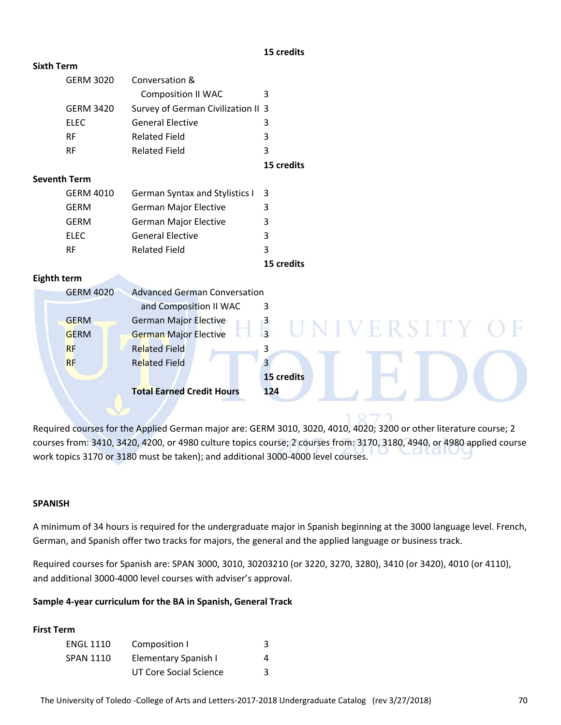#### **15 credits**

| <b>Sixth Term</b> |                     |                                       |                       |
|-------------------|---------------------|---------------------------------------|-----------------------|
|                   | <b>GERM 3020</b>    | Conversation &                        |                       |
|                   |                     | <b>Composition II WAC</b>             | 3                     |
|                   | <b>GERM 3420</b>    | Survey of German Civilization II 3    |                       |
|                   | <b>ELEC</b>         | <b>General Elective</b>               | 3                     |
|                   | <b>RF</b>           | <b>Related Field</b>                  | 3                     |
|                   | <b>RF</b>           | <b>Related Field</b>                  | 3                     |
|                   |                     |                                       | 15 credits            |
|                   | <b>Seventh Term</b> |                                       |                       |
|                   | <b>GERM 4010</b>    | <b>German Syntax and Stylistics I</b> | 3                     |
|                   | <b>GERM</b>         | German Major Elective                 | 3                     |
|                   | <b>GERM</b>         | German Major Elective                 | 3                     |
|                   | <b>ELEC</b>         | <b>General Elective</b>               | 3                     |
|                   | <b>RF</b>           | <b>Related Field</b>                  | 3                     |
|                   |                     |                                       | 15 credits            |
| Eighth term       |                     |                                       |                       |
|                   | <b>GERM 4020</b>    | <b>Advanced German Conversation</b>   |                       |
|                   |                     | and Composition II WAC                | 3                     |
|                   | <b>GERM</b>         | <b>German Major Elective</b>          | $\frac{3}{3}$<br>RSTT |
|                   | <b>GERM</b>         | <b>German Major Elective</b>          |                       |
|                   | <b>RF</b>           | <b>Related Field</b>                  | 3                     |
|                   | <b>RF</b>           | <b>Related Field</b>                  | 3                     |
|                   |                     |                                       | 15 credits            |
|                   |                     | <b>Total Earned Credit Hours</b>      | 124                   |
|                   |                     |                                       |                       |
|                   |                     |                                       | O77                   |

Required courses for the Applied German major are: GERM 3010, 3020, 4010, 4020; 3200 or other literature course; 2 courses from: 3410, 3420, 4200, or 4980 culture topics course; 2 courses from: 3170, 3180, 4940, or 4980 applied course work topics 3170 or 3180 must be taken); and additional 3000‐4000 level courses.

#### **SPANISH**

A minimum of 34 hours is required for the undergraduate major in Spanish beginning at the 3000 language level. French, German, and Spanish offer two tracks for majors, the general and the applied language or business track.

Required courses for Spanish are: SPAN 3000, 3010, 30203210 (or 3220, 3270, 3280), 3410 (or 3420), 4010 (or 4110), and additional 3000‐4000 level courses with adviser's approval.

#### **Sample 4‐year curriculum for the BA in Spanish, General Track**

#### **First Term**

| <b>ENGL 1110</b> | Composition I          |   |
|------------------|------------------------|---|
| <b>SPAN 1110</b> | Elementary Spanish I   | 4 |
|                  | UT Core Social Science | ર |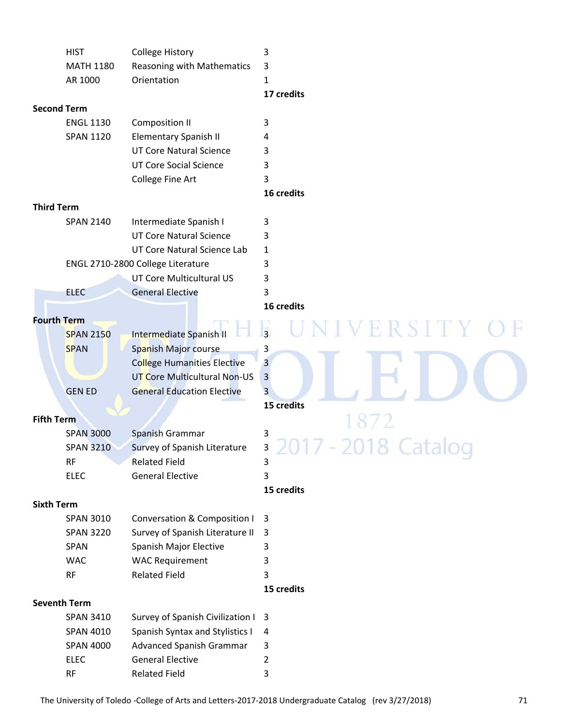|                    | <b>HIST</b>         | <b>College History</b>                 | 3              |
|--------------------|---------------------|----------------------------------------|----------------|
|                    | <b>MATH 1180</b>    | Reasoning with Mathematics             | 3              |
|                    | AR 1000             | Orientation                            | 1              |
|                    |                     |                                        | 17 credits     |
|                    | <b>Second Term</b>  |                                        |                |
|                    | <b>ENGL 1130</b>    | <b>Composition II</b>                  | 3              |
|                    | <b>SPAN 1120</b>    | <b>Elementary Spanish II</b>           | 4              |
|                    |                     | <b>UT Core Natural Science</b>         | 3              |
|                    |                     | <b>UT Core Social Science</b>          | 3              |
|                    |                     | College Fine Art                       | 3              |
|                    |                     |                                        | 16 credits     |
| <b>Third Term</b>  |                     |                                        |                |
|                    | <b>SPAN 2140</b>    | Intermediate Spanish I                 | 3              |
|                    |                     | <b>UT Core Natural Science</b>         | 3              |
|                    |                     | UT Core Natural Science Lab            | 1              |
|                    |                     | ENGL 2710-2800 College Literature      | 3              |
|                    |                     | <b>UT Core Multicultural US</b>        | 3              |
|                    | <b>ELEC</b>         | <b>General Elective</b>                | 3              |
|                    |                     |                                        | 16 credits     |
| <b>Fourth Term</b> |                     |                                        | RSIT           |
|                    | <b>SPAN 2150</b>    | Intermediate Spanish II                | $\overline{3}$ |
|                    | <b>SPAN</b>         | Spanish Major course                   | 3              |
|                    |                     | <b>College Humanities Elective</b>     | $\overline{3}$ |
|                    |                     | UT Core Multicultural Non-US           | 3              |
|                    | <b>GEN ED</b>       | <b>General Education Elective</b>      | 3              |
|                    |                     |                                        | 15 credits     |
| <b>Fifth Term</b>  |                     |                                        |                |
|                    | <b>SPAN 3000</b>    | Spanish Grammar                        | 3              |
|                    | <b>SPAN 3210</b>    | Survey of Spanish Literature           | 3              |
|                    | <b>RF</b>           | <b>Related Field</b>                   | 3              |
|                    | <b>ELEC</b>         | <b>General Elective</b>                | 3              |
|                    |                     |                                        | 15 credits     |
| <b>Sixth Term</b>  |                     |                                        |                |
|                    | <b>SPAN 3010</b>    | Conversation & Composition I           | 3              |
|                    | <b>SPAN 3220</b>    | Survey of Spanish Literature II        | 3              |
|                    | <b>SPAN</b>         | Spanish Major Elective                 | 3              |
|                    | <b>WAC</b>          | <b>WAC Requirement</b>                 | 3              |
|                    | <b>RF</b>           | <b>Related Field</b>                   | 3              |
|                    |                     |                                        | 15 credits     |
|                    | <b>Seventh Term</b> |                                        |                |
|                    | <b>SPAN 3410</b>    | Survey of Spanish Civilization I       | 3              |
|                    | <b>SPAN 4010</b>    | <b>Spanish Syntax and Stylistics I</b> | 4              |
|                    | <b>SPAN 4000</b>    | Advanced Spanish Grammar               | 3              |
|                    | <b>ELEC</b>         | <b>General Elective</b>                | 2              |
|                    | <b>RF</b>           | <b>Related Field</b>                   | 3              |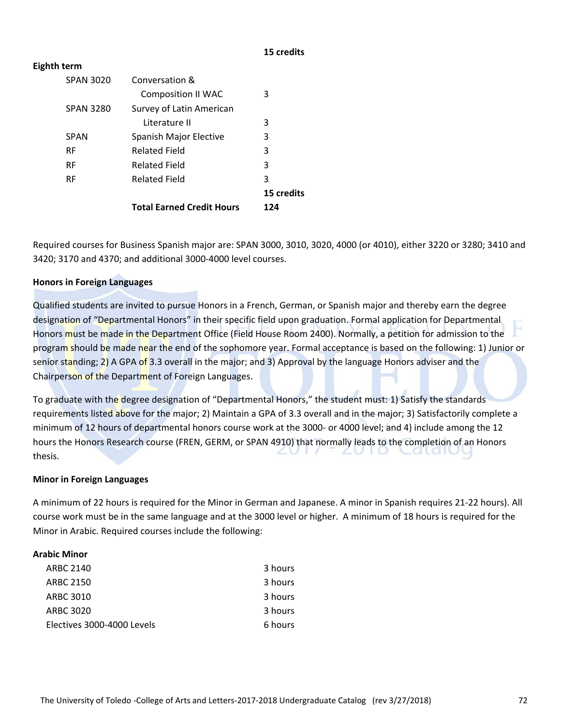#### **15 credits**

#### **Eighth term**

|                  | <b>Total Earned Credit Hours</b> | 124        |
|------------------|----------------------------------|------------|
|                  |                                  | 15 credits |
| <b>RF</b>        | <b>Related Field</b>             | 3          |
| <b>RF</b>        | <b>Related Field</b>             | 3          |
| <b>RF</b>        | <b>Related Field</b>             | 3          |
| <b>SPAN</b>      | Spanish Major Elective           | 3          |
|                  | Literature II                    | 3          |
| <b>SPAN 3280</b> | Survey of Latin American         |            |
|                  | <b>Composition II WAC</b>        | 3          |
| <b>SPAN 3020</b> | Conversation &                   |            |
|                  |                                  |            |

Required courses for Business Spanish major are: SPAN 3000, 3010, 3020, 4000 (or 4010), either 3220 or 3280; 3410 and 3420; 3170 and 4370; and additional 3000‐4000 level courses.

#### **Honors in Foreign Languages**

Qualified students are invited to pursue Honors in a French, German, or Spanish major and thereby earn the degree designation of "Departmental Honors" in their specific field upon graduation. Formal application for Departmental Honors must be made in the Department Office (Field House Room 2400). Normally, a petition for admission to the program should be made near the end of the sophomore year. Formal acceptance is based on the following: 1) Junior or senior standing; 2) A GPA of 3.3 overall in the major; and 3) Approval by the language Honors adviser and the Chairperson of the Department of Foreign Languages.

To graduate with the degree designation of "Departmental Honors," the student must: 1) Satisfy the standards requirements listed above for the major; 2) Maintain a GPA of 3.3 overall and in the major; 3) Satisfactorily complete a minimum of 12 hours of departmental honors course work at the 3000‐ or 4000 level; and 4) include among the 12 hours the Honors Research course (FREN, GERM, or SPAN 4910) that normally leads to the completion of an Honors thesis.

#### **Minor in Foreign Languages**

A minimum of 22 hours is required for the Minor in German and Japanese. A minor in Spanish requires 21‐22 hours). All course work must be in the same language and at the 3000 level or higher. A minimum of 18 hours is required for the Minor in Arabic. Required courses include the following:

#### **Arabic Minor**

| <b>ARBC 2140</b>           | 3 hours |
|----------------------------|---------|
| ARBC 2150                  | 3 hours |
| ARBC 3010                  | 3 hours |
| ARBC 3020                  | 3 hours |
|                            |         |
| Electives 3000-4000 Levels | 6 hours |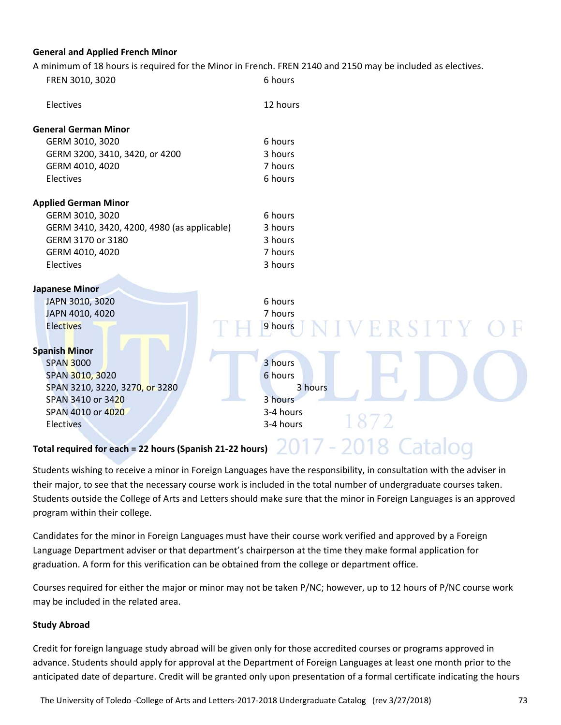#### **General and Applied French Minor**

A minimum of 18 hours is required for the Minor in French. FREN 2140 and 2150 may be included as electives.

| FREN 3010, 3020                                          | A minimum of 10 hours is required for the minor in French. Fitter 2140 and 2150 may be included as electros.<br>6 hours |
|----------------------------------------------------------|-------------------------------------------------------------------------------------------------------------------------|
|                                                          |                                                                                                                         |
| Electives                                                | 12 hours                                                                                                                |
| <b>General German Minor</b>                              |                                                                                                                         |
| GERM 3010, 3020                                          | 6 hours                                                                                                                 |
| GERM 3200, 3410, 3420, or 4200                           | 3 hours                                                                                                                 |
| GERM 4010, 4020                                          | 7 hours                                                                                                                 |
| Electives                                                | 6 hours                                                                                                                 |
| <b>Applied German Minor</b>                              |                                                                                                                         |
| GERM 3010, 3020                                          | 6 hours                                                                                                                 |
| GERM 3410, 3420, 4200, 4980 (as applicable)              | 3 hours                                                                                                                 |
| GERM 3170 or 3180                                        | 3 hours                                                                                                                 |
| GERM 4010, 4020                                          | 7 hours                                                                                                                 |
| Electives                                                | 3 hours                                                                                                                 |
| <b>Japanese Minor</b>                                    |                                                                                                                         |
| JAPN 3010, 3020                                          | 6 hours                                                                                                                 |
| JAPN 4010, 4020                                          | 7 hours                                                                                                                 |
| <b>Electives</b>                                         | ERSITY<br>9 hours                                                                                                       |
| <b>Spanish Minor</b>                                     |                                                                                                                         |
| <b>SPAN 3000</b>                                         | 3 hours                                                                                                                 |
| SPAN 3010, 3020                                          | 6 hours                                                                                                                 |
| SPAN 3210, 3220, 3270, or 3280                           | 3 hours                                                                                                                 |
| SPAN 3410 or 3420                                        | 3 hours                                                                                                                 |
| SPAN 4010 or 4020                                        | 3-4 hours                                                                                                               |
| <b>Electives</b>                                         | 1872<br>3-4 hours                                                                                                       |
| Total required for each = 22 hours (Spanish 21-22 hours) |                                                                                                                         |

Students wishing to receive a minor in Foreign Languages have the responsibility, in consultation with the adviser in their major, to see that the necessary course work is included in the total number of undergraduate courses taken. Students outside the College of Arts and Letters should make sure that the minor in Foreign Languages is an approved program within their college.

Candidates for the minor in Foreign Languages must have their course work verified and approved by a Foreign Language Department adviser or that department's chairperson at the time they make formal application for graduation. A form for this verification can be obtained from the college or department office.

Courses required for either the major or minor may not be taken P/NC; however, up to 12 hours of P/NC course work may be included in the related area.

#### **Study Abroad**

Credit for foreign language study abroad will be given only for those accredited courses or programs approved in advance. Students should apply for approval at the Department of Foreign Languages at least one month prior to the anticipated date of departure. Credit will be granted only upon presentation of a formal certificate indicating the hours

The University of Toledo ‐College of Arts and Letters‐2017‐2018 Undergraduate Catalog (rev 3/27/2018) 73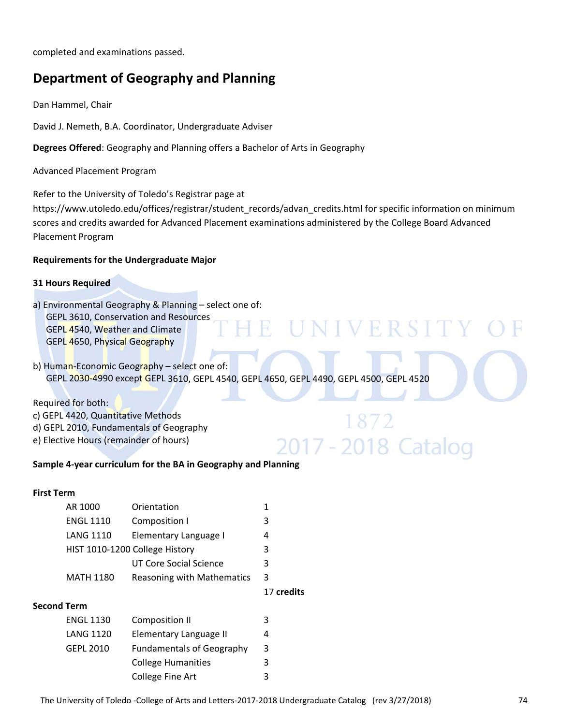completed and examinations passed.

# **Department of Geography and Planning**

Dan Hammel, Chair

David J. Nemeth, B.A. Coordinator, Undergraduate Adviser

**Degrees Offered**: Geography and Planning offers a Bachelor of Arts in Geography

Advanced Placement Program

Refer to the University of Toledo's Registrar page at

https://www.utoledo.edu/offices/registrar/student\_records/advan\_credits.html for specific information on minimum scores and credits awarded for Advanced Placement examinations administered by the College Board Advanced Placement Program

R.

NIVERSI

2017 - 2018 Catalog

#### **Requirements for the Undergraduate Major**

#### **31 Hours Required**

a) Environmental Geography & Planning – select one of:

GEPL 3610, Conservation and Resources GEPL 4540, Weather and Climate GEPL 4650, Physical Geography

b) Human-Economic Geography – select one of: GEPL 2030‐4990 except GEPL 3610, GEPL 4540, GEPL 4650, GEPL 4490, GEPL 4500, GEPL 4520

Required for both:

- c) GEPL 4420, Quantitative Methods
- d) GEPL 2010, Fundamentals of Geography
- e) Elective Hours (remainder of hours)

#### **Sample 4‐year curriculum for the BA in Geography and Planning**

#### **First Term**

| AR 1000          | Orientation                    |   |  |  |  |
|------------------|--------------------------------|---|--|--|--|
| <b>ENGL 1110</b> | Composition I                  | 3 |  |  |  |
| <b>LANG 1110</b> | Elementary Language I          | 4 |  |  |  |
|                  | HIST 1010-1200 College History | 3 |  |  |  |
|                  | UT Core Social Science         |   |  |  |  |
| <b>MATH 1180</b> | Reasoning with Mathematics 3   |   |  |  |  |

17 **credits**

#### **Second Term**

| <b>ENGL 1130</b> | Composition II                   |   |
|------------------|----------------------------------|---|
| LANG 1120        | Elementary Language II           | 4 |
| GEPL 2010        | <b>Fundamentals of Geography</b> | 3 |
|                  | <b>College Humanities</b>        |   |
|                  | College Fine Art                 |   |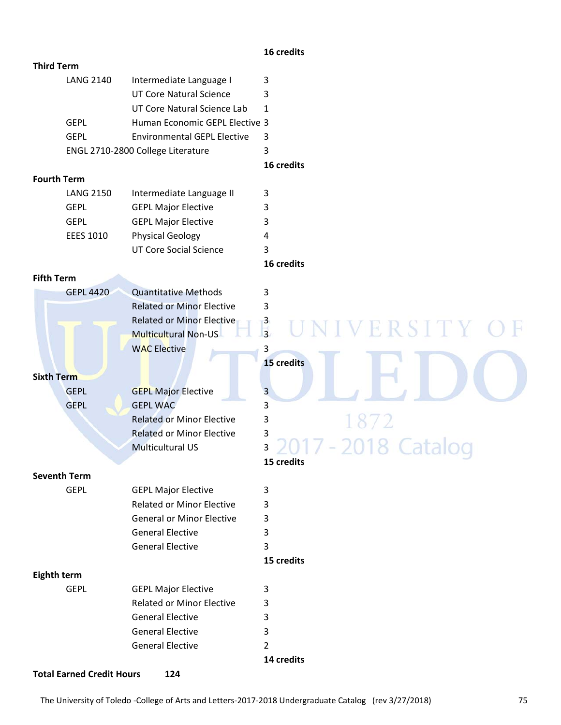#### **16 credits**

| <b>Third Term</b>   |                                    |                         |
|---------------------|------------------------------------|-------------------------|
| <b>LANG 2140</b>    | Intermediate Language I            | 3                       |
|                     | <b>UT Core Natural Science</b>     | 3                       |
|                     | UT Core Natural Science Lab        | $\mathbf{1}$            |
| <b>GEPL</b>         | Human Economic GEPL Elective 3     |                         |
| <b>GEPL</b>         | <b>Environmental GEPL Elective</b> | 3                       |
|                     | ENGL 2710-2800 College Literature  | 3                       |
|                     |                                    | 16 credits              |
| <b>Fourth Term</b>  |                                    |                         |
| <b>LANG 2150</b>    | Intermediate Language II           | 3                       |
| <b>GEPL</b>         | <b>GEPL Major Elective</b>         | 3                       |
| <b>GEPL</b>         | <b>GEPL Major Elective</b>         | 3                       |
| <b>EEES 1010</b>    | <b>Physical Geology</b>            | 4                       |
|                     | <b>UT Core Social Science</b>      | 3                       |
|                     |                                    | 16 credits              |
| <b>Fifth Term</b>   |                                    |                         |
| <b>GEPL 4420</b>    | <b>Quantitative Methods</b>        | 3                       |
|                     | <b>Related or Minor Elective</b>   | 3                       |
|                     | <b>Related or Minor Elective</b>   | $\frac{3}{3}$           |
|                     | <b>Multicultural Non-US</b>        | ERSITY                  |
|                     | <b>WAC Elective</b>                | 3                       |
|                     |                                    | 15 credits              |
| <b>Sixth Term</b>   |                                    |                         |
| <b>GEPL</b>         | <b>GEPL Major Elective</b>         | $\overline{\mathbf{3}}$ |
| <b>GEPL</b>         | <b>GEPL WAC</b>                    | 3                       |
|                     | <b>Related or Minor Elective</b>   | 1872<br>3               |
|                     | <b>Related or Minor Elective</b>   | 3                       |
|                     | <b>Multicultural US</b>            | $-2018$ Ca<br>3         |
|                     |                                    | 15 credits              |
| <b>Seventh Term</b> |                                    |                         |
| <b>GEPL</b>         | <b>GEPL Major Elective</b>         | 3                       |
|                     | <b>Related or Minor Elective</b>   | 3                       |
|                     | <b>General or Minor Elective</b>   | 3                       |
|                     | <b>General Elective</b>            | 3                       |
|                     | <b>General Elective</b>            | 3                       |
|                     |                                    | 15 credits              |
| Eighth term         |                                    |                         |
| <b>GEPL</b>         | <b>GEPL Major Elective</b>         | 3                       |
|                     | <b>Related or Minor Elective</b>   | 3                       |
|                     | <b>General Elective</b>            | 3                       |
|                     | <b>General Elective</b>            | 3                       |
|                     | <b>General Elective</b>            | $\overline{2}$          |
|                     |                                    | 14 credits              |
|                     |                                    |                         |

**Total Earned Credit Hours 124**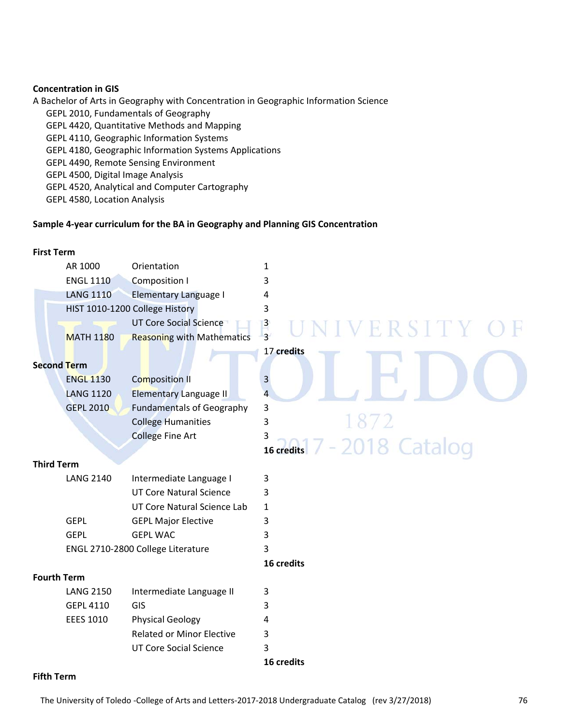#### **Concentration in GIS**

A Bachelor of Arts in Geography with Concentration in Geographic Information Science GEPL 2010, Fundamentals of Geography GEPL 4420, Quantitative Methods and Mapping GEPL 4110, Geographic Information Systems GEPL 4180, Geographic Information Systems Applications GEPL 4490, Remote Sensing Environment GEPL 4500, Digital Image Analysis GEPL 4520, Analytical and Computer Cartography

GEPL 4580, Location Analysis

#### **Sample 4‐year curriculum for the BA in Geography and Planning GIS Concentration**

#### **First Term**

|                    | AR 1000          | Orientation                       | 1                                         |
|--------------------|------------------|-----------------------------------|-------------------------------------------|
|                    | <b>ENGL 1110</b> | <b>Composition I</b>              | 3                                         |
|                    | <b>LANG 1110</b> | <b>Elementary Language I</b>      | 4                                         |
|                    |                  | HIST 1010-1200 College History    | 3                                         |
|                    |                  | <b>UT Core Social Science</b>     | $\overline{\mathbf{3}}$<br>ERSITY         |
|                    | <b>MATH 1180</b> | <b>Reasoning with Mathematics</b> | $\overline{3}$                            |
|                    |                  |                                   | 17 credits                                |
| <b>Second Term</b> |                  |                                   |                                           |
|                    | <b>ENGL 1130</b> | <b>Composition II</b>             | 3                                         |
|                    | <b>LANG 1120</b> | <b>Elementary Language II</b>     | 4                                         |
|                    | <b>GEPL 2010</b> | <b>Fundamentals of Geography</b>  | 3                                         |
|                    |                  | <b>College Humanities</b>         | 1872<br>3                                 |
|                    |                  | <b>College Fine Art</b>           | 3                                         |
|                    |                  |                                   | $\frac{3}{16}$ credits $7 - 2018$ Catalog |
| <b>Third Term</b>  |                  |                                   |                                           |
|                    | <b>LANG 2140</b> | Intermediate Language I           | 3                                         |
|                    |                  | <b>UT Core Natural Science</b>    | 3                                         |
|                    |                  | UT Core Natural Science Lab       | 1                                         |
|                    | <b>GEPL</b>      | <b>GEPL Major Elective</b>        | 3                                         |
|                    | <b>GEPL</b>      | <b>GEPL WAC</b>                   | 3                                         |
|                    |                  | ENGL 2710-2800 College Literature | 3                                         |
|                    |                  |                                   | 16 credits                                |
| <b>Fourth Term</b> |                  |                                   |                                           |
|                    | <b>LANG 2150</b> | Intermediate Language II          | 3                                         |
|                    | <b>GEPL 4110</b> | GIS                               | 3                                         |
|                    | <b>EEES 1010</b> | <b>Physical Geology</b>           | 4                                         |
|                    |                  | <b>Related or Minor Elective</b>  | 3                                         |
|                    |                  | <b>UT Core Social Science</b>     | 3                                         |
|                    |                  |                                   | 16 credits                                |

# **Fifth Term**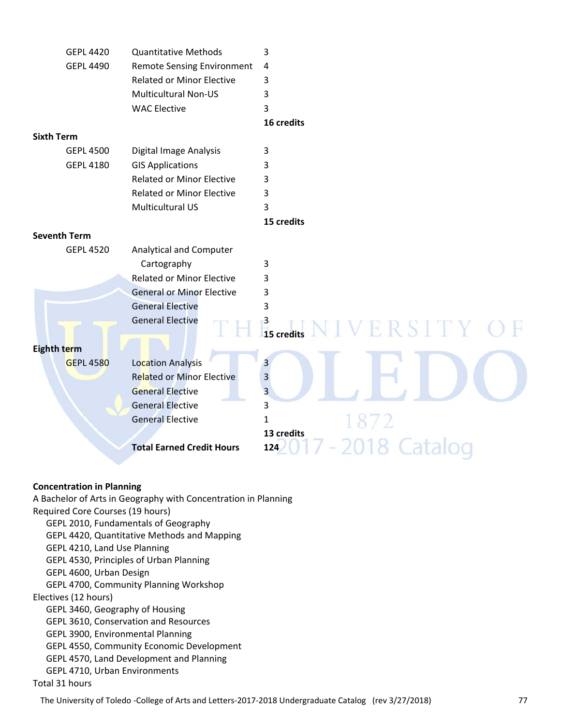| <b>GEPL 4420</b>    | <b>Quantitative Methods</b>       | 3                                     |
|---------------------|-----------------------------------|---------------------------------------|
| <b>GEPL 4490</b>    | <b>Remote Sensing Environment</b> | 4                                     |
|                     | <b>Related or Minor Elective</b>  | 3                                     |
|                     | <b>Multicultural Non-US</b>       | 3                                     |
|                     | <b>WAC Elective</b>               | 3                                     |
|                     |                                   | 16 credits                            |
| <b>Sixth Term</b>   |                                   |                                       |
| <b>GEPL 4500</b>    | Digital Image Analysis            | 3                                     |
| <b>GEPL 4180</b>    | <b>GIS Applications</b>           | 3                                     |
|                     | <b>Related or Minor Elective</b>  | 3                                     |
|                     | <b>Related or Minor Elective</b>  | 3                                     |
|                     | Multicultural US                  | 3                                     |
|                     |                                   | 15 credits                            |
| <b>Seventh Term</b> |                                   |                                       |
| <b>GEPL 4520</b>    | Analytical and Computer           |                                       |
|                     | Cartography                       | 3                                     |
|                     | <b>Related or Minor Elective</b>  | 3                                     |
|                     | <b>General or Minor Elective</b>  | 3                                     |
|                     | <b>General Elective</b>           | 3                                     |
|                     | <b>General Elective</b>           |                                       |
|                     |                                   | $\frac{3}{15}$ credits<br>NIVERSITY O |
| Eighth term         |                                   |                                       |
| <b>GEPL 4580</b>    | <b>Location Analysis</b>          | $\overline{3}$                        |
|                     | <b>Related or Minor Elective</b>  | $\overline{\mathbf{3}}$               |
|                     | <b>General Elective</b>           | 3                                     |
|                     | <b>General Elective</b>           | 3                                     |
|                     | <b>General Elective</b>           | $\mathbf{1}$                          |
|                     |                                   | 13 credits                            |
|                     | <b>Total Earned Credit Hours</b>  | 2018 Catalog<br>124                   |
|                     |                                   |                                       |
|                     |                                   |                                       |

#### **Concentration in Planning**

A Bachelor of Arts in Geography with Concentration in Planning Required Core Courses (19 hours) GEPL 2010, Fundamentals of Geography GEPL 4420, Quantitative Methods and Mapping GEPL 4210, Land Use Planning GEPL 4530, Principles of Urban Planning GEPL 4600, Urban Design GEPL 4700, Community Planning Workshop Electives (12 hours) GEPL 3460, Geography of Housing GEPL 3610, Conservation and Resources GEPL 3900, Environmental Planning GEPL 4550, Community Economic Development GEPL 4570, Land Development and Planning GEPL 4710, Urban Environments Total 31 hours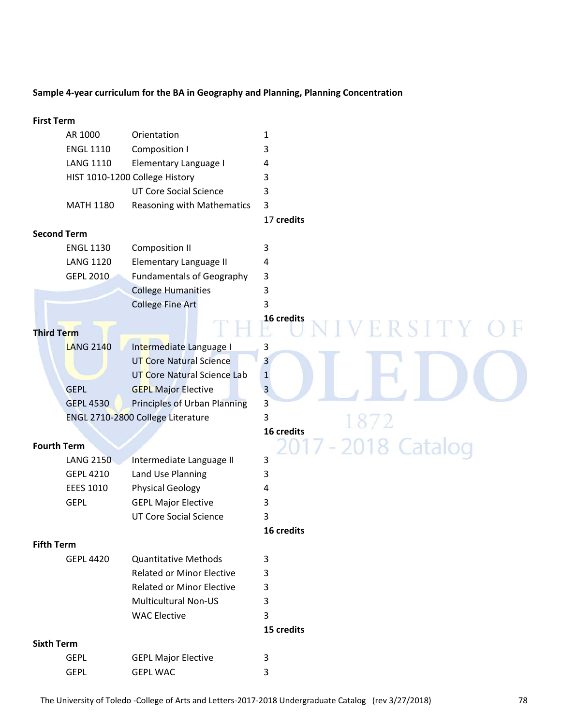# **Sample 4‐year curriculum for the BA in Geography and Planning, Planning Concentration**

| <b>First Term</b>  |                  |                                   |                |
|--------------------|------------------|-----------------------------------|----------------|
|                    | AR 1000          | Orientation                       | 1              |
|                    | <b>ENGL 1110</b> | Composition I                     | 3              |
|                    | <b>LANG 1110</b> | Elementary Language I             | 4              |
|                    |                  | HIST 1010-1200 College History    | 3              |
|                    |                  | <b>UT Core Social Science</b>     | 3              |
|                    | <b>MATH 1180</b> | Reasoning with Mathematics        | 3              |
|                    |                  |                                   | 17 credits     |
| <b>Second Term</b> |                  |                                   |                |
|                    | <b>ENGL 1130</b> | <b>Composition II</b>             | 3              |
|                    | <b>LANG 1120</b> | Elementary Language II            | 4              |
|                    | <b>GEPL 2010</b> | <b>Fundamentals of Geography</b>  | 3              |
|                    |                  | <b>College Humanities</b>         | 3              |
|                    |                  | <b>College Fine Art</b>           | 3              |
|                    |                  |                                   | 16 credits     |
| <b>Third Term</b>  |                  |                                   | VERSITY O      |
|                    | <b>LANG 2140</b> | Intermediate Language I           | 3              |
|                    |                  | <b>UT Core Natural Science</b>    | 3              |
|                    |                  | UT Core Natural Science Lab       | $\mathbf{1}$   |
|                    | <b>GEPL</b>      | <b>GEPL Major Elective</b>        | $\overline{3}$ |
|                    | <b>GEPL 4530</b> | Principles of Urban Planning      | 3              |
|                    |                  | ENGL 2710-2800 College Literature | 3              |
|                    |                  |                                   | 16 credits     |
| <b>Fourth Term</b> |                  |                                   | -2018 Catalog  |
|                    | <b>LANG 2150</b> | Intermediate Language II          | 3              |
|                    | <b>GEPL 4210</b> | Land Use Planning                 | 3              |
|                    | <b>EEES 1010</b> | <b>Physical Geology</b>           | 4              |
|                    | <b>GEPL</b>      | <b>GEPL Major Elective</b>        | 3              |
|                    |                  | <b>UT Core Social Science</b>     | 3              |
|                    |                  |                                   | 16 credits     |
| <b>Fifth Term</b>  |                  |                                   |                |
|                    | <b>GEPL 4420</b> | <b>Quantitative Methods</b>       | 3              |
|                    |                  | <b>Related or Minor Elective</b>  | 3              |
|                    |                  | <b>Related or Minor Elective</b>  | 3              |
|                    |                  | <b>Multicultural Non-US</b>       | 3              |
|                    |                  | <b>WAC Elective</b>               | 3              |
|                    |                  |                                   | 15 credits     |
| <b>Sixth Term</b>  |                  |                                   |                |
|                    | <b>GEPL</b>      | <b>GEPL Major Elective</b>        | 3              |
|                    | <b>GEPL</b>      | <b>GEPL WAC</b>                   | 3              |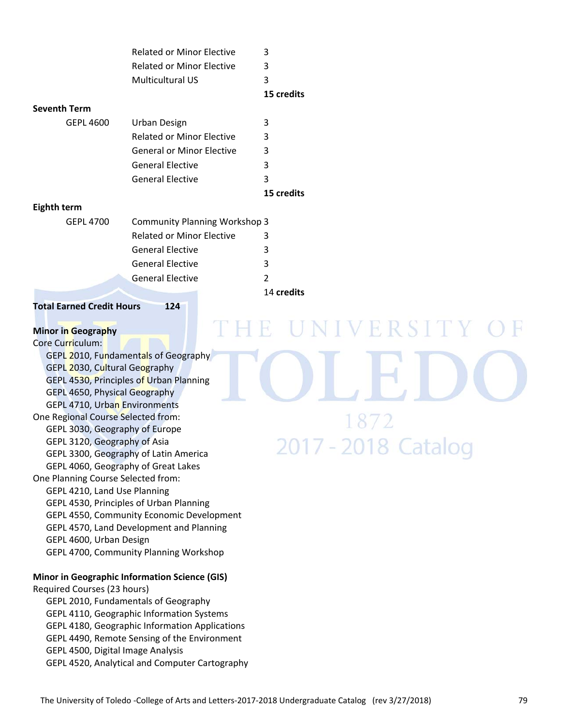|                     | <b>Related or Minor Elective</b>     | 3              |
|---------------------|--------------------------------------|----------------|
|                     | <b>Related or Minor Elective</b>     | 3              |
|                     | Multicultural US                     | 3              |
|                     |                                      | 15 credits     |
| <b>Seventh Term</b> |                                      |                |
| <b>GEPL 4600</b>    | <b>Urban Design</b>                  | 3              |
|                     | <b>Related or Minor Elective</b>     | 3              |
|                     | <b>General or Minor Elective</b>     | 3              |
|                     | <b>General Elective</b>              | 3              |
|                     | <b>General Elective</b>              | 3              |
|                     |                                      | 15 credits     |
| Eighth term         |                                      |                |
| <b>GEPL 4700</b>    | <b>Community Planning Workshop 3</b> |                |
|                     | <b>Related or Minor Elective</b>     | 3              |
|                     | <b>General Elective</b>              | 3              |
|                     | <b>General Elective</b>              | 3              |
|                     | <b>General Elective</b>              | $\overline{2}$ |
|                     |                                      | 14 credits     |

**Total Earned Credit Hours 124**

# **Minor in Geography**

Core Curriculum: GEPL 2010, Fundamentals of Geography GEPL 2030, Cultural Geography GEPL 4530, Principles of Urban Planning GEPL 4650, Physical Geography GEPL 4710, Urban Environments One Regional Course Selected from: GEPL 3030, Geography of Europe GEPL 3120, Geography of Asia GEPL 3300, Geography of Latin America GEPL 4060, Geography of Great Lakes One Planning Course Selected from: GEPL 4210, Land Use Planning GEPL 4530, Principles of Urban Planning GEPL 4550, Community Economic Development GEPL 4570, Land Development and Planning GEPL 4600, Urban Design GEPL 4700, Community Planning Workshop

#### **Minor in Geographic Information Science (GIS)**

Required Courses (23 hours) GEPL 2010, Fundamentals of Geography GEPL 4110, Geographic Information Systems GEPL 4180, Geographic Information Applications GEPL 4490, Remote Sensing of the Environment GEPL 4500, Digital Image Analysis GEPL 4520, Analytical and Computer Cartography

VERSIT R 1872 2017 - 2018 Catalog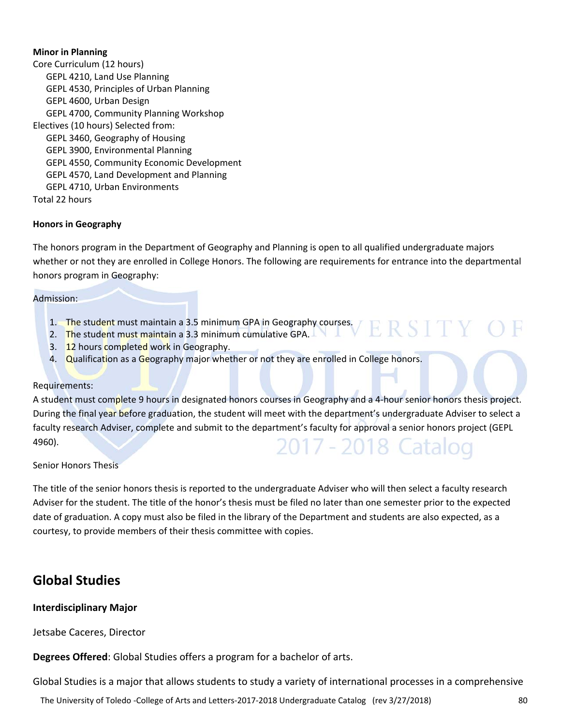#### **Minor in Planning**

Core Curriculum (12 hours) GEPL 4210, Land Use Planning GEPL 4530, Principles of Urban Planning GEPL 4600, Urban Design GEPL 4700, Community Planning Workshop Electives (10 hours) Selected from: GEPL 3460, Geography of Housing GEPL 3900, Environmental Planning GEPL 4550, Community Economic Development GEPL 4570, Land Development and Planning GEPL 4710, Urban Environments Total 22 hours

#### **Honors in Geography**

The honors program in the Department of Geography and Planning is open to all qualified undergraduate majors whether or not they are enrolled in College Honors. The following are requirements for entrance into the departmental honors program in Geography:

#### Admission:

- 1. The student must maintain a 3.5 minimum GPA in Geography courses. ERSIT
- 2. The student must maintain a 3.3 minimum cumulative GPA.
- 3. 12 hours completed work in Geography.
- 4. Qualification as a Geography major whether or not they are enrolled in College honors.

#### Requirements:

A student must complete 9 hours in designated honors courses in Geography and a 4-hour senior honors thesis project. During the final year before graduation, the student will meet with the department's undergraduate Adviser to select a faculty research Adviser, complete and submit to the department's faculty for approval a senior honors project (GEPL 4960). 2017 - 2018 Cat

#### Senior Honors Thesis

The title of the senior honors thesis is reported to the undergraduate Adviser who will then select a faculty research Adviser for the student. The title of the honor's thesis must be filed no later than one semester prior to the expected date of graduation. A copy must also be filed in the library of the Department and students are also expected, as a courtesy, to provide members of their thesis committee with copies.

# **Global Studies**

#### **Interdisciplinary Major**

Jetsabe Caceres, Director

**Degrees Offered**: Global Studies offers a program for a bachelor of arts.

Global Studies is a major that allows students to study a variety of international processes in a comprehensive

The University of Toledo ‐College of Arts and Letters‐2017‐2018 Undergraduate Catalog (rev 3/27/2018) 80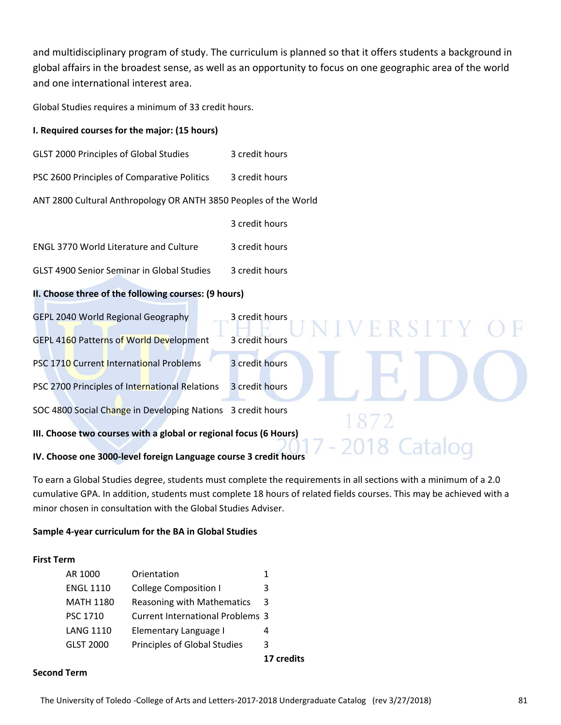and multidisciplinary program of study. The curriculum is planned so that it offers students a background in global affairs in the broadest sense, as well as an opportunity to focus on one geographic area of the world and one international interest area.

Global Studies requires a minimum of 33 credit hours.

# **I. Required courses for the major: (15 hours)**

- GLST 2000 Principles of Global Studies 3 credit hours
- PSC 2600 Principles of Comparative Politics 3 credit hours
- ANT 2800 Cultural Anthropology OR ANTH 3850 Peoples of the World
	- 3 credit hours
- ENGL 3770 World Literature and Culture 3 credit hours
- GLST 4900 Senior Seminar in Global Studies 3 credit hours

# **II. Choose three of the following courses: (9 hours)**

| GEPL 2040 World Regional Geography | 3 credit hours |  |
|------------------------------------|----------------|--|
|                                    |                |  |

- GEPL 4160 Patterns of World Development 3 credit hours
- PSC 1710 Current International Problems 3 credit hours

PSC 2700 Principles of International Relations 3 credit hours

SOC 4800 Social Change in Developing Nations 3 credit hours

**III. Choose two courses with a global or regional focus (6 Hours)**

#### **IV. Choose one 3000‐level foreign Language course 3 credit hours**

To earn a Global Studies degree, students must complete the requirements in all sections with a minimum of a 2.0 cumulative GPA. In addition, students must complete 18 hours of related fields courses. This may be achieved with a minor chosen in consultation with the Global Studies Adviser.

#### **Sample 4‐year curriculum for the BA in Global Studies**

#### **First Term**

| AR 1000          | Orientation                             |            |
|------------------|-----------------------------------------|------------|
| <b>ENGL 1110</b> | College Composition I                   |            |
| MATH 1180        | Reasoning with Mathematics 3            |            |
| <b>PSC 1710</b>  | <b>Current International Problems 3</b> |            |
| <b>LANG 1110</b> | Elementary Language I                   | 4          |
| GLST 2000        | Principles of Global Studies            | 3          |
|                  |                                         | 17 credits |

#### **Second Term**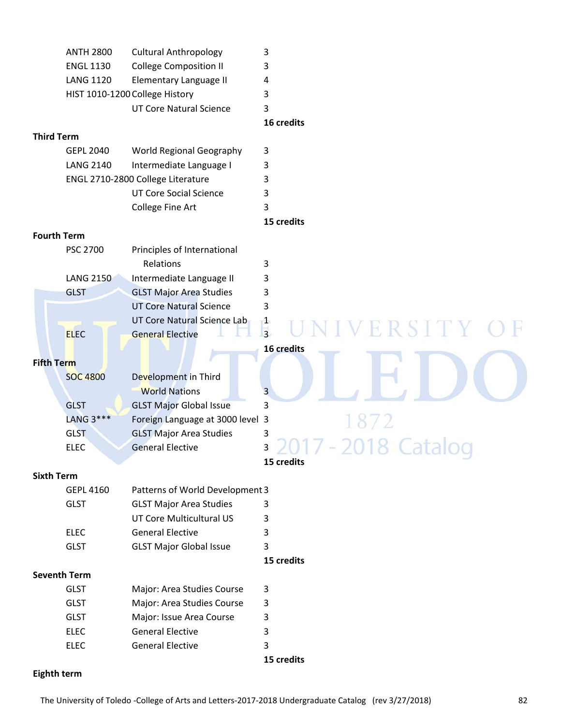|                    | <b>ANTH 2800</b>    | <b>Cultural Anthropology</b>      | 3                                                                |
|--------------------|---------------------|-----------------------------------|------------------------------------------------------------------|
|                    | <b>ENGL 1130</b>    | <b>College Composition II</b>     | 3                                                                |
|                    | <b>LANG 1120</b>    | Elementary Language II            | 4                                                                |
|                    |                     | HIST 1010-1200 College History    | 3                                                                |
|                    |                     | <b>UT Core Natural Science</b>    | 3                                                                |
|                    |                     |                                   | 16 credits                                                       |
| <b>Third Term</b>  |                     |                                   |                                                                  |
|                    | <b>GEPL 2040</b>    | World Regional Geography          | 3                                                                |
|                    | <b>LANG 2140</b>    | Intermediate Language I           | 3                                                                |
|                    |                     | ENGL 2710-2800 College Literature | 3                                                                |
|                    |                     | <b>UT Core Social Science</b>     | 3                                                                |
|                    |                     | College Fine Art                  | 3                                                                |
|                    |                     |                                   | 15 credits                                                       |
| <b>Fourth Term</b> |                     |                                   |                                                                  |
|                    | PSC 2700            | Principles of International       |                                                                  |
|                    |                     | Relations                         | 3                                                                |
|                    | <b>LANG 2150</b>    | Intermediate Language II          | 3                                                                |
|                    | <b>GLST</b>         | <b>GLST Major Area Studies</b>    | 3                                                                |
|                    |                     | <b>UT Core Natural Science</b>    | 3                                                                |
|                    |                     | UT Core Natural Science Lab       | $\frac{1}{3}$                                                    |
|                    | <b>ELEC</b>         | <b>General Elective</b>           | ERSITY                                                           |
|                    |                     |                                   | 16 credits                                                       |
| <b>Fifth Term</b>  |                     |                                   |                                                                  |
|                    | <b>SOC 4800</b>     | Development in Third              |                                                                  |
|                    |                     | <b>World Nations</b>              | 3                                                                |
|                    | <b>GLST</b>         | <b>GLST Major Global Issue</b>    | 3                                                                |
|                    | LANG 3***           | Foreign Language at 3000 level 3  |                                                                  |
|                    | <b>GLST</b>         | <b>GLST Major Area Studies</b>    | 3                                                                |
|                    | <b>ELEC</b>         | <b>General Elective</b>           | ς<br>$\sim$ $\sim$ 1 $\prime$<br>$\sim$ $\sim$ $\sim$<br>Lataivy |
|                    |                     |                                   | 15 credits                                                       |
| <b>Sixth Term</b>  |                     |                                   |                                                                  |
|                    | <b>GEPL 4160</b>    | Patterns of World Development 3   |                                                                  |
|                    | <b>GLST</b>         | <b>GLST Major Area Studies</b>    | 3                                                                |
|                    |                     | UT Core Multicultural US          | 3                                                                |
|                    | <b>ELEC</b>         | <b>General Elective</b>           | 3                                                                |
|                    | <b>GLST</b>         | <b>GLST Major Global Issue</b>    | 3                                                                |
|                    |                     |                                   | 15 credits                                                       |
|                    | <b>Seventh Term</b> |                                   |                                                                  |
|                    | <b>GLST</b>         | Major: Area Studies Course        | 3                                                                |
|                    | <b>GLST</b>         | Major: Area Studies Course        | 3                                                                |
|                    | <b>GLST</b>         | Major: Issue Area Course          | 3                                                                |
|                    | <b>ELEC</b>         | <b>General Elective</b>           | 3                                                                |
|                    | <b>ELEC</b>         | <b>General Elective</b>           | 3                                                                |

 **15 credits**

# **Eighth term**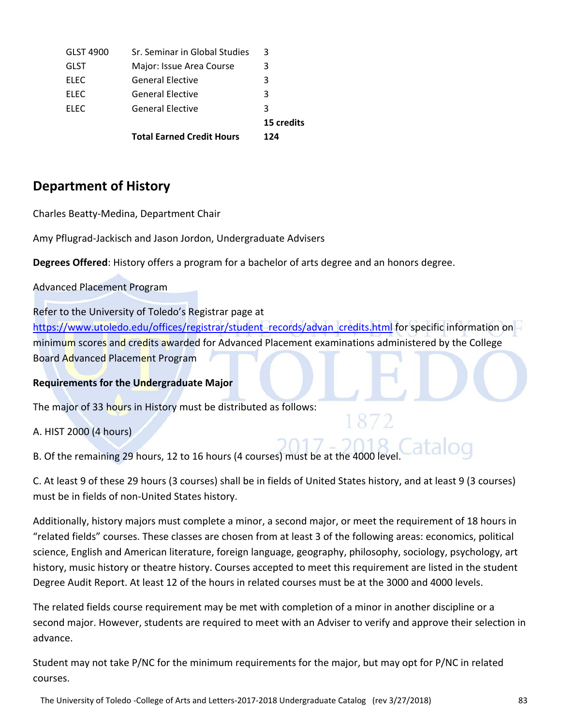|             | <b>Total Earned Credit Hours</b> | 15 credits<br>124 |
|-------------|----------------------------------|-------------------|
| <b>ELEC</b> | <b>General Elective</b>          | 3                 |
| <b>ELEC</b> | <b>General Elective</b>          | 3                 |
| <b>ELEC</b> | <b>General Elective</b>          | 3                 |
| <b>GLST</b> | Major: Issue Area Course         | 3                 |
| GLST 4900   | Sr. Seminar in Global Studies    | 3                 |

# **Department of History**

Charles Beatty‐Medina, Department Chair

Amy Pflugrad‐Jackisch and Jason Jordon, Undergraduate Advisers

**Degrees Offered**: History offers a program for a bachelor of arts degree and an honors degree.

Advanced Placement Program

Refer to the University of Toledo's Registrar page at https://www.utoledo.edu/offices/registrar/student\_records/advan\_credits.html for specific information on minimum scores and credits awarded for Advanced Placement examinations administered by the College Board Advanced Placement Program

# **Requirements for the Undergraduate Major**

The major of 33 hours in History must be distributed as follows:

A. HIST 2000 (4 hours)

B. Of the remaining 29 hours, 12 to 16 hours (4 courses) must be at the 400

C. At least 9 of these 29 hours (3 courses) shall be in fields of United States history, and at least 9 (3 courses) must be in fields of non‐United States history.

Additionally, history majors must complete a minor, a second major, or meet the requirement of 18 hours in "related fields" courses. These classes are chosen from at least 3 of the following areas: economics, political science, English and American literature, foreign language, geography, philosophy, sociology, psychology, art history, music history or theatre history. Courses accepted to meet this requirement are listed in the student Degree Audit Report. At least 12 of the hours in related courses must be at the 3000 and 4000 levels.

The related fields course requirement may be met with completion of a minor in another discipline or a second major. However, students are required to meet with an Adviser to verify and approve their selection in advance.

Student may not take P/NC for the minimum requirements for the major, but may opt for P/NC in related courses.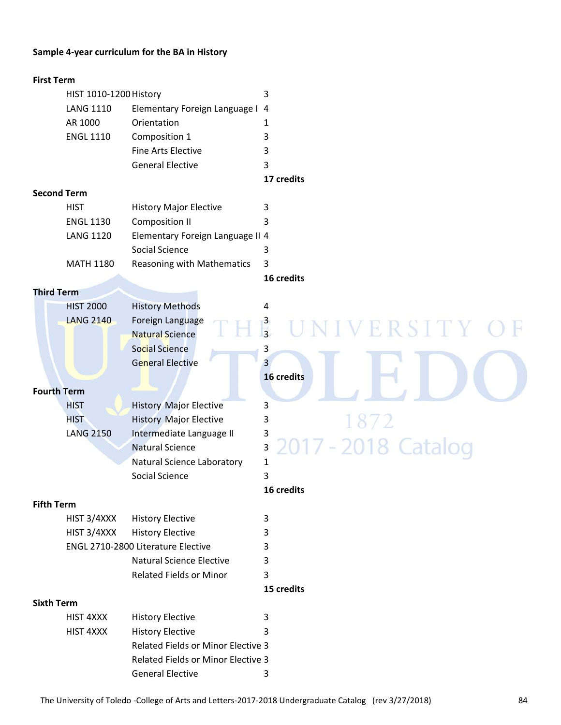#### **Sample 4‐year curriculum for the BA in History**

#### **First Term**

| HIST 1010-1200 History |                                 |   |  |
|------------------------|---------------------------------|---|--|
| LANG 1110              | Elementary Foreign Language I 4 |   |  |
| AR 1000                | Orientation                     |   |  |
| <b>ENGL 1110</b>       | Composition 1                   |   |  |
|                        | Fine Arts Elective              | 3 |  |
|                        | <b>General Elective</b>         |   |  |

#### **17 credits**

#### **Second Term**

| <b>HIST</b>      | <b>History Major Elective</b>    |  |
|------------------|----------------------------------|--|
| <b>ENGL 1130</b> | Composition II                   |  |
| <b>LANG 1120</b> | Elementary Foreign Language II 4 |  |
|                  | Social Science                   |  |
| <b>MATH 1180</b> | Reasoning with Mathematics 3     |  |

**16 credits**

#### **Third Term**

| <b>HIST 2000</b> | <b>History Methods</b>  |   |
|------------------|-------------------------|---|
| <b>LANG 2140</b> | Foreign Language        | 3 |
|                  | <b>Natural Science</b>  | 3 |
|                  | Social Science          | 3 |
|                  | <b>General Elective</b> | 3 |
|                  |                         |   |

#### **Fourth Term**

| <b>HIST</b>      | <b>History Major Elective</b> |                              |
|------------------|-------------------------------|------------------------------|
| <b>HIST</b>      | <b>History Major Elective</b> |                              |
| <b>LANG 2150</b> | Intermediate Language II      |                              |
|                  | <b>Natural Science</b>        | <b>3 2017 - 2018 Catalog</b> |
|                  | Natural Science Laboratory    |                              |
|                  | Social Science                |                              |

# **Fifth Term**

| HIST 3/4XXX<br>History Elective           |   |
|-------------------------------------------|---|
| HIST 3/4XXX<br>History Elective           | 3 |
| <b>ENGL 2710-2800 Literature Elective</b> |   |
| <b>Natural Science Elective</b>           | ર |
| <b>Related Fields or Minor</b>            | 2 |
|                                           |   |

#### **Sixth Term**

| HIST 4XXX | <b>History Elective</b>                   |  |
|-----------|-------------------------------------------|--|
| HIST 4XXX | <b>History Elective</b>                   |  |
|           | <b>Related Fields or Minor Elective 3</b> |  |
|           | Related Fields or Minor Elective 3        |  |
|           | <b>General Elective</b>                   |  |

# design and the contractive the contraction of the contraction of the contraction of the contraction of the contraction of the contraction of the contraction of the contraction of the contraction of the contraction of the c **16 credits** 872 7 - 2018 Catalog 20

VERSITY

# **16 credits**

# **15 credits**

Ħ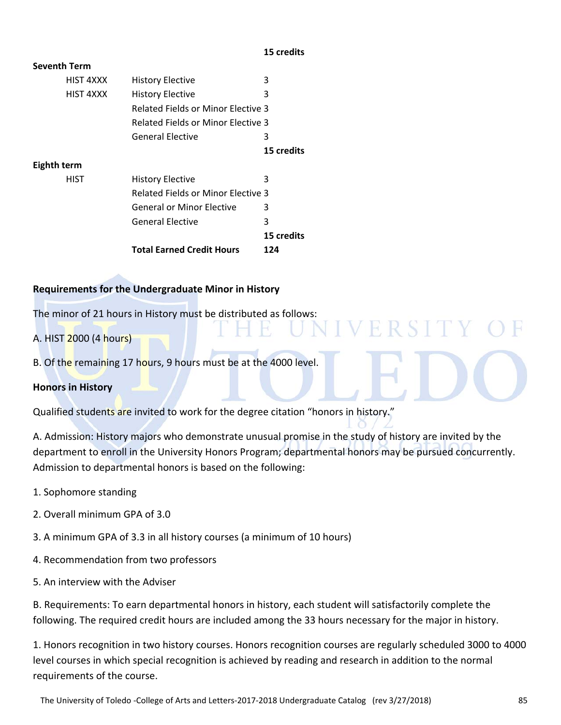#### **15 credits**

| <b>Seventh Term</b> |                                           |            |
|---------------------|-------------------------------------------|------------|
| HIST 4XXX           | <b>History Elective</b>                   | 3          |
| HIST 4XXX           | <b>History Elective</b>                   | 3          |
|                     | <b>Related Fields or Minor Elective 3</b> |            |
|                     | <b>Related Fields or Minor Elective 3</b> |            |
|                     | <b>General Elective</b>                   | 3          |
|                     |                                           | 15 credits |
| Eighth term         |                                           |            |
| <b>HIST</b>         | <b>History Elective</b>                   | 3          |
|                     | <b>Related Fields or Minor Elective 3</b> |            |
|                     | <b>General or Minor Elective</b>          | 3          |
|                     | <b>General Elective</b>                   | 3          |
|                     |                                           | 15 credits |
|                     | <b>Total Earned Credit Hours</b>          | 124        |

# **Requirements for the Undergraduate Minor in History**

The minor of 21 hours in History must be distributed as follows:

A. HIST 2000 (4 hours)

B. Of the remaining 17 hours, 9 hours must be at the 4000 level.

# **Honors in History**

Qualified students are invited to work for the degree citation "honors in history."

A. Admission: History majors who demonstrate unusual promise in the study of history are invited by the department to enroll in the University Honors Program; departmental honors may be pursued concurrently. Admission to departmental honors is based on the following:

ERSIT

- 1. Sophomore standing
- 2. Overall minimum GPA of 3.0
- 3. A minimum GPA of 3.3 in all history courses (a minimum of 10 hours)
- 4. Recommendation from two professors
- 5. An interview with the Adviser

B. Requirements: To earn departmental honors in history, each student will satisfactorily complete the following. The required credit hours are included among the 33 hours necessary for the major in history.

1. Honors recognition in two history courses. Honors recognition courses are regularly scheduled 3000 to 4000 level courses in which special recognition is achieved by reading and research in addition to the normal requirements of the course.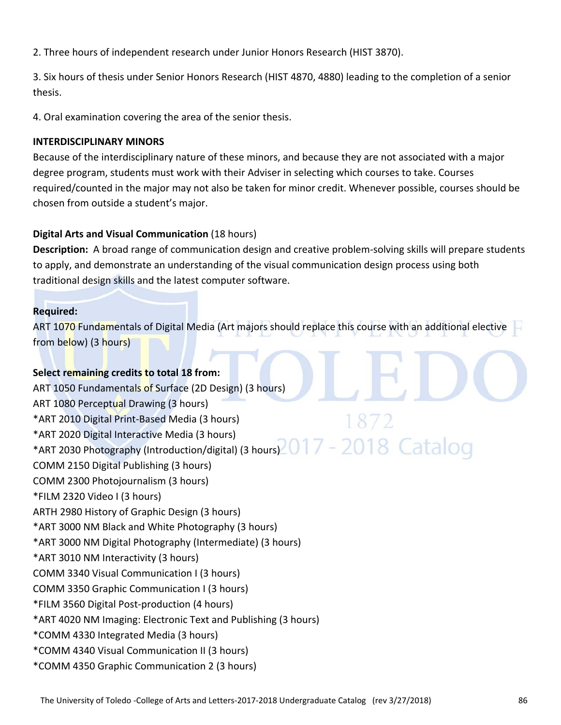2. Three hours of independent research under Junior Honors Research (HIST 3870).

3. Six hours of thesis under Senior Honors Research (HIST 4870, 4880) leading to the completion of a senior thesis.

4. Oral examination covering the area of the senior thesis.

# **INTERDISCIPLINARY MINORS**

Because of the interdisciplinary nature of these minors, and because they are not associated with a major degree program, students must work with their Adviser in selecting which courses to take. Courses required/counted in the major may not also be taken for minor credit. Whenever possible, courses should be chosen from outside a student's major.

# **Digital Arts and Visual Communication** (18 hours)

**Description:** A broad range of communication design and creative problem‐solving skills will prepare students to apply, and demonstrate an understanding of the visual communication design process using both traditional design skills and the latest computer software.

# **Required:**

ART 1070 Fundamentals of Digital Media (Art majors should replace this course with an additional elective from below) (3 hours)

# **Select remaining credits to total 18 from:**

ART 1050 Fundamentals of Surface (2D Design) (3 hours) ART 1080 Perceptual Drawing (3 hours) \*ART 2010 Digital Print‐Based Media (3 hours) \*ART 2020 Digital Interactive Media (3 hours) \*ART 2030 Photography (Introduction/digital) (3 hours) 2017 - 2018 Catalod COMM 2150 Digital Publishing (3 hours) COMM 2300 Photojournalism (3 hours) \*FILM 2320 Video I (3 hours) ARTH 2980 History of Graphic Design (3 hours) \*ART 3000 NM Black and White Photography (3 hours) \*ART 3000 NM Digital Photography (Intermediate) (3 hours) \*ART 3010 NM Interactivity (3 hours) COMM 3340 Visual Communication I (3 hours) COMM 3350 Graphic Communication I (3 hours) \*FILM 3560 Digital Post‐production (4 hours) \*ART 4020 NM Imaging: Electronic Text and Publishing (3 hours) \*COMM 4330 Integrated Media (3 hours) \*COMM 4340 Visual Communication II (3 hours) \*COMM 4350 Graphic Communication 2 (3 hours)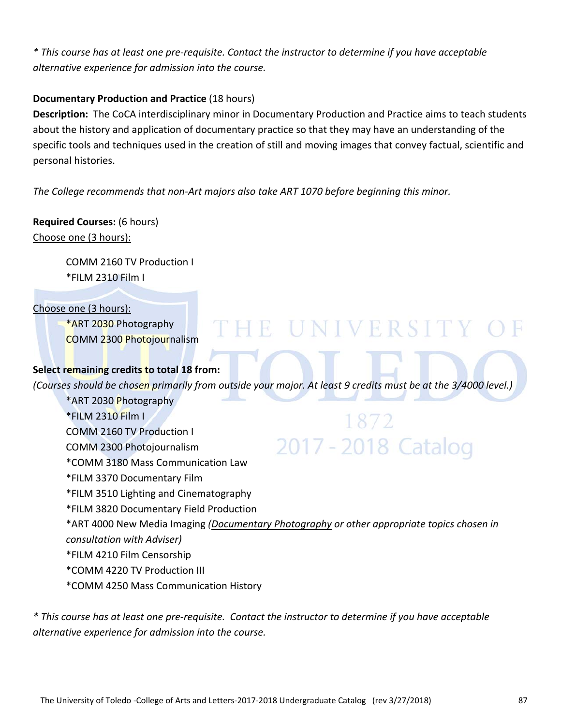\* This course has at least one pre-requisite. Contact the instructor to determine if you have acceptable *alternative experience for admission into the course.*

# **Documentary Production and Practice** (18 hours)

**Description:** The CoCA interdisciplinary minor in Documentary Production and Practice aims to teach students about the history and application of documentary practice so that they may have an understanding of the specific tools and techniques used in the creation of still and moving images that convey factual, scientific and personal histories.

*The College recommends that non‐Art majors also take ART 1070 before beginning this minor.*

# **Required Courses:** (6 hours) Choose one (3 hours):

COMM 2160 TV Production I \*FILM 2310 Film I

# Choose one (3 hours):

\*ART 2030 Photography COMM 2300 Photojournalism

# **Select remaining credits to total 18 from:**

(Courses should be chosen primarily from outside your major. At least 9 credits must be at the 3/4000 level.)

THE UNIVERSITY OF

\*ART 2030 Photography \*FILM 2310 Film I  $8/2$ COMM 2160 TV Production I 2017 - 2018 Catalog COMM 2300 Photojournalism \*COMM 3180 Mass Communication Law \*FILM 3370 Documentary Film \*FILM 3510 Lighting and Cinematography \*FILM 3820 Documentary Field Production \*ART 4000 New Media Imaging *(Documentary Photography or other appropriate topics chosen in consultation with Adviser)* \*FILM 4210 Film Censorship \*COMM 4220 TV Production III \*COMM 4250 Mass Communication History

\* This course has at least one pre-requisite. Contact the instructor to determine if you have acceptable *alternative experience for admission into the course.*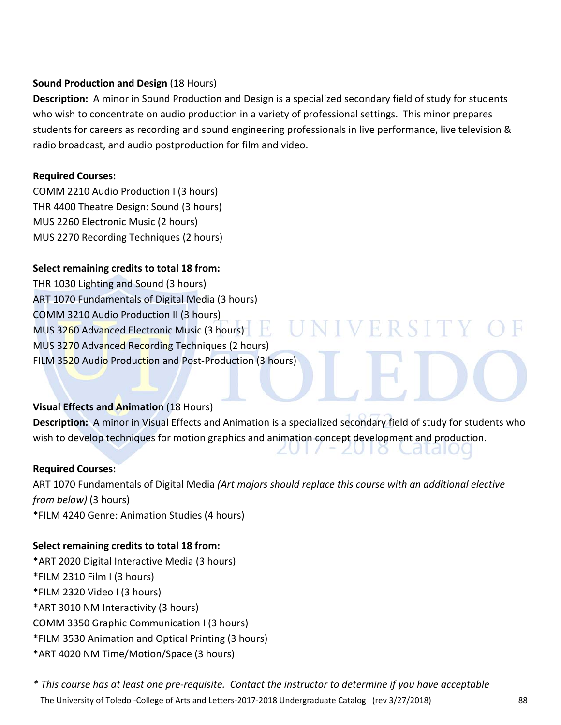# **Sound Production and Design** (18 Hours)

**Description:** A minor in Sound Production and Design is a specialized secondary field of study for students who wish to concentrate on audio production in a variety of professional settings. This minor prepares students for careers as recording and sound engineering professionals in live performance, live television & radio broadcast, and audio postproduction for film and video.

# **Required Courses:**

COMM 2210 Audio Production I (3 hours) THR 4400 Theatre Design: Sound (3 hours) MUS 2260 Electronic Music (2 hours) MUS 2270 Recording Techniques (2 hours)

# **Select remaining credits to total 18 from:**

THR 1030 Lighting and Sound (3 hours) ART 1070 Fundamentals of Digital Media (3 hours) COMM 3210 Audio Production II (3 hours) MUS 3260 Advanced Electronic Music (3 hours) MUS 3270 Advanced Recording Techniques (2 hours) FILM 3520 Audio Production and Post-Production (3 hours)

# **Visual Effects and Animation** (18 Hours)

**Description:** A minor in Visual Effects and Animation is a specialized secondary field of study for students who wish to develop techniques for motion graphics and animation concept development and production.

**NIVERSITY** 

ZUTO Calait

# **Required Courses:**

ART 1070 Fundamentals of Digital Media *(Art majors should replace this course with an additional elective from below)* (3 hours) \*FILM 4240 Genre: Animation Studies (4 hours)

# **Select remaining credits to total 18 from:**

\*ART 2020 Digital Interactive Media (3 hours) \*FILM 2310 Film I (3 hours) \*FILM 2320 Video I (3 hours) \*ART 3010 NM Interactivity (3 hours) COMM 3350 Graphic Communication I (3 hours) \*FILM 3530 Animation and Optical Printing (3 hours) \*ART 4020 NM Time/Motion/Space (3 hours)

The University of Toledo ‐College of Arts and Letters‐2017‐2018 Undergraduate Catalog (rev 3/27/2018) 88 \* This course has at least one pre-requisite. Contact the instructor to determine if you have acceptable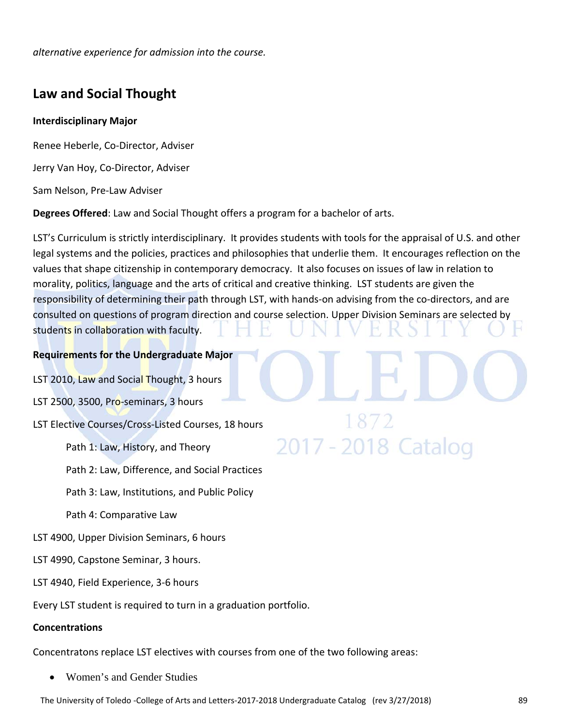*alternative experience for admission into the course.*

# **Law and Social Thought**

# **Interdisciplinary Major**

Renee Heberle, Co‐Director, Adviser

Jerry Van Hoy, Co‐Director, Adviser

Sam Nelson, Pre‐Law Adviser

**Degrees Offered**: Law and Social Thought offers a program for a bachelor of arts.

LST's Curriculum is strictly interdisciplinary. It provides students with tools for the appraisal of U.S. and other legal systems and the policies, practices and philosophies that underlie them. It encourages reflection on the values that shape citizenship in contemporary democracy. It also focuses on issues of law in relation to morality, politics, language and the arts of critical and creative thinking. LST students are given the responsibility of determining their path through LST, with hands-on advising from the co-directors, and are consulted on questions of program direction and course selection. Upper Division Seminars are selected by students in collaboration with faculty.

2017 - 2018 Catalog

# **Requirements for the Undergraduate Major**

- LST 2010, Law and Social Thought, 3 hours
- LST 2500, 3500, Pro-seminars, 3 hours
- LST Elective Courses/Cross‐Listed Courses, 18 hours

Path 1: Law, History, and Theory

Path 2: Law, Difference, and Social Practices

Path 3: Law, Institutions, and Public Policy

Path 4: Comparative Law

- LST 4900, Upper Division Seminars, 6 hours
- LST 4990, Capstone Seminar, 3 hours.
- LST 4940, Field Experience, 3‐6 hours

Every LST student is required to turn in a graduation portfolio.

# **Concentrations**

Concentratons replace LST electives with courses from one of the two following areas:

Women's and Gender Studies

The University of Toledo ‐College of Arts and Letters‐2017‐2018 Undergraduate Catalog (rev 3/27/2018) 89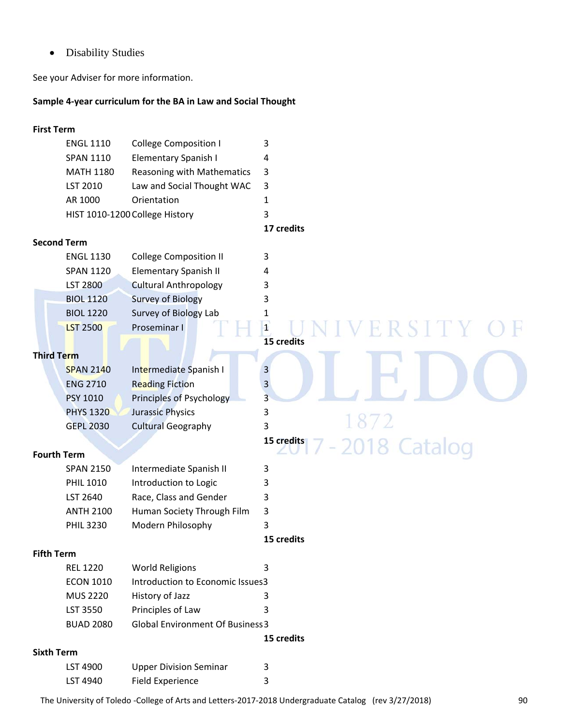• Disability Studies

See your Adviser for more information.

# **Sample 4‐year curriculum for the BA in Law and Social Thought**

# **First Term**  ENGL 1110 College Composition I 3 SPAN 1110 Elementary Spanish I 4 MATH 1180 Reasoning with Mathematics 3 LST 2010 Law and Social Thought WAC 3 AR 1000 Orientation 1 HIST 1010-1200 College History 3 **17 credits Second Term**  ENGL 1130 College Composition II 3 SPAN 1120 Elementary Spanish II 4 LST 2800 Cultural Anthropology 3 BIOL 1120 Survey of Biology 3 BIOL 1220 Survey of Biology Lab 1 LST 2500 Proseminar I 1 **15 credits Third Term**  SPAN 2140 Intermediate Spanish I 3 ENG 2710 Reading Fiction 3 PSY 1010 Principles of Psychology 3 PHYS 1320 Jurassic Physics 3 GEPL 2030 Cultural Geography 3 **15 credits** 2018 Catalog **Fourth Term**  SPAN 2150 Intermediate Spanish II 3 PHIL 1010 Introduction to Logic 3 LST 2640 Race, Class and Gender 3 ANTH 2100 Human Society Through Film 3 PHIL 3230 Modern Philosophy 3 **15 credits Fifth Term**  REL 1220 World Religions 3 ECON 1010 Introduction to Economic Issues 3 MUS 2220 History of Jazz 3 LST 3550 Principles of Law 3 BUAD 2080 Global Environment Of Business3 **15 credits Sixth Term** LST 4900 Upper Division Seminar 3

The University of Toledo ‐College of Arts and Letters‐2017‐2018 Undergraduate Catalog (rev 3/27/2018) 90

LST 4940 Field Experience 3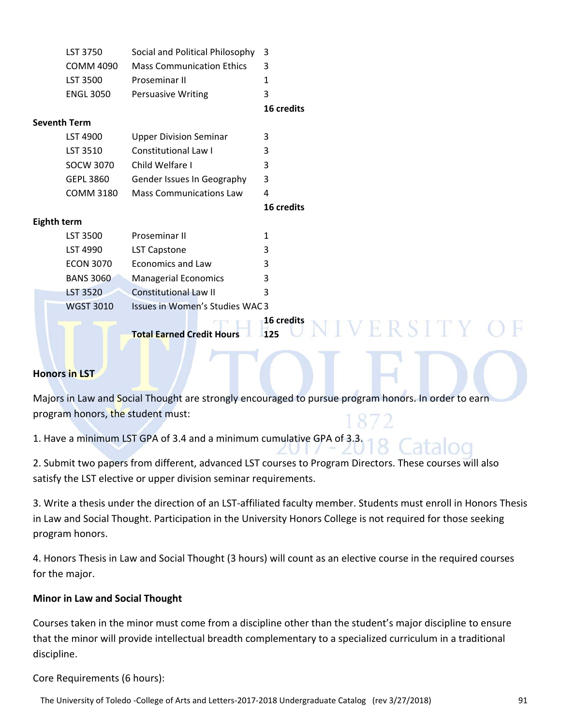| LST 3750         | Social and Political Philosophy 3 |     |
|------------------|-----------------------------------|-----|
| COMM 4090        | <b>Mass Communication Ethics</b>  | - 3 |
| LST 3500         | <b>Proseminar II</b>              |     |
| <b>ENGL 3050</b> | <b>Persuasive Writing</b>         |     |

# **16 credits**

# **Seventh Term**

| LST 4900  | <b>Upper Division Seminar</b>  |     |  |
|-----------|--------------------------------|-----|--|
| LST 3510  | Constitutional Law I           |     |  |
| SOCW 3070 | Child Welfare I                | ર   |  |
| GEPL 3860 | Gender Issues In Geography     | - 3 |  |
| COMM 3180 | <b>Mass Communications Law</b> |     |  |

 **16 credits**

# **Eighth term**

| LST 3500         | Proseminar II                  |   |  |
|------------------|--------------------------------|---|--|
| LST 4990         | LST Capstone                   | 3 |  |
| ECON 3070        | <b>Economics and Law</b>       | З |  |
| <b>BANS 3060</b> | <b>Managerial Economics</b>    | 3 |  |
| LST 3520         | <b>Constitutional Law II</b>   |   |  |
| <b>WGST 3010</b> | Issues in Women's Studies WAC3 |   |  |

 **16 credits Total Earned Credit Hours 125**

ER STT

# **Honors in LST**

Majors in Law and Social Thought are strongly encouraged to pursue program honors. In order to earn program honors, the student must:

1. Have a minimum LST GPA of 3.4 and a minimum cumulative GPA of 3.3.

2. Submit two papers from different, advanced LST courses to Program Directors. These courses will also satisfy the LST elective or upper division seminar requirements.

3. Write a thesis under the direction of an LST‐affiliated faculty member. Students must enroll in Honors Thesis in Law and Social Thought. Participation in the University Honors College is not required for those seeking program honors.

4. Honors Thesis in Law and Social Thought (3 hours) will count as an elective course in the required courses for the major.

# **Minor in Law and Social Thought**

Courses taken in the minor must come from a discipline other than the student's major discipline to ensure that the minor will provide intellectual breadth complementary to a specialized curriculum in a traditional discipline.

Core Requirements (6 hours):

The University of Toledo ‐College of Arts and Letters‐2017‐2018 Undergraduate Catalog (rev 3/27/2018) 91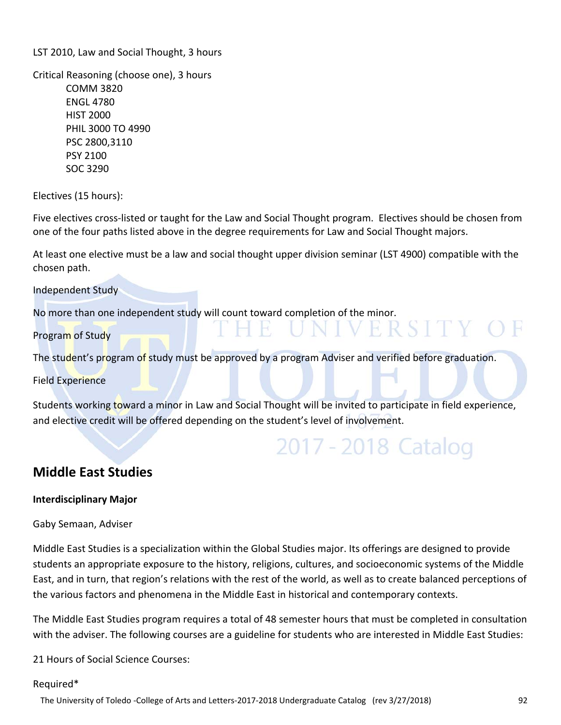LST 2010, Law and Social Thought, 3 hours

Critical Reasoning (choose one), 3 hours COMM 3820 ENGL 4780 HIST 2000 PHIL 3000 TO 4990 PSC 2800,3110 PSY 2100 SOC 3290

Electives (15 hours):

Five electives cross-listed or taught for the Law and Social Thought program. Electives should be chosen from one of the four paths listed above in the degree requirements for Law and Social Thought majors.

At least one elective must be a law and social thought upper division seminar (LST 4900) compatible with the chosen path.

Independent Study

No more than one independent study will count toward completion of the minor.

Program of Study

The student's program of study must be approved by a program Adviser and verified before graduation.

Field Experience

Students working toward a minor in Law and Social Thought will be invited to participate in field experience, and elective credit will be offered depending on the student's level of involvement.

# 2017 - 2018 Catalog

VERSITY OF

# **Middle East Studies**

#### **Interdisciplinary Major**

Gaby Semaan, Adviser

Middle East Studies is a specialization within the Global Studies major. Its offerings are designed to provide students an appropriate exposure to the history, religions, cultures, and socioeconomic systems of the Middle East, and in turn, that region's relations with the rest of the world, as well as to create balanced perceptions of the various factors and phenomena in the Middle East in historical and contemporary contexts.

The Middle East Studies program requires a total of 48 semester hours that must be completed in consultation with the adviser. The following courses are a guideline for students who are interested in Middle East Studies:

21 Hours of Social Science Courses:

#### Required\*

The University of Toledo ‐College of Arts and Letters‐2017‐2018 Undergraduate Catalog (rev 3/27/2018) 92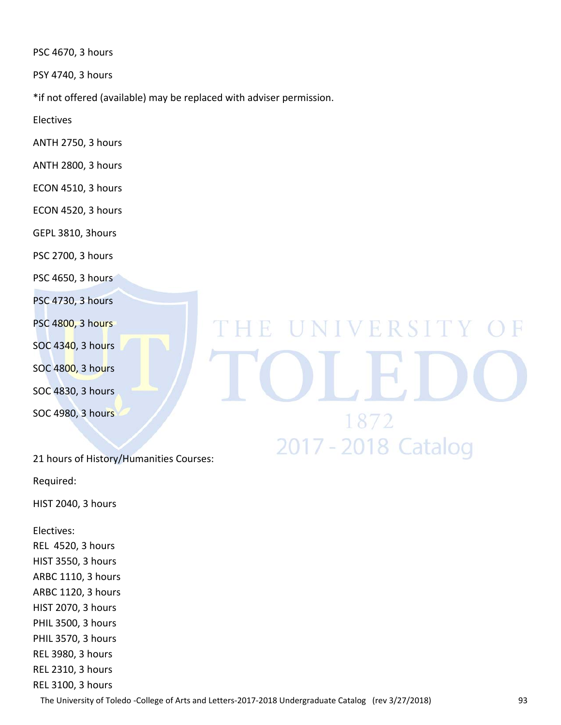PSC 4670, 3 hours

PSY 4740, 3 hours

\*if not offered (available) may be replaced with adviser permission.

Electives

ANTH 2750, 3 hours

ANTH 2800, 3 hours

ECON 4510, 3 hours

ECON 4520, 3 hours

GEPL 3810, 3hours

PSC 2700, 3 hours

PSC 4650, 3 hours

PSC 4730, 3 hours

PSC 4800, 3 hours

SOC 4340, 3 hours

SOC 4800, 3 hours

SOC 4830, 3 hours

SOC 4980, 3 hours

# E UNIVERSITY O 1872 2017 - 2018 Catalog

21 hours of History/Humanities Courses:

Required:

HIST 2040, 3 hours

Electives: REL 4520, 3 hours

HIST 3550, 3 hours ARBC 1110, 3 hours ARBC 1120, 3 hours

HIST 2070, 3 hours

PHIL 3500, 3 hours

PHIL 3570, 3 hours

REL 3980, 3 hours

REL 2310, 3 hours

REL 3100, 3 hours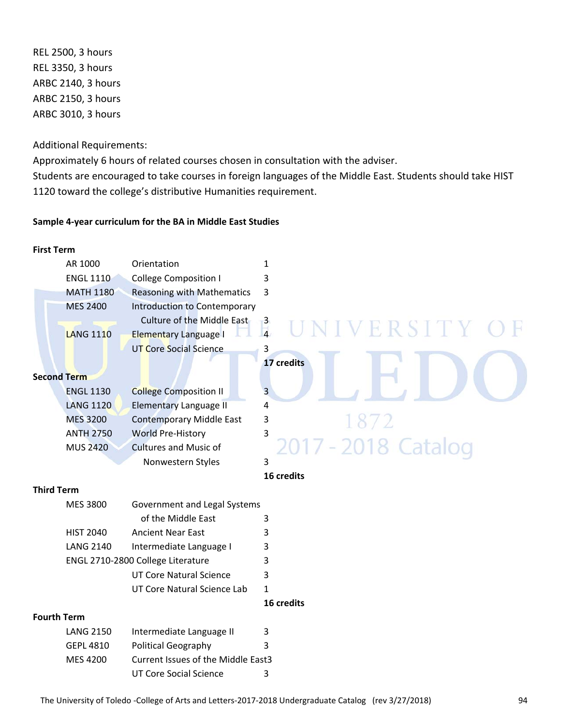REL 2500, 3 hours REL 3350, 3 hours ARBC 2140, 3 hours ARBC 2150, 3 hours ARBC 3010, 3 hours

Additional Requirements:

Approximately 6 hours of related courses chosen in consultation with the adviser. Students are encouraged to take courses in foreign languages of the Middle East. Students should take HIST 1120 toward the college's distributive Humanities requirement.

#### **Sample 4‐year curriculum for the BA in Middle East Studies**

# **First Term**  AR 1000 Orientation 1 ENGL 1110 College Composition I 3 MATH 1180 Reasoning with Mathematics 3 MES 2400 Introduction to Contemporary Culture of the Middle East  $-3$ VERSIT LANG 1110 Elementary Language I 4 UT Core Social Science 3 **17 credits Second Term**  ENGL 1130 College Composition II 3 LANG 1120 Elementary Language II 4 MES 3200 Contemporary Middle East 3 ANTH 2750 World Pre-History 3 2018 Catalog MUS 2420 Cultures and Music of Nonwestern Styles 3 **16 credits Third Term**  MES 3800 Government and Legal Systems of the Middle East 3 HIST 2040 Ancient Near East 3 LANG 2140 Intermediate Language I 3 ENGL 2710-2800 College Literature 3 UT Core Natural Science 3 UT Core Natural Science Lab 1 **16 credits Fourth Term**  LANG 2150 Intermediate Language II 3 GEPL 4810 Political Geography 3 MES 4200 Current Issues of the Middle East3

UT Core Social Science 3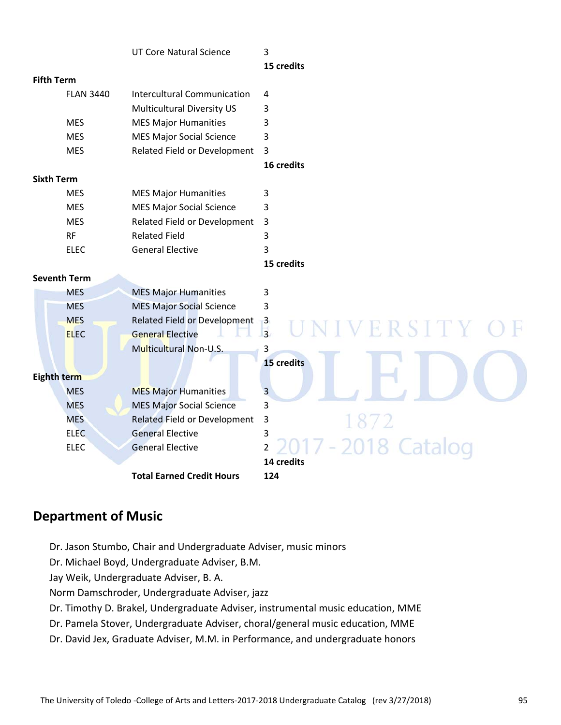|                   |                     | <b>UT Core Natural Science</b>     | 3                          |
|-------------------|---------------------|------------------------------------|----------------------------|
|                   |                     |                                    | 15 credits                 |
| <b>Fifth Term</b> |                     |                                    |                            |
|                   | <b>FLAN 3440</b>    | <b>Intercultural Communication</b> | 4                          |
|                   |                     | Multicultural Diversity US         | 3                          |
|                   | <b>MES</b>          | <b>MES Major Humanities</b>        | 3                          |
|                   | <b>MES</b>          | <b>MES Major Social Science</b>    | 3                          |
|                   | <b>MES</b>          | Related Field or Development       | 3                          |
|                   |                     |                                    | 16 credits                 |
| <b>Sixth Term</b> |                     |                                    |                            |
|                   | <b>MES</b>          | <b>MES Major Humanities</b>        | 3                          |
|                   | <b>MES</b>          | <b>MES Major Social Science</b>    | 3                          |
|                   | <b>MES</b>          | Related Field or Development       | $\overline{3}$             |
|                   | <b>RF</b>           | <b>Related Field</b>               | 3                          |
|                   | <b>ELEC</b>         | <b>General Elective</b>            | 3                          |
|                   |                     |                                    | 15 credits                 |
|                   | <b>Seventh Term</b> |                                    |                            |
|                   | <b>MES</b>          | <b>MES Major Humanities</b>        | 3                          |
|                   | <b>MES</b>          | <b>MES Major Social Science</b>    | 3                          |
|                   | <b>MES</b>          | Related Field or Development       | $\mathbf{B}$               |
|                   | <b>ELEC</b>         | <b>General Elective</b>            | ERSITY<br>$\frac{1}{3}$    |
|                   |                     | <b>Multicultural Non-U.S.</b>      | 3                          |
|                   |                     |                                    | 15 credits                 |
| Eighth term       |                     |                                    |                            |
|                   | <b>MES</b>          | <b>MES Major Humanities</b>        | 3                          |
|                   | <b>MES</b>          | <b>MES Major Social Science</b>    | 3                          |
|                   | <b>MES</b>          | Related Field or Development       | $\mathsf 3$<br>1872        |
|                   | <b>ELEC</b>         | <b>General Elective</b>            | 3                          |
|                   | <b>ELEC</b>         | <b>General Elective</b>            | -2018 Ca<br>$\overline{2}$ |
|                   |                     |                                    | 14 credits                 |
|                   |                     | <b>Total Earned Credit Hours</b>   | 124                        |

# **Department of Music**

- Dr. Jason Stumbo, Chair and Undergraduate Adviser, music minors
- Dr. Michael Boyd, Undergraduate Adviser, B.M.
- Jay Weik, Undergraduate Adviser, B. A.
- Norm Damschroder, Undergraduate Adviser, jazz
- Dr. Timothy D. Brakel, Undergraduate Adviser, instrumental music education, MME
- Dr. Pamela Stover, Undergraduate Adviser, choral/general music education, MME
- Dr. David Jex, Graduate Adviser, M.M. in Performance, and undergraduate honors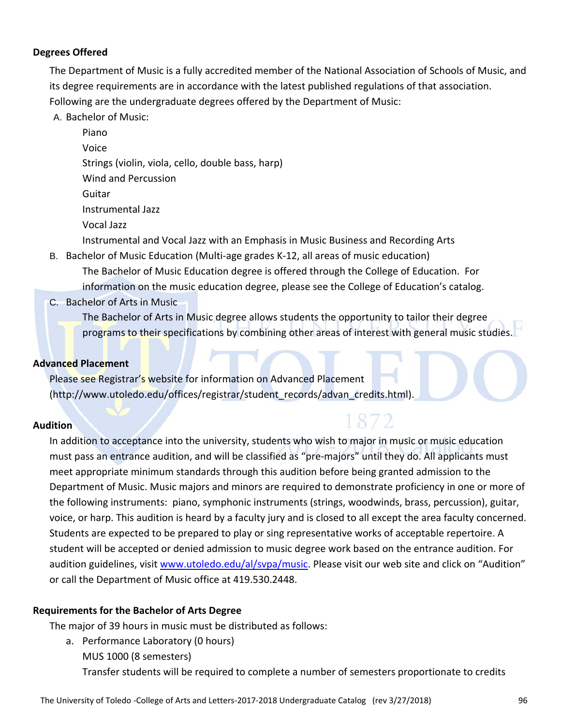# **Degrees Offered**

The Department of Music is a fully accredited member of the National Association of Schools of Music, and its degree requirements are in accordance with the latest published regulations of that association. Following are the undergraduate degrees offered by the Department of Music:

A. Bachelor of Music:

Piano Voice Strings (violin, viola, cello, double bass, harp) Wind and Percussion Guitar Instrumental Jazz Vocal Jazz Instrumental and Vocal Jazz with an Emphasis in Music Business and Recording Arts

- B. Bachelor of Music Education (Multi‐age grades K‐12, all areas of music education) The Bachelor of Music Education degree is offered through the College of Education. For information on the music education degree, please see the College of Education's catalog.
- C. Bachelor of Arts in Music

The Bachelor of Arts in Music degree allows students the opportunity to tailor their degree programs to their specifications by combining other areas of interest with general music studies.

1872

# **Advanced Placement**

Please see Registrar's website for information on Advanced Placement (http://www.utoledo.edu/offices/registrar/student\_records/advan\_credits.html).

# **Audition**

In addition to acceptance into the university, students who wish to major in music or music education must pass an entrance audition, and will be classified as "pre-majors" until they do. All applicants must meet appropriate minimum standards through this audition before being granted admission to the Department of Music. Music majors and minors are required to demonstrate proficiency in one or more of the following instruments: piano, symphonic instruments (strings, woodwinds, brass, percussion), guitar, voice, or harp. This audition is heard by a faculty jury and is closed to all except the area faculty concerned. Students are expected to be prepared to play or sing representative works of acceptable repertoire. A student will be accepted or denied admission to music degree work based on the entrance audition. For audition guidelines, visit www.utoledo.edu/al/svpa/music. Please visit our web site and click on "Audition" or call the Department of Music office at 419.530.2448.

# **Requirements for the Bachelor of Arts Degree**

The major of 39 hours in music must be distributed as follows:

a. Performance Laboratory (0 hours) MUS 1000 (8 semesters) Transfer students will be required to complete a number of semesters proportionate to credits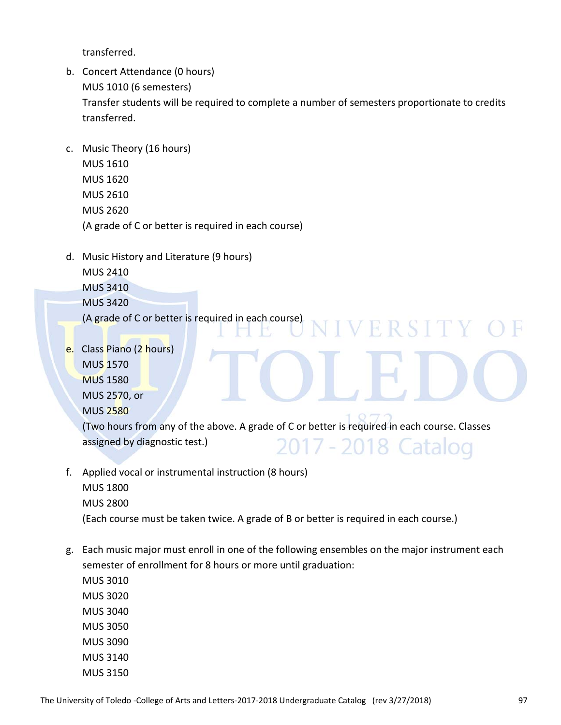transferred.

- b. Concert Attendance (0 hours) MUS 1010 (6 semesters) Transfer students will be required to complete a number of semesters proportionate to credits transferred.
- c. Music Theory (16 hours) MUS 1610 MUS 1620 MUS 2610 MUS 2620 (A grade of C or better is required in each course)
- d. Music History and Literature (9 hours) MUS 2410
	- MUS 3410
	- MUS 3420
	- (A grade of C or better is required in each course)
- e. Class Piano (2 hours) MUS 1570 MUS 1580 MUS 2570, or MUS 2580

(Two hours from any of the above. A grade of C or better is required in each course. Classes assigned by diagnostic test.) 2017 - 2018 Catalog

VERSITY

- f. Applied vocal or instrumental instruction (8 hours)
	- MUS 1800 MUS 2800
	- (Each course must be taken twice. A grade of B or better is required in each course.)
- g. Each music major must enroll in one of the following ensembles on the major instrument each semester of enrollment for 8 hours or more until graduation:
	- MUS 3010 MUS 3020 MUS 3040 MUS 3050 MUS 3090 MUS 3140 MUS 3150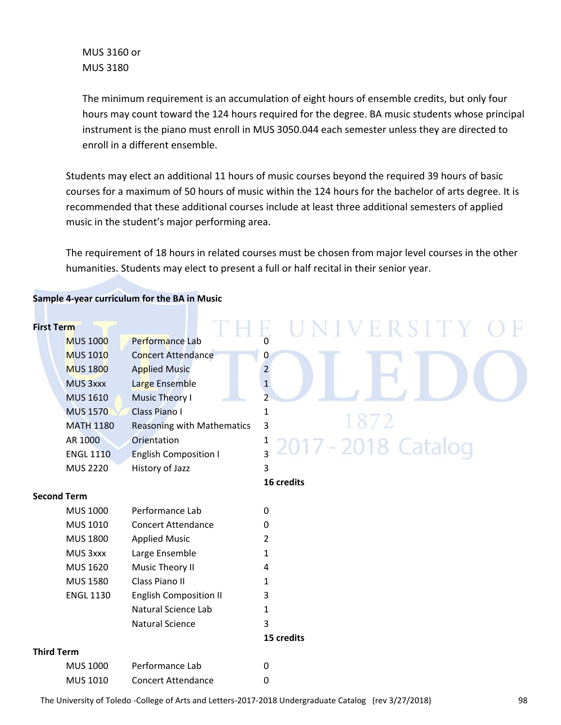MUS 3160 or MUS 3180

The minimum requirement is an accumulation of eight hours of ensemble credits, but only four hours may count toward the 124 hours required for the degree. BA music students whose principal instrument is the piano must enroll in MUS 3050.044 each semester unless they are directed to enroll in a different ensemble.

Students may elect an additional 11 hours of music courses beyond the required 39 hours of basic courses for a maximum of 50 hours of music within the 124 hours for the bachelor of arts degree. It is recommended that these additional courses include at least three additional semesters of applied music in the student's major performing area.

The requirement of 18 hours in related courses must be chosen from major level courses in the other humanities. Students may elect to present a full or half recital in their senior year.

# **Sample 4‐year curriculum for the BA in Music First Term**  V E R S I MUS 1000 Performance Lab MUS 1010 Concert Attendance **1996** O MUS 1800 Applied Music **1998** 2 MUS 3xxx Large Ensemble 1 MUS 1610 Music Theory I 2 MUS 1570 Class Piano I 1 MATH 1180 Reasoning with Mathematics 3 AR 1000 Orientation 1 7 - 2018 Catalog ENGL 1110 English Composition I 3 MUS 2220 History of Jazz 3 **16 credits Second Term**  MUS 1000 Performance Lab 0 MUS 1010 Concert Attendance 0 MUS 1800 Applied Music 2 MUS 3xxx Large Ensemble 1 MUS 1620 Music Theory II 4 MUS 1580 Class Piano II 1 ENGL 1130 English Composition II 3 Natural Science Lab 1 Natural Science 3 **15 credits Third Term**

| MUS 1000 | Performance Lab           | 0 |
|----------|---------------------------|---|
| MUS 1010 | <b>Concert Attendance</b> | 0 |

The University of Toledo ‐College of Arts and Letters‐2017‐2018 Undergraduate Catalog (rev 3/27/2018) 98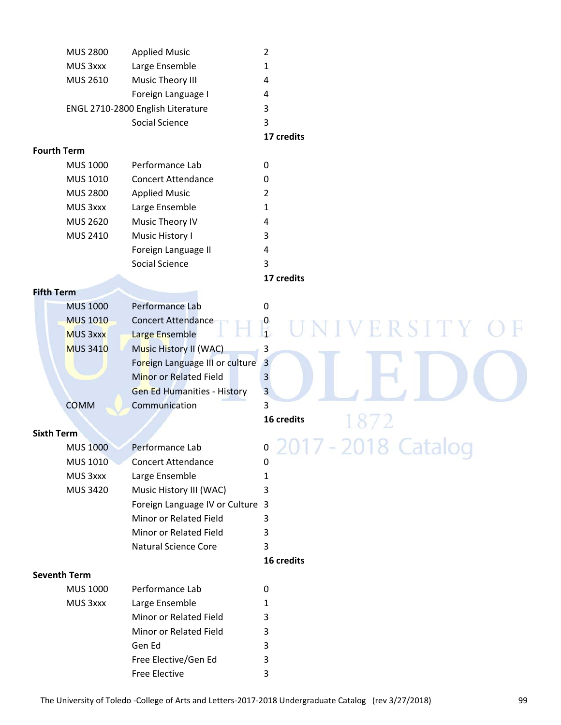|                    | <b>MUS 2800</b>     | <b>Applied Music</b>               | $\overline{2}$                |
|--------------------|---------------------|------------------------------------|-------------------------------|
|                    | MUS 3xxx            | Large Ensemble                     | 1                             |
|                    | <b>MUS 2610</b>     | Music Theory III                   | 4                             |
|                    |                     | Foreign Language I                 | 4                             |
|                    |                     | ENGL 2710-2800 English Literature  | 3                             |
|                    |                     | Social Science                     | 3                             |
|                    |                     |                                    | 17 credits                    |
| <b>Fourth Term</b> |                     |                                    |                               |
|                    | <b>MUS 1000</b>     | Performance Lab                    | $\mathbf 0$                   |
|                    | MUS 1010            | <b>Concert Attendance</b>          | 0                             |
|                    | <b>MUS 2800</b>     | <b>Applied Music</b>               | 2                             |
|                    | MUS 3xxx            | Large Ensemble                     | $\mathbf{1}$                  |
|                    | <b>MUS 2620</b>     | Music Theory IV                    | 4                             |
|                    | MUS 2410            | Music History I                    | 3                             |
|                    |                     | Foreign Language II                | 4                             |
|                    |                     | Social Science                     | 3                             |
|                    |                     |                                    | 17 credits                    |
| <b>Fifth Term</b>  |                     |                                    |                               |
|                    | <b>MUS 1000</b>     | Performance Lab                    | 0                             |
|                    | <b>MUS 1010</b>     | <b>Concert Attendance</b>          |                               |
|                    | <b>MUS 3xxx</b>     | Large Ensemble                     |                               |
|                    | <b>MUS 3410</b>     | Music History II (WAC)             | 3                             |
|                    |                     | Foreign Language III or culture    | $\overline{\mathbf{3}}$       |
|                    |                     | <b>Minor or Related Field</b>      | $\overline{\mathbf{3}}$       |
|                    |                     | <b>Gen Ed Humanities - History</b> | $\overline{\mathbf{3}}$       |
|                    | <b>COMM</b>         | Communication                      | 3                             |
|                    |                     |                                    | 16 credits                    |
| <b>Sixth Term</b>  |                     |                                    |                               |
|                    | <b>MUS 1000</b>     | Performance Lab                    | $\mathbf 0$                   |
|                    | <b>MUS 1010</b>     | <b>Concert Attendance</b>          | ---<br><b>CONTRACTOR</b><br>0 |
|                    | MUS 3xxx            | Large Ensemble                     | 1                             |
|                    | <b>MUS 3420</b>     | Music History III (WAC)            | 3                             |
|                    |                     | Foreign Language IV or Culture 3   |                               |
|                    |                     | Minor or Related Field             | 3                             |
|                    |                     | Minor or Related Field             | 3                             |
|                    |                     | <b>Natural Science Core</b>        | 3                             |
|                    |                     |                                    | 16 credits                    |
|                    | <b>Seventh Term</b> |                                    |                               |
|                    | <b>MUS 1000</b>     | Performance Lab                    | 0                             |
|                    | MUS 3xxx            | Large Ensemble                     | 1                             |
|                    |                     | Minor or Related Field             | 3                             |
|                    |                     | Minor or Related Field             | 3                             |
|                    |                     | Gen Ed                             |                               |
|                    |                     |                                    | 3                             |
|                    |                     | Free Elective/Gen Ed               | 3                             |
|                    |                     | Free Elective                      | 3                             |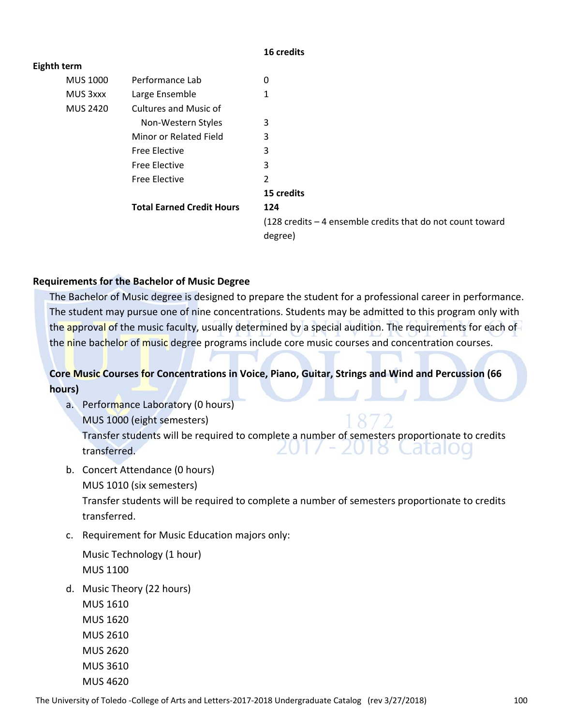#### **16 credits**

| Eighth term     |                                  |                                                                               |
|-----------------|----------------------------------|-------------------------------------------------------------------------------|
| <b>MUS 1000</b> | Performance Lab                  | 0                                                                             |
| MUS 3xxx        | Large Ensemble                   | 1                                                                             |
| <b>MUS 2420</b> | <b>Cultures and Music of</b>     |                                                                               |
|                 | Non-Western Styles               | 3                                                                             |
|                 | Minor or Related Field           | 3                                                                             |
|                 | <b>Free Elective</b>             | 3                                                                             |
|                 | <b>Free Elective</b>             | 3                                                                             |
|                 | <b>Free Elective</b>             | 2                                                                             |
|                 |                                  | 15 credits                                                                    |
|                 | <b>Total Earned Credit Hours</b> | 124                                                                           |
|                 |                                  | $(128 \text{ credits} - 4 \text{ ensemble credits that do not count toward})$ |
|                 |                                  | degree)                                                                       |

# **Requirements for the Bachelor of Music Degree**

The Bachelor of Music degree is designed to prepare the student for a professional career in performance. The student may pursue one of nine concentrations. Students may be admitted to this program only with the approval of the music faculty, usually determined by a special audition. The requirements for each of the nine bachelor of music degree programs include core music courses and concentration courses.

# **Core Music Courses for Concentrations in Voice, Piano, Guitar, Strings and Wind and Percussion (66 hours)**

- a. Performance Laboratory (0 hours) MUS 1000 (eight semesters) Transfer students will be required to complete a number of semesters proportionate to credits transferred.
- b. Concert Attendance (0 hours)
	- MUS 1010 (six semesters)

Transfer students will be required to complete a number of semesters proportionate to credits transferred.

c. Requirement for Music Education majors only:

Music Technology (1 hour) MUS 1100

d. Music Theory (22 hours)

MUS 1610 MUS 1620 MUS 2610 MUS 2620 MUS 3610 MUS 4620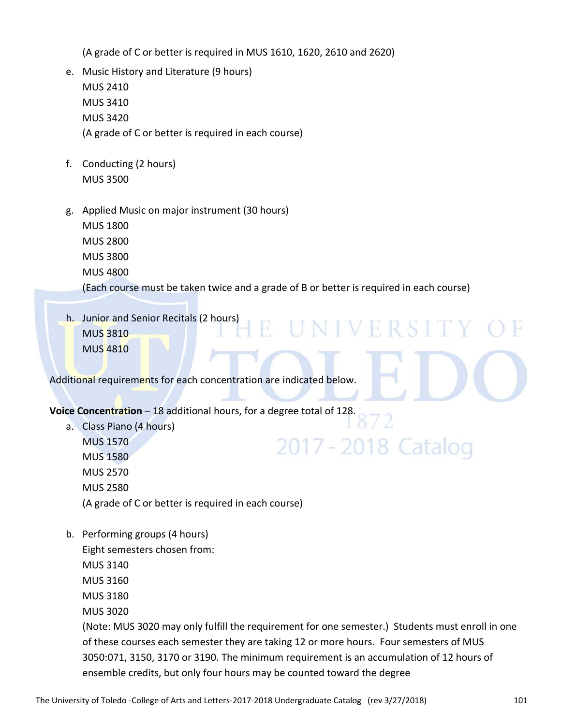(A grade of C or better is required in MUS 1610, 1620, 2610 and 2620)

- e. Music History and Literature (9 hours) MUS 2410 MUS 3410 MUS 3420 (A grade of C or better is required in each course)
- f. Conducting (2 hours) MUS 3500
- g. Applied Music on major instrument (30 hours) MUS 1800 MUS 2800 MUS 3800 MUS 4800 (Each course must be taken twice and a grade of B or better is required in each course)
- h. Junior and Senior Recitals (2 hours) MUS 3810 MUS 4810

Additional requirements for each concentration are indicated below.

# **Voice Concentration** – 18 additional hours, for a degree total of 128.

- a. Class Piano (4 hours) MUS 1570
	- 2017 2018 Catalog MUS 1580 MUS 2570 MUS 2580 (A grade of C or better is required in each course)
- b. Performing groups (4 hours)

Eight semesters chosen from:

- MUS 3140
- MUS 3160
- MUS 3180
- MUS 3020

(Note: MUS 3020 may only fulfill the requirement for one semester.) Students must enroll in one of these courses each semester they are taking 12 or more hours. Four semesters of MUS 3050:071, 3150, 3170 or 3190. The minimum requirement is an accumulation of 12 hours of ensemble credits, but only four hours may be counted toward the degree

NIVERSIT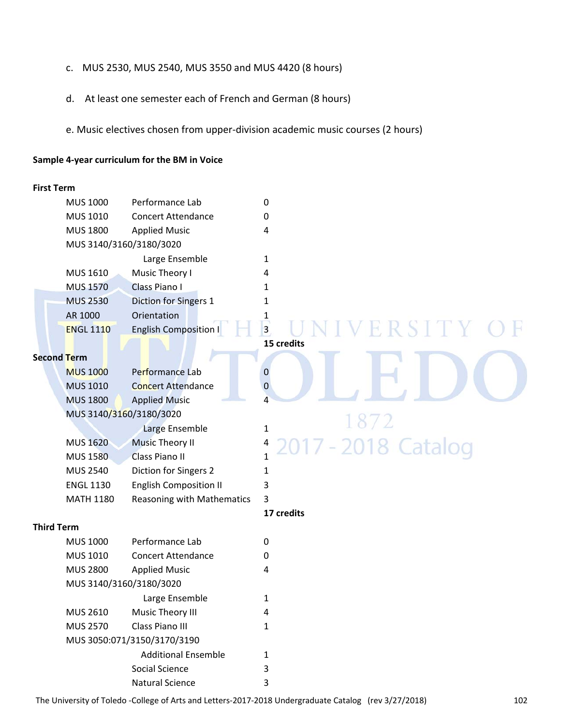- c. MUS 2530, MUS 2540, MUS 3550 and MUS 4420 (8 hours)
- d. At least one semester each of French and German (8 hours)
- e. Music electives chosen from upper‐division academic music courses (2 hours)

#### **Sample 4‐year curriculum for the BM in Voice**

#### **First Term**

| <b>MUS 1000</b>         | Performance Lab              | O |
|-------------------------|------------------------------|---|
| <b>MUS 1010</b>         | Concert Attendance           | ი |
| <b>MUS 1800</b>         | <b>Applied Music</b>         | 4 |
| MUS 3140/3160/3180/3020 |                              |   |
|                         | Large Ensemble               | 1 |
| <b>MUS 1610</b>         | Music Theory I               | 4 |
| <b>MUS 1570</b>         | Class Piano I                | 1 |
| <b>MUS 2530</b>         | Diction for Singers 1        | 1 |
| AR 1000                 | Orientation                  | 1 |
| <b>ENGL 1110</b>        | <b>English Composition I</b> | 3 |
|                         |                              |   |

#### **Second Term**

| <b>MUS 1000</b>         | Performance Lab                   | 0  |
|-------------------------|-----------------------------------|----|
| <b>MUS 1010</b>         | <b>Concert Attendance</b>         | 0  |
| <b>MUS 1800</b>         | <b>Applied Music</b>              | 4  |
| MUS 3140/3160/3180/3020 |                                   |    |
|                         | Large Ensemble                    | 1. |
| <b>MUS 1620</b>         | <b>Music Theory II</b>            | 4  |
| <b>MUS 1580</b>         | <b>Class Piano II</b>             | 1  |
| <b>MUS 2540</b>         | Diction for Singers 2             | 1  |
| <b>ENGL 1130</b>        | <b>English Composition II</b>     | 3  |
| <b>MATH 1180</b>        | <b>Reasoning with Mathematics</b> | 3  |

EUNIVERSI **15 credits**

# **17 credits**

2018 Catalog

#### **Third Term**

| <b>MUS 1000</b> | Performance Lab             | 0 |  |
|-----------------|-----------------------------|---|--|
| MUS 1010        | Concert Attendance          | 0 |  |
| <b>MUS 2800</b> | <b>Applied Music</b>        | 4 |  |
|                 | MUS 3140/3160/3180/3020     |   |  |
|                 | Large Ensemble              | 1 |  |
| <b>MUS 2610</b> | Music Theory III            | 4 |  |
| <b>MUS 2570</b> | Class Piano III             | 1 |  |
|                 | MUS 3050:071/3150/3170/3190 |   |  |
|                 | <b>Additional Ensemble</b>  | 1 |  |
|                 | Social Science              | 3 |  |
|                 | Natural Science             | 3 |  |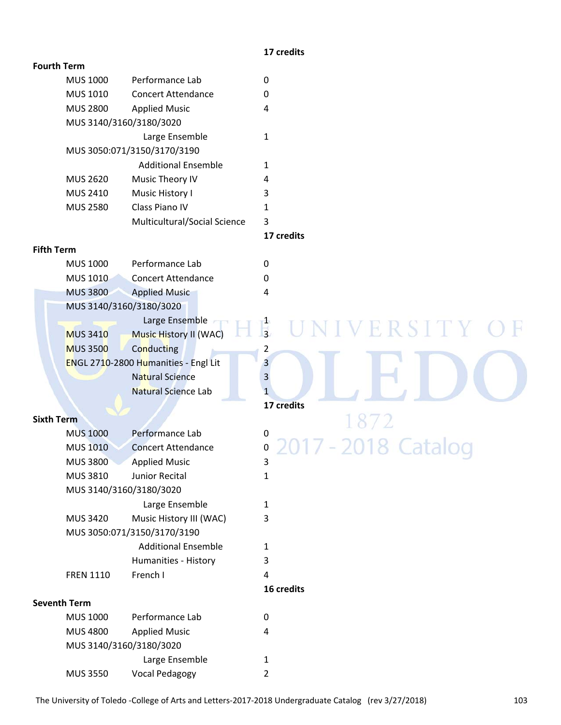#### **17 credits**

# **Fourth Term**

| <b>MUS 1000</b>         | Performance Lab              | 0      |
|-------------------------|------------------------------|--------|
| <b>MUS 1010</b>         | Concert Attendance           | 0      |
| <b>MUS 2800</b>         | <b>Applied Music</b>         | 4      |
| MUS 3140/3160/3180/3020 |                              |        |
|                         | Large Ensemble               | 1      |
|                         | MUS 3050:071/3150/3170/3190  |        |
|                         | <b>Additional Ensemble</b>   | 1      |
| <b>MUS 2620</b>         | Music Theory IV              | 4      |
| <b>MUS 2410</b>         | Music History I              | 3      |
| <b>MUS 2580</b>         | Class Piano IV               | 1      |
|                         | Multicultural/Social Science | 3      |
|                         |                              | 47.111 |

**17 credits**

 **16 credits**

#### **Fifth Term**

| <b>MUS 1000</b> | Performance Lab                      | 0 |
|-----------------|--------------------------------------|---|
| <b>MUS 1010</b> | <b>Concert Attendance</b>            | 0 |
| <b>MUS 3800</b> | <b>Applied Music</b>                 | 4 |
|                 | MUS 3140/3160/3180/3020              |   |
|                 | Large Ensemble                       | 1 |
| <b>MUS 3410</b> | <b>Music History II (WAC)</b>        | 3 |
| <b>MUS 3500</b> | Conducting                           | 2 |
|                 | ENGL 2710-2800 Humanities - Engl Lit | 3 |
|                 | <b>Natural Science</b>               | 3 |
|                 | <b>Natural Science Lab</b>           | 1 |
|                 |                                      |   |

#### **Sixth Term**

| <b>MUS 1000</b>         | Performance Lab             | 0                                     |
|-------------------------|-----------------------------|---------------------------------------|
| <b>MUS 1010</b>         | <b>Concert Attendance</b>   | 2017 - 2018 Catalog<br>$\overline{0}$ |
| <b>MUS 3800</b>         | <b>Applied Music</b>        | 3                                     |
| <b>MUS 3810</b>         | Junior Recital              |                                       |
| MUS 3140/3160/3180/3020 |                             |                                       |
|                         | Large Ensemble              | 1                                     |
| <b>MUS 3420</b>         | Music History III (WAC)     | 3                                     |
|                         | MUS 3050:071/3150/3170/3190 |                                       |
|                         | <b>Additional Ensemble</b>  | 1                                     |
|                         | Humanities - History        | 3                                     |
| <b>FREN 1110</b>        | French I                    | 4                                     |
|                         |                             |                                       |

## **Seventh Term**

| <b>MUS 1000</b>         | Performance Lab      | Ω |
|-------------------------|----------------------|---|
| <b>MUS 4800</b>         | <b>Applied Music</b> | 4 |
| MUS 3140/3160/3180/3020 |                      |   |
|                         | Large Ensemble       | 1 |
| <b>MUS 3550</b>         | Vocal Pedagogy       | 2 |

# VERSITY  $\mathbb{R}^2$ Ħ H natural Science Lab **1** and 1 and 1 and 1 and 1 and 1 and 1 and 1 and 1 and 1 and 1 and 1 and 1 and 1 and 1 and 1 and 1 and 1 and 1 and 1 and 1 and 1 and 1 and 1 and 1 and 1 and 1 and 1 and 1 and 1 and 1 and 1 and 1 and 1 **17 credits** 872 17 - 2018 Catalog 20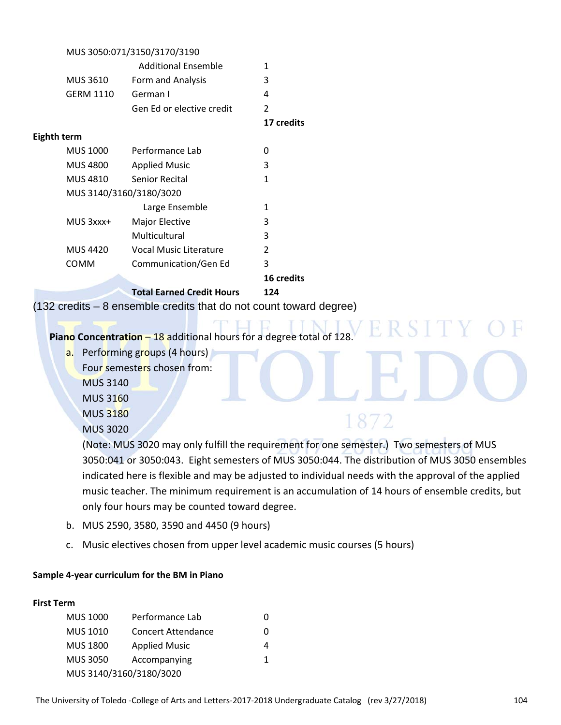|                    |                  | MUS 3050:071/3150/3170/3190                                        |                |
|--------------------|------------------|--------------------------------------------------------------------|----------------|
|                    |                  | <b>Additional Ensemble</b>                                         | 1              |
|                    | <b>MUS 3610</b>  | Form and Analysis                                                  | 3              |
|                    | <b>GERM 1110</b> | German I                                                           | 4              |
|                    |                  | Gen Ed or elective credit                                          | $\overline{2}$ |
|                    |                  |                                                                    | 17 credits     |
| <b>Eighth term</b> |                  |                                                                    |                |
|                    | <b>MUS 1000</b>  | Performance Lab                                                    | 0              |
|                    | <b>MUS 4800</b>  | <b>Applied Music</b>                                               | 3              |
|                    | <b>MUS 4810</b>  | Senior Recital                                                     | 1              |
|                    |                  | MUS 3140/3160/3180/3020                                            |                |
|                    |                  | Large Ensemble                                                     | 1              |
|                    | MUS 3xxx+        | Major Elective                                                     | 3              |
|                    |                  | Multicultural                                                      | 3              |
|                    | <b>MUS 4420</b>  | <b>Vocal Music Literature</b>                                      | 2              |
|                    | COMM             | Communication/Gen Ed                                               | 3              |
|                    |                  |                                                                    | 16 credits     |
|                    |                  | <b>Total Earned Credit Hours</b>                                   | 124            |
|                    |                  | (132 credits – 8 ensemble credits that do not count toward degree) |                |
|                    |                  |                                                                    |                |

**Piano Concentration** – 18 additional hours for a degree total of 128.

- a. Performing groups (4 hours)
	- Four semesters chosen from:

MUS 3140

MUS 3160

MUS 3180

MUS 3020

(Note: MUS 3020 may only fulfill the requirement for one semester.) Two semesters of MUS 3050:041 or 3050:043. Eight semesters of MUS 3050:044. The distribution of MUS 3050 ensembles indicated here is flexible and may be adjusted to individual needs with the approval of the applied music teacher. The minimum requirement is an accumulation of 14 hours of ensemble credits, but only four hours may be counted toward degree.

1872

- b. MUS 2590, 3580, 3590 and 4450 (9 hours)
- c. Music electives chosen from upper level academic music courses (5 hours)

# **Sample 4‐year curriculum for the BM in Piano**

# **First Term**

| <b>MUS 1000</b>         | Performance Lab           | 0 |  |
|-------------------------|---------------------------|---|--|
| <b>MUS 1010</b>         | <b>Concert Attendance</b> | 0 |  |
| <b>MUS 1800</b>         | <b>Applied Music</b>      | 4 |  |
| <b>MUS 3050</b>         | Accompanying              | 1 |  |
| MUS 3140/3160/3180/3020 |                           |   |  |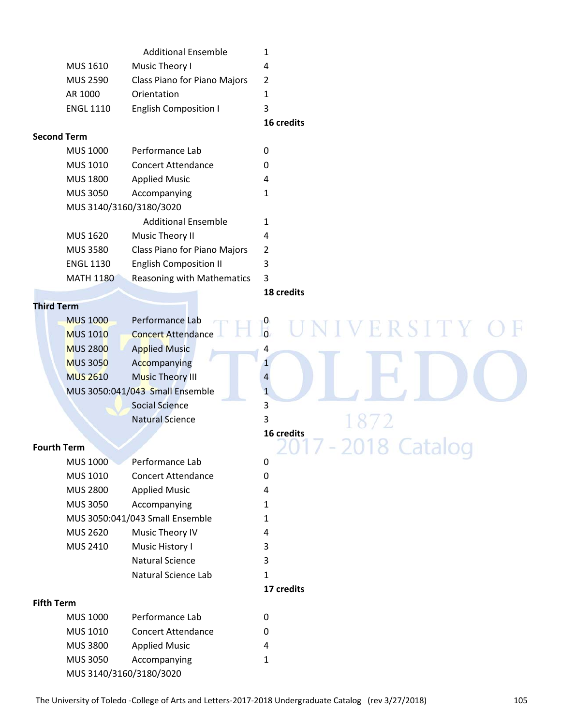|                  |                              | 16 credits |  |
|------------------|------------------------------|------------|--|
| <b>ENGL 1110</b> | <b>English Composition I</b> |            |  |
| AR 1000          | Orientation                  |            |  |
| MUS 2590         | Class Piano for Piano Majors | -2         |  |
| MUS 1610         | Music Theory I               | 4          |  |
|                  | <b>Additional Ensemble</b>   |            |  |

#### **Second Term**

| <b>MUS 1000</b>         | Performance Lab                   | 0 |
|-------------------------|-----------------------------------|---|
| <b>MUS 1010</b>         | Concert Attendance                | 0 |
| <b>MUS 1800</b>         | <b>Applied Music</b>              | 4 |
| <b>MUS 3050</b>         | Accompanying                      | 1 |
| MUS 3140/3160/3180/3020 |                                   |   |
|                         | <b>Additional Ensemble</b>        | 1 |
| <b>MUS 1620</b>         | Music Theory II                   | 4 |
| <b>MUS 3580</b>         | Class Piano for Piano Majors      | 2 |
| <b>ENGL 1130</b>        | <b>English Composition II</b>     | 3 |
| <b>MATH 1180</b>        | <b>Reasoning with Mathematics</b> | 3 |
|                         |                                   |   |

**18 credits**

# **Third Term**

|                    | <b>MUS 1000</b> | Performance Lab                 |                     |
|--------------------|-----------------|---------------------------------|---------------------|
|                    | <b>MUS 1010</b> | <b>Concert Attendance</b>       | NIVERSITY           |
|                    | <b>MUS 2800</b> | <b>Applied Music</b>            | 4                   |
|                    | <b>MUS 3050</b> | Accompanying                    |                     |
|                    | <b>MUS 2610</b> | Music Theory III                | 4                   |
|                    |                 | MUS 3050:041/043 Small Ensemble | 1                   |
|                    |                 | <b>Social Science</b>           | 3                   |
|                    |                 | <b>Natural Science</b>          | 3<br>1872           |
|                    |                 |                                 | 16 credits          |
| <b>Fourth Term</b> |                 |                                 | 2017 - 2018 Catalog |
|                    | <b>MUS 1000</b> | Performance Lab                 | 0                   |
|                    | <b>MUS 1010</b> | <b>Concert Attendance</b>       | 0                   |
|                    | <b>MUS 2800</b> | <b>Applied Music</b>            | 4                   |
|                    | <b>MUS 3050</b> | Accompanying                    | 1                   |
|                    |                 | MUS 3050:041/043 Small Ensemble | 1                   |
|                    | <b>MUS 2620</b> | Music Theory IV                 | 4                   |
|                    | MUS 2410        | Music History I                 | 3                   |
|                    |                 | <b>Natural Science</b>          | 3                   |
|                    |                 | Natural Science Lab             | 1                   |
|                    |                 |                                 | 17 credits          |
| <b>Fifth Term</b>  |                 |                                 |                     |
|                    | <b>MUS 1000</b> | Performance Lab                 | 0                   |
|                    | <b>MUS 1010</b> | <b>Concert Attendance</b>       | 0                   |

MUS 3050 Accompanying 1 MUS 3140/3160/3180/3020

MUS 3800 Applied Music 4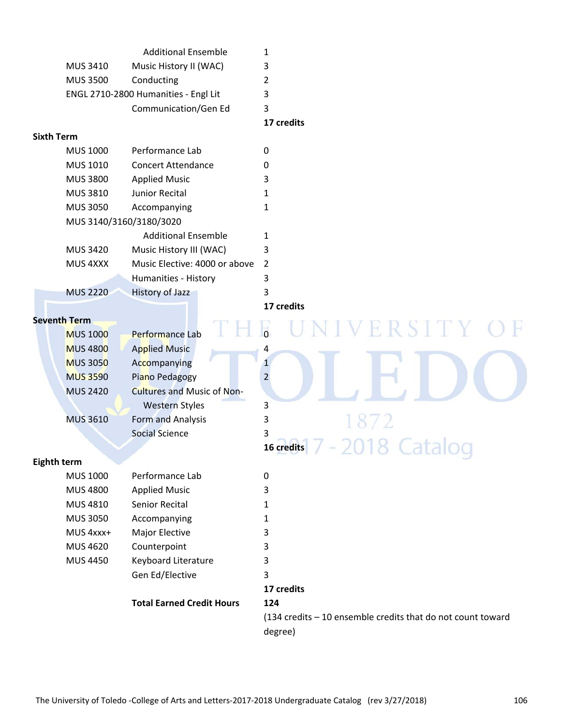|                   |                         | <b>Additional Ensemble</b>           | 1                                                           |
|-------------------|-------------------------|--------------------------------------|-------------------------------------------------------------|
|                   | MUS 3410                | Music History II (WAC)               | 3                                                           |
|                   | <b>MUS 3500</b>         | Conducting                           | $\overline{2}$                                              |
|                   |                         | ENGL 2710-2800 Humanities - Engl Lit | 3                                                           |
|                   |                         | Communication/Gen Ed                 | 3                                                           |
|                   |                         |                                      | 17 credits                                                  |
| <b>Sixth Term</b> |                         |                                      |                                                             |
|                   | <b>MUS 1000</b>         | Performance Lab                      | $\mathbf 0$                                                 |
|                   | MUS 1010                | <b>Concert Attendance</b>            | 0                                                           |
|                   | <b>MUS 3800</b>         | <b>Applied Music</b>                 | 3                                                           |
|                   | MUS 3810                | Junior Recital                       | $\mathbf{1}$                                                |
|                   | <b>MUS 3050</b>         | Accompanying                         | 1                                                           |
|                   | MUS 3140/3160/3180/3020 |                                      |                                                             |
|                   |                         | <b>Additional Ensemble</b>           | 1                                                           |
|                   | <b>MUS 3420</b>         | Music History III (WAC)              | 3                                                           |
|                   | MUS 4XXX                | Music Elective: 4000 or above        | $\overline{2}$                                              |
|                   |                         | Humanities - History                 | 3                                                           |
|                   | <b>MUS 2220</b>         | <b>History of Jazz</b>               | 3                                                           |
|                   |                         |                                      | 17 credits                                                  |
|                   | <b>Seventh Term</b>     |                                      |                                                             |
|                   | <b>MUS 1000</b>         | Performance Lab                      | R S I T Y                                                   |
|                   | <b>MUS 4800</b>         | <b>Applied Music</b>                 | 4                                                           |
|                   | <b>MUS 3050</b>         | Accompanying                         | $\mathbf{1}$                                                |
|                   | <b>MUS 3590</b>         | Piano Pedagogy                       | $\overline{2}$                                              |
|                   | <b>MUS 2420</b>         | <b>Cultures and Music of Non-</b>    |                                                             |
|                   |                         | <b>Western Styles</b>                | 3                                                           |
|                   | <b>MUS 3610</b>         | Form and Analysis                    | 3                                                           |
|                   |                         | <b>Social Science</b>                | 3                                                           |
|                   |                         |                                      | 16 credits<br>$-0$<br>$\frac{1}{2}$                         |
|                   | Eighth term             |                                      |                                                             |
|                   | <b>MUS 1000</b>         | Performance Lab                      | $\mathbf 0$                                                 |
|                   | <b>MUS 4800</b>         | <b>Applied Music</b>                 | 3                                                           |
|                   | MUS 4810                | Senior Recital                       | 1                                                           |
|                   | <b>MUS 3050</b>         | Accompanying                         | 1                                                           |
|                   | MUS 4xxx+               | Major Elective                       | 3                                                           |
|                   | <b>MUS 4620</b>         | Counterpoint                         | 3                                                           |
|                   | <b>MUS 4450</b>         | Keyboard Literature                  | 3                                                           |
|                   |                         | Gen Ed/Elective                      | 3                                                           |
|                   |                         |                                      | 17 credits                                                  |
|                   |                         | <b>Total Earned Credit Hours</b>     | 124                                                         |
|                   |                         |                                      | (134 credits - 10 ensemble credits that do not count toward |
|                   |                         |                                      | degree)                                                     |
|                   |                         |                                      |                                                             |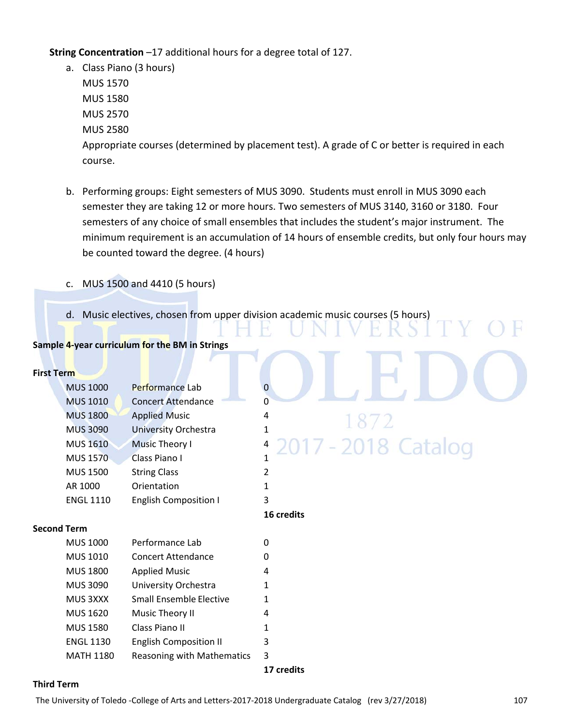**String Concentration** –17 additional hours for a degree total of 127.

- a. Class Piano (3 hours) MUS 1570 MUS 1580 MUS 2570 MUS 2580 Appropriate courses (determined by placement test). A grade of C or better is required in each course.
- b. Performing groups: Eight semesters of MUS 3090. Students must enroll in MUS 3090 each semester they are taking 12 or more hours. Two semesters of MUS 3140, 3160 or 3180. Four semesters of any choice of small ensembles that includes the student's major instrument. The minimum requirement is an accumulation of 14 hours of ensemble credits, but only four hours may be counted toward the degree. (4 hours)
- c. MUS 1500 and 4410 (5 hours)
- d. Music electives, chosen from upper division academic music courses (5 hours)

# **Sample 4‐year curriculum for the BM in Strings**

#### **First Term**

| <b>MUS 1000</b>  | Performance Lab              |                                       |
|------------------|------------------------------|---------------------------------------|
| <b>MUS 1010</b>  | <b>Concert Attendance</b>    | 0                                     |
| <b>MUS 1800</b>  | <b>Applied Music</b>         | 4<br>18/                              |
| <b>MUS 3090</b>  | <b>University Orchestra</b>  |                                       |
| <b>MUS 1610</b>  | <b>Music Theory I</b>        | 2017 - 2018 Catalog<br>$\overline{4}$ |
| <b>MUS 1570</b>  | Class Piano I                |                                       |
| <b>MUS 1500</b>  | <b>String Class</b>          |                                       |
| AR 1000          | Orientation                  |                                       |
| <b>ENGL 1110</b> | <b>English Composition I</b> | 3                                     |

# -2018 Catalog

#### **Second Term**

| <b>MUS 1000</b>  | Performance Lab                   | 0 |
|------------------|-----------------------------------|---|
| <b>MUS 1010</b>  | Concert Attendance                | 0 |
| <b>MUS 1800</b>  | <b>Applied Music</b>              | 4 |
| <b>MUS 3090</b>  | University Orchestra              | 1 |
| MUS 3XXX         | Small Ensemble Elective           | 1 |
| <b>MUS 1620</b>  | Music Theory II                   | 4 |
| <b>MUS 1580</b>  | Class Piano II                    |   |
| <b>ENGL 1130</b> | <b>English Composition II</b>     | 3 |
| <b>MATH 1180</b> | <b>Reasoning with Mathematics</b> | 3 |

**17 credits**

**16 credits**

#### **Third Term**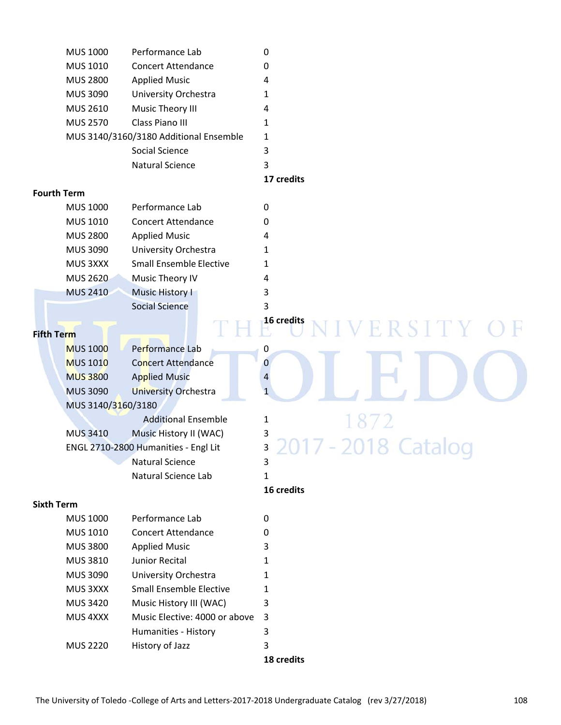| <b>MUS 1000</b>    | Performance Lab                        | $\mathbf 0$          |
|--------------------|----------------------------------------|----------------------|
| MUS 1010           | <b>Concert Attendance</b>              | 0                    |
| <b>MUS 2800</b>    | <b>Applied Music</b>                   | 4                    |
| <b>MUS 3090</b>    | University Orchestra                   | 1                    |
| <b>MUS 2610</b>    | Music Theory III                       | 4                    |
| <b>MUS 2570</b>    | Class Piano III                        | 1                    |
|                    | MUS 3140/3160/3180 Additional Ensemble | 1                    |
|                    | Social Science                         | 3                    |
|                    | <b>Natural Science</b>                 | 3                    |
|                    |                                        | 17 credits           |
| <b>Fourth Term</b> |                                        |                      |
| <b>MUS 1000</b>    | Performance Lab                        | $\mathbf 0$          |
| MUS 1010           | <b>Concert Attendance</b>              | 0                    |
| <b>MUS 2800</b>    | <b>Applied Music</b>                   | 4                    |
| <b>MUS 3090</b>    | University Orchestra                   | 1                    |
| MUS 3XXX           | <b>Small Ensemble Elective</b>         | 1                    |
| <b>MUS 2620</b>    | Music Theory IV                        | 4                    |
| <b>MUS 2410</b>    | <b>Music History I</b>                 | 3                    |
|                    | <b>Social Science</b>                  | 3                    |
|                    |                                        | 16 credits<br>ERSITY |
| <b>Fifth Term</b>  |                                        |                      |
| <b>MUS 1000</b>    | Performance Lab                        | 0                    |
| <b>MUS 1010</b>    | <b>Concert Attendance</b>              | 0                    |
| <b>MUS 3800</b>    | <b>Applied Music</b>                   | 4                    |
| <b>MUS 3090</b>    | <b>University Orchestra</b>            | $\mathbf{1}$         |
| MUS 3140/3160/3180 |                                        |                      |
|                    | <b>Additional Ensemble</b>             | 1872<br>1            |
| <b>MUS 3410</b>    | Music History II (WAC)                 | 3                    |
|                    | ENGL 2710-2800 Humanities - Engl Lit   | 3                    |
|                    | Natural Science                        | 3                    |
|                    | Natural Science Lab                    | 1                    |
|                    |                                        | 16 credits           |
| <b>Sixth Term</b>  |                                        |                      |
| <b>MUS 1000</b>    | Performance Lab                        | 0                    |
| MUS 1010           | <b>Concert Attendance</b>              | 0                    |
| <b>MUS 3800</b>    | <b>Applied Music</b>                   | 3                    |
| MUS 3810           | Junior Recital                         | 1                    |
| <b>MUS 3090</b>    | University Orchestra                   | 1                    |
| MUS 3XXX           | <b>Small Ensemble Elective</b>         | 1                    |
| <b>MUS 3420</b>    | Music History III (WAC)                | 3                    |
| MUS 4XXX           | Music Elective: 4000 or above          | 3                    |
|                    | Humanities - History                   | 3                    |
| <b>MUS 2220</b>    | History of Jazz                        | 3                    |

 **18 credits**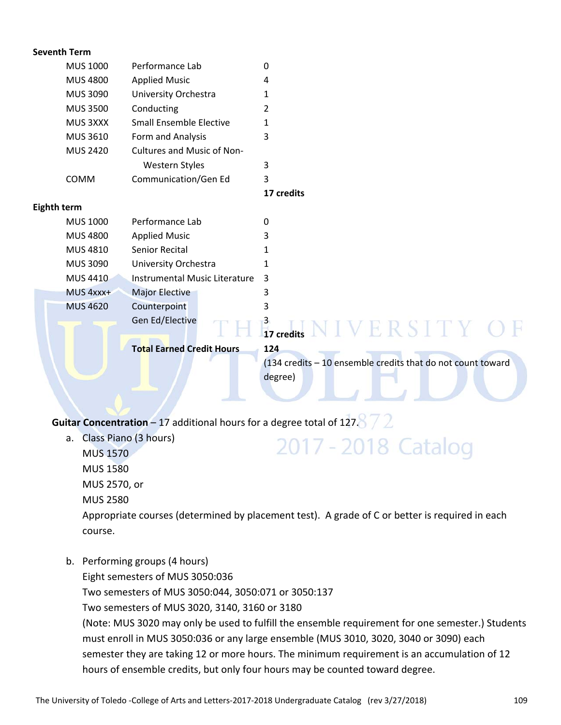|                 |                                                                                                    | 0                                                               |
|-----------------|----------------------------------------------------------------------------------------------------|-----------------------------------------------------------------|
|                 |                                                                                                    | 4                                                               |
|                 |                                                                                                    | 1                                                               |
| <b>MUS 3500</b> | Conducting                                                                                         | $\overline{2}$                                                  |
| MUS 3XXX        | <b>Small Ensemble Elective</b>                                                                     | 1                                                               |
| MUS 3610        | Form and Analysis                                                                                  | 3                                                               |
| <b>MUS 2420</b> | Cultures and Music of Non-                                                                         |                                                                 |
|                 | Western Styles                                                                                     | 3                                                               |
| COMM            | Communication/Gen Ed                                                                               | 3                                                               |
|                 |                                                                                                    | 17 credits                                                      |
|                 |                                                                                                    |                                                                 |
| <b>MUS 1000</b> | Performance Lab                                                                                    | 0                                                               |
| <b>MUS 4800</b> | <b>Applied Music</b>                                                                               | 3                                                               |
| MUS 4810        | Senior Recital                                                                                     | 1                                                               |
| <b>MUS 3090</b> | University Orchestra                                                                               | 1                                                               |
| <b>MUS 4410</b> | <b>Instrumental Music Literature</b>                                                               | 3                                                               |
| MUS 4xxx+       | <b>Major Elective</b>                                                                              | 3                                                               |
| <b>MUS 4620</b> | Counterpoint                                                                                       | 3                                                               |
|                 | Gen Ed/Elective                                                                                    |                                                                 |
|                 |                                                                                                    | $\frac{3}{17}$ credits $N$ I $V$ $E$ $R$ $S$ $I$ $T$ $Y$ $C$    |
|                 | <b>Total Earned Credit Hours</b>                                                                   | 124                                                             |
|                 |                                                                                                    | (134 credits - 10 ensemble credits that do not count toward     |
|                 |                                                                                                    | degree)                                                         |
|                 |                                                                                                    |                                                                 |
|                 |                                                                                                    |                                                                 |
|                 | <b>Seventh Term</b><br><b>MUS 1000</b><br><b>MUS 4800</b><br><b>MUS 3090</b><br><b>Eighth term</b> | Performance Lab<br><b>Applied Music</b><br>University Orchestra |

**Guitar Concentration** – 17 additional hours for a degree total of 127.8  $\frac{7}{2}$ 

a. Class Piano (3 hours)

MUS 1570 MUS 1580

MUS 2570, or

MUS 2580

Appropriate courses (determined by placement test). A grade of C or better is required in each course.

2017 - 2018 Catalog

b. Performing groups (4 hours)

Eight semesters of MUS 3050:036

Two semesters of MUS 3050:044, 3050:071 or 3050:137

Two semesters of MUS 3020, 3140, 3160 or 3180

(Note: MUS 3020 may only be used to fulfill the ensemble requirement for one semester.) Students must enroll in MUS 3050:036 or any large ensemble (MUS 3010, 3020, 3040 or 3090) each semester they are taking 12 or more hours. The minimum requirement is an accumulation of 12 hours of ensemble credits, but only four hours may be counted toward degree.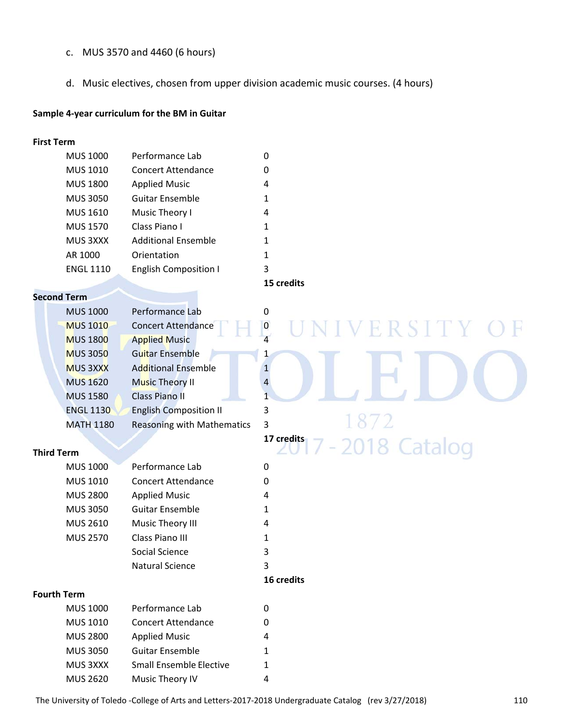- c. MUS 3570 and 4460 (6 hours)
- d. Music electives, chosen from upper division academic music courses. (4 hours)

#### **Sample 4‐year curriculum for the BM in Guitar**

#### **First Term**

| <b>MUS 1000</b>  | Performance Lab              | 0 |  |
|------------------|------------------------------|---|--|
| <b>MUS 1010</b>  | <b>Concert Attendance</b>    | 0 |  |
| <b>MUS 1800</b>  | <b>Applied Music</b>         | 4 |  |
| <b>MUS 3050</b>  | <b>Guitar Ensemble</b>       | 1 |  |
| MUS 1610         | Music Theory I               | 4 |  |
| <b>MUS 1570</b>  | Class Piano I                | 1 |  |
| MUS 3XXX         | <b>Additional Ensemble</b>   | 1 |  |
| AR 1000          | Orientation                  | 1 |  |
| <b>ENGL 1110</b> | <b>English Composition I</b> | 3 |  |
|                  |                              |   |  |

#### **Second Term**

| <b>MUS 1000</b>  | Performance Lab                   | 0 |  |
|------------------|-----------------------------------|---|--|
| <b>MUS 1010</b>  | <b>Concert Attendance</b>         | 0 |  |
| <b>MUS 1800</b>  | <b>Applied Music</b>              |   |  |
| <b>MUS 3050</b>  | <b>Guitar Ensemble</b>            |   |  |
| <b>MUS 3XXX</b>  | <b>Additional Ensemble</b>        |   |  |
| <b>MUS 1620</b>  | <b>Music Theory II</b>            | 4 |  |
| <b>MUS 1580</b>  | <b>Class Piano II</b>             |   |  |
| <b>ENGL 1130</b> | <b>English Composition II</b>     | 3 |  |
| <b>MATH 1180</b> | <b>Reasoning with Mathematics</b> | 3 |  |

#### **Third Term**

| <b>MUS 1000</b> | Performance Lab           | 0 |  |
|-----------------|---------------------------|---|--|
| MUS 1010        | <b>Concert Attendance</b> | 0 |  |
| <b>MUS 2800</b> | <b>Applied Music</b>      | 4 |  |
| <b>MUS 3050</b> | <b>Guitar Ensemble</b>    | 1 |  |
| <b>MUS 2610</b> | Music Theory III          | 4 |  |
| <b>MUS 2570</b> | Class Piano III           | 1 |  |
|                 | Social Science            | 3 |  |
|                 | Natural Science           | 3 |  |
|                 |                           |   |  |

#### **Fourth Term**

| MUS 1000        | Performance Lab                | 0 |
|-----------------|--------------------------------|---|
| MUS 1010        | <b>Concert Attendance</b>      | 0 |
| MUS 2800        | <b>Applied Music</b>           | 4 |
| <b>MUS 3050</b> | <b>Guitar Ensemble</b>         | 1 |
| MUS 3XXX        | <b>Small Ensemble Elective</b> | 1 |
| <b>MUS 2620</b> | Music Theory IV                | 4 |

#### **15 credits**

2018 Catalog

**17 credits**

**16 credits**

#### The University of Toledo ‐College of Arts and Letters‐2017‐2018 Undergraduate Catalog (rev 3/27/2018) 110

Ħ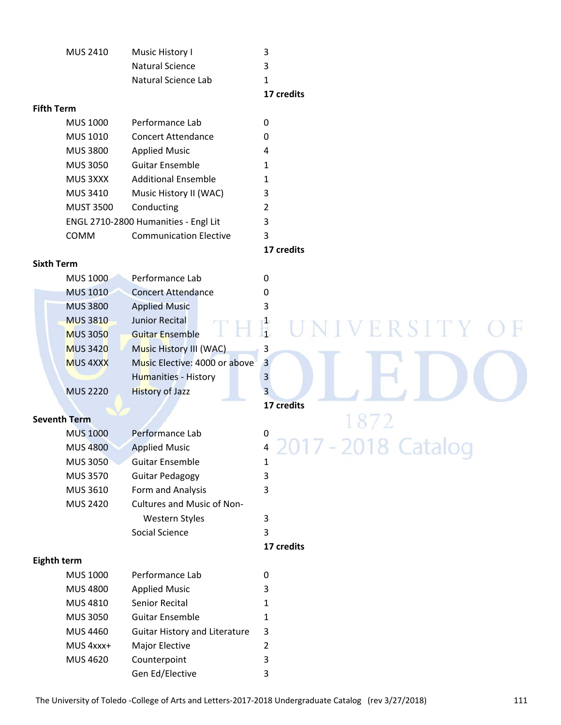|          |                     | 17 credits |  |
|----------|---------------------|------------|--|
|          | Natural Science Lab |            |  |
|          | Natural Science     | ર          |  |
| MUS 2410 | Music History I     |            |  |
|          |                     |            |  |

#### **Fifth Term**

| <b>MUS 1000</b>  | Performance Lab                      | O |
|------------------|--------------------------------------|---|
| MUS 1010         | <b>Concert Attendance</b>            | O |
| <b>MUS 3800</b>  | <b>Applied Music</b>                 | 4 |
| <b>MUS 3050</b>  | Guitar Ensemble                      | 1 |
| MUS 3XXX         | <b>Additional Ensemble</b>           | 1 |
| <b>MUS 3410</b>  | Music History II (WAC)               | 3 |
| <b>MUST 3500</b> | Conducting                           | 2 |
|                  | ENGL 2710-2800 Humanities - Engl Lit | 3 |
| <b>COMM</b>      | <b>Communication Elective</b>        | 3 |
|                  |                                      |   |

#### **Sixth Term**

| <b>MUS 1000</b> | Performance Lab               |   |  |  |  |
|-----------------|-------------------------------|---|--|--|--|
| <b>MUS 1010</b> | <b>Concert Attendance</b>     | 0 |  |  |  |
| <b>MUS 3800</b> | <b>Applied Music</b>          |   |  |  |  |
| <b>MUS 3810</b> | Junior Recital                |   |  |  |  |
| <b>MUS 3050</b> | <b>Guitar Ensemble</b>        |   |  |  |  |
| <b>MUS 3420</b> | Music History III (WAC)       | 3 |  |  |  |
| <b>MUS 4XXX</b> | Music Elective: 4000 or above | 3 |  |  |  |
|                 | <b>Humanities - History</b>   |   |  |  |  |
| <b>MUS 2220</b> | <b>History of Jazz</b>        |   |  |  |  |

#### **Seventh Term**

| <b>MUS 1000</b> | Performance Lab            | 0              |                     |
|-----------------|----------------------------|----------------|---------------------|
| <b>MUS 4800</b> | <b>Applied Music</b>       | $\overline{4}$ | 2017 - 2018 Catalog |
| <b>MUS 3050</b> | <b>Guitar Ensemble</b>     | 1              |                     |
| MUS 3570        | <b>Guitar Pedagogy</b>     | 3              |                     |
| MUS 3610        | Form and Analysis          | 3              |                     |
| <b>MUS 2420</b> | Cultures and Music of Non- |                |                     |
|                 | Western Styles             | 3              |                     |
|                 | Social Science             | 3              |                     |

#### **17 credits**

#### **Eighth term**

| <b>MUS 1000</b> | Performance Lab                      |   |
|-----------------|--------------------------------------|---|
| <b>MUS 4800</b> | <b>Applied Music</b>                 | 3 |
| <b>MUS 4810</b> | Senior Recital                       | 1 |
| <b>MUS 3050</b> | <b>Guitar Ensemble</b>               | 1 |
| <b>MUS 4460</b> | <b>Guitar History and Literature</b> | 3 |
| MUS 4xxx+       | <b>Major Elective</b>                | 2 |
| <b>MUS 4620</b> | Counterpoint                         | 3 |
|                 | Gen Ed/Elective                      | 3 |

#### **17 credits**

# **17 credits**

### 72 7 - 2018 Catalog 20

F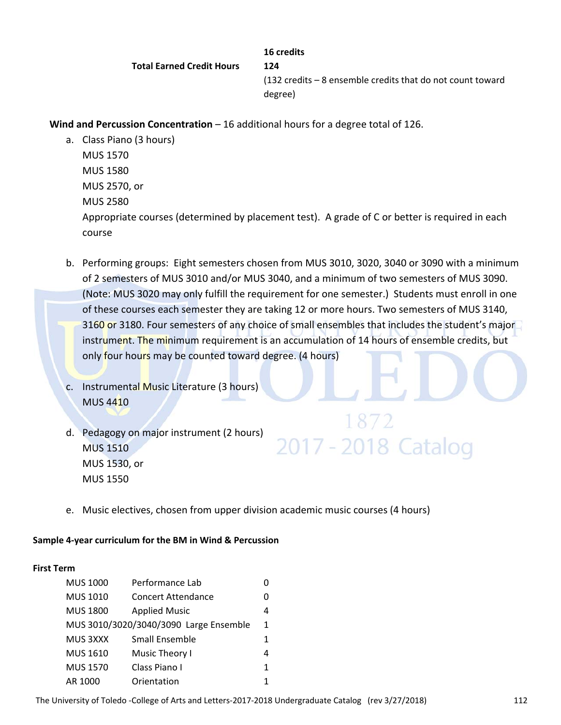**16 credits Total Earned Credit Hours 124**  (132 credits – 8 ensemble credits that do not count toward degree)

**Wind and Percussion Concentration** – 16 additional hours for a degree total of 126.

a. Class Piano (3 hours)

MUS 1570 MUS 1580 MUS 2570, or MUS 2580 Appropriate courses (determined by placement test). A grade of C or better is required in each course

- b. Performing groups: Eight semesters chosen from MUS 3010, 3020, 3040 or 3090 with a minimum of 2 semesters of MUS 3010 and/or MUS 3040, and a minimum of two semesters of MUS 3090. (Note: MUS 3020 may only fulfill the requirement for one semester.) Students must enroll in one of these courses each semester they are taking 12 or more hours. Two semesters of MUS 3140, 3160 or 3180. Four semesters of any choice of small ensembles that includes the student's major instrument. The minimum requirement is an accumulation of 14 hours of ensemble credits, but only four hours may be counted toward degree. (4 hours)
- c. Instrumental Music Literature (3 hours) MUS 4410
- d. Pedagogy on major instrument (2 hours) MUS 1510 MUS 1530, or MUS 1550

# 2017 - 2018 Catalog

e. Music electives, chosen from upper division academic music courses (4 hours)

#### **Sample 4‐year curriculum for the BM in Wind & Percussion**

#### **First Term**

| <b>MUS 1000</b> | Performance Lab                        | O |
|-----------------|----------------------------------------|---|
| MUS 1010        | <b>Concert Attendance</b>              | O |
| <b>MUS 1800</b> | <b>Applied Music</b>                   | 4 |
|                 | MUS 3010/3020/3040/3090 Large Ensemble | 1 |
| MUS 3XXX        | Small Ensemble                         | 1 |
| <b>MUS 1610</b> | Music Theory I                         | 4 |
| <b>MUS 1570</b> | Class Piano I                          | 1 |
| AR 1000         | Orientation                            |   |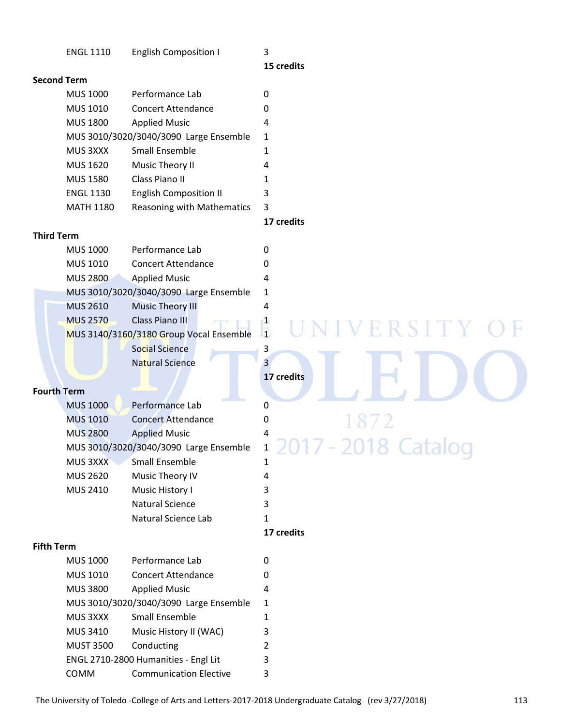|                   | <b>ENGL 1110</b>   | <b>English Composition I</b>            | 3                       |
|-------------------|--------------------|-----------------------------------------|-------------------------|
|                   |                    |                                         | 15 credits              |
|                   | <b>Second Term</b> |                                         |                         |
|                   | <b>MUS 1000</b>    | Performance Lab                         | $\mathbf 0$             |
|                   | MUS 1010           | <b>Concert Attendance</b>               | 0                       |
|                   | <b>MUS 1800</b>    | <b>Applied Music</b>                    | 4                       |
|                   |                    | MUS 3010/3020/3040/3090 Large Ensemble  | 1                       |
|                   | MUS 3XXX           | Small Ensemble                          | 1                       |
|                   | <b>MUS 1620</b>    | Music Theory II                         | 4                       |
|                   | <b>MUS 1580</b>    | Class Piano II                          | 1                       |
|                   | <b>ENGL 1130</b>   | <b>English Composition II</b>           | 3                       |
|                   | <b>MATH 1180</b>   | Reasoning with Mathematics              | 3                       |
|                   |                    |                                         | 17 credits              |
| <b>Third Term</b> |                    |                                         |                         |
|                   | <b>MUS 1000</b>    | Performance Lab                         | 0                       |
|                   | MUS 1010           | <b>Concert Attendance</b>               | 0                       |
|                   | <b>MUS 2800</b>    | <b>Applied Music</b>                    | 4                       |
|                   |                    | MUS 3010/3020/3040/3090 Large Ensemble  | 1                       |
|                   | <b>MUS 2610</b>    | <b>Music Theory III</b>                 | 4                       |
|                   | <b>MUS 2570</b>    | Class Piano III                         | $\frac{1}{4}$<br>ERSITY |
|                   |                    | MUS 3140/3160/3180 Group Vocal Ensemble |                         |
|                   |                    | Social Science                          | 3                       |
|                   |                    | <b>Natural Science</b>                  | 3                       |
|                   |                    |                                         | 17 credits              |
|                   | <b>Fourth Term</b> |                                         |                         |
|                   | <b>MUS 1000</b>    | Performance Lab                         | 0                       |
|                   | <b>MUS 1010</b>    | <b>Concert Attendance</b>               | 0                       |
|                   | <b>MUS 2800</b>    | <b>Applied Music</b>                    | 4                       |
|                   |                    | MUS 3010/3020/3040/3090 Large Ensemble  | $\mathbf{1}$            |
|                   | MUS 3XXX           | Small Ensemble                          | 1                       |
|                   | <b>MUS 2620</b>    | Music Theory IV                         | 4                       |
|                   | <b>MUS 2410</b>    | Music History I                         | 3                       |
|                   |                    | <b>Natural Science</b>                  | 3                       |
|                   |                    | Natural Science Lab                     | 1                       |
|                   |                    |                                         | 17 credits              |
| <b>Fifth Term</b> |                    |                                         |                         |
|                   | <b>MUS 1000</b>    | Performance Lab                         | 0                       |
|                   | <b>MUS 1010</b>    | <b>Concert Attendance</b>               | 0                       |
|                   | <b>MUS 3800</b>    | <b>Applied Music</b>                    | 4                       |
|                   |                    | MUS 3010/3020/3040/3090 Large Ensemble  | 1                       |
|                   | MUS 3XXX           | Small Ensemble                          | 1                       |
|                   | <b>MUS 3410</b>    | Music History II (WAC)                  | 3                       |
|                   | <b>MUST 3500</b>   | Conducting                              | 2                       |
|                   |                    | ENGL 2710-2800 Humanities - Engl Lit    | 3                       |
|                   | COMM               | <b>Communication Elective</b>           | 3                       |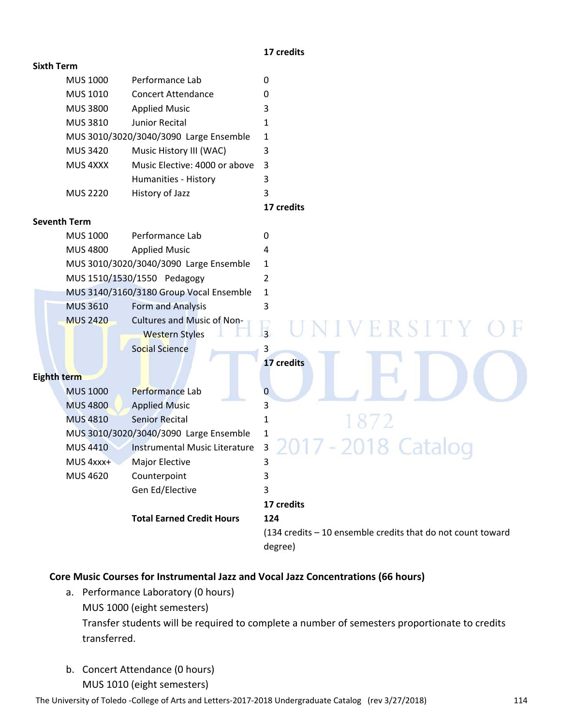#### **17 credits**

#### **Sixth Term**

| <b>MUS 1000</b> | Performance Lab                        | 0 |
|-----------------|----------------------------------------|---|
| <b>MUS 1010</b> | <b>Concert Attendance</b>              | 0 |
| <b>MUS 3800</b> | <b>Applied Music</b>                   | 3 |
| <b>MUS 3810</b> | Junior Recital                         |   |
|                 | MUS 3010/3020/3040/3090 Large Ensemble | 1 |
| <b>MUS 3420</b> | Music History III (WAC)                | 3 |
| MUS 4XXX        | Music Elective: 4000 or above          | 3 |
|                 | Humanities - History                   | 3 |
| <b>MUS 2220</b> | History of Jazz                        | 3 |
|                 |                                        |   |

 **17 credits**

#### **Seventh Term**

|             | <b>MUS 1000</b> | Performance Lab                                            | 0                                                                      |
|-------------|-----------------|------------------------------------------------------------|------------------------------------------------------------------------|
|             | <b>MUS 4800</b> | <b>Applied Music</b>                                       | 4                                                                      |
|             |                 | MUS 3010/3020/3040/3090 Large Ensemble                     | 1                                                                      |
|             |                 | MUS 1510/1530/1550 Pedagogy                                | 2                                                                      |
|             |                 | MUS 3140/3160/3180 Group Vocal Ensemble                    | 1                                                                      |
|             | <b>MUS 3610</b> | Form and Analysis                                          | 3                                                                      |
|             | <b>MUS 2420</b> | <b>Cultures and Music of Non-</b><br><b>Western Styles</b> | ERSITY C<br>$\overline{3}$                                             |
|             |                 | <b>Social Science</b>                                      | 3                                                                      |
|             |                 |                                                            | 17 credits                                                             |
| Eighth term |                 |                                                            |                                                                        |
|             | <b>MUS 1000</b> | Performance Lab                                            | $\overline{0}$                                                         |
|             | <b>MUS 4800</b> | <b>Applied Music</b>                                       | 3                                                                      |
|             | <b>MUS 4810</b> | <b>Senior Recital</b>                                      | 1                                                                      |
|             |                 | MUS 3010/3020/3040/3090 Large Ensemble                     | $\mathbf{1}$                                                           |
|             | <b>MUS 4410</b> | <b>Instrumental Music Literature</b>                       | 2017 - 2018 Catalog<br>$\overline{3}$                                  |
|             | MUS 4xxx+       | <b>Major Elective</b>                                      | 3                                                                      |
|             | <b>MUS 4620</b> | Counterpoint                                               | 3                                                                      |
|             |                 | Gen Ed/Elective                                            | 3                                                                      |
|             |                 |                                                            | 17 credits                                                             |
|             |                 | <b>Total Earned Credit Hours</b>                           | 124                                                                    |
|             |                 |                                                            | (134 credits - 10 ensemble credits that do not count toward<br>degree) |

#### **Core Music Courses for Instrumental Jazz and Vocal Jazz Concentrations (66 hours)**

- a. Performance Laboratory (0 hours) MUS 1000 (eight semesters) Transfer students will be required to complete a number of semesters proportionate to credits transferred.
- b. Concert Attendance (0 hours) MUS 1010 (eight semesters)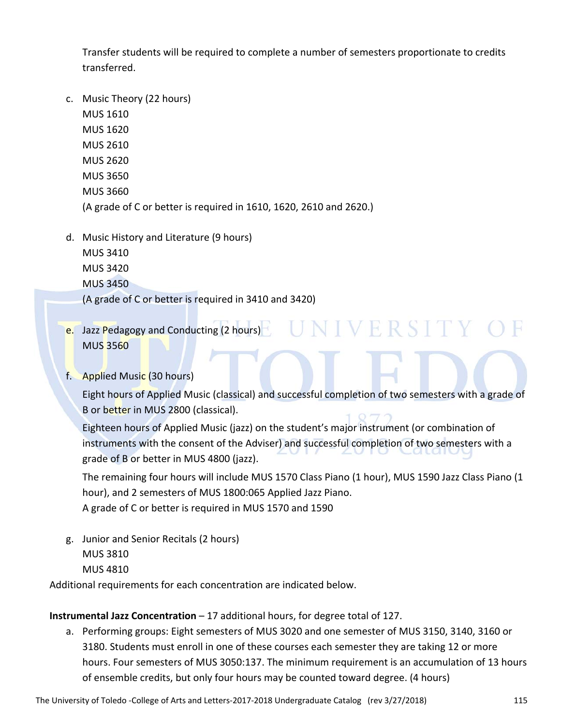Transfer students will be required to complete a number of semesters proportionate to credits transferred.

- c. Music Theory (22 hours) MUS 1610 MUS 1620 MUS 2610 MUS 2620 MUS 3650 MUS 3660 (A grade of C or better is required in 1610, 1620, 2610 and 2620.)
- d. Music History and Literature (9 hours) MUS 3410 MUS 3420 MUS 3450 (A grade of C or better is required in 3410 and 3420)
- e. Jazz Pedagogy and Conducting (2 hours) MUS 3560

#### f. Applied Music (30 hours)

Eight hours of Applied Music (classical) and successful completion of two semesters with a grade of B or better in MUS 2800 (classical).

Eighteen hours of Applied Music (jazz) on the student's major instrument (or combination of instruments with the consent of the Adviser) and successful completion of two semesters with a grade of B or better in MUS 4800 (jazz).

The remaining four hours will include MUS 1570 Class Piano (1 hour), MUS 1590 Jazz Class Piano (1 hour), and 2 semesters of MUS 1800:065 Applied Jazz Piano.

A grade of C or better is required in MUS 1570 and 1590

g. Junior and Senior Recitals (2 hours) MUS 3810 MUS 4810

Additional requirements for each concentration are indicated below.

#### **Instrumental Jazz Concentration** – 17 additional hours, for degree total of 127.

a. Performing groups: Eight semesters of MUS 3020 and one semester of MUS 3150, 3140, 3160 or 3180. Students must enroll in one of these courses each semester they are taking 12 or more hours. Four semesters of MUS 3050:137. The minimum requirement is an accumulation of 13 hours of ensemble credits, but only four hours may be counted toward degree. (4 hours)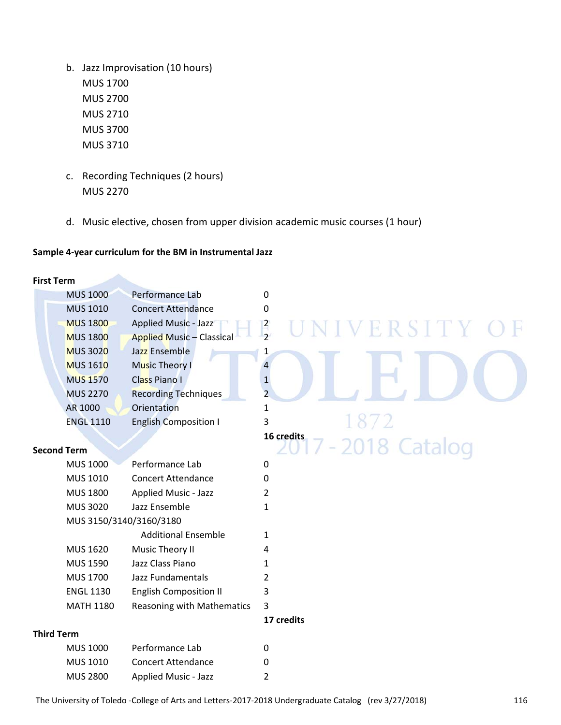- b. Jazz Improvisation (10 hours) MUS 1700 MUS 2700 MUS 2710 MUS 3700 MUS 3710
- c. Recording Techniques (2 hours) MUS 2270
- d. Music elective, chosen from upper division academic music courses (1 hour)

#### **Sample 4‐year curriculum for the BM in Instrumental Jazz**

| <b>First Term</b> |                    |                                  |                           |
|-------------------|--------------------|----------------------------------|---------------------------|
|                   | <b>MUS 1000</b>    | Performance Lab                  | 0                         |
|                   | <b>MUS 1010</b>    | <b>Concert Attendance</b>        | 0                         |
|                   | <b>MUS 1800</b>    | <b>Applied Music - Jazz</b>      | $\frac{2}{2}$<br>ERSITY O |
|                   | <b>MUS 1800</b>    | <b>Applied Music - Classical</b> |                           |
|                   | <b>MUS 3020</b>    | Jazz Ensemble                    | 1                         |
|                   | <b>MUS 1610</b>    | <b>Music Theory I</b>            | $\overline{4}$            |
|                   | <b>MUS 1570</b>    | <b>Class Piano I</b>             | $\mathbf{1}$              |
|                   | <b>MUS 2270</b>    | <b>Recording Techniques</b>      | $\overline{2}$            |
|                   | AR 1000            | Orientation                      | $\mathbf{1}$              |
|                   | <b>ENGL 1110</b>   | <b>English Composition I</b>     | 3                         |
|                   |                    |                                  | 16 credits                |
|                   | <b>Second Term</b> |                                  | 7 - 2018 Catalog          |
|                   | <b>MUS 1000</b>    | Performance Lab                  | 0                         |
|                   | MUS 1010           | <b>Concert Attendance</b>        | 0                         |
|                   | <b>MUS 1800</b>    | <b>Applied Music - Jazz</b>      | $\overline{2}$            |
|                   | <b>MUS 3020</b>    | Jazz Ensemble                    | $\mathbf{1}$              |
|                   |                    | MUS 3150/3140/3160/3180          |                           |
|                   |                    | <b>Additional Ensemble</b>       | $\mathbf{1}$              |
|                   | MUS 1620           | Music Theory II                  | 4                         |
|                   | <b>MUS 1590</b>    | Jazz Class Piano                 | $\mathbf{1}$              |
|                   | <b>MUS 1700</b>    | Jazz Fundamentals                | $\overline{2}$            |
|                   | <b>ENGL 1130</b>   | <b>English Composition II</b>    | 3                         |
|                   | <b>MATH 1180</b>   | Reasoning with Mathematics       | $\overline{3}$            |
|                   |                    |                                  | 17 credits                |
| <b>Third Term</b> |                    |                                  |                           |
|                   | <b>MUS 1000</b>    | Performance Lab                  | 0                         |
|                   | MUS 1010           | <b>Concert Attendance</b>        | 0                         |
|                   | <b>MUS 2800</b>    | <b>Applied Music - Jazz</b>      | 2                         |
|                   |                    |                                  |                           |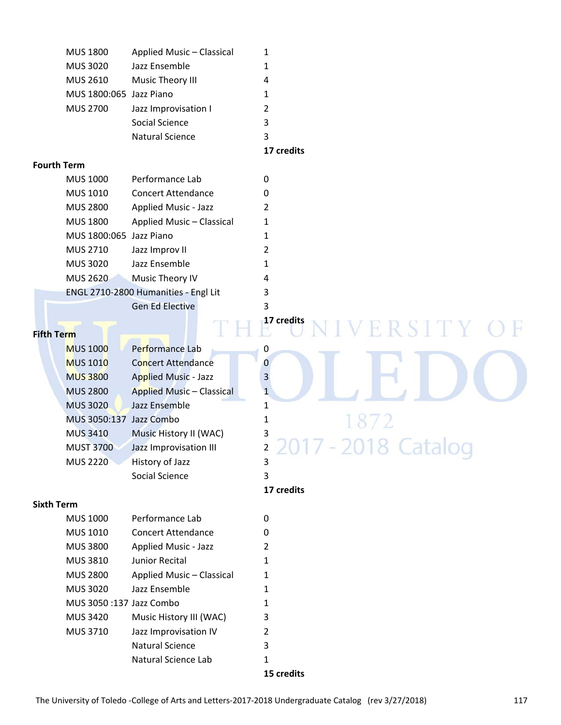| <b>MUS 1800</b>         | Applied Music - Classical |   |  |
|-------------------------|---------------------------|---|--|
| <b>MUS 3020</b>         | Jazz Ensemble             |   |  |
| MUS 2610                | Music Theory III          | 4 |  |
| MUS 1800:065 Jazz Piano |                           |   |  |
| <b>MUS 2700</b>         | Jazz Improvisation I      | 2 |  |
|                         | Social Science            | 3 |  |
|                         | <b>Natural Science</b>    | 3 |  |
|                         |                           |   |  |

**17 credits**

#### **Fourth Term**

| <b>MUS 1000</b>         | Performance Lab                      | 0 |  |  |
|-------------------------|--------------------------------------|---|--|--|
| <b>MUS 1010</b>         | <b>Concert Attendance</b>            | 0 |  |  |
| <b>MUS 2800</b>         | Applied Music - Jazz                 | 2 |  |  |
| <b>MUS 1800</b>         | Applied Music - Classical            | 1 |  |  |
| MUS 1800:065 Jazz Piano |                                      | 1 |  |  |
| <b>MUS 2710</b>         | Jazz Improv II                       |   |  |  |
| <b>MUS 3020</b>         | Jazz Ensemble                        | 1 |  |  |
| <b>MUS 2620</b>         | Music Theory IV                      | 4 |  |  |
|                         | ENGL 2710-2800 Humanities - Engl Lit | 3 |  |  |
|                         | <b>Gen Ed Elective</b>               | 3 |  |  |

#### **Fifth Term**

| <b>MUS 1000</b>         | Performance Lab                  | 0            |
|-------------------------|----------------------------------|--------------|
| <b>MUS 1010</b>         | <b>Concert Attendance</b>        | 0            |
| <b>MUS 3800</b>         | <b>Applied Music - Jazz</b>      | 3            |
| <b>MUS 2800</b>         | <b>Applied Music - Classical</b> | $\mathbf{1}$ |
| <b>MUS 3020</b>         | Jazz Ensemble                    | 1            |
| MUS 3050:137 Jazz Combo |                                  | 1            |
| <b>MUS 3410</b>         | Music History II (WAC)           | 3            |
| <b>MUST 3700</b>        | Jazz Improvisation III           | 2            |
| <b>MUS 2220</b>         | History of Jazz                  | 3            |
|                         | Social Science                   | 3            |

#### **Sixth Term**

|                         |                           | $15$ croditc |
|-------------------------|---------------------------|--------------|
|                         | Natural Science Lab       | 1            |
|                         | Natural Science           | 3            |
| <b>MUS 3710</b>         | Jazz Improvisation IV     | 2            |
| <b>MUS 3420</b>         | Music History III (WAC)   | 3            |
| MUS 3050:137 Jazz Combo |                           | 1            |
| <b>MUS 3020</b>         | Jazz Ensemble             | 1            |
| <b>MUS 2800</b>         | Applied Music - Classical | 1            |
| <b>MUS 3810</b>         | Junior Recital            | 1            |
| <b>MUS 3800</b>         | Applied Music - Jazz      | 2            |
| MUS 1010                | <b>Concert Attendance</b> | 0            |
| <b>MUS 1000</b>         | Performance Lab           | 0            |

# **17 credits** F R  $S<sub>1</sub>$ H n 1 72 -2018 Catalog 20

#### **17 credits**

 **15 credits**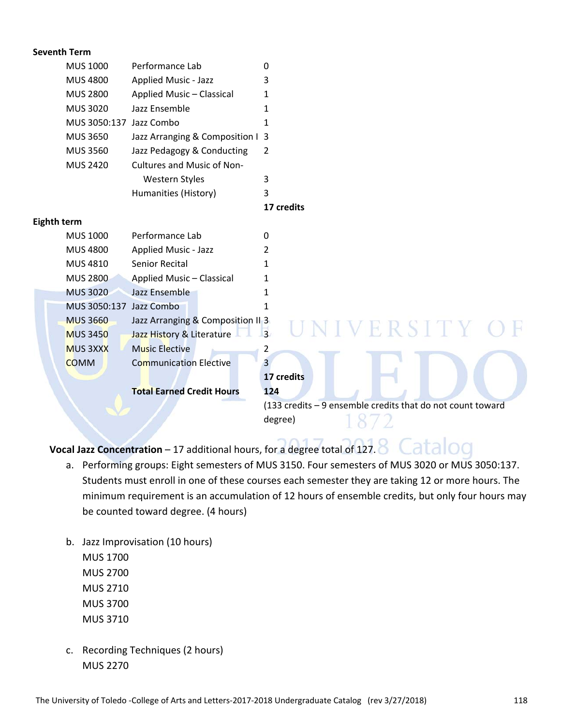| <b>Seventh Term</b> |                         |                                   |                                                            |
|---------------------|-------------------------|-----------------------------------|------------------------------------------------------------|
|                     | <b>MUS 1000</b>         | Performance Lab                   | 0                                                          |
|                     | <b>MUS 4800</b>         | <b>Applied Music - Jazz</b>       | 3                                                          |
|                     | <b>MUS 2800</b>         | Applied Music - Classical         | 1                                                          |
|                     | <b>MUS 3020</b>         | Jazz Ensemble                     | 1                                                          |
|                     | MUS 3050:137 Jazz Combo |                                   | 1                                                          |
|                     | <b>MUS 3650</b>         | Jazz Arranging & Composition I 3  |                                                            |
|                     | <b>MUS 3560</b>         | Jazz Pedagogy & Conducting        | 2                                                          |
|                     | <b>MUS 2420</b>         | <b>Cultures and Music of Non-</b> |                                                            |
|                     |                         | Western Styles                    | 3                                                          |
|                     |                         | Humanities (History)              | 3                                                          |
|                     |                         |                                   | 17 credits                                                 |
| <b>Eighth term</b>  |                         |                                   |                                                            |
|                     | <b>MUS 1000</b>         | Performance Lab                   | $\Omega$                                                   |
|                     | <b>MUS 4800</b>         | <b>Applied Music - Jazz</b>       | 2                                                          |
|                     | MUS 4810                | Senior Recital                    | 1                                                          |
|                     | <b>MUS 2800</b>         | Applied Music - Classical         | 1                                                          |
|                     | <b>MUS 3020</b>         | Jazz Ensemble                     | 1                                                          |
|                     | MUS 3050:137 Jazz Combo |                                   | 1                                                          |
|                     | <b>MUS 3660</b>         | Jazz Arranging & Composition II 3 | VERSITY C                                                  |
|                     | <b>MUS 3450</b>         | Jazz History & Literature         | $\overline{3}$                                             |
|                     | <b>MUS 3XXX</b>         | <b>Music Elective</b>             | 2                                                          |
|                     | <b>COMM</b>             | <b>Communication Elective</b>     | 3                                                          |
|                     |                         |                                   | 17 credits                                                 |
|                     |                         | <b>Total Earned Credit Hours</b>  | 124                                                        |
|                     |                         |                                   | (133 credits - 9 ensemble credits that do not count toward |
|                     |                         |                                   | degree)                                                    |

**Vocal Jazz Concentration** – 17 additional hours, for a degree total of 127. Catalog

- a. Performing groups: Eight semesters of MUS 3150. Four semesters of MUS 3020 or MUS 3050:137. Students must enroll in one of these courses each semester they are taking 12 or more hours. The minimum requirement is an accumulation of 12 hours of ensemble credits, but only four hours may be counted toward degree. (4 hours)
- b. Jazz Improvisation (10 hours) MUS 1700 MUS 2700 MUS 2710 MUS 3700 MUS 3710
- c. Recording Techniques (2 hours) MUS 2270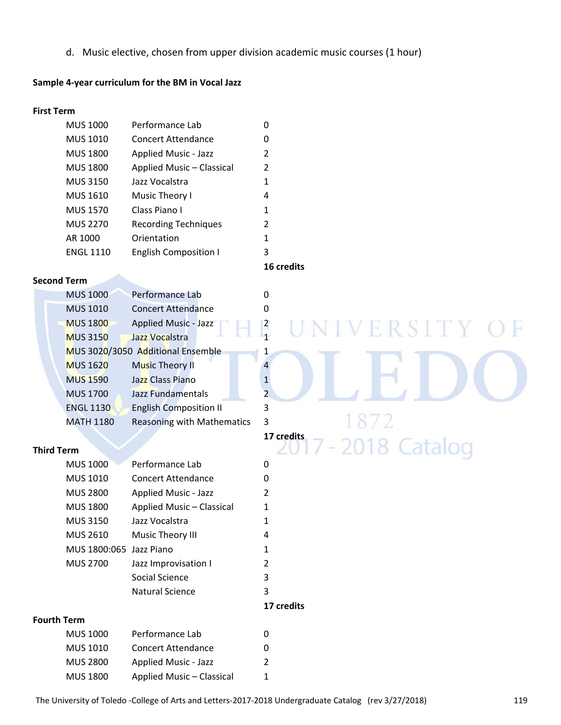d. Music elective, chosen from upper division academic music courses (1 hour)

#### **Sample 4‐year curriculum for the BM in Vocal Jazz**

#### **First Term**

| <b>MUS 1000</b>  | Performance Lab              | 0 |
|------------------|------------------------------|---|
| <b>MUS 1010</b>  | Concert Attendance           | 0 |
| <b>MUS 1800</b>  | Applied Music - Jazz         | 2 |
| <b>MUS 1800</b>  | Applied Music - Classical    | 2 |
| <b>MUS 3150</b>  | Jazz Vocalstra               | 1 |
| <b>MUS 1610</b>  | Music Theory I               | 4 |
| <b>MUS 1570</b>  | Class Piano I                | 1 |
| <b>MUS 2270</b>  | <b>Recording Techniques</b>  | 2 |
| AR 1000          | Orientation                  | 1 |
| <b>ENGL 1110</b> | <b>English Composition I</b> | 3 |

#### **Second Term**

| <b>MUS 1000</b>  | Performance Lab                   |                |
|------------------|-----------------------------------|----------------|
| <b>MUS 1010</b>  | <b>Concert Attendance</b>         | 0              |
| <b>MUS 1800</b>  | Applied Music - Jazz              | 2              |
| <b>MUS 3150</b>  | Jazz Vocalstra                    | 1              |
|                  | MUS 3020/3050 Additional Ensemble | 1              |
| <b>MUS 1620</b>  | <b>Music Theory II</b>            | $\overline{4}$ |
| <b>MUS 1590</b>  | Jazz Class Piano                  | $\mathbf{1}$   |
| <b>MUS 1700</b>  | Jazz Fundamentals                 | $\overline{2}$ |
| <b>ENGL 1130</b> | <b>English Composition II</b>     | 3              |
| <b>MATH 1180</b> | <b>Reasoning with Mathematics</b> | 3              |
|                  |                                   |                |

#### **Third Term**

| <b>MUS 1000</b>         | Performance Lab           | 0          |
|-------------------------|---------------------------|------------|
| MUS 1010                | Concert Attendance        | 0          |
| <b>MUS 2800</b>         | Applied Music - Jazz      | 2          |
| <b>MUS 1800</b>         | Applied Music - Classical | 1          |
| <b>MUS 3150</b>         | Jazz Vocalstra            | 1          |
| <b>MUS 2610</b>         | Music Theory III          | 4          |
| MUS 1800:065 Jazz Piano |                           | 1          |
| <b>MUS 2700</b>         | Jazz Improvisation I      | 2          |
|                         | Social Science            | 3          |
|                         | Natural Science           | 3          |
|                         |                           | 17 credits |

#### **Fourth Term**

| <b>MUS 1000</b> | Performance Lab           | 0 |
|-----------------|---------------------------|---|
| <b>MUS 1010</b> | Concert Attendance        | 0 |
| <b>MUS 2800</b> | Applied Music - Jazz      | 2 |
| <b>MUS 1800</b> | Applied Music - Classical | 1 |

#### **16 credits**

# IVERSITY Ħ MATH 1180 Reasoning with Mathematics 3  $\sim$  10  $\sim$  2 **17 credits** 2018 Catalog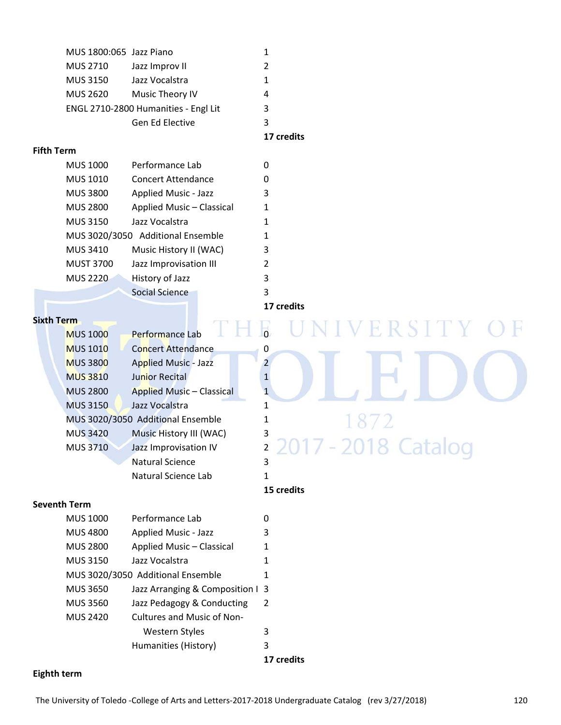| MUS 1800:065 Jazz Piano              |                 |   |  |
|--------------------------------------|-----------------|---|--|
| <b>MUS 2710</b>                      | Jazz Improv II  |   |  |
| <b>MUS 3150</b>                      | Jazz Vocalstra  |   |  |
| <b>MUS 2620</b>                      | Music Theory IV | 4 |  |
| ENGL 2710-2800 Humanities - Engl Lit |                 | 3 |  |
|                                      | Gen Ed Elective | 3 |  |
|                                      |                 |   |  |

#### **17 credits**

#### **Fifth Term**

| <b>MUS 1000</b>  | Performance Lab                   | 0              |
|------------------|-----------------------------------|----------------|
| <b>MUS 1010</b>  | <b>Concert Attendance</b>         | 0              |
| <b>MUS 3800</b>  | <b>Applied Music - Jazz</b>       | 3              |
| <b>MUS 2800</b>  | Applied Music - Classical         | 1              |
| <b>MUS 3150</b>  | Jazz Vocalstra                    | 1              |
|                  | MUS 3020/3050 Additional Ensemble | 1              |
| MUS 3410         | Music History II (WAC)            | 3              |
| <b>MUST 3700</b> | Jazz Improvisation III            | $\overline{2}$ |
| <b>MUS 2220</b>  | History of Jazz                   | 3              |
|                  | <b>Social Science</b>             | 3              |

#### **17 credits**

#### **Sixth Term**

| <b>MUS 1000</b> | Performance Lab                   | $\Omega$ |                     |
|-----------------|-----------------------------------|----------|---------------------|
| <b>MUS 1010</b> | <b>Concert Attendance</b>         | 0        |                     |
| <b>MUS 3800</b> | <b>Applied Music - Jazz</b>       |          |                     |
| <b>MUS 3810</b> | <b>Junior Recital</b>             |          |                     |
| <b>MUS 2800</b> | <b>Applied Music - Classical</b>  |          |                     |
| <b>MUS 3150</b> | Jazz Vocalstra                    |          |                     |
|                 | MUS 3020/3050 Additional Ensemble |          |                     |
| <b>MUS 3420</b> | Music History III (WAC)           | 3        |                     |
| <b>MUS 3710</b> | Jazz Improvisation IV             |          | 2017 - 2018 Catalog |
|                 | <b>Natural Science</b>            | 3        |                     |
|                 | Natural Science Lab               |          |                     |

ERSIT Ħ 1872 7 - 2018 Catalog 20

#### **Seventh Term**

| <b>MUS 1000</b> | Performance Lab                   | 0              |  |
|-----------------|-----------------------------------|----------------|--|
| <b>MUS 4800</b> | Applied Music - Jazz              | 3              |  |
| <b>MUS 2800</b> | Applied Music - Classical         | 1              |  |
| <b>MUS 3150</b> | Jazz Vocalstra                    | 1              |  |
|                 | MUS 3020/3050 Additional Ensemble |                |  |
| <b>MUS 3650</b> | Jazz Arranging & Composition 1 3  |                |  |
| <b>MUS 3560</b> | Jazz Pedagogy & Conducting        | $\overline{2}$ |  |
| <b>MUS 2420</b> | Cultures and Music of Non-        |                |  |
|                 | Western Styles                    | 3              |  |
|                 | Humanities (History)              | 3              |  |
|                 |                                   |                |  |

 **17 credits**

 **15 credits**

#### **Eighth term**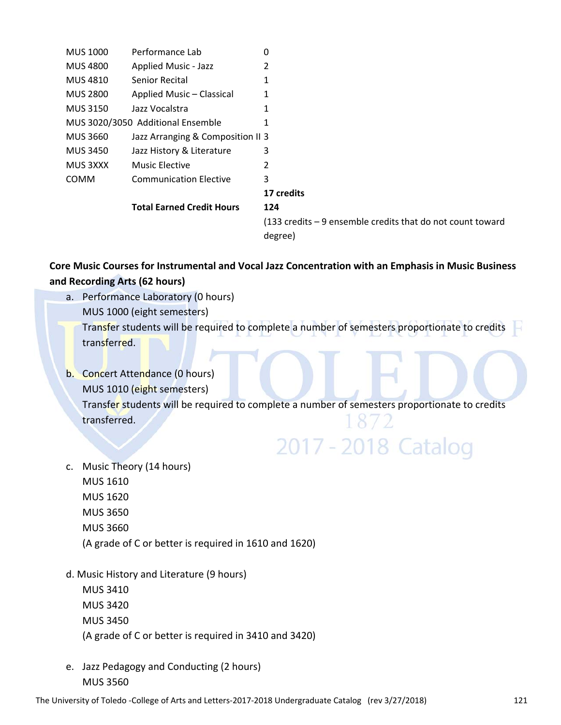| <b>MUS 1000</b> | Performance Lab                   | 0                                                                             |
|-----------------|-----------------------------------|-------------------------------------------------------------------------------|
| <b>MUS 4800</b> | Applied Music - Jazz              | 2                                                                             |
| <b>MUS 4810</b> | Senior Recital                    | 1                                                                             |
| <b>MUS 2800</b> | Applied Music - Classical         | 1                                                                             |
| <b>MUS 3150</b> | Jazz Vocalstra                    |                                                                               |
|                 | MUS 3020/3050 Additional Ensemble |                                                                               |
| <b>MUS 3660</b> | Jazz Arranging & Composition II 3 |                                                                               |
| <b>MUS 3450</b> | Jazz History & Literature         | 3                                                                             |
| MUS 3XXX        | <b>Music Elective</b>             | 2                                                                             |
| <b>COMM</b>     | <b>Communication Elective</b>     | 3                                                                             |
|                 |                                   | 17 credits                                                                    |
|                 | <b>Total Earned Credit Hours</b>  | 124                                                                           |
|                 |                                   | $(133 \text{ credits} - 9 \text{ ensemble credits that do not count toward})$ |
|                 |                                   | degree)                                                                       |

#### **Core Music Courses for Instrumental and Vocal Jazz Concentration with an Emphasis in Music Business and Recording Arts (62 hours)**

- a. Performance Laboratory (0 hours) MUS 1000 (eight semesters) Transfer students will be required to complete a number of semesters proportionate to credits transferred.
- b. Concert Attendance (0 hours) MUS 1010 (eight semesters) Transfer students will be required to complete a number of semesters proportionate to credits transferred.  $18/2$

# 2017 - 2018 Catalog

- c. Music Theory (14 hours) MUS 1610 MUS 1620 MUS 3650
	- MUS 3660
		- (A grade of C or better is required in 1610 and 1620)
- d. Music History and Literature (9 hours)
	- MUS 3410 MUS 3420 MUS 3450 (A grade of C or better is required in 3410 and 3420)
- e. Jazz Pedagogy and Conducting (2 hours) MUS 3560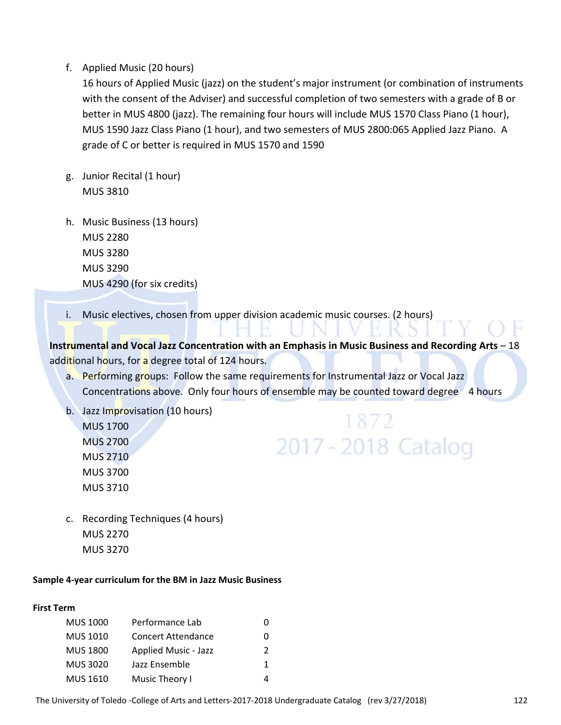#### f. Applied Music (20 hours)

16 hours of Applied Music (jazz) on the student's major instrument (or combination of instruments with the consent of the Adviser) and successful completion of two semesters with a grade of B or better in MUS 4800 (jazz). The remaining four hours will include MUS 1570 Class Piano (1 hour), MUS 1590 Jazz Class Piano (1 hour), and two semesters of MUS 2800:065 Applied Jazz Piano. A grade of C or better is required in MUS 1570 and 1590

- g. Junior Recital (1 hour) MUS 3810
- h. Music Business (13 hours) MUS 2280 MUS 3280 MUS 3290 MUS 4290 (for six credits)
- i. Music electives, chosen from upper division academic music courses. (2 hours)

**Instrumental and Vocal Jazz Concentration with an Emphasis in Music Business and Recording Arts** – 18 additional hours, for a degree total of 124 hours.

- a. Performing groups: Follow the same requirements for Instrumental Jazz or Vocal Jazz Concentrations above. Only four hours of ensemble may be counted toward degree 4 hours
- b. Jazz Improvisation (10 hours) MUS 1700 MUS 2700 MUS 2710 MUS 3700 MUS 3710

# 1872 2017 - 2018 Catalog

c. Recording Techniques (4 hours) MUS 2270 MUS 3270

#### **Sample 4‐year curriculum for the BM in Jazz Music Business**

#### **First Term**

| <b>MUS 1000</b> | Performance Lab           | 0 |
|-----------------|---------------------------|---|
| <b>MUS 1010</b> | <b>Concert Attendance</b> | 0 |
| <b>MUS 1800</b> | Applied Music - Jazz      | 2 |
| <b>MUS 3020</b> | Jazz Ensemble             | 1 |
| <b>MUS 1610</b> | Music Theory I            | 4 |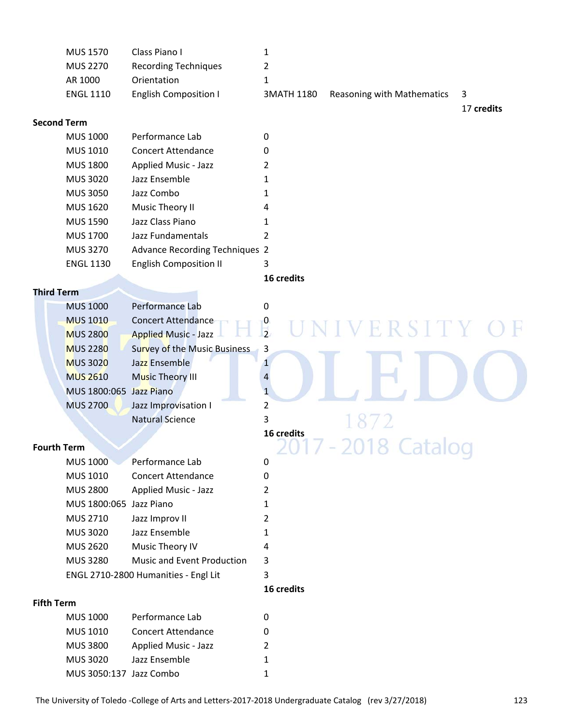| MUS 1570         | Class Piano I                |            |                            |      |
|------------------|------------------------------|------------|----------------------------|------|
| <b>MUS 2270</b>  | <b>Recording Techniques</b>  |            |                            |      |
| AR 1000          | Orientation                  |            |                            |      |
| <b>ENGL 1110</b> | <b>English Composition I</b> | 3MATH 1180 | Reasoning with Mathematics | $-3$ |

#### **Second Term**

| <b>MUS 1000</b>  | Performance Lab                       | 0 |
|------------------|---------------------------------------|---|
| <b>MUS 1010</b>  | Concert Attendance                    | 0 |
| <b>MUS 1800</b>  | Applied Music - Jazz                  | 2 |
| <b>MUS 3020</b>  | Jazz Ensemble                         |   |
| <b>MUS 3050</b>  | Jazz Combo                            |   |
| <b>MUS 1620</b>  | Music Theory II                       | 4 |
| <b>MUS 1590</b>  | Jazz Class Piano                      |   |
| <b>MUS 1700</b>  | Jazz Fundamentals                     | 2 |
| <b>MUS 3270</b>  | <b>Advance Recording Techniques 2</b> |   |
| <b>ENGL 1130</b> | <b>English Composition II</b>         | 3 |
|                  |                                       |   |

#### **16 credits**

#### **Third Term**

| <b>MUS 1000</b>         | Performance Lab                     |   |  |
|-------------------------|-------------------------------------|---|--|
| <b>MUS 1010</b>         | Concert Attendance                  |   |  |
| <b>MUS 2800</b>         | <b>Applied Music - Jazz</b>         |   |  |
| <b>MUS 2280</b>         | <b>Survey of the Music Business</b> | 3 |  |
| <b>MUS 3020</b>         | Jazz Ensemble                       |   |  |
| <b>MUS 2610</b>         | <b>Music Theory III</b>             |   |  |
| MUS 1800:065 Jazz Piano |                                     |   |  |
| <b>MUS 2700</b>         | Jazz Improvisation I                |   |  |
|                         | <b>Natural Science</b>              |   |  |

#### **Fourth Term**

| <b>MUS 1000</b>         | Performance Lab                      | 0 |  |
|-------------------------|--------------------------------------|---|--|
| MUS 1010                | <b>Concert Attendance</b>            | 0 |  |
| <b>MUS 2800</b>         | Applied Music - Jazz                 |   |  |
| MUS 1800:065 Jazz Piano |                                      | 1 |  |
| <b>MUS 2710</b>         | Jazz Improv II                       | 2 |  |
| <b>MUS 3020</b>         | Jazz Ensemble                        | 1 |  |
| <b>MUS 2620</b>         | Music Theory IV                      | 4 |  |
| <b>MUS 3280</b>         | Music and Event Production           | 3 |  |
|                         | ENGL 2710-2800 Humanities - Engl Lit | 3 |  |

#### **16 credits**

#### **Fifth Term**

| <b>MUS 1000</b>         | Performance Lab           | ი |
|-------------------------|---------------------------|---|
| <b>MUS 1010</b>         | <b>Concert Attendance</b> | 0 |
| <b>MUS 3800</b>         | Applied Music - Jazz      | 2 |
| <b>MUS 3020</b>         | Jazz Ensemble             | 1 |
| MUS 3050:137 Jazz Combo |                           | 1 |

17 **credits**

2018 Catalog

**16 credits**

F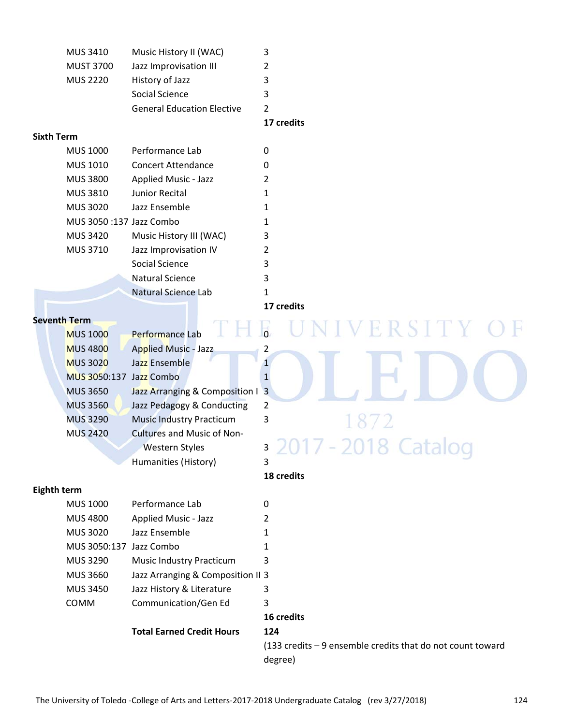| MUS 3410                | Music History II (WAC)            | 3                                                                             |
|-------------------------|-----------------------------------|-------------------------------------------------------------------------------|
| <b>MUST 3700</b>        | Jazz Improvisation III            | 2                                                                             |
| <b>MUS 2220</b>         | History of Jazz                   | 3                                                                             |
|                         | Social Science                    | 3                                                                             |
|                         | <b>General Education Elective</b> | $\overline{2}$                                                                |
|                         |                                   | 17 credits                                                                    |
| <b>Sixth Term</b>       |                                   |                                                                               |
| <b>MUS 1000</b>         | Performance Lab                   | $\pmb{0}$                                                                     |
| MUS 1010                | <b>Concert Attendance</b>         | 0                                                                             |
| <b>MUS 3800</b>         | Applied Music - Jazz              | 2                                                                             |
| MUS 3810                | Junior Recital                    | 1                                                                             |
| <b>MUS 3020</b>         | Jazz Ensemble                     | 1                                                                             |
| MUS 3050:137 Jazz Combo |                                   | 1                                                                             |
| <b>MUS 3420</b>         | Music History III (WAC)           | 3                                                                             |
| MUS 3710                | Jazz Improvisation IV             | 2                                                                             |
|                         | Social Science                    | 3                                                                             |
|                         | <b>Natural Science</b>            | 3                                                                             |
|                         | <b>Natural Science Lab</b>        | 1                                                                             |
|                         |                                   | 17 credits                                                                    |
| <b>Seventh Term</b>     |                                   |                                                                               |
| <b>MUS 1000</b>         | Performance Lab                   | ERSITY                                                                        |
| <b>MUS 4800</b>         | <b>Applied Music - Jazz</b>       | 2                                                                             |
| <b>MUS 3020</b>         | Jazz Ensemble                     | $\mathbf{1}$                                                                  |
| MUS 3050:137            | Jazz Combo                        | $\mathbf{1}$                                                                  |
| <b>MUS 3650</b>         | Jazz Arranging & Composition I    | $\overline{3}$                                                                |
| <b>MUS 3560</b>         | Jazz Pedagogy & Conducting        | 2                                                                             |
| <b>MUS 3290</b>         | <b>Music Industry Practicum</b>   | 3                                                                             |
| <b>MUS 2420</b>         | Cultures and Music of Non-        |                                                                               |
|                         | <b>Western Styles</b>             | 3                                                                             |
|                         | Humanities (History)              | 3                                                                             |
|                         |                                   | 18 credits                                                                    |
| Eighth term             |                                   |                                                                               |
| <b>MUS 1000</b>         | Performance Lab                   | 0                                                                             |
| <b>MUS 4800</b>         | <b>Applied Music - Jazz</b>       | 2                                                                             |
| <b>MUS 3020</b>         | Jazz Ensemble                     | 1                                                                             |
| MUS 3050:137 Jazz Combo |                                   | 1                                                                             |
| MUS 3290                | Music Industry Practicum          | 3                                                                             |
| <b>MUS 3660</b>         | Jazz Arranging & Composition II 3 |                                                                               |
| <b>MUS 3450</b>         | Jazz History & Literature         | 3                                                                             |
| COMM                    | Communication/Gen Ed              | 3                                                                             |
|                         |                                   | 16 credits                                                                    |
|                         | <b>Total Earned Credit Hours</b>  | 124                                                                           |
|                         |                                   | $(133 \text{ credits} - 9 \text{ ensemble credits that do not count toward})$ |
|                         |                                   | degree)                                                                       |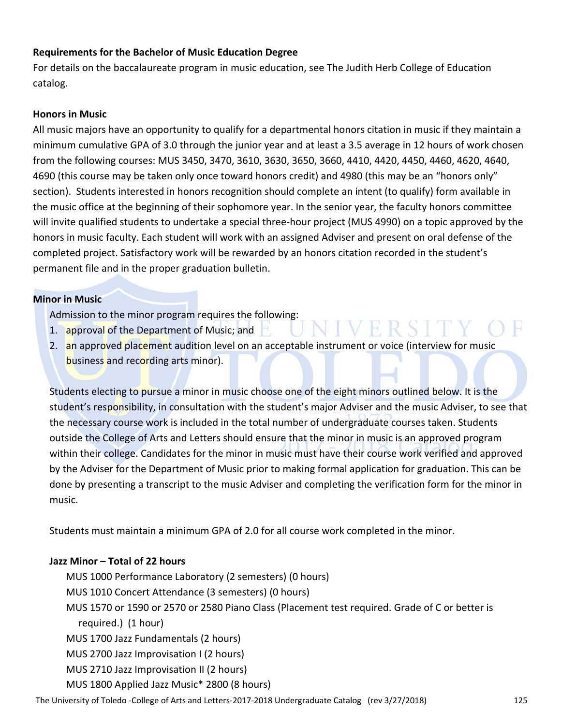#### **Requirements for the Bachelor of Music Education Degree**

For details on the baccalaureate program in music education, see The Judith Herb College of Education catalog.

#### **Honors in Music**

All music majors have an opportunity to qualify for a departmental honors citation in music if they maintain a minimum cumulative GPA of 3.0 through the junior year and at least a 3.5 average in 12 hours of work chosen from the following courses: MUS 3450, 3470, 3610, 3630, 3650, 3660, 4410, 4420, 4450, 4460, 4620, 4640, 4690 (this course may be taken only once toward honors credit) and 4980 (this may be an "honors only" section). Students interested in honors recognition should complete an intent (to qualify) form available in the music office at the beginning of their sophomore year. In the senior year, the faculty honors committee will invite qualified students to undertake a special three‐hour project (MUS 4990) on a topic approved by the honors in music faculty. Each student will work with an assigned Adviser and present on oral defense of the completed project. Satisfactory work will be rewarded by an honors citation recorded in the student's permanent file and in the proper graduation bulletin.

#### **Minor in Music**

Admission to the minor program requires the following:

- 1. approval of the Department of Music; and
- 2. an approved placement audition level on an acceptable instrument or voice (interview for music business and recording arts minor).

VERSIT

Students electing to pursue a minor in music choose one of the eight minors outlined below. It is the student's responsibility, in consultation with the student's major Adviser and the music Adviser, to see that the necessary course work is included in the total number of undergraduate courses taken. Students outside the College of Arts and Letters should ensure that the minor in music is an approved program within their college. Candidates for the minor in music must have their course work verified and approved by the Adviser for the Department of Music prior to making formal application for graduation. This can be done by presenting a transcript to the music Adviser and completing the verification form for the minor in music.

Students must maintain a minimum GPA of 2.0 for all course work completed in the minor.

#### **Jazz Minor – Total of 22 hours**

MUS 1000 Performance Laboratory (2 semesters) (0 hours) MUS 1010 Concert Attendance (3 semesters) (0 hours) MUS 1570 or 1590 or 2570 or 2580 Piano Class (Placement test required. Grade of C or better is required.) (1 hour) MUS 1700 Jazz Fundamentals (2 hours) MUS 2700 Jazz Improvisation I (2 hours) MUS 2710 Jazz Improvisation II (2 hours) MUS 1800 Applied Jazz Music\* 2800 (8 hours)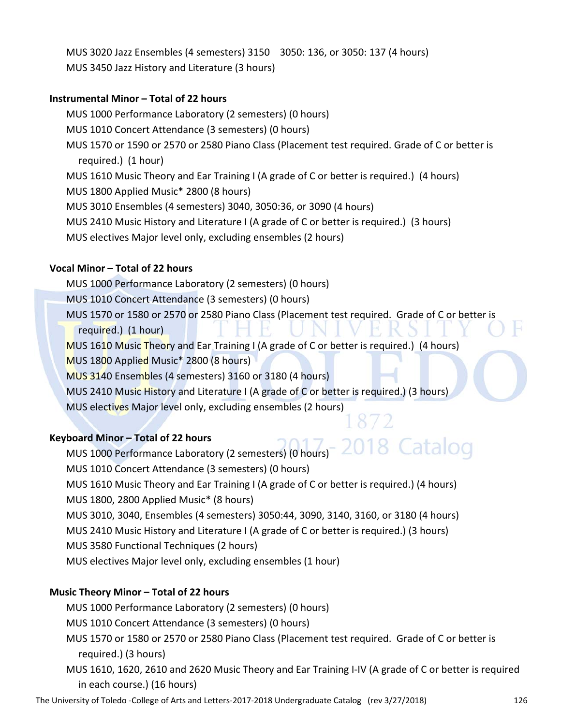MUS 3020 Jazz Ensembles (4 semesters) 3150 3050: 136, or 3050: 137 (4 hours) MUS 3450 Jazz History and Literature (3 hours)

#### **Instrumental Minor – Total of 22 hours**

MUS 1000 Performance Laboratory (2 semesters) (0 hours) MUS 1010 Concert Attendance (3 semesters) (0 hours) MUS 1570 or 1590 or 2570 or 2580 Piano Class (Placement test required. Grade of C or better is required.) (1 hour) MUS 1610 Music Theory and Ear Training I (A grade of C or better is required.) (4 hours) MUS 1800 Applied Music\* 2800 (8 hours) MUS 3010 Ensembles (4 semesters) 3040, 3050:36, or 3090 (4 hours) MUS 2410 Music History and Literature I (A grade of C or better is required.) (3 hours)

MUS electives Major level only, excluding ensembles (2 hours)

#### **Vocal Minor – Total of 22 hours**

MUS 1000 Performance Laboratory (2 semesters) (0 hours)

MUS 1010 Concert Attendance (3 semesters) (0 hours)

MUS 1570 or 1580 or 2570 or 2580 Piano Class (Placement test required. Grade of C or better is

required.) (1 hour)

MUS 1610 Music Theory and Ear Training I (A grade of C or better is required.) (4 hours)

MUS 1800 Applied Music\* 2800 (8 hours)

MUS 3140 Ensembles (4 semesters) 3160 or 3180 (4 hours)

MUS 2410 Music History and Literature I (A grade of C or better is required.) (3 hours)

MUS electives Major level only, excluding ensembles (2 hours)

#### **Keyboard Minor – Total of 22 hours**

18 Catalog MUS 1000 Performance Laboratory (2 semesters) (0 hours) MUS 1010 Concert Attendance (3 semesters) (0 hours) MUS 1610 Music Theory and Ear Training I (A grade of C or better is required.) (4 hours) MUS 1800, 2800 Applied Music\* (8 hours) MUS 3010, 3040, Ensembles (4 semesters) 3050:44, 3090, 3140, 3160, or 3180 (4 hours) MUS 2410 Music History and Literature I (A grade of C or better is required.) (3 hours) MUS 3580 Functional Techniques (2 hours) MUS electives Major level only, excluding ensembles (1 hour)

#### **Music Theory Minor – Total of 22 hours**

MUS 1000 Performance Laboratory (2 semesters) (0 hours)

MUS 1010 Concert Attendance (3 semesters) (0 hours)

MUS 1570 or 1580 or 2570 or 2580 Piano Class (Placement test required. Grade of C or better is required.) (3 hours)

MUS 1610, 1620, 2610 and 2620 Music Theory and Ear Training I‐IV (A grade of C or better is required in each course.) (16 hours)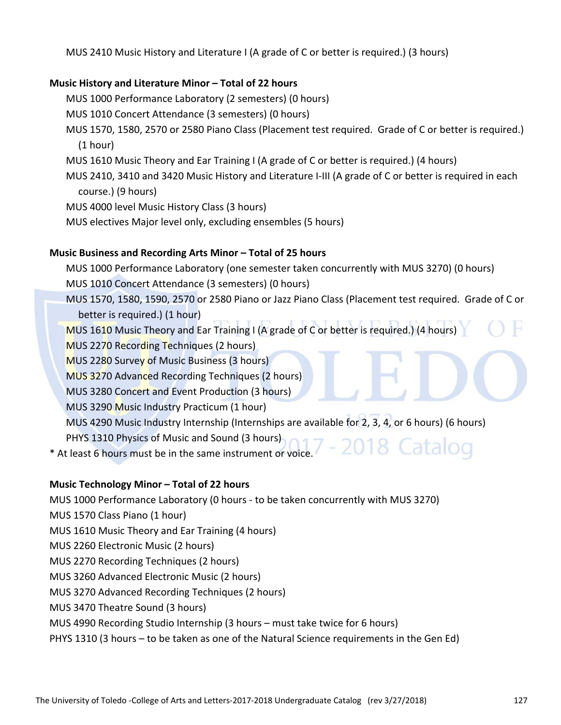MUS 2410 Music History and Literature I (A grade of C or better is required.) (3 hours)

#### **Music History and Literature Minor – Total of 22 hours**

MUS 1000 Performance Laboratory (2 semesters) (0 hours)

MUS 1010 Concert Attendance (3 semesters) (0 hours)

- MUS 1570, 1580, 2570 or 2580 Piano Class (Placement test required. Grade of C or better is required.) (1 hour)
- MUS 1610 Music Theory and Ear Training I (A grade of C or better is required.) (4 hours)
- MUS 2410, 3410 and 3420 Music History and Literature I‐III (A grade of C or better is required in each course.) (9 hours)

MUS 4000 level Music History Class (3 hours)

MUS electives Major level only, excluding ensembles (5 hours)

#### **Music Business and Recording Arts Minor – Total of 25 hours**

MUS 1000 Performance Laboratory (one semester taken concurrently with MUS 3270) (0 hours) MUS 1010 Concert Attendance (3 semesters) (0 hours)

- MUS 1570, 1580, 1590, 2570 or 2580 Piano or Jazz Piano Class (Placement test required. Grade of C or better is required.) (1 hour)
- MUS 1610 Music Theory and Ear Training I (A grade of C or better is required.) (4 hours)

MUS 2270 Recording Techniques (2 hours)

MUS 2280 Survey of Music Business (3 hours)

MUS 3270 Advanced Recording Techniques (2 hours)

MUS 3280 Concert and Event Production (3 hours)

MUS 3290 Music Industry Practicum (1 hour)

MUS 4290 Music Industry Internship (Internships are available for 2, 3, 4, or 6 hours) (6 hours)

PHYS 1310 Physics of Music and Sound (3 hours)

\* At least 6 hours must be in the same instrument or voice.

#### **Music Technology Minor – Total of 22 hours**

MUS 1000 Performance Laboratory (0 hours ‐ to be taken concurrently with MUS 3270)

MUS 1570 Class Piano (1 hour)

MUS 1610 Music Theory and Ear Training (4 hours)

MUS 2260 Electronic Music (2 hours)

- MUS 2270 Recording Techniques (2 hours)
- MUS 3260 Advanced Electronic Music (2 hours)
- MUS 3270 Advanced Recording Techniques (2 hours)
- MUS 3470 Theatre Sound (3 hours)

#### MUS 4990 Recording Studio Internship (3 hours – must take twice for 6 hours)

PHYS 1310 (3 hours – to be taken as one of the Natural Science requirements in the Gen Ed)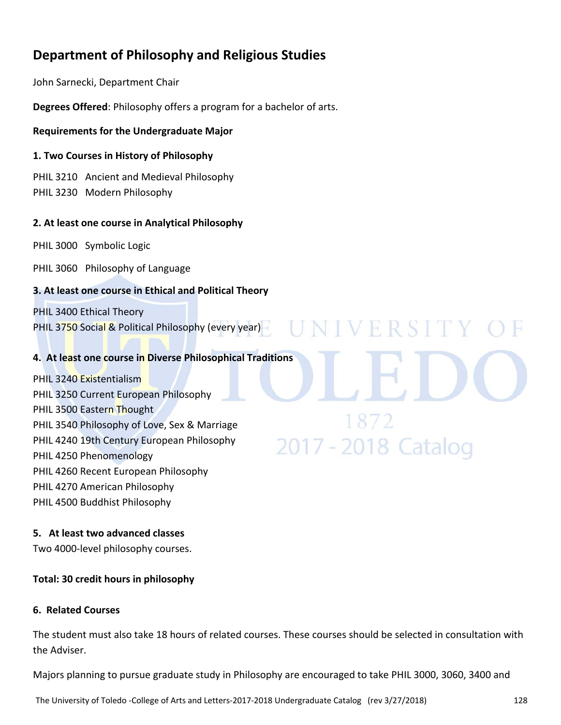## **Department of Philosophy and Religious Studies**

John Sarnecki, Department Chair

**Degrees Offered**: Philosophy offers a program for a bachelor of arts.

#### **Requirements for the Undergraduate Major**

#### **1. Two Courses in History of Philosophy**

PHIL 3210 Ancient and Medieval Philosophy PHIL 3230 Modern Philosophy

#### **2. At least one course in Analytical Philosophy**

PHIL 3000 Symbolic Logic

PHIL 3060 Philosophy of Language

#### **3. At least one course in Ethical and Political Theory**

PHIL 3400 Ethical Theory PHIL 3750 Social & Political Philosophy (every year)

#### **4. At least one course in Diverse Philosophical Traditions**

PHIL 3240 Existentialism PHIL 3250 Current European Philosophy PHIL 3500 Eastern Thought PHIL 3540 Philosophy of Love, Sex & Marriage PHIL 4240 19th Century European Philosophy PHIL 4250 Phenomenology PHIL 4260 Recent European Philosophy PHIL 4270 American Philosophy PHIL 4500 Buddhist Philosophy

#### **5. At least two advanced classes**

Two 4000‐level philosophy courses.

#### **Total: 30 credit hours in philosophy**

#### **6. Related Courses**

The student must also take 18 hours of related courses. These courses should be selected in consultation with the Adviser.

N I V E R S I T Y

2017 - 2018 Catalog

Majors planning to pursue graduate study in Philosophy are encouraged to take PHIL 3000, 3060, 3400 and

The University of Toledo ‐College of Arts and Letters‐2017‐2018 Undergraduate Catalog (rev 3/27/2018) 128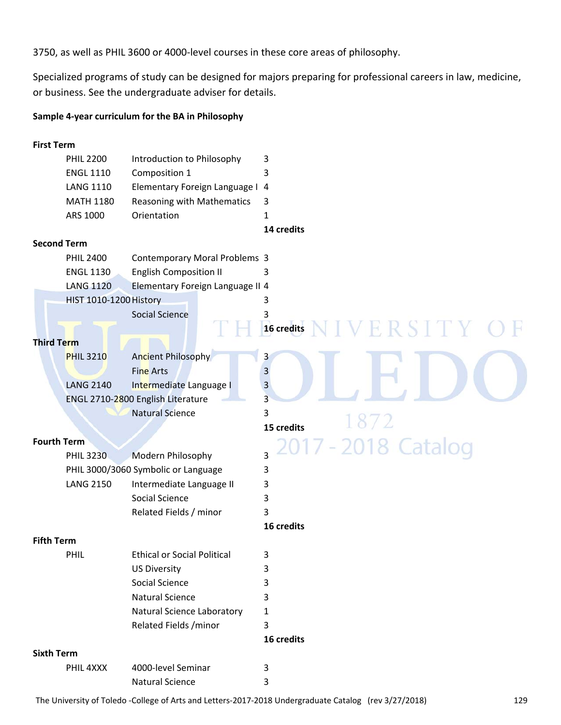3750, as well as PHIL 3600 or 4000‐level courses in these core areas of philosophy.

Specialized programs of study can be designed for majors preparing for professional careers in law, medicine, or business. See the undergraduate adviser for details.

#### **Sample 4‐year curriculum for the BA in Philosophy**

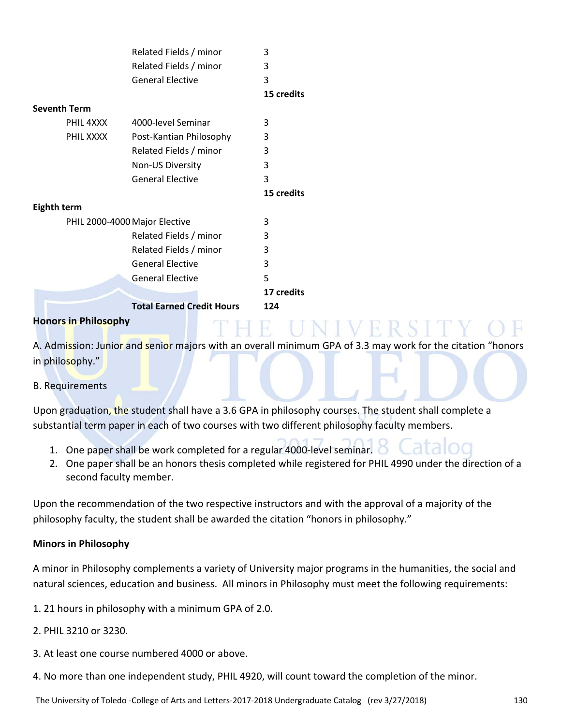|                               | Related Fields / minor           | 3          |
|-------------------------------|----------------------------------|------------|
|                               | Related Fields / minor           | 3          |
|                               | <b>General Elective</b>          | 3          |
|                               |                                  | 15 credits |
| <b>Seventh Term</b>           |                                  |            |
| PHIL 4XXX                     | 4000-level Seminar               | 3          |
| PHIL XXXX                     | Post-Kantian Philosophy          | 3          |
|                               | Related Fields / minor           | 3          |
|                               | Non-US Diversity                 | 3          |
|                               | <b>General Elective</b>          | 3          |
|                               |                                  | 15 credits |
| Eighth term                   |                                  |            |
| PHIL 2000-4000 Major Elective |                                  | 3          |
|                               | Related Fields / minor           | 3          |
|                               | Related Fields / minor           | 3          |
|                               | <b>General Elective</b>          | 3          |
|                               | <b>General Elective</b>          | 5          |
|                               |                                  | 17 credits |
|                               | <b>Total Earned Credit Hours</b> | 124        |
| <b>Honors in Philosophy</b>   |                                  |            |

A. Admission: Junior and senior majors with an overall minimum GPA of 3.3 may work for the citation "honors in philosophy."

#### B. Requirements

Upon graduation, the student shall have a 3.6 GPA in philosophy courses. The student shall complete a substantial term paper in each of two courses with two different philosophy faculty members.

- 1. One paper shall be work completed for a regular 4000‐level seminar.
- 2. One paper shall be an honors thesis completed while registered for PHIL 4990 under the direction of a second faculty member.

Upon the recommendation of the two respective instructors and with the approval of a majority of the philosophy faculty, the student shall be awarded the citation "honors in philosophy."

#### **Minors in Philosophy**

A minor in Philosophy complements a variety of University major programs in the humanities, the social and natural sciences, education and business. All minors in Philosophy must meet the following requirements:

1. 21 hours in philosophy with a minimum GPA of 2.0.

- 2. PHIL 3210 or 3230.
- 3. At least one course numbered 4000 or above.
- 4. No more than one independent study, PHIL 4920, will count toward the completion of the minor.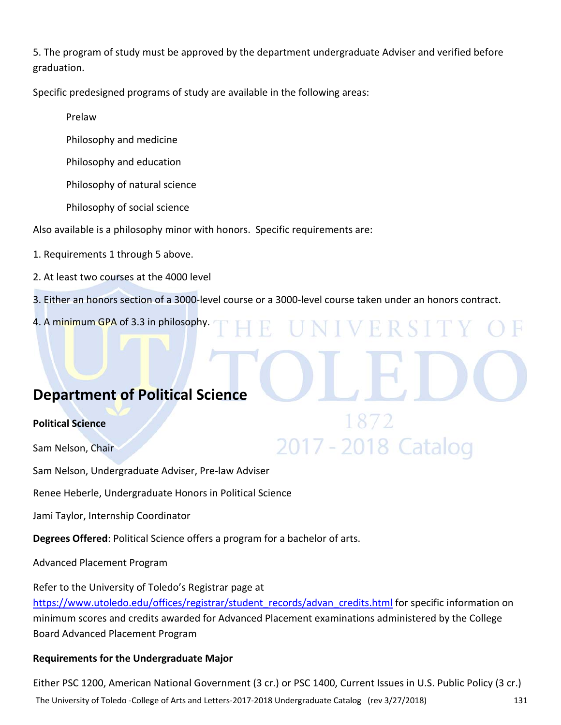5. The program of study must be approved by the department undergraduate Adviser and verified before graduation.

Specific predesigned programs of study are available in the following areas:

Prelaw

Philosophy and medicine

Philosophy and education

Philosophy of natural science

Philosophy of social science

Also available is a philosophy minor with honors. Specific requirements are:

1. Requirements 1 through 5 above.

2. At least two courses at the 4000 level

3. Either an honors section of a 3000‐level course or a 3000‐level course taken under an honors contract.

VERSI

2017 - 2018 Catalog

4. A minimum GPA of 3.3 in philosophy.

## **Department of Political Science**

#### **Political Science**

Sam Nelson, Chair

Sam Nelson, Undergraduate Adviser, Pre‐law Adviser

Renee Heberle, Undergraduate Honors in Political Science

Jami Taylor, Internship Coordinator

**Degrees Offered**: Political Science offers a program for a bachelor of arts.

Advanced Placement Program

Refer to the University of Toledo's Registrar page at https://www.utoledo.edu/offices/registrar/student\_records/advan\_credits.html for specific information on minimum scores and credits awarded for Advanced Placement examinations administered by the College Board Advanced Placement Program

#### **Requirements for the Undergraduate Major**

The University of Toledo ‐College of Arts and Letters‐2017‐2018 Undergraduate Catalog (rev 3/27/2018) 131 Either PSC 1200, American National Government (3 cr.) or PSC 1400, Current Issues in U.S. Public Policy (3 cr.)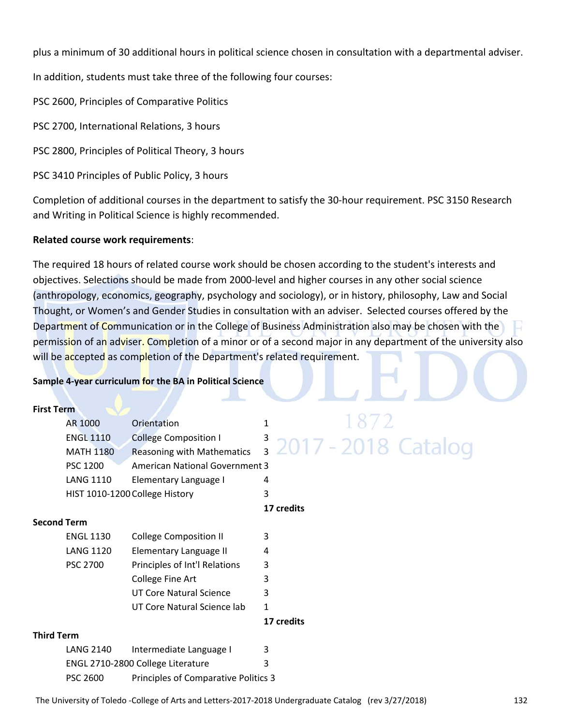plus a minimum of 30 additional hours in political science chosen in consultation with a departmental adviser.

In addition, students must take three of the following four courses:

PSC 2600, Principles of Comparative Politics

PSC 2700, International Relations, 3 hours

PSC 2800, Principles of Political Theory, 3 hours

PSC 3410 Principles of Public Policy, 3 hours

Completion of additional courses in the department to satisfy the 30‐hour requirement. PSC 3150 Research and Writing in Political Science is highly recommended.

#### **Related course work requirements**:

The required 18 hours of related course work should be chosen according to the student's interests and objectives. Selections should be made from 2000‐level and higher courses in any other social science (anthropology, economics, geography, psychology and sociology), or in history, philosophy, Law and Social Thought, or Women's and Gender Studies in consultation with an adviser. Selected courses offered by the Department of Communication or in the College of Business Administration also may be chosen with the permission of an adviser. Completion of a minor or of a second major in any department of the university also will be accepted as completion of the Department's related requirement.

#### **Sample 4‐year curriculum for the BA in Political Science**

| <b>First Term</b>  |                  |                                       |              |  |                                  |  |  |
|--------------------|------------------|---------------------------------------|--------------|--|----------------------------------|--|--|
|                    | AR 1000          | Orientation                           | $\mathbf{1}$ |  | 1872                             |  |  |
|                    | <b>ENGL 1110</b> | <b>College Composition I</b>          |              |  | <sup>3</sup> 2017 - 2018 Catalog |  |  |
|                    | <b>MATH 1180</b> | <b>Reasoning with Mathematics</b>     |              |  |                                  |  |  |
|                    | PSC 1200         | <b>American National Government 3</b> |              |  |                                  |  |  |
|                    | <b>LANG 1110</b> | Elementary Language I                 | 4            |  |                                  |  |  |
|                    |                  | HIST 1010-1200 College History        | 3            |  |                                  |  |  |
|                    |                  |                                       | 17 credits   |  |                                  |  |  |
| <b>Second Term</b> |                  |                                       |              |  |                                  |  |  |
|                    | <b>ENGL 1130</b> | <b>College Composition II</b>         | 3            |  |                                  |  |  |
|                    | <b>LANG 1120</b> | Elementary Language II                | 4            |  |                                  |  |  |
|                    | <b>PSC 2700</b>  | Principles of Int'l Relations         | 3            |  |                                  |  |  |
|                    |                  | College Fine Art                      | 3            |  |                                  |  |  |
|                    |                  | UT Core Natural Science               | 3            |  |                                  |  |  |
|                    |                  | UT Core Natural Science lab           | 1            |  |                                  |  |  |
|                    |                  |                                       | 17 credits   |  |                                  |  |  |
| <b>Third Term</b>  |                  |                                       |              |  |                                  |  |  |
|                    | <b>LANG 2140</b> | Intermediate Language I               | 3            |  |                                  |  |  |
|                    |                  | ENGL 2710-2800 College Literature     | 3            |  |                                  |  |  |
|                    | <b>PSC 2600</b>  | Principles of Comparative Politics 3  |              |  |                                  |  |  |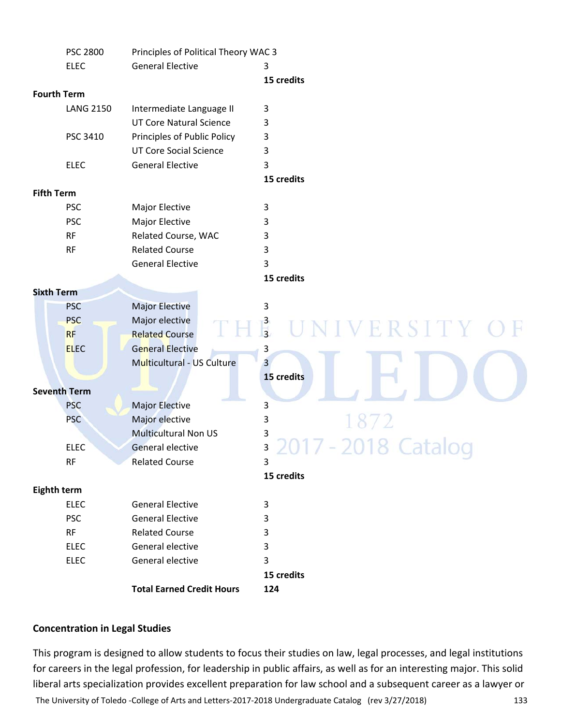|                   | <b>PSC 2800</b>     | Principles of Political Theory WAC 3 |                            |
|-------------------|---------------------|--------------------------------------|----------------------------|
|                   | <b>ELEC</b>         | <b>General Elective</b>              | 3                          |
|                   |                     |                                      | 15 credits                 |
|                   | <b>Fourth Term</b>  |                                      |                            |
|                   | <b>LANG 2150</b>    | Intermediate Language II             | 3                          |
|                   |                     | <b>UT Core Natural Science</b>       | 3                          |
|                   | PSC 3410            | Principles of Public Policy          | 3                          |
|                   |                     | <b>UT Core Social Science</b>        | 3                          |
|                   | <b>ELEC</b>         | <b>General Elective</b>              | 3                          |
|                   |                     |                                      | 15 credits                 |
| <b>Fifth Term</b> |                     |                                      |                            |
|                   | <b>PSC</b>          | Major Elective                       | 3                          |
|                   | <b>PSC</b>          | Major Elective                       | 3                          |
|                   | <b>RF</b>           | Related Course, WAC                  | 3                          |
|                   | <b>RF</b>           | <b>Related Course</b>                | 3                          |
|                   |                     | <b>General Elective</b>              | 3                          |
|                   |                     |                                      | 15 credits                 |
| <b>Sixth Term</b> |                     |                                      |                            |
|                   | <b>PSC</b>          | <b>Major Elective</b>                | 3                          |
|                   | <b>PSC</b>          | Major elective                       |                            |
|                   | <b>RF</b>           | <b>Related Course</b>                | $\frac{3}{3}$<br>VERSITY O |
|                   | <b>ELEC</b>         | <b>General Elective</b>              | 3                          |
|                   |                     | Multicultural - US Culture           | $\overline{3}$             |
|                   |                     |                                      | 15 credits                 |
|                   | <b>Seventh Term</b> |                                      |                            |
|                   | <b>PSC</b>          | Major Elective                       | 3                          |
|                   | <b>PSC</b>          | Major elective                       | 3                          |
|                   |                     | <b>Multicultural Non US</b>          | 3                          |
|                   | <b>ELEC</b>         | <b>General elective</b>              | ς<br>LUIT LUIU CULUIUY     |
|                   | <b>RF</b>           | <b>Related Course</b>                | 3                          |
|                   |                     |                                      | 15 credits                 |
| Eighth term       |                     |                                      |                            |
|                   | <b>ELEC</b>         | <b>General Elective</b>              | 3                          |
|                   | <b>PSC</b>          | <b>General Elective</b>              | 3                          |
|                   | RF                  | <b>Related Course</b>                | 3                          |
|                   | <b>ELEC</b>         | General elective                     | 3                          |
|                   | <b>ELEC</b>         | General elective                     | 3                          |
|                   |                     |                                      | 15 credits                 |
|                   |                     | <b>Total Earned Credit Hours</b>     | 124                        |
|                   |                     |                                      |                            |

#### **Concentration in Legal Studies**

This program is designed to allow students to focus their studies on law, legal processes, and legal institutions for careers in the legal profession, for leadership in public affairs, as well as for an interesting major. This solid liberal arts specialization provides excellent preparation for law school and a subsequent career as a lawyer or

The University of Toledo ‐College of Arts and Letters‐2017‐2018 Undergraduate Catalog (rev 3/27/2018) 133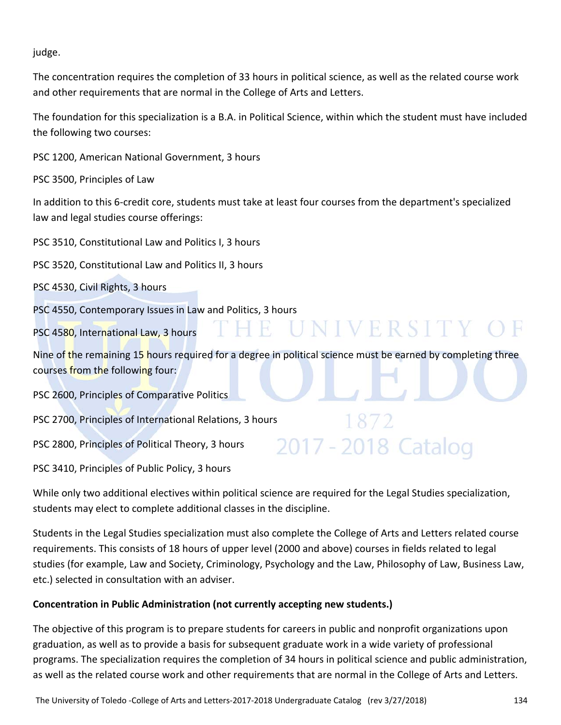judge.

The concentration requires the completion of 33 hours in political science, as well as the related course work and other requirements that are normal in the College of Arts and Letters.

The foundation for this specialization is a B.A. in Political Science, within which the student must have included the following two courses:

PSC 1200, American National Government, 3 hours

PSC 3500, Principles of Law

In addition to this 6‐credit core, students must take at least four courses from the department's specialized law and legal studies course offerings:

PSC 3510, Constitutional Law and Politics I, 3 hours

PSC 3520, Constitutional Law and Politics II, 3 hours

PSC 4530, Civil Rights, 3 hours

PSC 4550, Contemporary Issues in Law and Politics, 3 hours

PSC 4580, International Law, 3 hours

Nine of the remaining 15 hours required for a degree in political science must be earned by completing three courses from the following four:

E UNIVERSITY OF

2017 - 2018 Catalog

PSC 2600, Principles of Comparative Politics

PSC 2700, Principles of International Relations, 3 hours

PSC 2800, Principles of Political Theory, 3 hours

PSC 3410, Principles of Public Policy, 3 hours

While only two additional electives within political science are required for the Legal Studies specialization, students may elect to complete additional classes in the discipline.

Students in the Legal Studies specialization must also complete the College of Arts and Letters related course requirements. This consists of 18 hours of upper level (2000 and above) courses in fields related to legal studies (for example, Law and Society, Criminology, Psychology and the Law, Philosophy of Law, Business Law, etc.) selected in consultation with an adviser.

#### **Concentration in Public Administration (not currently accepting new students.)**

The objective of this program is to prepare students for careers in public and nonprofit organizations upon graduation, as well as to provide a basis for subsequent graduate work in a wide variety of professional programs. The specialization requires the completion of 34 hours in political science and public administration, as well as the related course work and other requirements that are normal in the College of Arts and Letters.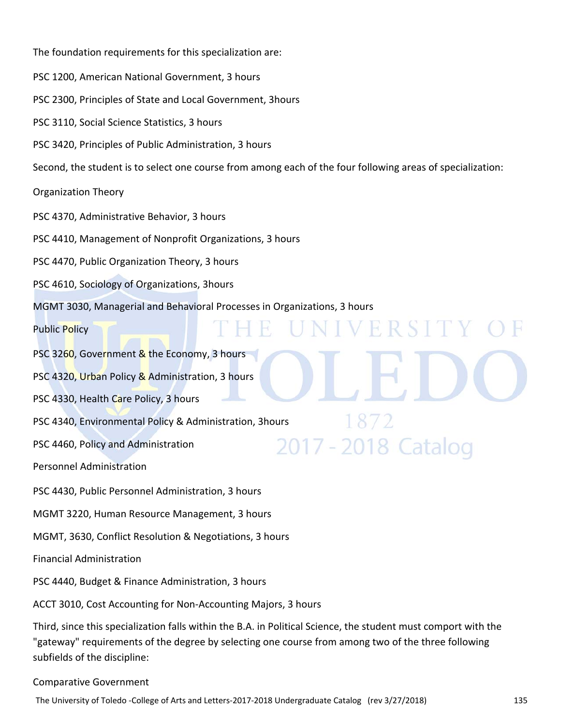The foundation requirements for this specialization are: PSC 1200, American National Government, 3 hours PSC 2300, Principles of State and Local Government, 3hours PSC 3110, Social Science Statistics, 3 hours PSC 3420, Principles of Public Administration, 3 hours Second, the student is to select one course from among each of the four following areas of specialization: Organization Theory PSC 4370, Administrative Behavior, 3 hours PSC 4410, Management of Nonprofit Organizations, 3 hours PSC 4470, Public Organization Theory, 3 hours PSC 4610, Sociology of Organizations, 3hours MGMT 3030, Managerial and Behavioral Processes in Organizations, 3 hours VERSI Public Policy H. PSC 3260, Government & the Economy, 3 hours PSC 4320, Urban Policy & Administration, 3 hours PSC 4330, Health Care Policy, 3 hours PSC 4340, Environmental Policy & Administration, 3hours 2017 - 2018 Catalog PSC 4460, Policy and Administration Personnel Administration PSC 4430, Public Personnel Administration, 3 hours MGMT 3220, Human Resource Management, 3 hours MGMT, 3630, Conflict Resolution & Negotiations, 3 hours Financial Administration PSC 4440, Budget & Finance Administration, 3 hours ACCT 3010, Cost Accounting for Non‐Accounting Majors, 3 hours Third, since this specialization falls within the B.A. in Political Science, the student must comport with the "gateway" requirements of the degree by selecting one course from among two of the three following

subfields of the discipline:

#### Comparative Government

The University of Toledo ‐College of Arts and Letters‐2017‐2018 Undergraduate Catalog (rev 3/27/2018) 135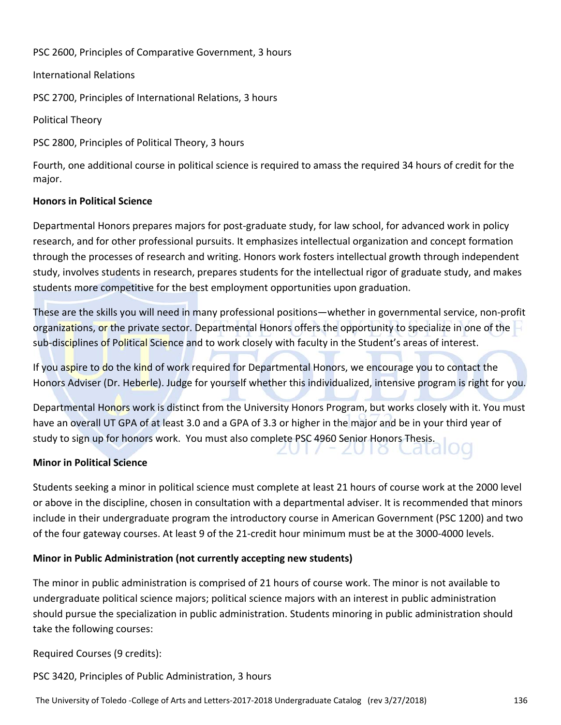PSC 2600, Principles of Comparative Government, 3 hours

#### International Relations

PSC 2700, Principles of International Relations, 3 hours

Political Theory

PSC 2800, Principles of Political Theory, 3 hours

Fourth, one additional course in political science is required to amass the required 34 hours of credit for the major.

#### **Honors in Political Science**

Departmental Honors prepares majors for post‐graduate study, for law school, for advanced work in policy research, and for other professional pursuits. It emphasizes intellectual organization and concept formation through the processes of research and writing. Honors work fosters intellectual growth through independent study, involves students in research, prepares students for the intellectual rigor of graduate study, and makes students more competitive for the best employment opportunities upon graduation.

These are the skills you will need in many professional positions—whether in governmental service, non‐profit organizations, or the private sector. Departmental Honors offers the opportunity to specialize in one of the sub-disciplines of Political Science and to work closely with faculty in the Student's areas of interest.

If you aspire to do the kind of work required for Departmental Honors, we encourage you to contact the Honors Adviser (Dr. Heberle). Judge for yourself whether this individualized, intensive program is right for you.

Departmental Honors work is distinct from the University Honors Program, but works closely with it. You must have an overall UT GPA of at least 3.0 and a GPA of 3.3 or higher in the major and be in your third year of study to sign up for honors work. You must also complete PSC 4960 Senior Honors Thesis.

#### **Minor in Political Science**

Students seeking a minor in political science must complete at least 21 hours of course work at the 2000 level or above in the discipline, chosen in consultation with a departmental adviser. It is recommended that minors include in their undergraduate program the introductory course in American Government (PSC 1200) and two of the four gateway courses. At least 9 of the 21‐credit hour minimum must be at the 3000‐4000 levels.

#### **Minor in Public Administration (not currently accepting new students)**

The minor in public administration is comprised of 21 hours of course work. The minor is not available to undergraduate political science majors; political science majors with an interest in public administration should pursue the specialization in public administration. Students minoring in public administration should take the following courses:

Required Courses (9 credits):

PSC 3420, Principles of Public Administration, 3 hours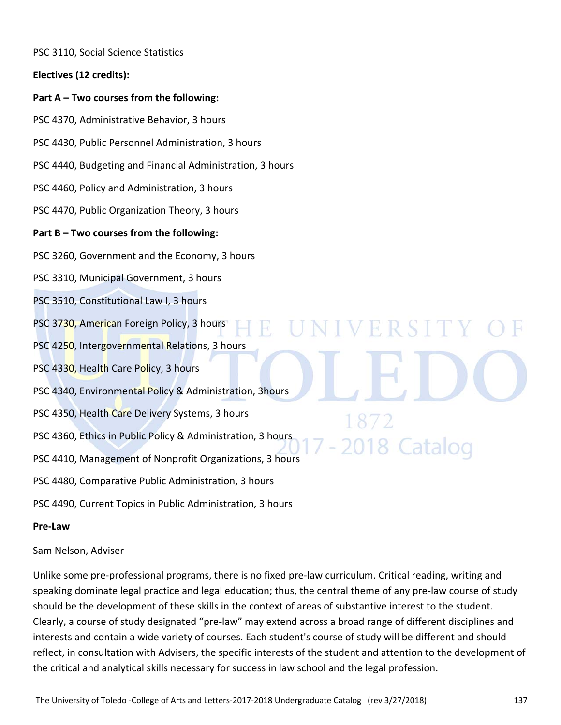PSC 3110, Social Science Statistics

**Electives (12 credits):**

#### **Part A – Two courses from the following:**

PSC 4370, Administrative Behavior, 3 hours

PSC 4430, Public Personnel Administration, 3 hours

PSC 4440, Budgeting and Financial Administration, 3 hours

PSC 4460, Policy and Administration, 3 hours

PSC 4470, Public Organization Theory, 3 hours

#### **Part B – Two courses from the following:**

PSC 3260, Government and the Economy, 3 hours

PSC 3310, Municipal Government, 3 hours

PSC 3510, Constitutional Law I, 3 hours

- PSC 3730, American Foreign Policy, 3 hours
- PSC 4250, Intergovernmental Relations, 3 hours
- PSC 4330, Health Care Policy, 3 hours
- PSC 4340, Environmental Policy & Administration, 3hours
- PSC 4350, Health Care Delivery Systems, 3 hours
- PSC 4360, Ethics in Public Policy & Administration, 3 hours
- PSC 4410, Management of Nonprofit Organizations, 3 hours
- PSC 4480, Comparative Public Administration, 3 hours
- PSC 4490, Current Topics in Public Administration, 3 hours

#### **Pre‐Law**

#### Sam Nelson, Adviser

Unlike some pre‐professional programs, there is no fixed pre‐law curriculum. Critical reading, writing and speaking dominate legal practice and legal education; thus, the central theme of any pre‐law course of study should be the development of these skills in the context of areas of substantive interest to the student. Clearly, a course of study designated "pre‐law" may extend across a broad range of different disciplines and interests and contain a wide variety of courses. Each student's course of study will be different and should reflect, in consultation with Advisers, the specific interests of the student and attention to the development of the critical and analytical skills necessary for success in law school and the legal profession.

IVERSIT

8 Catalog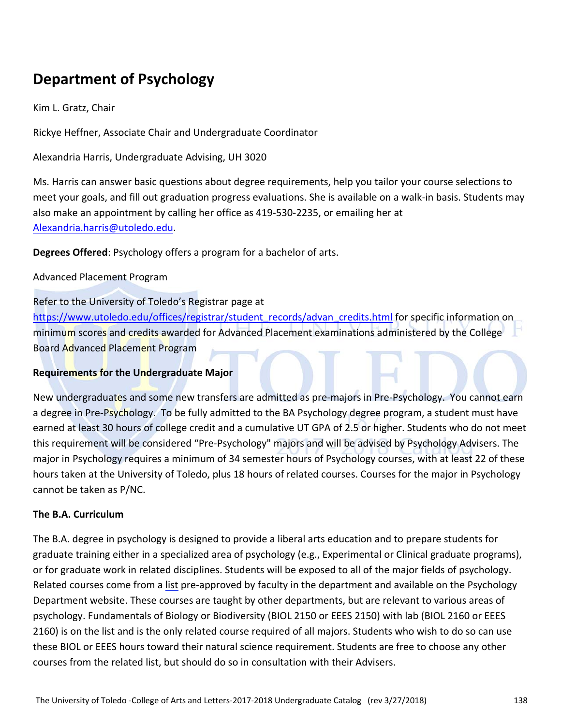# **Department of Psychology**

Kim L. Gratz, Chair

Rickye Heffner, Associate Chair and Undergraduate Coordinator

Alexandria Harris, Undergraduate Advising, UH 3020

Ms. Harris can answer basic questions about degree requirements, help you tailor your course selections to meet your goals, and fill out graduation progress evaluations. She is available on a walk‐in basis. Students may also make an appointment by calling her office as 419‐530‐2235, or emailing her at Alexandria.harris@utoledo.edu.

**Degrees Offered**: Psychology offers a program for a bachelor of arts.

Advanced Placement Program

Refer to the University of Toledo's Registrar page at

https://www.utoledo.edu/offices/registrar/student\_records/advan\_credits.html for specific information on minimum scores and credits awarded for Advanced Placement examinations administered by the College Board Advanced Placement Program

#### **Requirements for the Undergraduate Major**

New undergraduates and some new transfers are admitted as pre-majors in Pre-Psychology. You cannot earn a degree in Pre-Psychology. To be fully admitted to the BA Psychology degree program, a student must have earned at least 30 hours of college credit and a cumulative UT GPA of 2.5 or higher. Students who do not meet this requirement will be considered "Pre‐Psychology" majors and will be advised by Psychology Advisers. The major in Psychology requires a minimum of 34 semester hours of Psychology courses, with at least 22 of these hours taken at the University of Toledo, plus 18 hours of related courses. Courses for the major in Psychology cannot be taken as P/NC.

#### **The B.A. Curriculum**

The B.A. degree in psychology is designed to provide a liberal arts education and to prepare students for graduate training either in a specialized area of psychology (e.g., Experimental or Clinical graduate programs), or for graduate work in related disciplines. Students will be exposed to all of the major fields of psychology. Related courses come from a list pre‐approved by faculty in the department and available on the Psychology Department website. These courses are taught by other departments, but are relevant to various areas of psychology. Fundamentals of Biology or Biodiversity (BIOL 2150 or EEES 2150) with lab (BIOL 2160 or EEES 2160) is on the list and is the only related course required of all majors. Students who wish to do so can use these BIOL or EEES hours toward their natural science requirement. Students are free to choose any other courses from the related list, but should do so in consultation with their Advisers.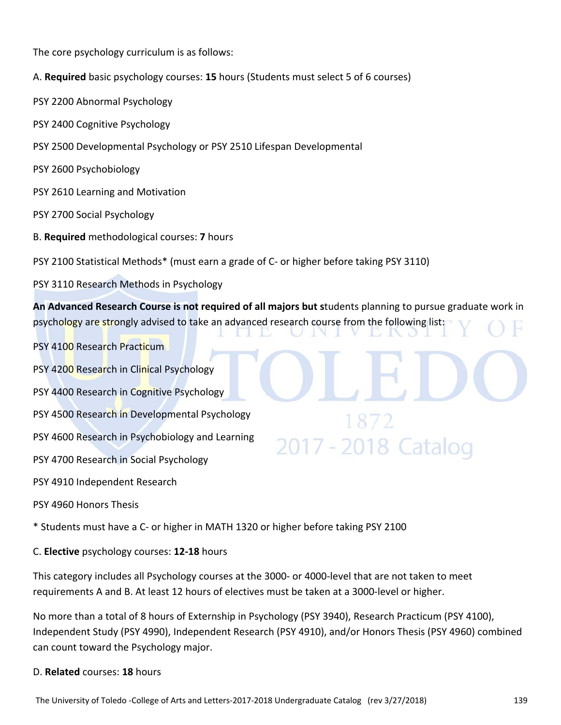The core psychology curriculum is as follows:

- A. **Required** basic psychology courses: **15** hours (Students must select 5 of 6 courses)
- PSY 2200 Abnormal Psychology
- PSY 2400 Cognitive Psychology
- PSY 2500 Developmental Psychology or PSY 2510 Lifespan Developmental
- PSY 2600 Psychobiology
- PSY 2610 Learning and Motivation
- PSY 2700 Social Psychology
- B. **Required** methodological courses: **7** hours

PSY 2100 Statistical Methods\* (must earn a grade of C‐ or higher before taking PSY 3110)

PSY 3110 Research Methods in Psychology

**An Advanced Research Course is not required of all majors but s**tudents planning to pursue graduate work in psychology are strongly advised to take an advanced research course from the following list:

2017 - 2018 Catalog

- PSY 4100 Research Practicum
- PSY 4200 Research in Clinical Psychology
- PSY 4400 Research in Cognitive Psychology
- PSY 4500 Research in Developmental Psychology
- PSY 4600 Research in Psychobiology and Learning
- PSY 4700 Research in Social Psychology
- PSY 4910 Independent Research
- PSY 4960 Honors Thesis

\* Students must have a C‐ or higher in MATH 1320 or higher before taking PSY 2100

C. **Elective** psychology courses: **12‐18** hours

This category includes all Psychology courses at the 3000- or 4000-level that are not taken to meet requirements A and B. At least 12 hours of electives must be taken at a 3000‐level or higher.

No more than a total of 8 hours of Externship in Psychology (PSY 3940), Research Practicum (PSY 4100), Independent Study (PSY 4990), Independent Research (PSY 4910), and/or Honors Thesis (PSY 4960) combined can count toward the Psychology major.

#### D. **Related** courses: **18** hours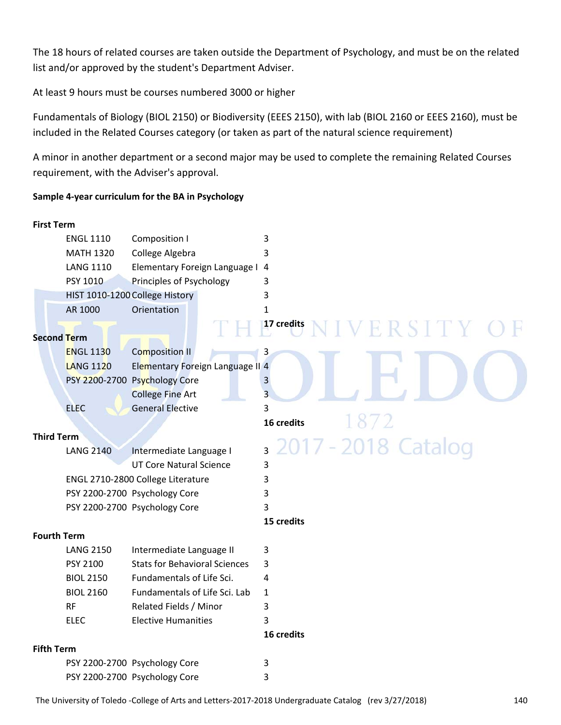The 18 hours of related courses are taken outside the Department of Psychology, and must be on the related list and/or approved by the student's Department Adviser.

At least 9 hours must be courses numbered 3000 or higher

Fundamentals of Biology (BIOL 2150) or Biodiversity (EEES 2150), with lab (BIOL 2160 or EEES 2160), must be included in the Related Courses category (or taken as part of the natural science requirement)

A minor in another department or a second major may be used to complete the remaining Related Courses requirement, with the Adviser's approval.

#### **Sample 4‐year curriculum for the BA in Psychology**

| <b>First Term</b>  |                  |                                      |                                       |
|--------------------|------------------|--------------------------------------|---------------------------------------|
|                    | <b>ENGL 1110</b> | Composition I                        | 3                                     |
|                    | <b>MATH 1320</b> | College Algebra                      | 3                                     |
|                    | <b>LANG 1110</b> | Elementary Foreign Language I 4      |                                       |
|                    | PSY 1010         | Principles of Psychology             | 3                                     |
|                    |                  | HIST 1010-1200 College History       | 3                                     |
|                    | AR 1000          | Orientation                          | $\mathbf{1}$                          |
| <b>Second Term</b> |                  |                                      | 17 credits<br>ERSITY                  |
|                    | <b>ENGL 1130</b> | <b>Composition II</b>                | 3                                     |
|                    | <b>LANG 1120</b> | Elementary Foreign Language II 4     |                                       |
|                    |                  | PSY 2200-2700 Psychology Core        | 3                                     |
|                    |                  | <b>College Fine Art</b>              | $\overline{3}$                        |
|                    | <b>ELEC</b>      | <b>General Elective</b>              | 3                                     |
|                    |                  |                                      | 16 credits                            |
| <b>Third Term</b>  |                  |                                      |                                       |
|                    | <b>LANG 2140</b> | Intermediate Language I              | 2017 - 2018 Catalog<br>$\overline{3}$ |
|                    |                  | <b>UT Core Natural Science</b>       | 3                                     |
|                    |                  | ENGL 2710-2800 College Literature    | 3                                     |
|                    |                  | PSY 2200-2700 Psychology Core        | 3                                     |
|                    |                  | PSY 2200-2700 Psychology Core        | 3                                     |
|                    |                  |                                      | 15 credits                            |
| <b>Fourth Term</b> |                  |                                      |                                       |
|                    | <b>LANG 2150</b> | Intermediate Language II             | 3                                     |
|                    | PSY 2100         | <b>Stats for Behavioral Sciences</b> | 3                                     |
|                    | <b>BIOL 2150</b> | Fundamentals of Life Sci.            | 4                                     |
|                    | <b>BIOL 2160</b> | Fundamentals of Life Sci. Lab        | $\mathbf{1}$                          |
|                    | <b>RF</b>        | Related Fields / Minor               | 3                                     |
|                    | <b>ELEC</b>      | <b>Elective Humanities</b>           | 3                                     |
|                    |                  |                                      | 16 credits                            |
| <b>Fifth Term</b>  |                  |                                      |                                       |
|                    |                  | PSY 2200-2700 Psychology Core        | 3                                     |
|                    |                  | PSY 2200-2700 Psychology Core        | 3                                     |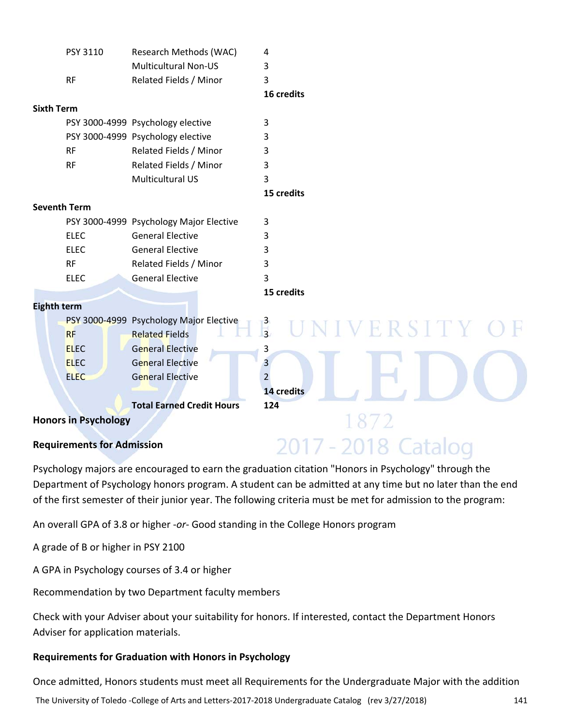|                             | PSY 3110    | Research Methods (WAC)                  | 4              |
|-----------------------------|-------------|-----------------------------------------|----------------|
|                             |             | <b>Multicultural Non-US</b>             | 3              |
|                             | <b>RF</b>   | Related Fields / Minor                  | 3              |
|                             |             |                                         | 16 credits     |
| Sixth Term                  |             |                                         |                |
|                             |             | PSY 3000-4999 Psychology elective       | 3              |
|                             |             | PSY 3000-4999 Psychology elective       | 3              |
|                             | <b>RF</b>   | Related Fields / Minor                  | 3              |
|                             | <b>RF</b>   | Related Fields / Minor                  | 3              |
|                             |             | <b>Multicultural US</b>                 | 3              |
|                             |             |                                         | 15 credits     |
| <b>Seventh Term</b>         |             |                                         |                |
|                             |             | PSY 3000-4999 Psychology Major Elective | 3              |
|                             | <b>ELEC</b> | <b>General Elective</b>                 | 3              |
|                             | <b>ELEC</b> | <b>General Elective</b>                 | 3              |
|                             | <b>RF</b>   | Related Fields / Minor                  | 3              |
|                             | <b>ELEC</b> | <b>General Elective</b>                 | 3              |
|                             |             |                                         | 15 credits     |
| <b>Eighth term</b>          |             |                                         |                |
|                             |             | PSY 3000-4999 Psychology Major Elective | VIVERSITY      |
|                             | <b>RF</b>   | <b>Related Fields</b>                   | $\frac{3}{3}$  |
|                             | <b>ELEC</b> | <b>General Elective</b>                 | 3              |
|                             | <b>ELEC</b> | <b>General Elective</b>                 | 3              |
|                             | <b>ELEC</b> | <b>General Elective</b>                 | $\overline{2}$ |
|                             |             |                                         | 14 credits     |
|                             |             | <b>Total Earned Credit Hours</b>        | 124            |
| <b>Honors in Psychology</b> |             |                                         |                |

## **Requirements for Admission**

Psychology majors are encouraged to earn the graduation citation "Honors in Psychology" through the Department of Psychology honors program. A student can be admitted at any time but no later than the end of the first semester of their junior year. The following criteria must be met for admission to the program:

2017 - 2018 Catalog

An overall GPA of 3.8 or higher ‐*or*‐ Good standing in the College Honors program

A grade of B or higher in PSY 2100

A GPA in Psychology courses of 3.4 or higher

Recommendation by two Department faculty members

Check with your Adviser about your suitability for honors. If interested, contact the Department Honors Adviser for application materials.

#### **Requirements for Graduation with Honors in Psychology**

Once admitted, Honors students must meet all Requirements for the Undergraduate Major with the addition

The University of Toledo ‐College of Arts and Letters‐2017‐2018 Undergraduate Catalog (rev 3/27/2018) 141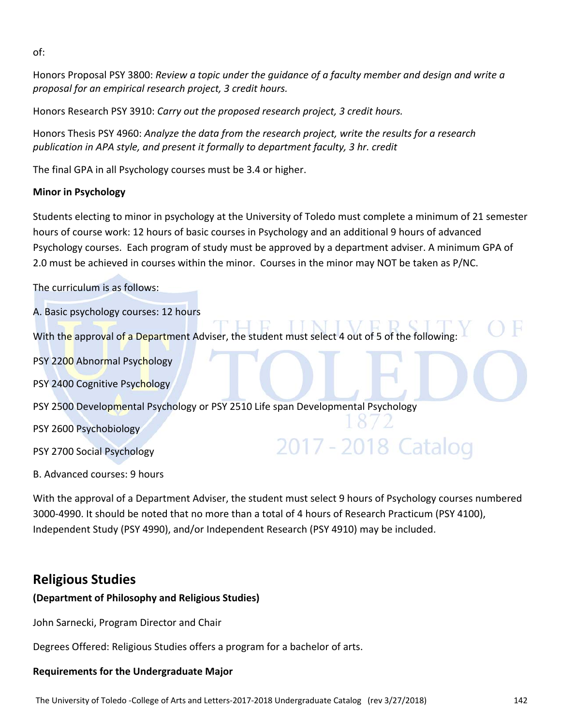of:

Honors Proposal PSY 3800: *Review a topic under the guidance of a faculty member and design and write a proposal for an empirical research project, 3 credit hours.*

Honors Research PSY 3910: *Carry out the proposed research project, 3 credit hours.*

Honors Thesis PSY 4960: *Analyze the data from the research project, write the results for a research publication in APA style, and present it formally to department faculty, 3 hr. credit*

The final GPA in all Psychology courses must be 3.4 or higher.

#### **Minor in Psychology**

Students electing to minor in psychology at the University of Toledo must complete a minimum of 21 semester hours of course work: 12 hours of basic courses in Psychology and an additional 9 hours of advanced Psychology courses. Each program of study must be approved by a department adviser. A minimum GPA of 2.0 must be achieved in courses within the minor. Courses in the minor may NOT be taken as P/NC.

The curriculum is as follows:

A. Basic psychology courses: 12 hours With the approval of a Department Adviser, the student must select 4 out of 5 of the following: PSY 2200 Abnormal Psychology PSY 2400 Cognitive Psychology PSY 2500 Developmental Psychology or PSY 2510 Life span Developmental Psychology PSY 2600 Psychobiology 2017 - 2018 Catalog PSY 2700 Social Psychology B. Advanced courses: 9 hours

With the approval of a Department Adviser, the student must select 9 hours of Psychology courses numbered 3000‐4990. It should be noted that no more than a total of 4 hours of Research Practicum (PSY 4100), Independent Study (PSY 4990), and/or Independent Research (PSY 4910) may be included.

### **Religious Studies**

#### **(Department of Philosophy and Religious Studies)**

John Sarnecki, Program Director and Chair

Degrees Offered: Religious Studies offers a program for a bachelor of arts.

#### **Requirements for the Undergraduate Major**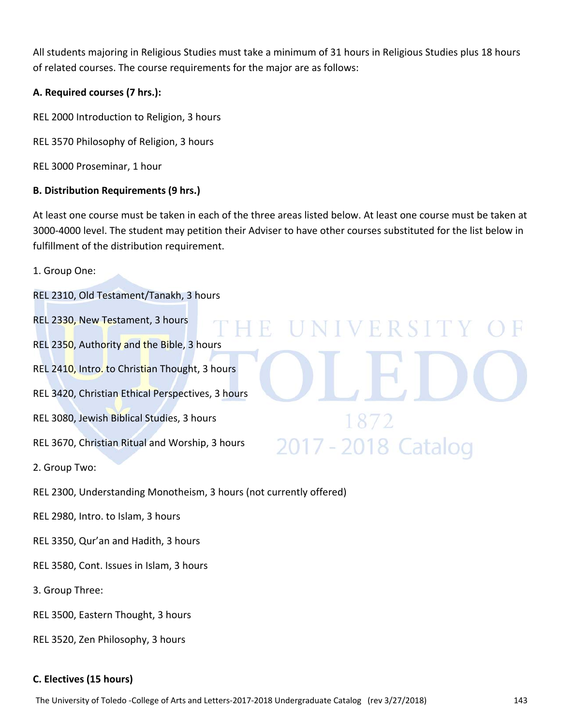All students majoring in Religious Studies must take a minimum of 31 hours in Religious Studies plus 18 hours of related courses. The course requirements for the major are as follows:

#### **A. Required courses (7 hrs.):**

REL 2000 Introduction to Religion, 3 hours

- REL 3570 Philosophy of Religion, 3 hours
- REL 3000 Proseminar, 1 hour

#### **B. Distribution Requirements (9 hrs.)**

At least one course must be taken in each of the three areas listed below. At least one course must be taken at 3000‐4000 level. The student may petition their Adviser to have other courses substituted for the list below in fulfillment of the distribution requirement.

UNIVERSITY

2017 - 2018 Catalog

1. Group One:

REL 2310, Old Testament/Tanakh, 3 hours

- REL 2330, New Testament, 3 hours
- REL 2350, Authority and the Bible, 3 hours
- REL 2410, Intro. to Christian Thought, 3 hours
- REL 3420, Christian Ethical Perspectives, 3 hours
- REL 3080, Jewish Biblical Studies, 3 hours
- REL 3670, Christian Ritual and Worship, 3 hours
- 2. Group Two:
- REL 2300, Understanding Monotheism, 3 hours (not currently offered)
- REL 2980, Intro. to Islam, 3 hours
- REL 3350, Qur'an and Hadith, 3 hours
- REL 3580, Cont. Issues in Islam, 3 hours
- 3. Group Three:
- REL 3500, Eastern Thought, 3 hours
- REL 3520, Zen Philosophy, 3 hours

#### **C. Electives (15 hours)**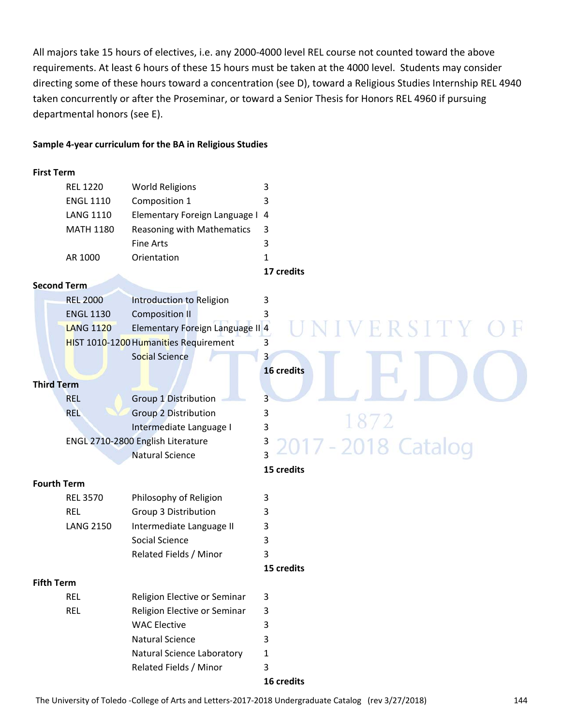All majors take 15 hours of electives, i.e. any 2000‐4000 level REL course not counted toward the above requirements. At least 6 hours of these 15 hours must be taken at the 4000 level. Students may consider directing some of these hours toward a concentration (see D), toward a Religious Studies Internship REL 4940 taken concurrently or after the Proseminar, or toward a Senior Thesis for Honors REL 4960 if pursuing departmental honors (see E).

#### **Sample 4‐year curriculum for the BA in Religious Studies**

#### **First Term**

|                    | <b>REL 1220</b>    | <b>World Religions</b>                | 3                  |
|--------------------|--------------------|---------------------------------------|--------------------|
|                    | <b>ENGL 1110</b>   | Composition 1                         | 3                  |
|                    | <b>LANG 1110</b>   | Elementary Foreign Language I 4       |                    |
|                    | <b>MATH 1180</b>   | Reasoning with Mathematics            | 3                  |
|                    |                    | <b>Fine Arts</b>                      | 3                  |
|                    | AR 1000            | Orientation                           | 1                  |
|                    |                    |                                       | 17 credits         |
|                    | <b>Second Term</b> |                                       |                    |
|                    | <b>REL 2000</b>    | Introduction to Religion              | 3                  |
|                    | <b>ENGL 1130</b>   | <b>Composition II</b>                 | 3                  |
|                    | <b>LANG 1120</b>   | Elementary Foreign Language II 4      | ERSITY             |
|                    |                    | HIST 1010-1200 Humanities Requirement | 3                  |
|                    |                    | Social Science                        | 3                  |
|                    |                    |                                       | 16 credits         |
| <b>Third Term</b>  |                    |                                       |                    |
|                    | <b>REL</b>         | Group 1 Distribution                  | 3                  |
|                    | <b>REL</b>         | <b>Group 2 Distribution</b>           | 3                  |
|                    |                    | Intermediate Language I               | 1872<br>3          |
|                    |                    | ENGL 2710-2800 English Literature     | 3<br>-2018 Catalog |
|                    |                    | <b>Natural Science</b>                | $\overline{3}$     |
|                    |                    |                                       | 15 credits         |
| <b>Fourth Term</b> |                    |                                       |                    |
|                    | <b>REL 3570</b>    | Philosophy of Religion                | 3                  |
|                    | <b>REL</b>         | Group 3 Distribution                  | 3                  |
|                    | <b>LANG 2150</b>   | Intermediate Language II              | 3                  |
|                    |                    | Social Science                        | 3                  |
|                    |                    | Related Fields / Minor                | 3                  |
|                    |                    |                                       | 15 credits         |
| <b>Fifth Term</b>  |                    |                                       |                    |
|                    | <b>REL</b>         | Religion Elective or Seminar          | 3                  |
|                    | <b>REL</b>         | Religion Elective or Seminar          | 3                  |
|                    |                    | <b>WAC Elective</b>                   | 3                  |
|                    |                    | <b>Natural Science</b>                | 3                  |
|                    |                    | Natural Science Laboratory            | 1                  |
|                    |                    | Related Fields / Minor                | 3                  |
|                    |                    |                                       |                    |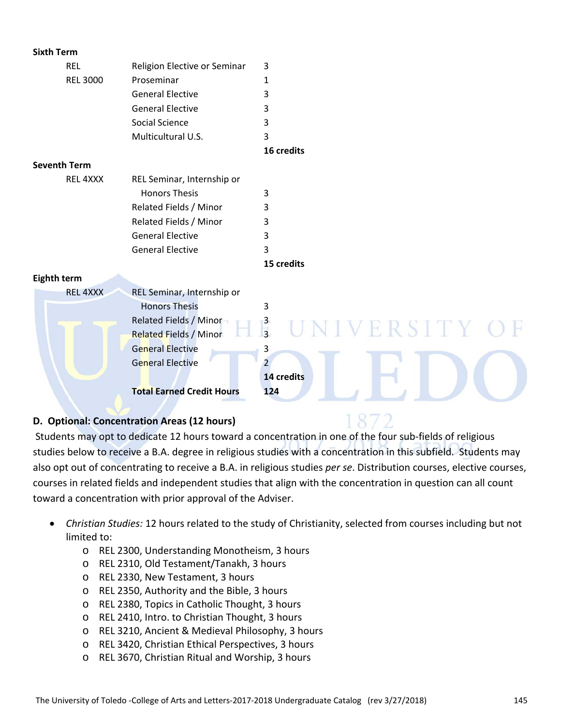| <b>Sixth Term</b>   |                                  |                                            |
|---------------------|----------------------------------|--------------------------------------------|
| <b>REL</b>          | Religion Elective or Seminar     | 3                                          |
| <b>REL 3000</b>     | Proseminar                       | 1                                          |
|                     | <b>General Elective</b>          | 3                                          |
|                     | <b>General Elective</b>          | 3                                          |
|                     | Social Science                   | 3                                          |
|                     | Multicultural U.S.               | 3                                          |
|                     |                                  | 16 credits                                 |
| <b>Seventh Term</b> |                                  |                                            |
| REL 4XXX            | REL Seminar, Internship or       |                                            |
|                     | <b>Honors Thesis</b>             | 3                                          |
|                     | Related Fields / Minor           | 3                                          |
|                     | Related Fields / Minor           | 3                                          |
|                     | <b>General Elective</b>          | 3                                          |
|                     | <b>General Elective</b>          | 3                                          |
|                     |                                  | 15 credits                                 |
| <b>Eighth term</b>  |                                  |                                            |
| <b>REL 4XXX</b>     | REL Seminar, Internship or       |                                            |
|                     | <b>Honors Thesis</b>             | 3                                          |
|                     | Related Fields / Minor           | $\frac{3}{3}$<br>VERSITY C                 |
|                     | <b>Related Fields / Minor</b>    |                                            |
|                     | <b>General Elective</b>          | 3                                          |
|                     | <b>General Elective</b>          | $\overline{2}$                             |
|                     |                                  | 14 credits                                 |
|                     | <b>Total Earned Credit Hours</b> | 124                                        |
|                     |                                  | $\left\{ \right.$ $\cap$ $\left. \right\}$ |

### **D. Optional: Concentration Areas (12 hours)**

Students may opt to dedicate 12 hours toward a concentration in one of the four sub‐fields of religious studies below to receive a B.A. degree in religious studies with a concentration in this subfield. Students may also opt out of concentrating to receive a B.A. in religious studies *per se*. Distribution courses, elective courses, courses in related fields and independent studies that align with the concentration in question can all count toward a concentration with prior approval of the Adviser.

 $8/2$ 

- *Christian Studies:* 12 hours related to the study of Christianity, selected from courses including but not limited to:
	- o REL 2300, Understanding Monotheism, 3 hours
	- o REL 2310, Old Testament/Tanakh, 3 hours
	- o REL 2330, New Testament, 3 hours
	- o REL 2350, Authority and the Bible, 3 hours
	- o REL 2380, Topics in Catholic Thought, 3 hours
	- o REL 2410, Intro. to Christian Thought, 3 hours
	- o REL 3210, Ancient & Medieval Philosophy, 3 hours
	- o REL 3420, Christian Ethical Perspectives, 3 hours
	- o REL 3670, Christian Ritual and Worship, 3 hours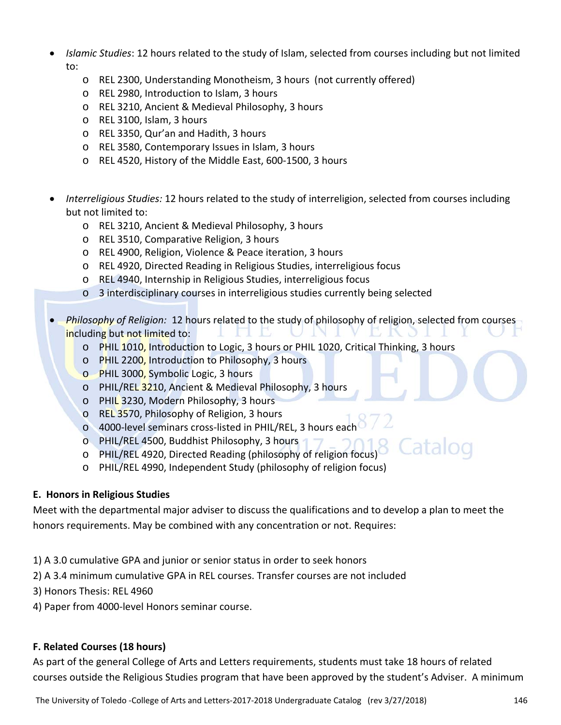- *Islamic Studies*: 12 hours related to the study of Islam, selected from courses including but not limited to:
	- o REL 2300, Understanding Monotheism, 3 hours (not currently offered)
	- o REL 2980, Introduction to Islam, 3 hours
	- o REL 3210, Ancient & Medieval Philosophy, 3 hours
	- o REL 3100, Islam, 3 hours
	- o REL 3350, Qur'an and Hadith, 3 hours
	- o REL 3580, Contemporary Issues in Islam, 3 hours
	- o REL 4520, History of the Middle East, 600‐1500, 3 hours
- *Interreligious Studies:* 12 hours related to the study of interreligion, selected from courses including but not limited to:
	- o REL 3210, Ancient & Medieval Philosophy, 3 hours
	- o REL 3510, Comparative Religion, 3 hours
	- o REL 4900, Religion, Violence & Peace iteration, 3 hours
	- o REL 4920, Directed Reading in Religious Studies, interreligious focus
	- o REL 4940, Internship in Religious Studies, interreligious focus
	- o 3 interdisciplinary courses in interreligious studies currently being selected
- *Philosophy of Religion:* 12 hours related to the study of philosophy of religion, selected from courses including but not limited to:
	- o PHIL 1010, Introduction to Logic, 3 hours or PHIL 1020, Critical Thinking, 3 hours
	- o PHIL 2200, Introduction to Philosophy, 3 hours
	- o PHIL 3000, Symbolic Logic, 3 hours
	- o PHIL/REL 3210, Ancient & Medieval Philosophy, 3 hours
	- o PHIL 3230, Modern Philosophy, 3 hours
	- o REL 3570, Philosophy of Religion, 3 hours
	- o 4000‐level seminars cross‐listed in PHIL/REL, 3 hours each
	- o PHIL/REL 4500, Buddhist Philosophy, 3 hours
	- o PHIL/REL 4920, Directed Reading (philosophy of religion focus)
	- o PHIL/REL 4990, Independent Study (philosophy of religion focus)

### **E. Honors in Religious Studies**

Meet with the departmental major adviser to discuss the qualifications and to develop a plan to meet the honors requirements. May be combined with any concentration or not. Requires:

- 1) A 3.0 cumulative GPA and junior or senior status in order to seek honors
- 2) A 3.4 minimum cumulative GPA in REL courses. Transfer courses are not included
- 3) Honors Thesis: REL 4960
- 4) Paper from 4000‐level Honors seminar course.

### **F. Related Courses (18 hours)**

As part of the general College of Arts and Letters requirements, students must take 18 hours of related courses outside the Religious Studies program that have been approved by the student's Adviser. A minimum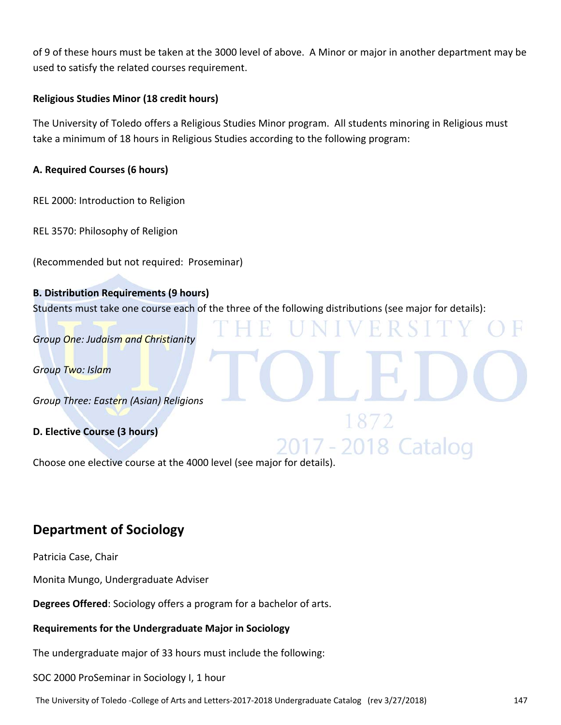of 9 of these hours must be taken at the 3000 level of above. A Minor or major in another department may be used to satisfy the related courses requirement.

### **Religious Studies Minor (18 credit hours)**

The University of Toledo offers a Religious Studies Minor program. All students minoring in Religious must take a minimum of 18 hours in Religious Studies according to the following program:

### **A. Required Courses (6 hours)**

REL 2000: Introduction to Religion

REL 3570: Philosophy of Religion

(Recommended but not required: Proseminar)

### **B. Distribution Requirements (9 hours)**

Students must take one course each of the three of the following distributions (see major for details):

H

2018 Catalog

*Group One: Judaism and Christianity*

*Group Two: Islam*

*Group Three: Eastern (Asian) Religions*

### **D. Elective Course (3 hours)**

Choose one elective course at the 4000 level (see major for details).

### **Department of Sociology**

Patricia Case, Chair

Monita Mungo, Undergraduate Adviser

**Degrees Offered**: Sociology offers a program for a bachelor of arts.

### **Requirements for the Undergraduate Major in Sociology**

The undergraduate major of 33 hours must include the following:

SOC 2000 ProSeminar in Sociology I, 1 hour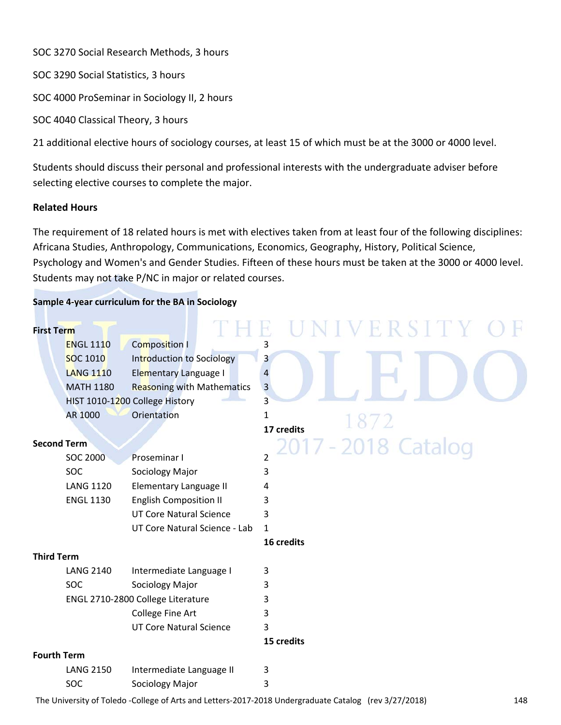SOC 3270 Social Research Methods, 3 hours

SOC 3290 Social Statistics, 3 hours

SOC 4000 ProSeminar in Sociology II, 2 hours

SOC 4040 Classical Theory, 3 hours

21 additional elective hours of sociology courses, at least 15 of which must be at the 3000 or 4000 level.

Students should discuss their personal and professional interests with the undergraduate adviser before selecting elective courses to complete the major.

### **Related Hours**

The requirement of 18 related hours is met with electives taken from at least four of the following disciplines: Africana Studies, Anthropology, Communications, Economics, Geography, History, Political Science, Psychology and Women's and Gender Studies. Fifteen of these hours must be taken at the 3000 or 4000 level. Students may not take P/NC in major or related courses.

### **Sample 4‐year curriculum for the BA in Sociology**

| <b>First Term</b>  |                  |                                   | E R S          |
|--------------------|------------------|-----------------------------------|----------------|
|                    | <b>ENGL 1110</b> | <b>Composition I</b>              | 3              |
|                    | <b>SOC 1010</b>  | Introduction to Sociology         | 3              |
|                    | <b>LANG 1110</b> | <b>Elementary Language I</b>      | 4              |
|                    | <b>MATH 1180</b> | <b>Reasoning with Mathematics</b> | $\overline{3}$ |
|                    |                  | HIST 1010-1200 College History    | $\overline{3}$ |
|                    | AR 1000          | Orientation                       | 1              |
|                    |                  |                                   | 17 credits     |
| <b>Second Term</b> |                  |                                   | -2018 Catalog  |
|                    | <b>SOC 2000</b>  | Proseminar I                      | $\overline{2}$ |
|                    | SOC              | Sociology Major                   | 3              |
|                    | <b>LANG 1120</b> | Elementary Language II            | 4              |
|                    | <b>ENGL 1130</b> | <b>English Composition II</b>     | 3              |
|                    |                  | <b>UT Core Natural Science</b>    | 3              |
|                    |                  | UT Core Natural Science - Lab     | $\mathbf{1}$   |
|                    |                  |                                   | 16 credits     |
| <b>Third Term</b>  |                  |                                   |                |
|                    | <b>LANG 2140</b> | Intermediate Language I           | 3              |
|                    | <b>SOC</b>       | Sociology Major                   | 3              |
|                    |                  | ENGL 2710-2800 College Literature | 3              |
|                    |                  | College Fine Art                  | 3              |
|                    |                  | <b>UT Core Natural Science</b>    | 3              |
|                    |                  |                                   | 15 credits     |
| <b>Fourth Term</b> |                  |                                   |                |
|                    | <b>LANG 2150</b> | Intermediate Language II          | 3              |
|                    | SOC              | Sociology Major                   | 3              |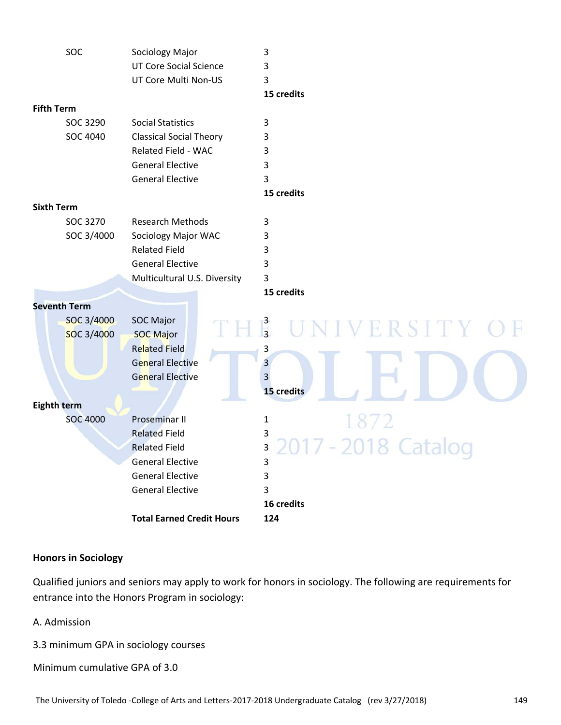| SOC                 | Sociology Major                  | 3                           |
|---------------------|----------------------------------|-----------------------------|
|                     | <b>UT Core Social Science</b>    | 3                           |
|                     | UT Core Multi Non-US             | 3                           |
|                     |                                  | 15 credits                  |
| <b>Fifth Term</b>   |                                  |                             |
| SOC 3290            | <b>Social Statistics</b>         | 3                           |
| SOC 4040            | <b>Classical Social Theory</b>   | 3                           |
|                     | Related Field - WAC              | 3                           |
|                     | <b>General Elective</b>          | 3                           |
|                     | <b>General Elective</b>          | 3                           |
|                     |                                  | 15 credits                  |
| <b>Sixth Term</b>   |                                  |                             |
| SOC 3270            | <b>Research Methods</b>          | 3                           |
| SOC 3/4000          | Sociology Major WAC              | 3                           |
|                     | <b>Related Field</b>             | 3                           |
|                     | <b>General Elective</b>          | 3                           |
|                     | Multicultural U.S. Diversity     | 3                           |
|                     |                                  | 15 credits                  |
| <b>Seventh Term</b> |                                  |                             |
| SOC 3/4000          | <b>SOC Major</b>                 |                             |
| SOC 3/4000          | <b>SOC Major</b>                 | $\frac{3}{3}$<br>UNIVERSITY |
|                     | <b>Related Field</b>             | 3                           |
|                     | <b>General Elective</b>          | $\overline{3}$              |
|                     | <b>General Elective</b>          | 3                           |
|                     |                                  | 15 credits                  |
| <b>Eighth term</b>  |                                  |                             |
| <b>SOC 4000</b>     | <b>Proseminar II</b>             | 1872<br>1                   |
|                     | <b>Related Field</b>             | 3                           |
|                     | <b>Related Field</b>             | 3                           |
|                     | <b>General Elective</b>          | 3                           |
|                     | <b>General Elective</b>          | 3                           |
|                     | <b>General Elective</b>          | 3                           |
|                     |                                  | 16 credits                  |
|                     | <b>Total Earned Credit Hours</b> | 124                         |

### **Honors in Sociology**

Qualified juniors and seniors may apply to work for honors in sociology. The following are requirements for entrance into the Honors Program in sociology:

A. Admission

3.3 minimum GPA in sociology courses

Minimum cumulative GPA of 3.0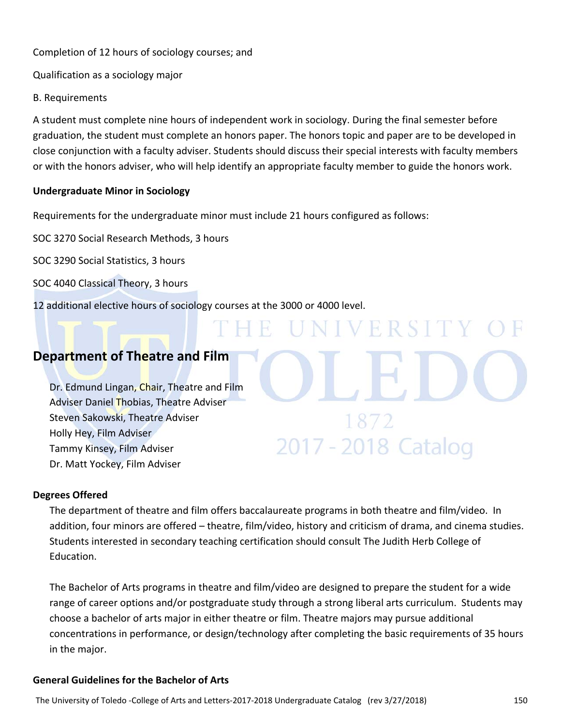Completion of 12 hours of sociology courses; and

Qualification as a sociology major

B. Requirements

A student must complete nine hours of independent work in sociology. During the final semester before graduation, the student must complete an honors paper. The honors topic and paper are to be developed in close conjunction with a faculty adviser. Students should discuss their special interests with faculty members or with the honors adviser, who will help identify an appropriate faculty member to guide the honors work.

H.

### **Undergraduate Minor in Sociology**

Requirements for the undergraduate minor must include 21 hours configured as follows:

SOC 3270 Social Research Methods, 3 hours

SOC 3290 Social Statistics, 3 hours

SOC 4040 Classical Theory, 3 hours

12 additional elective hours of sociology courses at the 3000 or 4000 level.

## **Department of Theatre and Film**

Dr. Edmund Lingan, Chair, Theatre and Film Adviser Daniel Thobias, Theatre Adviser Steven Sakowski, Theatre Adviser Holly Hey, Film Adviser Tammy Kinsey, Film Adviser Dr. Matt Yockey, Film Adviser

### **Degrees Offered**

The department of theatre and film offers baccalaureate programs in both theatre and film/video. In addition, four minors are offered – theatre, film/video, history and criticism of drama, and cinema studies. Students interested in secondary teaching certification should consult The Judith Herb College of Education.

UNIVERSIT

1872

2017 - 2018 Catalog

The Bachelor of Arts programs in theatre and film/video are designed to prepare the student for a wide range of career options and/or postgraduate study through a strong liberal arts curriculum. Students may choose a bachelor of arts major in either theatre or film. Theatre majors may pursue additional concentrations in performance, or design/technology after completing the basic requirements of 35 hours in the major.

### **General Guidelines for the Bachelor of Arts**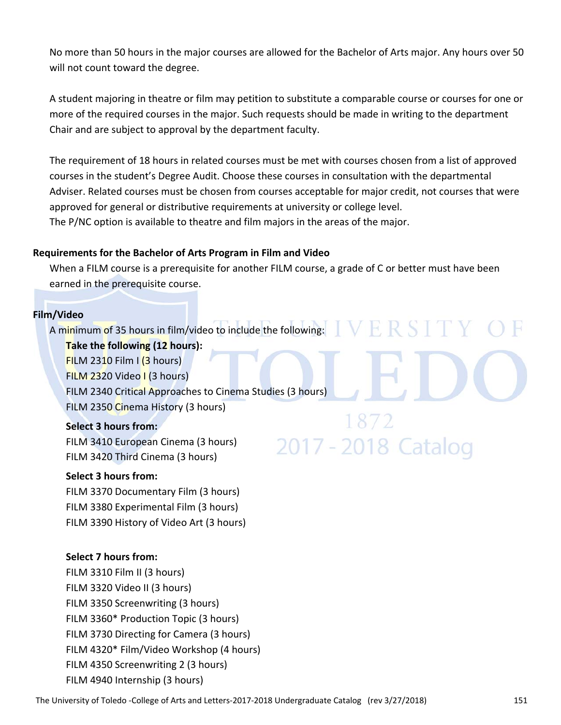No more than 50 hours in the major courses are allowed for the Bachelor of Arts major. Any hours over 50 will not count toward the degree.

A student majoring in theatre or film may petition to substitute a comparable course or courses for one or more of the required courses in the major. Such requests should be made in writing to the department Chair and are subject to approval by the department faculty.

The requirement of 18 hours in related courses must be met with courses chosen from a list of approved courses in the student's Degree Audit. Choose these courses in consultation with the departmental Adviser. Related courses must be chosen from courses acceptable for major credit, not courses that were approved for general or distributive requirements at university or college level. The P/NC option is available to theatre and film majors in the areas of the major.

### **Requirements for the Bachelor of Arts Program in Film and Video**

When a FILM course is a prerequisite for another FILM course, a grade of C or better must have been earned in the prerequisite course.

### **Film/Video**

A minimum of 35 hours in film/video to include the following:  $\mathbb{R} \mathbb{S} \mathbb{R}$ 

**Take the following (12 hours):**

 $FlLM 2310 Film I (3 hours)$ FILM 2320 Video I (3 hours) FILM 2340 Critical Approaches to Cinema Studies (3 hours) FILM 2350 Cinema History (3 hours)

### **Select 3 hours from:**

FILM 3410 European Cinema (3 hours) FILM 3420 Third Cinema (3 hours)

### **Select 3 hours from:**

FILM 3370 Documentary Film (3 hours) FILM 3380 Experimental Film (3 hours) FILM 3390 History of Video Art (3 hours)

### **Select 7 hours from:**

FILM 3310 Film II (3 hours) FILM 3320 Video II (3 hours) FILM 3350 Screenwriting (3 hours) FILM 3360\* Production Topic (3 hours) FILM 3730 Directing for Camera (3 hours) FILM 4320\* Film/Video Workshop (4 hours) FILM 4350 Screenwriting 2 (3 hours) FILM 4940 Internship (3 hours)

2017 - 2018 Catalog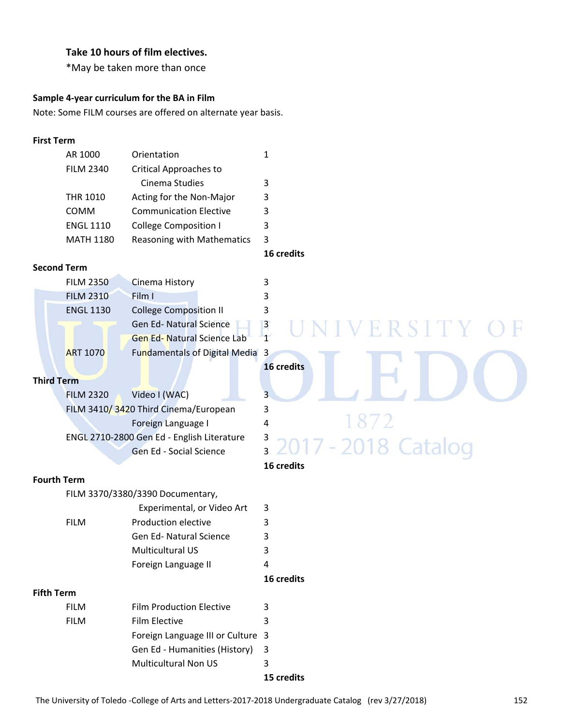### **Take 10 hours of film electives.**

\*May be taken more than once

### **Sample 4‐year curriculum for the BA in Film**

Note: Some FILM courses are offered on alternate year basis.

### **First Term**

| AR 1000          | Orientation                   |   |  |  |
|------------------|-------------------------------|---|--|--|
| <b>FILM 2340</b> | Critical Approaches to        |   |  |  |
|                  | Cinema Studies                | 3 |  |  |
| <b>THR 1010</b>  | Acting for the Non-Major      | 3 |  |  |
| <b>COMM</b>      | <b>Communication Elective</b> | 3 |  |  |
| <b>ENGL 1110</b> | <b>College Composition I</b>  |   |  |  |
| MATH 1180        | Reasoning with Mathematics 3  |   |  |  |
|                  |                               |   |  |  |

### **Second Term**

| <b>FILM 2350</b> | Cinema History                    | २ |
|------------------|-----------------------------------|---|
| <b>FILM 2310</b> | Film I                            | 3 |
| <b>ENGL 1130</b> | <b>College Composition II</b>     | 3 |
|                  | <b>Gen Ed- Natural Science</b>    | 3 |
|                  | <b>Gen Ed-Natural Science Lab</b> | 1 |
| <b>ART 1070</b>  | Fundamentals of Digital Media 3   |   |
|                  |                                   |   |

### **Third Term**

| <b>FILM 2320</b> | Video I (WAC)                              | 3 |
|------------------|--------------------------------------------|---|
|                  | FILM 3410/3420 Third Cinema/European       | 3 |
|                  | Foreign Language I                         | 4 |
|                  | ENGL 2710-2800 Gen Ed - English Literature | 3 |
|                  | Gen Ed - Social Science                    | 3 |
|                  |                                            |   |

### **Fourth Term**

FILM 3370/3380/3390 Documentary,

|             |                                | 16 credits              |  |
|-------------|--------------------------------|-------------------------|--|
|             | Foreign Language II            | 4                       |  |
|             | <b>Multicultural US</b>        | 3                       |  |
|             | <b>Gen Ed- Natural Science</b> | 3                       |  |
| <b>FILM</b> | Production elective            |                         |  |
|             | Experimental, or Video Art     | $\overline{\mathbf{3}}$ |  |

### **Fifth Term**

|  | Gen Ed - Humanities (History) 3 |            |
|--|---------------------------------|------------|
|  | <b>Multicultural Non US</b>     |            |
|  |                                 | 15 credits |

### **16 credits**

# VERSIT ART 1070 Fundamentals of Digital Media 3 **16 credits**  $\frac{3}{2}$  2017 - 2018 Catalog

### **16 credits**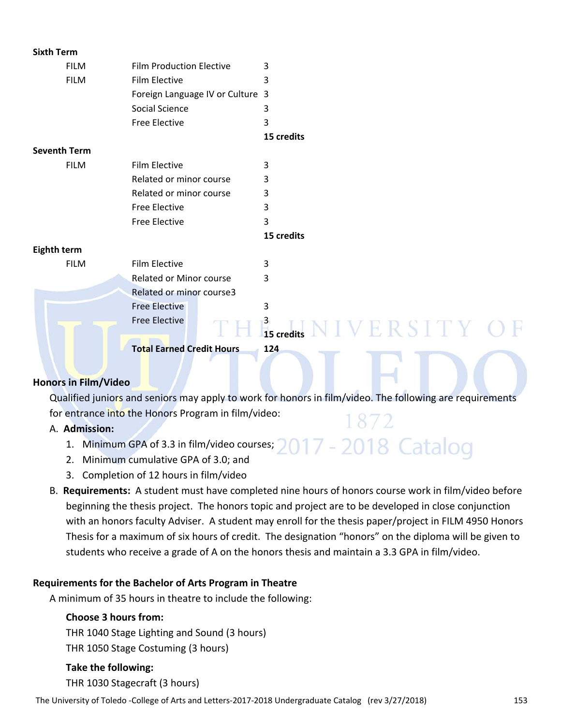| <b>Film Production Elective</b><br>3<br><b>FILM</b><br><b>FILM</b><br><b>Film Elective</b><br>3<br>Foreign Language IV or Culture 3<br>Social Science<br>3<br>3<br><b>Free Elective</b><br>15 credits<br><b>Seventh Term</b><br><b>FILM</b><br><b>Film Elective</b><br>3<br>Related or minor course<br>3<br>3<br>Related or minor course |
|------------------------------------------------------------------------------------------------------------------------------------------------------------------------------------------------------------------------------------------------------------------------------------------------------------------------------------------|
|                                                                                                                                                                                                                                                                                                                                          |
|                                                                                                                                                                                                                                                                                                                                          |
|                                                                                                                                                                                                                                                                                                                                          |
|                                                                                                                                                                                                                                                                                                                                          |
|                                                                                                                                                                                                                                                                                                                                          |
|                                                                                                                                                                                                                                                                                                                                          |
|                                                                                                                                                                                                                                                                                                                                          |
|                                                                                                                                                                                                                                                                                                                                          |
|                                                                                                                                                                                                                                                                                                                                          |
|                                                                                                                                                                                                                                                                                                                                          |
| 3<br><b>Free Elective</b>                                                                                                                                                                                                                                                                                                                |
| <b>Free Elective</b><br>3                                                                                                                                                                                                                                                                                                                |
| 15 credits                                                                                                                                                                                                                                                                                                                               |
| Eighth term                                                                                                                                                                                                                                                                                                                              |
| <b>Film Elective</b><br><b>FILM</b><br>3                                                                                                                                                                                                                                                                                                 |
| <b>Related or Minor course</b><br>3                                                                                                                                                                                                                                                                                                      |
| Related or minor course3                                                                                                                                                                                                                                                                                                                 |
| <b>Free Elective</b><br>3                                                                                                                                                                                                                                                                                                                |
| <b>Free Elective</b><br>$\frac{3}{15}$ credits $N$ I $V$ $E$ $R$ $S$ $I$ $T$ $Y$ $C$                                                                                                                                                                                                                                                     |
|                                                                                                                                                                                                                                                                                                                                          |
| <b>Total Earned Credit Hours</b><br>124                                                                                                                                                                                                                                                                                                  |

### **Honors in Film/Video**

Qualified juniors and seniors may apply to work for honors in film/video. The following are requirements for entrance into the Honors Program in film/video: 1872

017 - 2018 Catalog

### A. **Admission:**

- 1. Minimum GPA of 3.3 in film/video courses;
- 2. Minimum cumulative GPA of 3.0; and
- 3. Completion of 12 hours in film/video
- B. **Requirements:** A student must have completed nine hours of honors course work in film/video before beginning the thesis project. The honors topic and project are to be developed in close conjunction with an honors faculty Adviser. A student may enroll for the thesis paper/project in FILM 4950 Honors Thesis for a maximum of six hours of credit. The designation "honors" on the diploma will be given to students who receive a grade of A on the honors thesis and maintain a 3.3 GPA in film/video.

### **Requirements for the Bachelor of Arts Program in Theatre**

A minimum of 35 hours in theatre to include the following:

### **Choose 3 hours from:**

THR 1040 Stage Lighting and Sound (3 hours)

THR 1050 Stage Costuming (3 hours)

### **Take the following:**

THR 1030 Stagecraft (3 hours)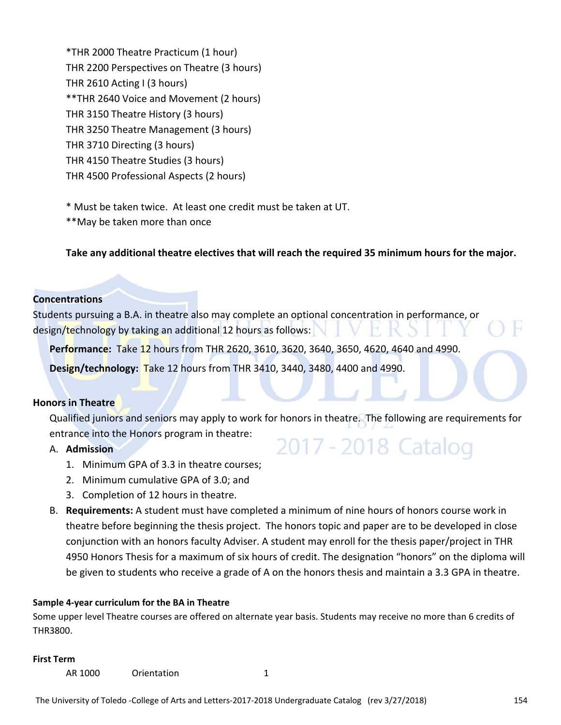\*THR 2000 Theatre Practicum (1 hour) THR 2200 Perspectives on Theatre (3 hours) THR 2610 Acting I (3 hours) \*\*THR 2640 Voice and Movement (2 hours) THR 3150 Theatre History (3 hours) THR 3250 Theatre Management (3 hours) THR 3710 Directing (3 hours) THR 4150 Theatre Studies (3 hours) THR 4500 Professional Aspects (2 hours)

\* Must be taken twice. At least one credit must be taken at UT.

\*\*May be taken more than once

**Take any additional theatre electives that will reach the required 35 minimum hours for the major.**

### **Concentrations**

Students pursuing a B.A. in theatre also may complete an optional concentration in performance, or design/technology by taking an additional 12 hours as follows:

**Performance:** Take 12 hours from THR 2620, 3610, 3620, 3640, 3650, 4620, 4640 and 4990.

**Design/technology:** Take 12 hours from THR 3410, 3440, 3480, 4400 and 4990.

### **Honors in Theatre**

Qualified juniors and seniors may apply to work for honors in theatre. The following are requirements for entrance into the Honors program in theatre: 2017 - 2018 Catalog

### A. **Admission**

- 1. Minimum GPA of 3.3 in theatre courses;
- 2. Minimum cumulative GPA of 3.0; and
- 3. Completion of 12 hours in theatre.
- B. **Requirements:** A student must have completed a minimum of nine hours of honors course work in theatre before beginning the thesis project. The honors topic and paper are to be developed in close conjunction with an honors faculty Adviser. A student may enroll for the thesis paper/project in THR 4950 Honors Thesis for a maximum of six hours of credit. The designation "honors" on the diploma will be given to students who receive a grade of A on the honors thesis and maintain a 3.3 GPA in theatre.

### **Sample 4‐year curriculum for the BA in Theatre**

Some upper level Theatre courses are offered on alternate year basis. Students may receive no more than 6 credits of THR3800.

### **First Term**

AR 1000 Orientation 1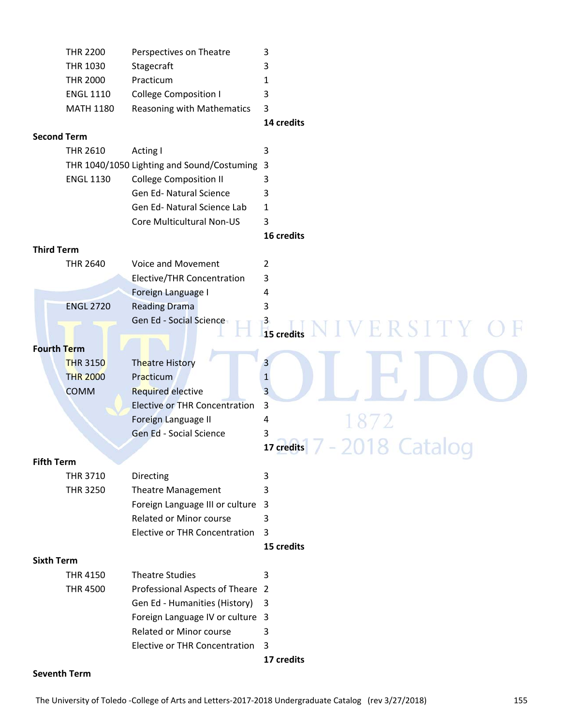|                    | <b>THR 2200</b>  | Perspectives on Theatre                      | 3                                |
|--------------------|------------------|----------------------------------------------|----------------------------------|
|                    | <b>THR 1030</b>  | Stagecraft                                   | 3                                |
|                    | <b>THR 2000</b>  | Practicum                                    | 1                                |
|                    | <b>ENGL 1110</b> | <b>College Composition I</b>                 | 3                                |
|                    | <b>MATH 1180</b> | Reasoning with Mathematics                   | 3                                |
|                    |                  |                                              | 14 credits                       |
| <b>Second Term</b> |                  |                                              |                                  |
|                    | <b>THR 2610</b>  | Acting I                                     | 3                                |
|                    |                  | THR 1040/1050 Lighting and Sound/Costuming 3 |                                  |
|                    | <b>ENGL 1130</b> | <b>College Composition II</b>                | 3                                |
|                    |                  | Gen Ed- Natural Science                      | 3                                |
|                    |                  | Gen Ed- Natural Science Lab                  | 1                                |
|                    |                  | Core Multicultural Non-US                    | 3                                |
|                    |                  |                                              | 16 credits                       |
| <b>Third Term</b>  |                  |                                              |                                  |
|                    | <b>THR 2640</b>  | Voice and Movement                           | 2                                |
|                    |                  | <b>Elective/THR Concentration</b>            | 3                                |
|                    |                  | Foreign Language I                           | 4                                |
|                    | <b>ENGL 2720</b> | <b>Reading Drama</b>                         | 3                                |
|                    |                  | Gen Ed - Social Science                      | $\frac{3}{15}$ credits<br>ERSITY |
|                    |                  |                                              |                                  |
| <b>Fourth Term</b> |                  |                                              |                                  |
|                    | <b>THR 3150</b>  | <b>Theatre History</b>                       | 3                                |
|                    | <b>THR 2000</b>  | Practicum                                    | $\mathbf{1}$                     |
|                    | <b>COMM</b>      | <b>Required elective</b>                     | 3                                |
|                    |                  | <b>Elective or THR Concentration</b>         | 3                                |
|                    |                  | Foreign Language II                          | 4                                |
|                    |                  | Gen Ed - Social Science                      | 3                                |
|                    |                  |                                              | 17 credits                       |
| <b>Fifth Term</b>  |                  |                                              |                                  |
|                    | <b>THR 3710</b>  | Directing                                    | 3                                |
|                    | <b>THR 3250</b>  | Theatre Management                           | 3                                |
|                    |                  | Foreign Language III or culture              | $\overline{3}$                   |
|                    |                  | <b>Related or Minor course</b>               | 3                                |
|                    |                  | <b>Elective or THR Concentration</b>         | 3                                |
|                    |                  |                                              | 15 credits                       |
| <b>Sixth Term</b>  |                  |                                              |                                  |
|                    | <b>THR 4150</b>  | <b>Theatre Studies</b>                       | 3                                |
|                    | <b>THR 4500</b>  | Professional Aspects of Theare 2             |                                  |
|                    |                  | Gen Ed - Humanities (History)                | 3                                |
|                    |                  | Foreign Language IV or culture 3             |                                  |
|                    |                  | <b>Related or Minor course</b>               | 3                                |
|                    |                  | <b>Elective or THR Concentration</b>         | 3                                |
|                    |                  |                                              | 17 credits                       |

### **Seventh Term**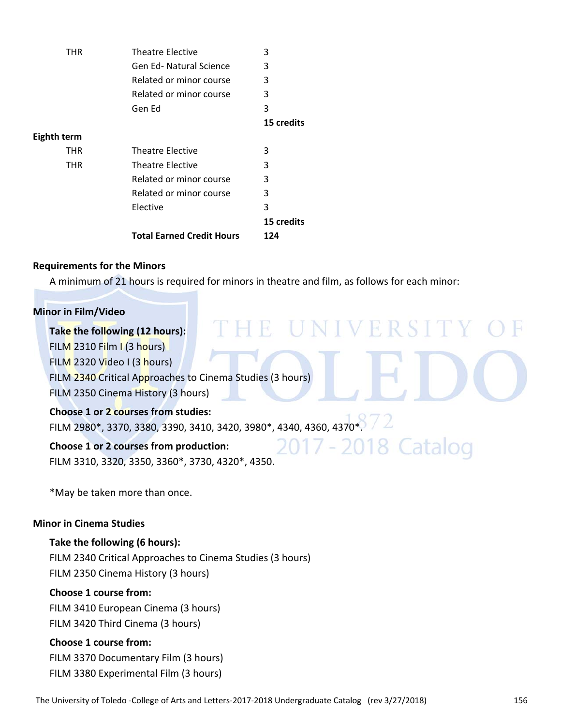| <b>THR</b>  | <b>Theatre Elective</b>          | 3          |
|-------------|----------------------------------|------------|
|             | <b>Gen Ed-Natural Science</b>    | 3          |
|             | Related or minor course          | 3          |
|             | Related or minor course          | 3          |
|             | Gen Ed                           | 3          |
|             |                                  | 15 credits |
| Eighth term |                                  |            |
| <b>THR</b>  | <b>Theatre Elective</b>          | 3          |
| <b>THR</b>  | Theatre Elective                 | 3          |
|             | Related or minor course          | 3          |
|             | Related or minor course          | 3          |
|             | Elective                         | 3          |
|             |                                  | 15 credits |
|             | <b>Total Earned Credit Hours</b> | 124        |

### **Requirements for the Minors**

A minimum of 21 hours is required for minors in theatre and film, as follows for each minor:

### **Minor in Film/Video**

| Take the following (12 hours):                                                                                    |
|-------------------------------------------------------------------------------------------------------------------|
| FILM 2310 Film I (3 hours)                                                                                        |
| FILM 2320 Video I (3 hours)                                                                                       |
| FILM 2340 Critical Approaches to Cinema Studies (3 hours)                                                         |
| FILM 2350 Cinema History (3 hours)                                                                                |
| Choose 1 or 2 courses from studies:                                                                               |
| FILM 2980*, 3370, 3380, 3390, 3410, 3420, 3980*, 4340, 4360, 4370*.                                               |
| 2017 - 2018 Catalog<br>Choose 1 or 2 courses from production:<br>FILM 3310, 3320, 3350, 3360*, 3730, 4320*, 4350. |
|                                                                                                                   |

\*May be taken more than once.

### **Minor in Cinema Studies**

**Take the following (6 hours):** FILM 2340 Critical Approaches to Cinema Studies (3 hours) FILM 2350 Cinema History (3 hours)

### **Choose 1 course from:**

FILM 3410 European Cinema (3 hours) FILM 3420 Third Cinema (3 hours)

### **Choose 1 course from:**

FILM 3370 Documentary Film (3 hours) FILM 3380 Experimental Film (3 hours)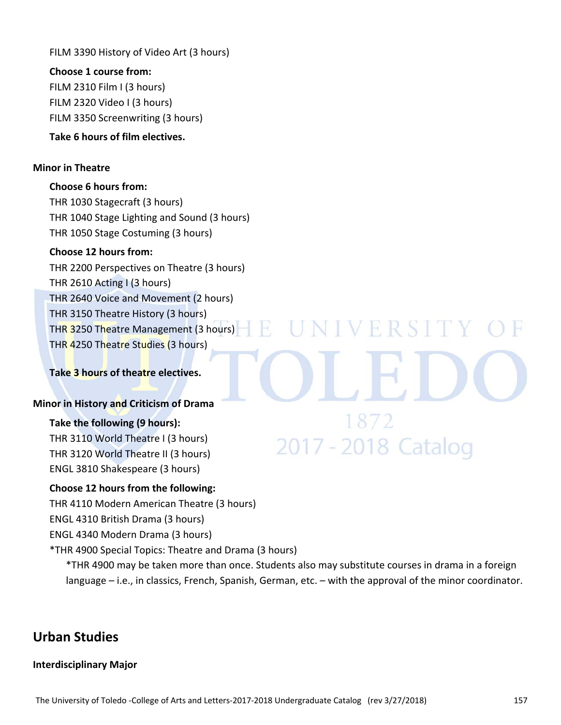FILM 3390 History of Video Art (3 hours)

**Choose 1 course from:** FILM 2310 Film I (3 hours) FILM 2320 Video I (3 hours) FILM 3350 Screenwriting (3 hours)

### **Take 6 hours of film electives.**

### **Minor in Theatre**

**Choose 6 hours from:** THR 1030 Stagecraft (3 hours) THR 1040 Stage Lighting and Sound (3 hours) THR 1050 Stage Costuming (3 hours)

### **Choose 12 hours from:**

THR 2200 Perspectives on Theatre (3 hours) THR 2610 Acting I (3 hours) THR 2640 Voice and Movement (2 hours) THR 3150 Theatre History (3 hours) THR 3250 Theatre Management (3 hours) THR 4250 Theatre Studies (3 hours)

### **Take 3 hours of theatre electives.**

### **Minor in History and Criticism of Drama**

### **Take the following (9 hours):**

THR 3110 World Theatre I (3 hours) THR 3120 World Theatre II (3 hours) ENGL 3810 Shakespeare (3 hours)

### **Choose 12 hours from the following:**

THR 4110 Modern American Theatre (3 hours)

ENGL 4310 British Drama (3 hours)

ENGL 4340 Modern Drama (3 hours)

\*THR 4900 Special Topics: Theatre and Drama (3 hours)

\*THR 4900 may be taken more than once. Students also may substitute courses in drama in a foreign language – i.e., in classics, French, Spanish, German, etc. – with the approval of the minor coordinator.

### **Urban Studies**

### **Interdisciplinary Major**

**NIVERSITY** 

1872

2017 - 2018 Catalog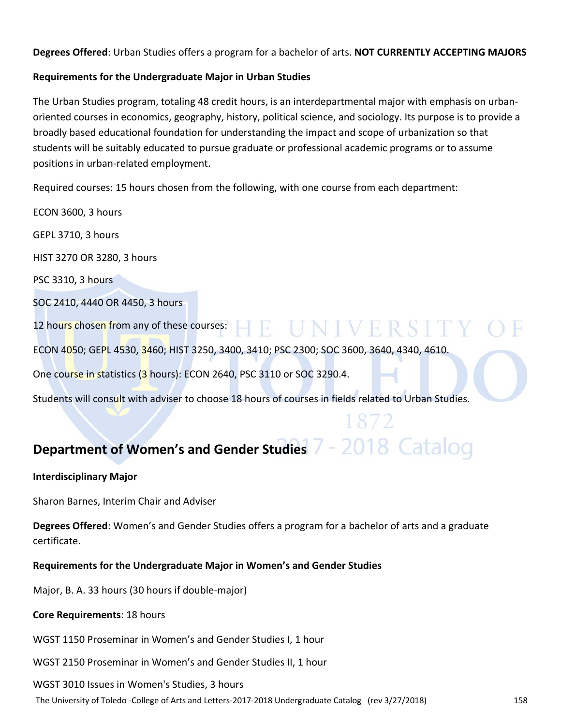**Degrees Offered**: Urban Studies offers a program for a bachelor of arts. **NOT CURRENTLY ACCEPTING MAJORS**

### **Requirements for the Undergraduate Major in Urban Studies**

The Urban Studies program, totaling 48 credit hours, is an interdepartmental major with emphasis on urban‐ oriented courses in economics, geography, history, political science, and sociology. Its purpose is to provide a broadly based educational foundation for understanding the impact and scope of urbanization so that students will be suitably educated to pursue graduate or professional academic programs or to assume positions in urban‐related employment.

Required courses: 15 hours chosen from the following, with one course from each department:

ECON 3600, 3 hours GEPL 3710, 3 hours HIST 3270 OR 3280, 3 hours PSC 3310, 3 hours SOC 2410, 4440 OR 4450, 3 hours 12 hours chosen from any of these courses:  $\blacksquare$   $\blacksquare$   $\blacksquare$   $\blacksquare$   $\blacksquare$   $\blacksquare$   $\blacksquare$   $\blacksquare$   $\blacksquare$ ECON 4050; GEPL 4530, 3460; HIST 3250, 3400, 3410; PSC 2300; SOC 3600, 3640, 4340, 4610. One course in statistics (3 hours): ECON 2640, PSC 3110 or SOC 3290.4. Students will consult with adviser to choose 18 hours of courses in fields related to Urban Studies.

## **Department of Women's and Gender Studies**

### **Interdisciplinary Major**

Sharon Barnes, Interim Chair and Adviser

**Degrees Offered**: Women's and Gender Studies offers a program for a bachelor of arts and a graduate certificate.

**Requirements for the Undergraduate Major in Women's and Gender Studies**

Major, B. A. 33 hours (30 hours if double‐major)

### **Core Requirements**: 18 hours

WGST 1150 Proseminar in Women's and Gender Studies I, 1 hour

WGST 2150 Proseminar in Women's and Gender Studies II, 1 hour

### WGST 3010 Issues in Women's Studies, 3 hours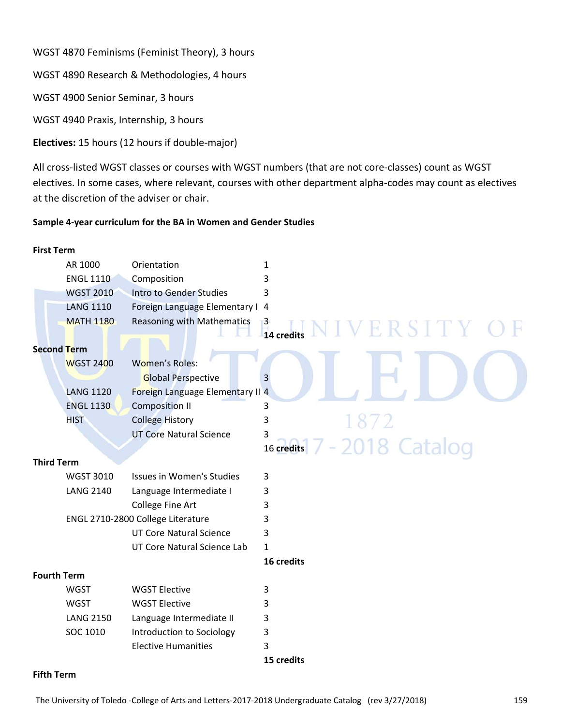WGST 4870 Feminisms (Feminist Theory), 3 hours

WGST 4890 Research & Methodologies, 4 hours

WGST 4900 Senior Seminar, 3 hours

WGST 4940 Praxis, Internship, 3 hours

**Electives:** 15 hours (12 hours if double‐major)

All cross‐listed WGST classes or courses with WGST numbers (that are not core‐classes) count as WGST electives. In some cases, where relevant, courses with other department alpha‐codes may count as electives at the discretion of the adviser or chair.

### **Sample 4‐year curriculum for the BA in Women and Gender Studies**

| <b>First Term</b>  |                                   |                                   |                                          |
|--------------------|-----------------------------------|-----------------------------------|------------------------------------------|
|                    | AR 1000                           | Orientation                       | $\mathbf{1}$                             |
|                    | <b>ENGL 1110</b>                  | Composition                       | 3                                        |
|                    | <b>WGST 2010</b>                  | <b>Intro to Gender Studies</b>    | 3                                        |
|                    | <b>LANG 1110</b>                  | Foreign Language Elementary I 4   |                                          |
|                    | <b>MATH 1180</b>                  | <b>Reasoning with Mathematics</b> | $\overline{3}$<br>ERSITY C<br>14 credits |
| <b>Second Term</b> |                                   |                                   |                                          |
|                    | <b>WGST 2400</b>                  | <b>Women's Roles:</b>             |                                          |
|                    |                                   | <b>Global Perspective</b>         | 3                                        |
|                    | <b>LANG 1120</b>                  | Foreign Language Elementary II 4  |                                          |
|                    | <b>ENGL 1130</b>                  | <b>Composition II</b>             | 3                                        |
|                    | <b>HIST</b>                       | <b>College History</b>            | 3<br>1872                                |
|                    |                                   | <b>UT Core Natural Science</b>    | 3                                        |
|                    |                                   |                                   | '-2018 Catalog<br>16 credits             |
| <b>Third Term</b>  |                                   |                                   |                                          |
|                    | <b>WGST 3010</b>                  | Issues in Women's Studies         | 3                                        |
|                    | <b>LANG 2140</b>                  | Language Intermediate I           | 3                                        |
|                    |                                   | College Fine Art                  | 3                                        |
|                    | ENGL 2710-2800 College Literature |                                   | 3                                        |
|                    |                                   | <b>UT Core Natural Science</b>    | 3                                        |
|                    |                                   | UT Core Natural Science Lab       | $\mathbf{1}$                             |
|                    |                                   |                                   | 16 credits                               |
| <b>Fourth Term</b> |                                   |                                   |                                          |
|                    | <b>WGST</b>                       | <b>WGST Elective</b>              | 3                                        |
|                    | <b>WGST</b>                       | <b>WGST Elective</b>              | 3                                        |
|                    | <b>LANG 2150</b>                  | Language Intermediate II          | 3                                        |
|                    | SOC 1010                          | Introduction to Sociology         | 3                                        |
|                    |                                   | <b>Elective Humanities</b>        | 3                                        |
|                    |                                   |                                   | 15 credits                               |

### **Fifth Term**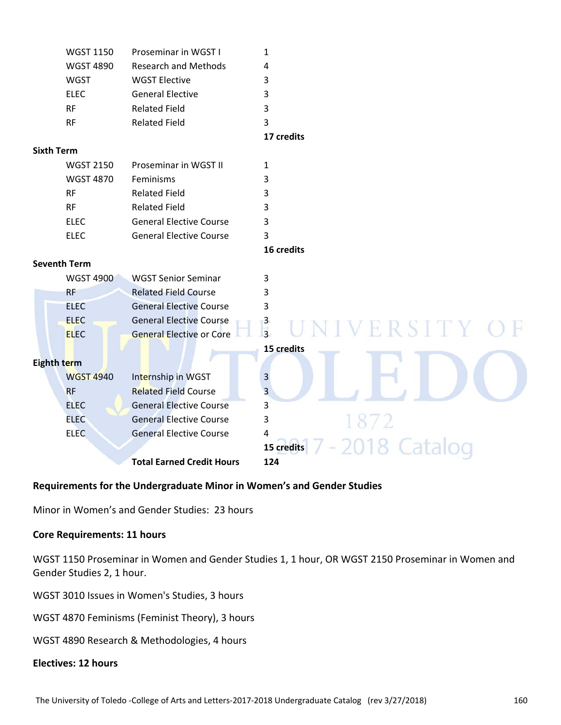|                     | <b>WGST 1150</b> | Proseminar in WGST I             | $\mathbf{1}$               |  |  |
|---------------------|------------------|----------------------------------|----------------------------|--|--|
|                     | <b>WGST 4890</b> | <b>Research and Methods</b>      | 4                          |  |  |
|                     | <b>WGST</b>      | <b>WGST Elective</b>             | 3                          |  |  |
|                     | <b>ELEC</b>      | <b>General Elective</b>          | 3                          |  |  |
|                     | <b>RF</b>        | <b>Related Field</b>             | 3                          |  |  |
|                     | <b>RF</b>        | <b>Related Field</b>             | 3                          |  |  |
|                     |                  |                                  | 17 credits                 |  |  |
| <b>Sixth Term</b>   |                  |                                  |                            |  |  |
|                     | <b>WGST 2150</b> | Proseminar in WGST II            | $\mathbf{1}$               |  |  |
|                     | <b>WGST 4870</b> | Feminisms                        | 3                          |  |  |
|                     | <b>RF</b>        | <b>Related Field</b>             | 3                          |  |  |
|                     | <b>RF</b>        | <b>Related Field</b>             | 3                          |  |  |
|                     | <b>ELEC</b>      | <b>General Elective Course</b>   | 3                          |  |  |
|                     | <b>ELEC</b>      | <b>General Elective Course</b>   | 3                          |  |  |
|                     |                  |                                  | 16 credits                 |  |  |
| <b>Seventh Term</b> |                  |                                  |                            |  |  |
|                     | <b>WGST 4900</b> | <b>WGST Senior Seminar</b>       | 3                          |  |  |
|                     | <b>RF</b>        | <b>Related Field Course</b>      | 3                          |  |  |
|                     | <b>ELEC</b>      | <b>General Elective Course</b>   | 3                          |  |  |
|                     | <b>ELEC</b>      | <b>General Elective Course</b>   | 3                          |  |  |
|                     | <b>ELEC</b>      | <b>General Elective or Core</b>  | VERSITY C<br>$\frac{1}{3}$ |  |  |
|                     |                  |                                  | 15 credits                 |  |  |
| Eighth term         |                  |                                  |                            |  |  |
|                     | <b>WGST 4940</b> | Internship in WGST               | 3                          |  |  |
|                     | <b>RF</b>        | <b>Related Field Course</b>      | 3                          |  |  |
|                     | <b>ELEC</b>      | <b>General Elective Course</b>   | 3                          |  |  |
|                     | <b>ELEC</b>      | <b>General Elective Course</b>   | 3<br>1872                  |  |  |
|                     | <b>ELEC</b>      | <b>General Elective Course</b>   | 4                          |  |  |
|                     |                  |                                  | 15 credits                 |  |  |
|                     |                  | <b>Total Earned Credit Hours</b> | 124                        |  |  |

### **Requirements for the Undergraduate Minor in Women's and Gender Studies**

Minor in Women's and Gender Studies: 23 hours

### **Core Requirements: 11 hours**

WGST 1150 Proseminar in Women and Gender Studies 1, 1 hour, OR WGST 2150 Proseminar in Women and Gender Studies 2, 1 hour.

WGST 3010 Issues in Women's Studies, 3 hours

WGST 4870 Feminisms (Feminist Theory), 3 hours

WGST 4890 Research & Methodologies, 4 hours

### **Electives: 12 hours**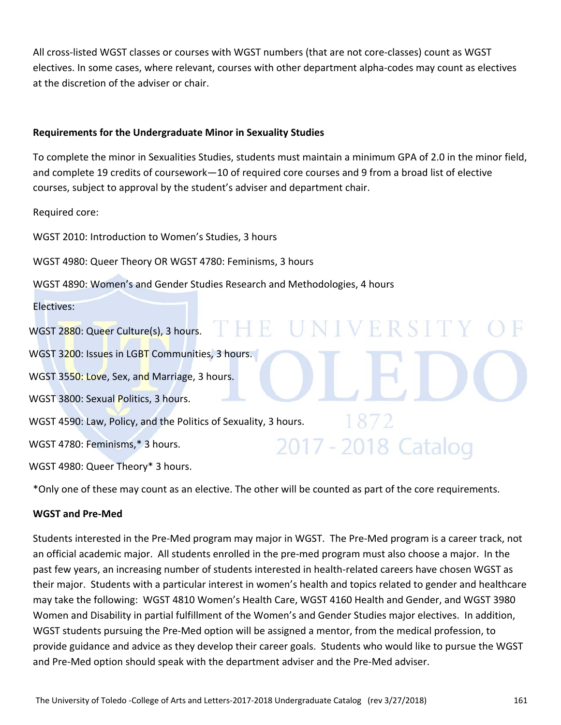All cross‐listed WGST classes or courses with WGST numbers (that are not core‐classes) count as WGST electives. In some cases, where relevant, courses with other department alpha‐codes may count as electives at the discretion of the adviser or chair.

### **Requirements for the Undergraduate Minor in Sexuality Studies**

To complete the minor in Sexualities Studies, students must maintain a minimum GPA of 2.0 in the minor field, and complete 19 credits of coursework—10 of required core courses and 9 from a broad list of elective courses, subject to approval by the student's adviser and department chair.

Required core:

WGST 2010: Introduction to Women's Studies, 3 hours

WGST 4980: Queer Theory OR WGST 4780: Feminisms, 3 hours

WGST 4890: Women's and Gender Studies Research and Methodologies, 4 hours

Electives:

WGST 2880: Queer Culture(s), 3 hours. THE UNIVERSITY WGST 3200: Issues in LGBT Communities, 3 hours. WGST 3550: Love, Sex, and Marriage, 3 hours. WGST 3800: Sexual Politics, 3 hours. WGST 4590: Law, Policy, and the Politics of Sexuality, 3 hours. 2017 - 2018 Catalog WGST 4780: Feminisms,\* 3 hours. WGST 4980: Queer Theory\* 3 hours.

\*Only one of these may count as an elective. The other will be counted as part of the core requirements.

### **WGST and Pre‐Med**

Students interested in the Pre‐Med program may major in WGST. The Pre‐Med program is a career track, not an official academic major. All students enrolled in the pre‐med program must also choose a major. In the past few years, an increasing number of students interested in health‐related careers have chosen WGST as their major. Students with a particular interest in women's health and topics related to gender and healthcare may take the following: WGST 4810 Women's Health Care, WGST 4160 Health and Gender, and WGST 3980 Women and Disability in partial fulfillment of the Women's and Gender Studies major electives. In addition, WGST students pursuing the Pre‐Med option will be assigned a mentor, from the medical profession, to provide guidance and advice as they develop their career goals. Students who would like to pursue the WGST and Pre‐Med option should speak with the department adviser and the Pre‐Med adviser.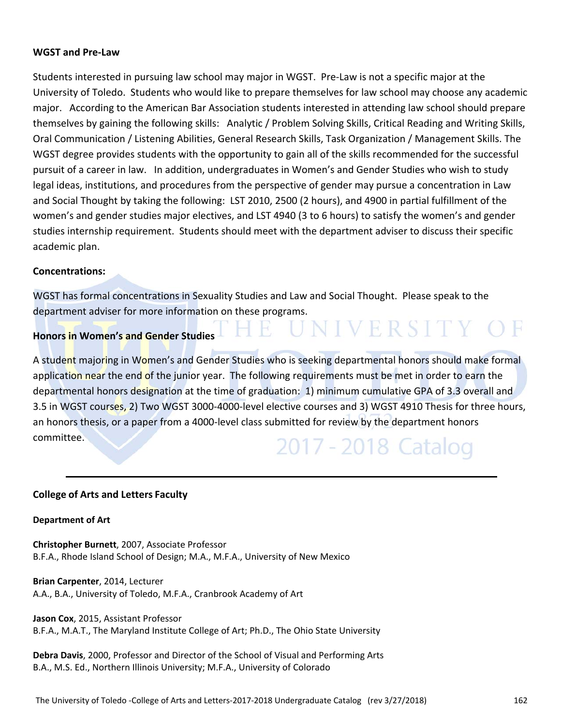### **WGST and Pre‐Law**

Students interested in pursuing law school may major in WGST. Pre‐Law is not a specific major at the University of Toledo. Students who would like to prepare themselves for law school may choose any academic major. According to the American Bar Association students interested in attending law school should prepare themselves by gaining the following skills: Analytic / Problem Solving Skills, Critical Reading and Writing Skills, Oral Communication / Listening Abilities, General Research Skills, Task Organization / Management Skills. The WGST degree provides students with the opportunity to gain all of the skills recommended for the successful pursuit of a career in law. In addition, undergraduates in Women's and Gender Studies who wish to study legal ideas, institutions, and procedures from the perspective of gender may pursue a concentration in Law and Social Thought by taking the following: LST 2010, 2500 (2 hours), and 4900 in partial fulfillment of the women's and gender studies major electives, and LST 4940 (3 to 6 hours) to satisfy the women's and gender studies internship requirement. Students should meet with the department adviser to discuss their specific academic plan.

### **Concentrations:**

WGST has formal concentrations in Sexuality Studies and Law and Social Thought. Please speak to the department adviser for more information on these programs.

 $\mathbf{H}$ 

### **Honors in Women's and Gender Studies**

A student majoring in Women's and Gender Studies who is seeking departmental honors should make formal application near the end of the junior year. The following requirements must be met in order to earn the departmental honors designation at the time of graduation: 1) minimum cumulative GPA of 3.3 overall and 3.5 in WGST courses, 2) Two WGST 3000-4000-level elective courses and 3) WGST 4910 Thesis for three hours, an honors thesis, or a paper from a 4000-level class submitted for review by the department honors committee. 2017 - 2018 Catalog

NIVERSITY OF

### **College of Arts and Letters Faculty**

### **Department of Art**

**Christopher Burnett**, 2007, Associate Professor B.F.A., Rhode Island School of Design; M.A., M.F.A., University of New Mexico

**Brian Carpenter**, 2014, Lecturer A.A., B.A., University of Toledo, M.F.A., Cranbrook Academy of Art

**Jason Cox**, 2015, Assistant Professor B.F.A., M.A.T., The Maryland Institute College of Art; Ph.D., The Ohio State University

**Debra Davis**, 2000, Professor and Director of the School of Visual and Performing Arts B.A., M.S. Ed., Northern Illinois University; M.F.A., University of Colorado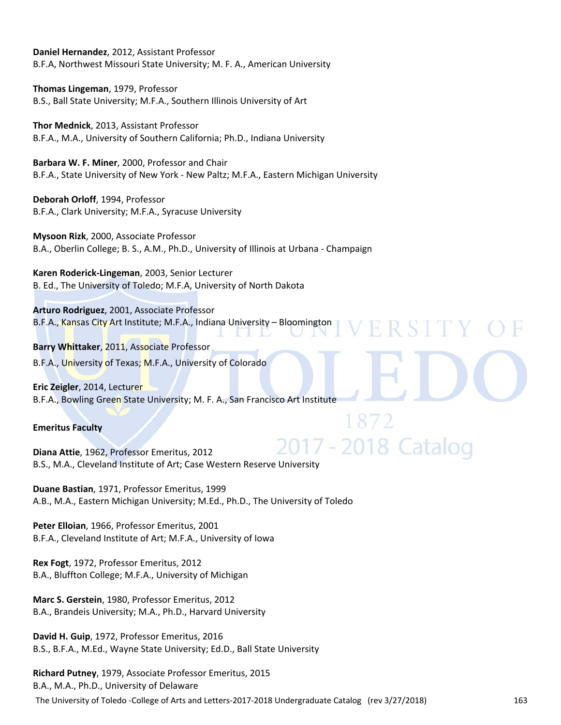**Daniel Hernandez**, 2012, Assistant Professor B.F.A, Northwest Missouri State University; M. F. A., American University

**Thomas Lingeman**, 1979, Professor B.S., Ball State University; M.F.A., Southern Illinois University of Art

**Thor Mednick**, 2013, Assistant Professor B.F.A., M.A., University of Southern California; Ph.D., Indiana University

**Barbara W. F. Miner**, 2000, Professor and Chair B.F.A., State University of New York ‐ New Paltz; M.F.A., Eastern Michigan University

**Deborah Orloff**, 1994, Professor B.F.A., Clark University; M.F.A., Syracuse University

**Mysoon Rizk**, 2000, Associate Professor B.A., Oberlin College; B. S., A.M., Ph.D., University of Illinois at Urbana ‐ Champaign

**Karen Roderick‐Lingeman**, 2003, Senior Lecturer B. Ed., The University of Toledo; M.F.A, University of North Dakota

**Arturo Rodriguez**, 2001, Associate Professor B.F.A., Kansas City Art Institute; M.F.A., Indiana University – Bloomington R S 1 H

**Barry Whittaker**, 2011, Associate Professor B.F.A., University of Texas; M.F.A., University of Colorado

**Eric Zeigler**, 2014, Lecturer B.F.A., Bowling Green State University; M. F. A., San Francisco Art Institute

### **Emeritus Faculty**

7 - 2018 Catalog **Diana Attie**, 1962, Professor Emeritus, 2012 B.S., M.A., Cleveland Institute of Art; Case Western Reserve University 

**Duane Bastian**, 1971, Professor Emeritus, 1999 A.B., M.A., Eastern Michigan University; M.Ed., Ph.D., The University of Toledo

**Peter Elloian**, 1966, Professor Emeritus, 2001 B.F.A., Cleveland Institute of Art; M.F.A., University of Iowa

**Rex Fogt**, 1972, Professor Emeritus, 2012 B.A., Bluffton College; M.F.A., University of Michigan

**Marc S. Gerstein**, 1980, Professor Emeritus, 2012 B.A., Brandeis University; M.A., Ph.D., Harvard University

**David H. Guip**, 1972, Professor Emeritus, 2016 B.S., B.F.A., M.Ed., Wayne State University; Ed.D., Ball State University

**Richard Putney**, 1979, Associate Professor Emeritus, 2015 B.A., M.A., Ph.D., University of Delaware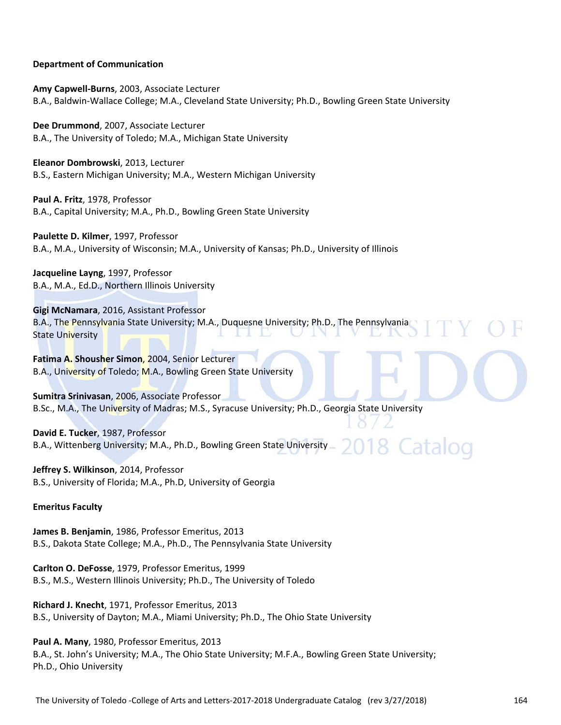### **Department of Communication**

**Amy Capwell‐Burns**, 2003, Associate Lecturer B.A., Baldwin‐Wallace College; M.A., Cleveland State University; Ph.D., Bowling Green State University

**Dee Drummond**, 2007, Associate Lecturer B.A., The University of Toledo; M.A., Michigan State University

**Eleanor Dombrowski**, 2013, Lecturer B.S., Eastern Michigan University; M.A., Western Michigan University

**Paul A. Fritz**, 1978, Professor B.A., Capital University; M.A., Ph.D., Bowling Green State University

**Paulette D. Kilmer**, 1997, Professor B.A., M.A., University of Wisconsin; M.A., University of Kansas; Ph.D., University of Illinois

**Jacqueline Layng**, 1997, Professor B.A., M.A., Ed.D., Northern Illinois University

**Gigi McNamara**, 2016, Assistant Professor B.A., The Pennsylvania State University; M.A., Duquesne University; Ph.D., The Pennsylvania State University

**Fatima A. Shousher Simon**, 2004, Senior Lecturer B.A., University of Toledo; M.A., Bowling Green State University

**Sumitra Srinivasan**, 2006, Associate Professor B.Sc., M.A., The University of Madras; M.S., Syracuse University; Ph.D., Georgia State University

**David E. Tucker**, 1987, Professor 8 Catalog B.A., Wittenberg University; M.A., Ph.D., Bowling Green State University

**Jeffrey S. Wilkinson**, 2014, Professor B.S., University of Florida; M.A., Ph.D, University of Georgia

### **Emeritus Faculty**

**James B. Benjamin**, 1986, Professor Emeritus, 2013 B.S., Dakota State College; M.A., Ph.D., The Pennsylvania State University

**Carlton O. DeFosse**, 1979, Professor Emeritus, 1999 B.S., M.S., Western Illinois University; Ph.D., The University of Toledo

**Richard J. Knecht**, 1971, Professor Emeritus, 2013 B.S., University of Dayton; M.A., Miami University; Ph.D., The Ohio State University

**Paul A. Many**, 1980, Professor Emeritus, 2013 B.A., St. John's University; M.A., The Ohio State University; M.F.A., Bowling Green State University; Ph.D., Ohio University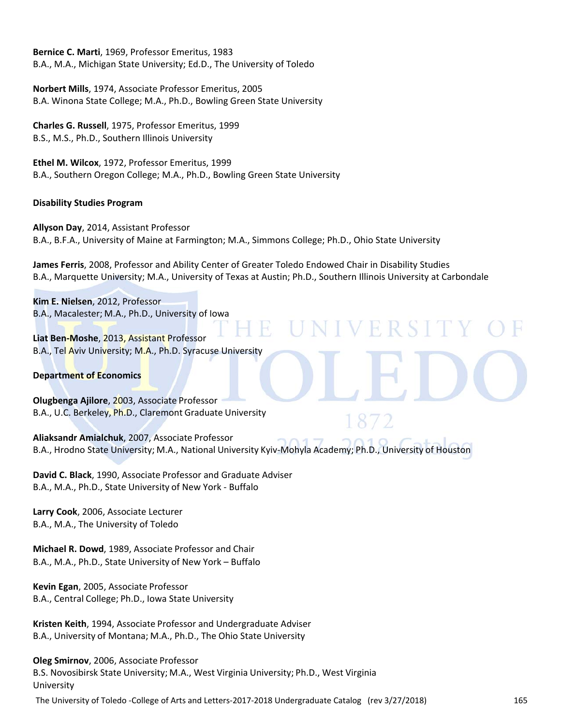**Bernice C. Marti**, 1969, Professor Emeritus, 1983 B.A., M.A., Michigan State University; Ed.D., The University of Toledo

**Norbert Mills**, 1974, Associate Professor Emeritus, 2005 B.A. Winona State College; M.A., Ph.D., Bowling Green State University

**Charles G. Russell**, 1975, Professor Emeritus, 1999 B.S., M.S., Ph.D., Southern Illinois University

**Ethel M. Wilcox**, 1972, Professor Emeritus, 1999 B.A., Southern Oregon College; M.A., Ph.D., Bowling Green State University

### **Disability Studies Program**

**Allyson Day**, 2014, Assistant Professor B.A., B.F.A., University of Maine at Farmington; M.A., Simmons College; Ph.D., Ohio State University

**James Ferris**, 2008, Professor and Ability Center of Greater Toledo Endowed Chair in Disability Studies B.A., Marquette University; M.A., University of Texas at Austin; Ph.D., Southern Illinois University at Carbondale

VERS

**Kim E. Nielsen**, 2012, Professor B.A., Macalester; M.A., Ph.D., University of Iowa

**Liat Ben‐Moshe**, 2013, Assistant Professor B.A., Tel Aviv University; M.A., Ph.D. Syracuse University

### **Department of Economics**

**Olugbenga Ajilore**, 2003, Associate Professor B.A., U.C. Berkeley, Ph.D., Claremont Graduate University

**Aliaksandr Amialchuk**, 2007, Associate Professor B.A., Hrodno State University; M.A., National University Kyiv‐Mohyla Academy; Ph.D., University of Houston

**David C. Black**, 1990, Associate Professor and Graduate Adviser B.A., M.A., Ph.D., State University of New York ‐ Buffalo

**Larry Cook**, 2006, Associate Lecturer B.A., M.A., The University of Toledo

**Michael R. Dowd**, 1989, Associate Professor and Chair B.A., M.A., Ph.D., State University of New York – Buffalo

**Kevin Egan**, 2005, Associate Professor B.A., Central College; Ph.D., Iowa State University

**Kristen Keith**, 1994, Associate Professor and Undergraduate Adviser B.A., University of Montana; M.A., Ph.D., The Ohio State University

**Oleg Smirnov**, 2006, Associate Professor B.S. Novosibirsk State University; M.A., West Virginia University; Ph.D., West Virginia University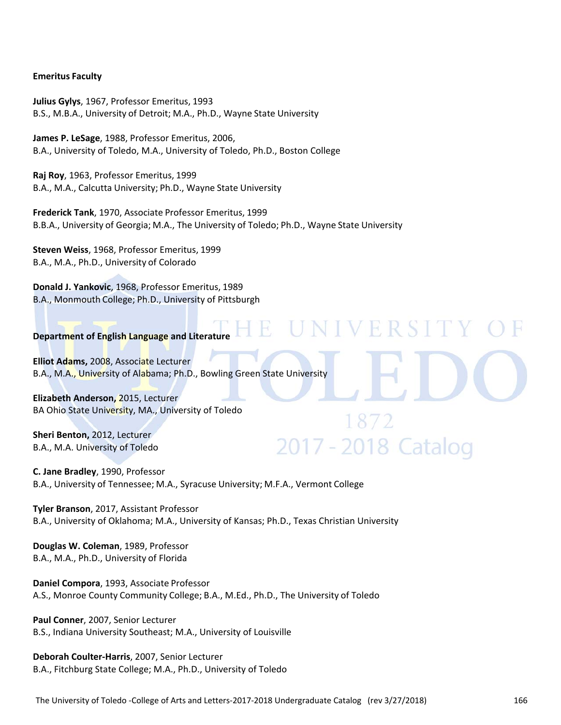### **Emeritus Faculty**

**Julius Gylys**, 1967, Professor Emeritus, 1993 B.S., M.B.A., University of Detroit; M.A., Ph.D., Wayne State University

**James P. LeSage**, 1988, Professor Emeritus, 2006, B.A., University of Toledo, M.A., University of Toledo, Ph.D., Boston College

**Raj Roy**, 1963, Professor Emeritus, 1999 B.A., M.A., Calcutta University; Ph.D., Wayne State University

**Frederick Tank**, 1970, Associate Professor Emeritus, 1999 B.B.A., University of Georgia; M.A., The University of Toledo; Ph.D., Wayne State University

V F R

2017 - 2018 Catalog

**Steven Weiss**, 1968, Professor Emeritus, 1999 B.A., M.A., Ph.D., University of Colorado

**Donald J. Yankovic**, 1968, Professor Emeritus, 1989 B.A., Monmouth College; Ph.D., University of Pittsburgh

### **Department of English Language and Literature**

**Elliot Adams,** 2008, Associate Lecturer B.A., M.A., University of Alabama; Ph.D., Bowling Green State University

**Elizabeth Anderson,** 2015, Lecturer BA Ohio State University, MA., University of Toledo

**Sheri Benton,** 2012, Lecturer B.A., M.A. University of Toledo

### **C. Jane Bradley**, 1990, Professor B.A., University of Tennessee; M.A., Syracuse University; M.F.A., Vermont College

**Tyler Branson**, 2017, Assistant Professor B.A., University of Oklahoma; M.A., University of Kansas; Ph.D., Texas Christian University

**Douglas W. Coleman**, 1989, Professor B.A., M.A., Ph.D., University of Florida

**Daniel Compora**, 1993, Associate Professor A.S., Monroe County Community College; B.A., M.Ed., Ph.D., The University of Toledo

**Paul Conner**, 2007, Senior Lecturer B.S., Indiana University Southeast; M.A., University of Louisville

**Deborah Coulter‐Harris**, 2007, Senior Lecturer B.A., Fitchburg State College; M.A., Ph.D., University of Toledo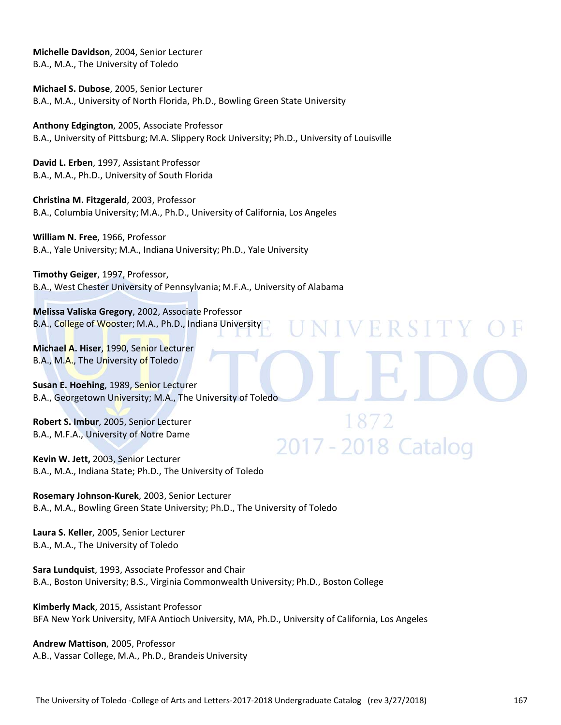**Michelle Davidson**, 2004, Senior Lecturer B.A., M.A., The University of Toledo

**Michael S. Dubose**, 2005, Senior Lecturer B.A., M.A., University of North Florida, Ph.D., Bowling Green State University

**Anthony Edgington**, 2005, Associate Professor B.A., University of Pittsburg; M.A. Slippery Rock University; Ph.D., University of Louisville

**David L. Erben**, 1997, Assistant Professor B.A., M.A., Ph.D., University of South Florida

**Christina M. Fitzgerald**, 2003, Professor B.A., Columbia University; M.A., Ph.D., University of California, Los Angeles

**William N. Free**, 1966, Professor B.A., Yale University; M.A., Indiana University; Ph.D., Yale University

**Timothy Geiger**, 1997, Professor, B.A., West Chester University of Pennsylvania; M.F.A., University of Alabama

**Melissa Valiska Gregory**, 2002, Associate Professor B.A., College of Wooster; M.A., Ph.D., Indiana University

**Michael A. Hiser**, 1990, Senior Lecturer B.A., M.A., The University of Toledo

**Susan E. Hoehing**, 1989, Senior Lecturer B.A., Georgetown University; M.A., The University of Toledo

**Robert S. Imbur**, 2005, Senior Lecturer B.A., M.F.A., University of Notre Dame

**Kevin W. Jett,** 2003, Senior Lecturer B.A., M.A., Indiana State; Ph.D., The University of Toledo

**Rosemary Johnson‐Kurek**, 2003, Senior Lecturer B.A., M.A., Bowling Green State University; Ph.D., The University of Toledo

**Laura S. Keller**, 2005, Senior Lecturer B.A., M.A., The University of Toledo

**Sara Lundquist**, 1993, Associate Professor and Chair B.A., Boston University; B.S., Virginia Commonwealth University; Ph.D., Boston College

**Kimberly Mack**, 2015, Assistant Professor BFA New York University, MFA Antioch University, MA, Ph.D., University of California, Los Angeles

**Andrew Mattison**, 2005, Professor A.B., Vassar College, M.A., Ph.D., Brandeis University VERSIT

2017 - 2018 Catalog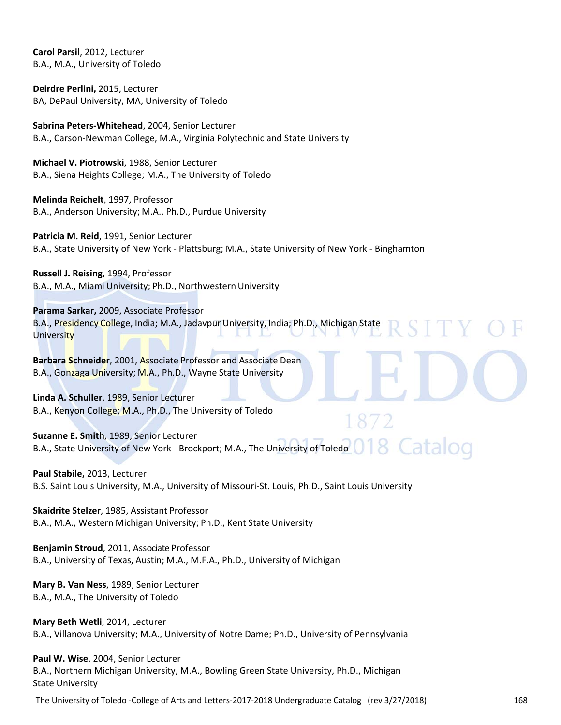**Carol Parsil**, 2012, Lecturer B.A., M.A., University of Toledo

**Deirdre Perlini,** 2015, Lecturer BA, DePaul University, MA, University of Toledo

**Sabrina Peters‐Whitehead**, 2004, Senior Lecturer B.A., Carson‐Newman College, M.A., Virginia Polytechnic and State University

**Michael V. Piotrowski**, 1988, Senior Lecturer B.A., Siena Heights College; M.A., The University of Toledo

**Melinda Reichelt**, 1997, Professor B.A., Anderson University; M.A., Ph.D., Purdue University

**Patricia M. Reid**, 1991, Senior Lecturer B.A., State University of New York ‐ Plattsburg; M.A., State University of New York ‐ Binghamton

**Russell J. Reising**, 1994, Professor B.A., M.A., Miami University; Ph.D., Northwestern University

**Parama Sarkar,** 2009, Associate Professor B.A., Presidency College, India; M.A., Jadavpur University, India; Ph.D., Michigan State **University** 

**Barbara Schneider**, 2001, Associate Professor and Associate Dean B.A., Gonzaga University; M.A., Ph.D., Wayne State University

**Linda A. Schuller**, 1989, Senior Lecturer B.A., Kenyon College; M.A., Ph.D., The University of Toledo

**Suzanne E. Smith**, 1989, Senior Lecturer B.A., State University of New York - Brockport; M.A., The University of Toledo **OT 8 Cataloo** 

### **Paul Stabile,** 2013, Lecturer

B.S. Saint Louis University, M.A., University of Missouri‐St. Louis, Ph.D., Saint Louis University

**Skaidrite Stelzer**, 1985, Assistant Professor B.A., M.A., Western Michigan University; Ph.D., Kent State University

**Benjamin Stroud**, 2011, Associate Professor B.A., University of Texas, Austin; M.A., M.F.A., Ph.D., University of Michigan

**Mary B. Van Ness**, 1989, Senior Lecturer B.A., M.A., The University of Toledo

**Mary Beth Wetli**, 2014, Lecturer B.A., Villanova University; M.A., University of Notre Dame; Ph.D., University of Pennsylvania

**Paul W. Wise**, 2004, Senior Lecturer B.A., Northern Michigan University, M.A., Bowling Green State University, Ph.D., Michigan State University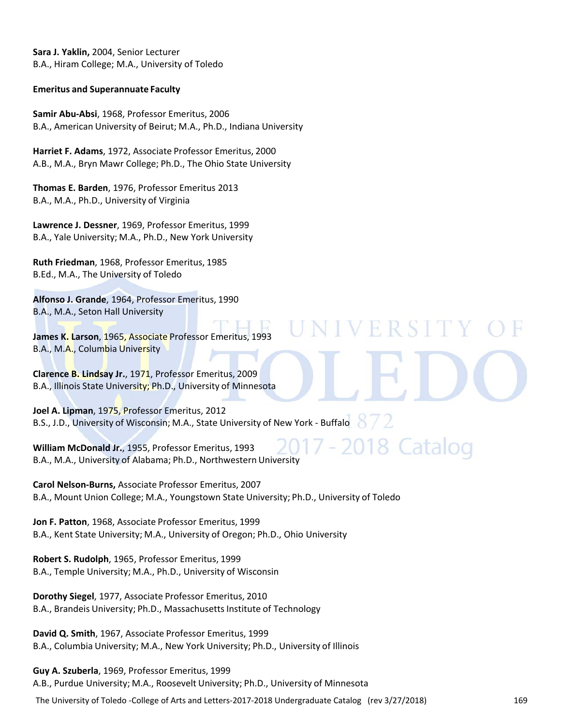**Sara J. Yaklin,** 2004, Senior Lecturer B.A., Hiram College; M.A., University of Toledo

### **Emeritus and Superannuate Faculty**

**Samir Abu‐Absi**, 1968, Professor Emeritus, 2006 B.A., American University of Beirut; M.A., Ph.D., Indiana University

**Harriet F. Adams**, 1972, Associate Professor Emeritus, 2000 A.B., M.A., Bryn Mawr College; Ph.D., The Ohio State University

**Thomas E. Barden**, 1976, Professor Emeritus 2013 B.A., M.A., Ph.D., University of Virginia

**Lawrence J. Dessner**, 1969, Professor Emeritus, 1999 B.A., Yale University; M.A., Ph.D., New York University

**Ruth Friedman**, 1968, Professor Emeritus, 1985 B.Ed., M.A., The University of Toledo

**Alfonso J. Grande**, 1964, Professor Emeritus, 1990 B.A., M.A., Seton Hall University

**James K. Larson**, 1965, Associate Professor Emeritus, 1993 B.A., M.A., Columbia University

**Clarence B. Lindsay Jr.**, 1971, Professor Emeritus, 2009 B.A., Illinois State University; Ph.D., University of Minnesota

**Joel A. Lipman**, 1975, Professor Emeritus, 2012 B.S., J.D., University of Wisconsin; M.A., State University of New York - Buffalo

**William McDonald Jr.**, 1955, Professor Emeritus, 1993 B.A., M.A., University of Alabama; Ph.D., Northwestern University

**Carol Nelson‐Burns,** Associate Professor Emeritus, 2007 B.A., Mount Union College; M.A., Youngstown State University; Ph.D., University of Toledo

**Jon F. Patton**, 1968, Associate Professor Emeritus, 1999 B.A., Kent State University; M.A., University of Oregon; Ph.D., Ohio University

**Robert S. Rudolph**, 1965, Professor Emeritus, 1999 B.A., Temple University; M.A., Ph.D., University of Wisconsin

**Dorothy Siegel**, 1977, Associate Professor Emeritus, 2010 B.A., Brandeis University; Ph.D., Massachusetts Institute of Technology

**David Q. Smith**, 1967, Associate Professor Emeritus, 1999 B.A., Columbia University; M.A., New York University; Ph.D., University of Illinois

**Guy A. Szuberla**, 1969, Professor Emeritus, 1999 A.B., Purdue University; M.A., Roosevelt University; Ph.D., University of Minnesota

The University of Toledo ‐College of Arts and Letters‐2017‐2018 Undergraduate Catalog (rev 3/27/2018) 169

VERSIT

18 Catalog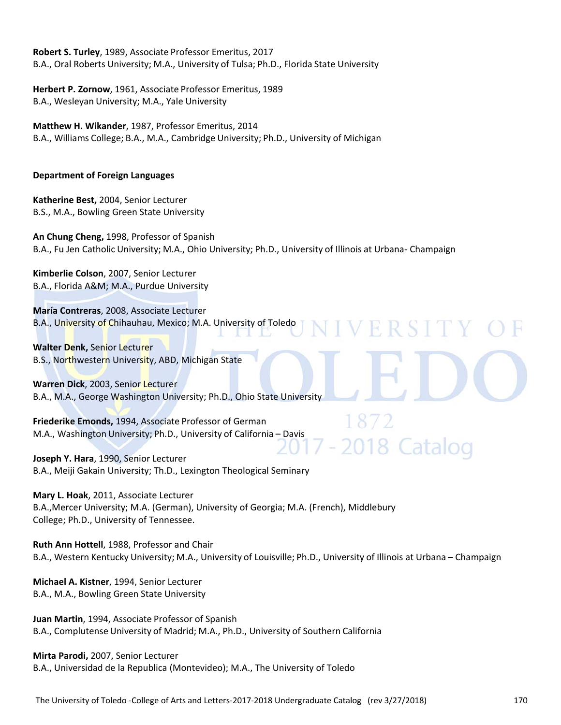**Robert S. Turley**, 1989, Associate Professor Emeritus, 2017 B.A., Oral Roberts University; M.A., University of Tulsa; Ph.D., Florida State University

**Herbert P. Zornow**, 1961, Associate Professor Emeritus, 1989 B.A., Wesleyan University; M.A., Yale University

**Matthew H. Wikander**, 1987, Professor Emeritus, 2014 B.A., Williams College; B.A., M.A., Cambridge University; Ph.D., University of Michigan

### **Department of Foreign Languages**

**Katherine Best,** 2004, Senior Lecturer B.S., M.A., Bowling Green State University

**An Chung Cheng,** 1998, Professor of Spanish B.A., Fu Jen Catholic University; M.A., Ohio University; Ph.D., University of Illinois at Urbana‐ Champaign

ERSI

2018 Cataloo

**Kimberlie Colson**, 2007, Senior Lecturer B.A., Florida A&M; M.A., Purdue University

**María Contreras**, 2008, Associate Lecturer B.A., University of Chihauhau, Mexico; M.A. University of Toledo

**Walter Denk,** Senior Lecturer B.S., Northwestern University, ABD, Michigan State

**Warren Dick**, 2003, Senior Lecturer B.A., M.A., George Washington University; Ph.D., Ohio State University

**Friederike Emonds,** 1994, Associate Professor of German M.A., Washington University; Ph.D., University of California – Davis

**Joseph Y. Hara**, 1990, Senior Lecturer B.A., Meiji Gakain University; Th.D., Lexington Theological Seminary

**Mary L. Hoak**, 2011, Associate Lecturer B.A.,Mercer University; M.A. (German), University of Georgia; M.A. (French), Middlebury College; Ph.D., University of Tennessee.

**Ruth Ann Hottell**, 1988, Professor and Chair B.A., Western Kentucky University; M.A., University of Louisville; Ph.D., University of Illinois at Urbana – Champaign

**Michael A. Kistner**, 1994, Senior Lecturer B.A., M.A., Bowling Green State University

**Juan Martin**, 1994, Associate Professor of Spanish B.A., Complutense University of Madrid; M.A., Ph.D., University of Southern California

**Mirta Parodi,** 2007, Senior Lecturer B.A., Universidad de la Republica (Montevideo); M.A., The University of Toledo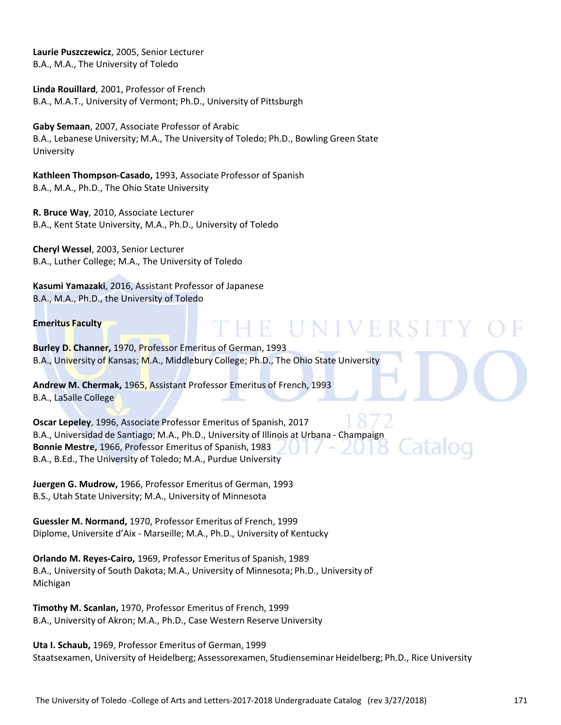**Laurie Puszczewicz**, 2005, Senior Lecturer B.A., M.A., The University of Toledo

**Linda Rouillard**, 2001, Professor of French B.A., M.A.T., University of Vermont; Ph.D., University of Pittsburgh

**Gaby Semaan**, 2007, Associate Professor of Arabic B.A., Lebanese University; M.A., The University of Toledo; Ph.D., Bowling Green State University

**Kathleen Thompson‐Casado,** 1993, Associate Professor of Spanish B.A., M.A., Ph.D., The Ohio State University

**R. Bruce Way**, 2010, Associate Lecturer B.A., Kent State University, M.A., Ph.D., University of Toledo

**Cheryl Wessel**, 2003, Senior Lecturer B.A., Luther College; M.A., The University of Toledo

**Kasumi Yamazaki**, 2016, Assistant Professor of Japanese B.A., M.A., Ph.D., the University of Toledo

### **Emeritus Faculty**

**Burley D. Channer,** 1970, Professor Emeritus of German, 1993 B.A., University of Kansas; M.A., Middlebury College; Ph.D., The Ohio State University

**Andrew M. Chermak,** 1965, Assistant Professor Emeritus of French, 1993 B.A., LaSalle College

**Oscar Lepeley**, 1996, Associate Professor Emeritus of Spanish, 2017 B.A., Universidad de Santiago; M.A., Ph.D., University of Illinois at Urbana ‐ Champaign **Bonnie Mestre,** 1966, Professor Emeritus of Spanish, 1983 B.A., B.Ed., The University of Toledo; M.A., Purdue University

HE UNIVERS

**Juergen G. Mudrow,** 1966, Professor Emeritus of German, 1993 B.S., Utah State University; M.A., University of Minnesota

**Guessler M. Normand,** 1970, Professor Emeritus of French, 1999 Diplome, Universite d'Aix ‐ Marseille; M.A., Ph.D., University of Kentucky

**Orlando M. Reyes‐Cairo,** 1969, Professor Emeritus of Spanish, 1989 B.A., University of South Dakota; M.A., University of Minnesota; Ph.D., University of Michigan

**Timothy M. Scanlan,** 1970, Professor Emeritus of French, 1999 B.A., University of Akron; M.A., Ph.D., Case Western Reserve University

**Uta I. Schaub,** 1969, Professor Emeritus of German, 1999 Staatsexamen, University of Heidelberg; Assessorexamen, Studienseminar Heidelberg; Ph.D., Rice University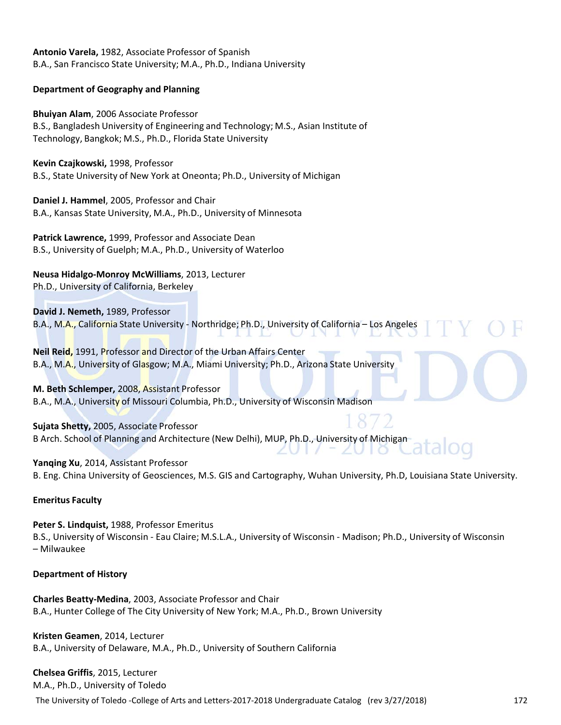**Antonio Varela,** 1982, Associate Professor of Spanish B.A., San Francisco State University; M.A., Ph.D., Indiana University

### **Department of Geography and Planning**

**Bhuiyan Alam**, 2006 Associate Professor B.S., Bangladesh University of Engineering and Technology; M.S., Asian Institute of Technology, Bangkok; M.S., Ph.D., Florida State University

**Kevin Czajkowski,** 1998, Professor

B.S., State University of New York at Oneonta; Ph.D., University of Michigan

**Daniel J. Hammel**, 2005, Professor and Chair B.A., Kansas State University, M.A., Ph.D., University of Minnesota

**Patrick Lawrence,** 1999, Professor and Associate Dean B.S., University of Guelph; M.A., Ph.D., University of Waterloo

**Neusa Hidalgo‐Monroy McWilliams**, 2013, Lecturer Ph.D., University of California, Berkeley

**David J. Nemeth,** 1989, Professor

B.A., M.A., California State University ‐ Northridge; Ph.D., University of California – Los Angeles

**Neil Reid,** 1991, Professor and Director of the Urban Affairs Center B.A., M.A., University of Glasgow; M.A., Miami University; Ph.D., Arizona State University

**M. Beth Schlemper,** 2008, Assistant Professor B.A., M.A., University of Missouri Columbia, Ph.D., University of Wisconsin Madison

**Sujata Shetty,** 2005, Associate Professor B Arch. School of Planning and Architecture (New Delhi), MUP, Ph.D., University of Michigan

**Yanqing Xu**, 2014, Assistant Professor B. Eng. China University of Geosciences, M.S. GIS and Cartography, Wuhan University, Ph.D, Louisiana State University.

### **Emeritus Faculty**

**Contractor** 

**Peter S. Lindquist,** 1988, Professor Emeritus B.S., University of Wisconsin ‐ Eau Claire; M.S.L.A., University of Wisconsin ‐ Madison; Ph.D., University of Wisconsin – Milwaukee

### **Department of History**

**Charles Beatty‐Medina**, 2003, Associate Professor and Chair B.A., Hunter College of The City University of New York; M.A., Ph.D., Brown University

**Kristen Geamen**, 2014, Lecturer B.A., University of Delaware, M.A., Ph.D., University of Southern California

### **Chelsea Griffis**, 2015, Lecturer

M.A., Ph.D., University of Toledo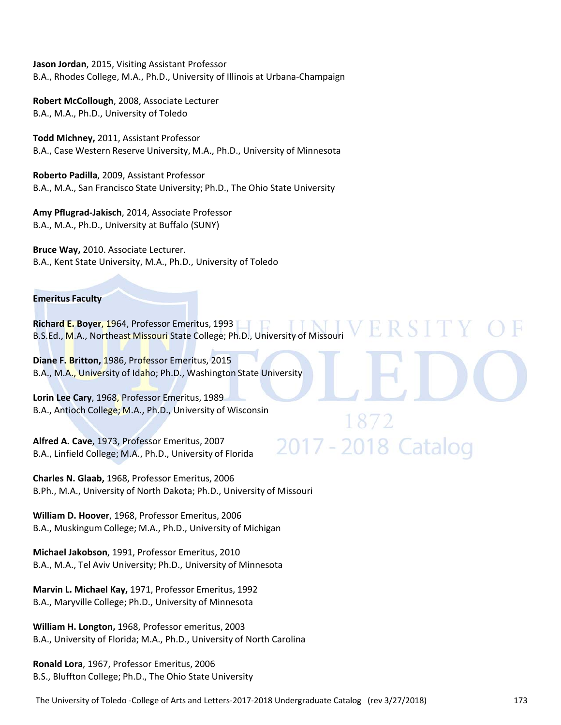**Jason Jordan**, 2015, Visiting Assistant Professor B.A., Rhodes College, M.A., Ph.D., University of Illinois at Urbana‐Champaign

**Robert McCollough**, 2008, Associate Lecturer B.A., M.A., Ph.D., University of Toledo

**Todd Michney,** 2011, Assistant Professor B.A., Case Western Reserve University, M.A., Ph.D., University of Minnesota

**Roberto Padilla**, 2009, Assistant Professor B.A., M.A., San Francisco State University; Ph.D., The Ohio State University

**Amy Pflugrad‐Jakisch**, 2014, Associate Professor B.A., M.A., Ph.D., University at Buffalo (SUNY)

**Bruce Way,** 2010. Associate Lecturer. B.A., Kent State University, M.A., Ph.D., University of Toledo

### **Emeritus Faculty**

**Richard E. Boyer**, 1964, Professor Emeritus, 1993 B.S.Ed., M.A., Northeast Missouri State College; Ph.D., University of Missouri

ER.

2017 - 2018 Catalog

**Diane F. Britton,** 1986, Professor Emeritus, 2015 B.A., M.A., University of Idaho; Ph.D., Washington State University

**Lorin Lee Cary**, 1968, Professor Emeritus, 1989 B.A., Antioch College; M.A., Ph.D., University of Wisconsin

**Alfred A. Cave**, 1973, Professor Emeritus, 2007 B.A., Linfield College; M.A., Ph.D., University of Florida

**Charles N. Glaab,** 1968, Professor Emeritus, 2006 B.Ph., M.A., University of North Dakota; Ph.D., University of Missouri

**William D. Hoover**, 1968, Professor Emeritus, 2006 B.A., Muskingum College; M.A., Ph.D., University of Michigan

**Michael Jakobson**, 1991, Professor Emeritus, 2010 B.A., M.A., Tel Aviv University; Ph.D., University of Minnesota

**Marvin L. Michael Kay,** 1971, Professor Emeritus, 1992 B.A., Maryville College; Ph.D., University of Minnesota

**William H. Longton,** 1968, Professor emeritus, 2003 B.A., University of Florida; M.A., Ph.D., University of North Carolina

**Ronald Lora**, 1967, Professor Emeritus, 2006 B.S., Bluffton College; Ph.D., The Ohio State University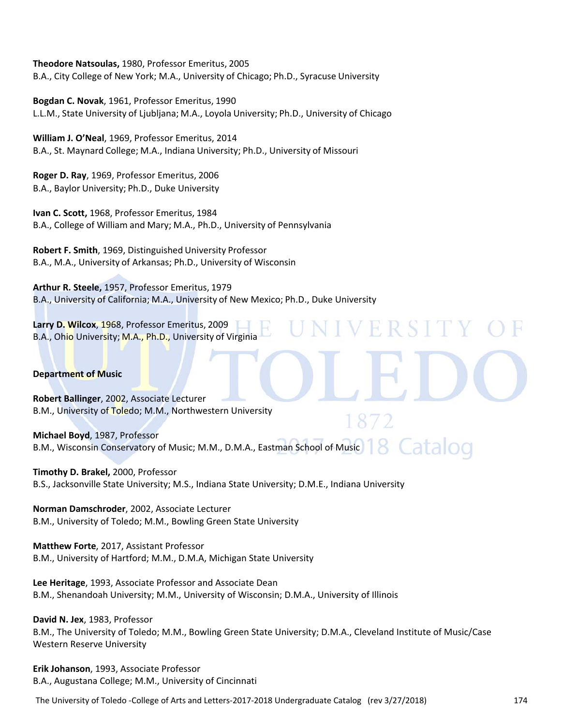**Theodore Natsoulas,** 1980, Professor Emeritus, 2005 B.A., City College of New York; M.A., University of Chicago; Ph.D., Syracuse University

**Bogdan C. Novak**, 1961, Professor Emeritus, 1990 L.L.M., State University of Ljubljana; M.A., Loyola University; Ph.D., University of Chicago

**William J. O'Neal**, 1969, Professor Emeritus, 2014 B.A., St. Maynard College; M.A., Indiana University; Ph.D., University of Missouri

**Roger D. Ray**, 1969, Professor Emeritus, 2006 B.A., Baylor University; Ph.D., Duke University

**Ivan C. Scott,** 1968, Professor Emeritus, 1984 B.A., College of William and Mary; M.A., Ph.D., University of Pennsylvania

**Robert F. Smith**, 1969, Distinguished University Professor B.A., M.A., University of Arkansas; Ph.D., University of Wisconsin

**Arthur R. Steele,** 1957, Professor Emeritus, 1979 B.A., University of California; M.A., University of New Mexico; Ph.D., Duke University

**Larry D. Wilcox**, 1968, Professor Emeritus, 2009 B.A., Ohio University; M.A., Ph.D., University of Virginia

### **Department of Music**

**Robert Ballinger**, 2002, Associate Lecturer B.M., University of Toledo; M.M., Northwestern University

**Michael Boyd**, 1987, Professor B.M., Wisconsin Conservatory of Music; M.M., D.M.A., Eastman School of Music

R

 $\mathbb{H}$ 

**Timothy D. Brakel,** 2000, Professor B.S., Jacksonville State University; M.S., Indiana State University; D.M.E., Indiana University

**Norman Damschroder**, 2002, Associate Lecturer B.M., University of Toledo; M.M., Bowling Green State University

**Matthew Forte**, 2017, Assistant Professor B.M., University of Hartford; M.M., D.M.A, Michigan State University

**Lee Heritage**, 1993, Associate Professor and Associate Dean B.M., Shenandoah University; M.M., University of Wisconsin; D.M.A., University of Illinois

**David N. Jex**, 1983, Professor B.M., The University of Toledo; M.M., Bowling Green State University; D.M.A., Cleveland Institute of Music/Case Western Reserve University

**Erik Johanson**, 1993, Associate Professor B.A., Augustana College; M.M., University of Cincinnati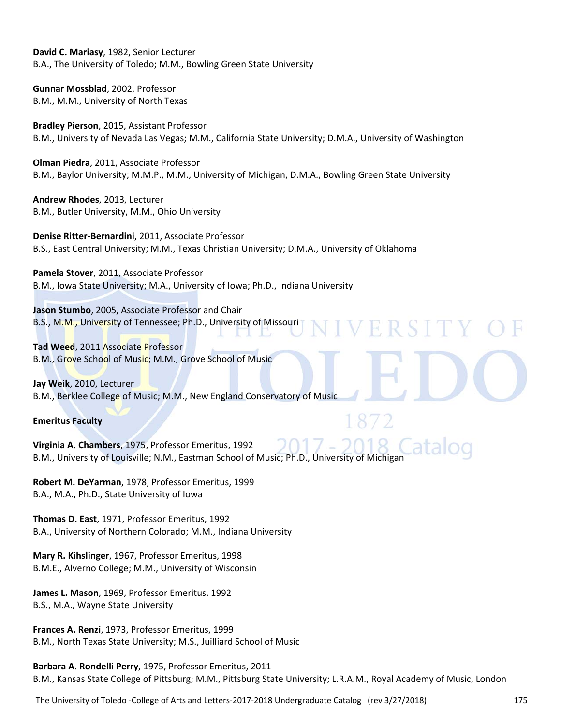**David C. Mariasy**, 1982, Senior Lecturer B.A., The University of Toledo; M.M., Bowling Green State University

**Gunnar Mossblad**, 2002, Professor B.M., M.M., University of North Texas

**Bradley Pierson**, 2015, Assistant Professor B.M., University of Nevada Las Vegas; M.M., California State University; D.M.A., University of Washington

**Olman Piedra**, 2011, Associate Professor B.M., Baylor University; M.M.P., M.M., University of Michigan, D.M.A., Bowling Green State University

ERSI

**Andrew Rhodes**, 2013, Lecturer B.M., Butler University, M.M., Ohio University

**Denise Ritter‐Bernardini**, 2011, Associate Professor B.S., East Central University; M.M., Texas Christian University; D.M.A., University of Oklahoma

**Pamela Stover**, 2011, Associate Professor B.M., Iowa State University; M.A., University of Iowa; Ph.D., Indiana University

**Jason Stumbo**, 2005, Associate Professor and Chair B.S., M.M., University of Tennessee; Ph.D., University of Missouri

**Tad Weed**, 2011 Associate Professor B.M., Grove School of Music; M.M., Grove School of Music

**Jay Weik**, 2010, Lecturer B.M., Berklee College of Music; M.M., New England Conservatory of Music

### **Emeritus Faculty**

**Virginia A. Chambers**, 1975, Professor Emeritus, 1992 B.M., University of Louisville; N.M., Eastman School of Music; Ph.D., University of Michigan

**Robert M. DeYarman**, 1978, Professor Emeritus, 1999 B.A., M.A., Ph.D., State University of Iowa

**Thomas D. East**, 1971, Professor Emeritus, 1992 B.A., University of Northern Colorado; M.M., Indiana University

**Mary R. Kihslinger**, 1967, Professor Emeritus, 1998 B.M.E., Alverno College; M.M., University of Wisconsin

**James L. Mason**, 1969, Professor Emeritus, 1992 B.S., M.A., Wayne State University

**Frances A. Renzi**, 1973, Professor Emeritus, 1999 B.M., North Texas State University; M.S., Juilliard School of Music

**Barbara A. Rondelli Perry**, 1975, Professor Emeritus, 2011 B.M., Kansas State College of Pittsburg; M.M., Pittsburg State University; L.R.A.M., Royal Academy of Music, London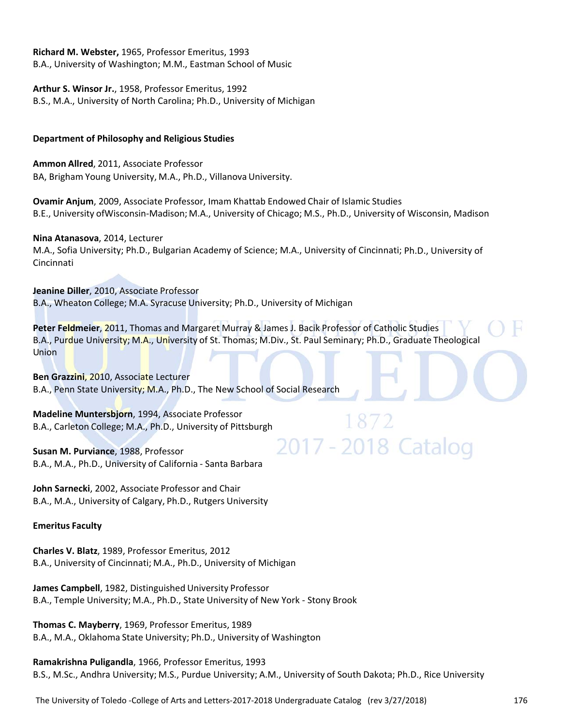### **Richard M. Webster,** 1965, Professor Emeritus, 1993

B.A., University of Washington; M.M., Eastman School of Music

**Arthur S. Winsor Jr.**, 1958, Professor Emeritus, 1992 B.S., M.A., University of North Carolina; Ph.D., University of Michigan 

### **Department of Philosophy and Religious Studies**

**Ammon Allred**, 2011, Associate Professor BA, Brigham Young University, M.A., Ph.D., Villanova University.

**Ovamir Anjum**, 2009, Associate Professor, Imam Khattab Endowed Chair of Islamic Studies B.E., University ofWisconsin‐Madison; M.A., University of Chicago; M.S., Ph.D., University of Wisconsin, Madison

**Nina Atanasova**, 2014, Lecturer M.A., Sofia University; Ph.D., Bulgarian Academy of Science; M.A., University of Cincinnati; Ph.D., University of Cincinnati

**Jeanine Diller**, 2010, Associate Professor B.A., Wheaton College; M.A. Syracuse University; Ph.D., University of Michigan

**Peter Feldmeier**, 2011, Thomas and Margaret Murray & James J. Bacik Professor of Catholic Studies B.A., Purdue University; M.A., University of St. Thomas; M.Div., St. Paul Seminary; Ph.D., Graduate Theological Union

2017 - 2018 Cataloo

**Ben Grazzini**, 2010, Associate Lecturer B.A., Penn State University; M.A., Ph.D., The New School of Social Research

**Madeline Muntersbjorn**, 1994, Associate Professor B.A., Carleton College; M.A., Ph.D., University of Pittsburgh

### **Susan M. Purviance**, 1988, Professor B.A., M.A., Ph.D., University of California ‐ Santa Barbara

**John Sarnecki**, 2002, Associate Professor and Chair B.A., M.A., University of Calgary, Ph.D., Rutgers University

### **Emeritus Faculty**

**Charles V. Blatz**, 1989, Professor Emeritus, 2012 B.A., University of Cincinnati; M.A., Ph.D., University of Michigan

**James Campbell**, 1982, Distinguished University Professor B.A., Temple University; M.A., Ph.D., State University of New York ‐ Stony Brook

**Thomas C. Mayberry**, 1969, Professor Emeritus, 1989 B.A., M.A., Oklahoma State University; Ph.D., University of Washington

**Ramakrishna Puligandla**, 1966, Professor Emeritus, 1993 B.S., M.Sc., Andhra University; M.S., Purdue University; A.M., University of South Dakota; Ph.D., Rice University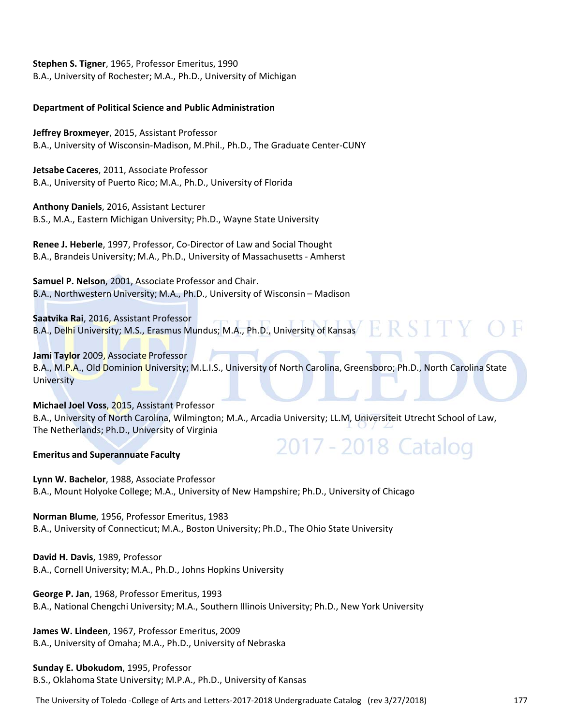**Stephen S. Tigner**, 1965, Professor Emeritus, 1990

B.A., University of Rochester; M.A., Ph.D., University of Michigan

### **Department of Political Science and Public Administration**

**Jeffrey Broxmeyer**, 2015, Assistant Professor B.A., University of Wisconsin‐Madison, M.Phil., Ph.D., The Graduate Center‐CUNY

**Jetsabe Caceres**, 2011, Associate Professor B.A., University of Puerto Rico; M.A., Ph.D., University of Florida

**Anthony Daniels**, 2016, Assistant Lecturer B.S., M.A., Eastern Michigan University; Ph.D., Wayne State University

**Renee J. Heberle**, 1997, Professor, Co‐Director of Law and Social Thought B.A., Brandeis University; M.A., Ph.D., University of Massachusetts ‐ Amherst

**Samuel P. Nelson**, 2001, Associate Professor and Chair. B.A., Northwestern University; M.A., Ph.D., University of Wisconsin – Madison

**Saatvika Rai**, 2016, Assistant Professor B.A., Delhi University; M.S., Erasmus Mundus; M.A., Ph.D., University of Kansas

### **Jami Taylor** 2009, Associate Professor

B.A., M.P.A., Old Dominion University; M.L.I.S., University of North Carolina, Greensboro; Ph.D., North Carolina State **University** 

2017 - 2018 Catalog

### **Michael Joel Voss**, 2015, Assistant Professor B.A., University of North Carolina, Wilmington; M.A., Arcadia University; LL.M, Universiteit Utrecht School of Law, The Netherlands; Ph.D., University of Virginia

### **Emeritus and Superannuate Faculty**

**Lynn W. Bachelor**, 1988, Associate Professor B.A., Mount Holyoke College; M.A., University of New Hampshire; Ph.D., University of Chicago

**Norman Blume**, 1956, Professor Emeritus, 1983 B.A., University of Connecticut; M.A., Boston University; Ph.D., The Ohio State University

**David H. Davis**, 1989, Professor B.A., Cornell University; M.A., Ph.D., Johns Hopkins University

**George P. Jan**, 1968, Professor Emeritus, 1993 B.A., National Chengchi University; M.A., Southern Illinois University; Ph.D., New York University

**James W. Lindeen**, 1967, Professor Emeritus, 2009 B.A., University of Omaha; M.A., Ph.D., University of Nebraska

### **Sunday E. Ubokudom**, 1995, Professor B.S., Oklahoma State University; M.P.A., Ph.D., University of Kansas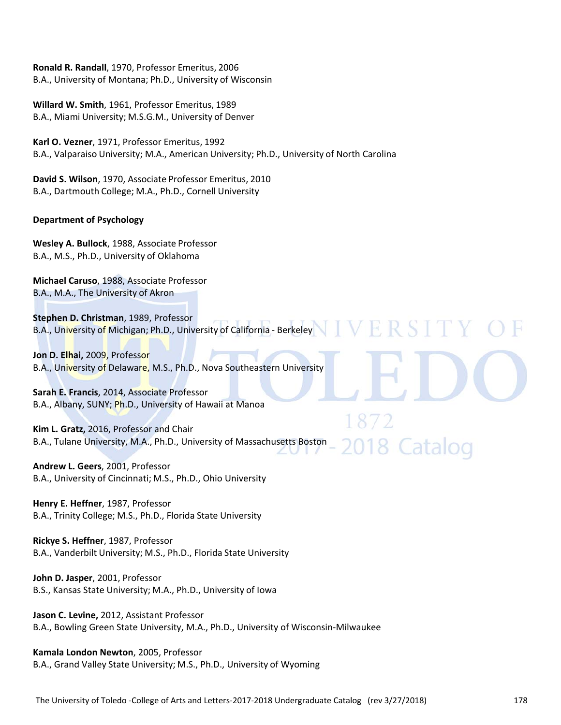**Ronald R. Randall**, 1970, Professor Emeritus, 2006 B.A., University of Montana; Ph.D., University of Wisconsin

**Willard W. Smith**, 1961, Professor Emeritus, 1989 B.A., Miami University; M.S.G.M., University of Denver

**Karl O. Vezner**, 1971, Professor Emeritus, 1992 B.A., Valparaiso University; M.A., American University; Ph.D., University of North Carolina

**David S. Wilson**, 1970, Associate Professor Emeritus, 2010 B.A., Dartmouth College; M.A., Ph.D., Cornell University

### **Department of Psychology**

**Wesley A. Bullock**, 1988, Associate Professor B.A., M.S., Ph.D., University of Oklahoma

**Michael Caruso**, 1988, Associate Professor B.A., M.A., The University of Akron

**Stephen D. Christman**, 1989, Professor VERSI B.A., University of Michigan; Ph.D., University of California - Berkeley

**Jon D. Elhai,** 2009, Professor B.A., University of Delaware, M.S., Ph.D., Nova Southeastern University

**Sarah E. Francis**, 2014, Associate Professor B.A., Albany, SUNY; Ph.D., University of Hawaii at Manoa

**Kim L. Gratz,** 2016, Professor and Chair B.A., Tulane University, M.A., Ph.D., University of Massachusetts Boston

**Andrew L. Geers**, 2001, Professor B.A., University of Cincinnati; M.S., Ph.D., Ohio University

**Henry E. Heffner**, 1987, Professor B.A., Trinity College; M.S., Ph.D., Florida State University

**Rickye S. Heffner**, 1987, Professor B.A., Vanderbilt University; M.S., Ph.D., Florida State University

**John D. Jasper**, 2001, Professor B.S., Kansas State University; M.A., Ph.D., University of Iowa

**Jason C. Levine,** 2012, Assistant Professor B.A., Bowling Green State University, M.A., Ph.D., University of Wisconsin‐Milwaukee

**Kamala London Newton**, 2005, Professor B.A., Grand Valley State University; M.S., Ph.D., University of Wyoming 8 Catalog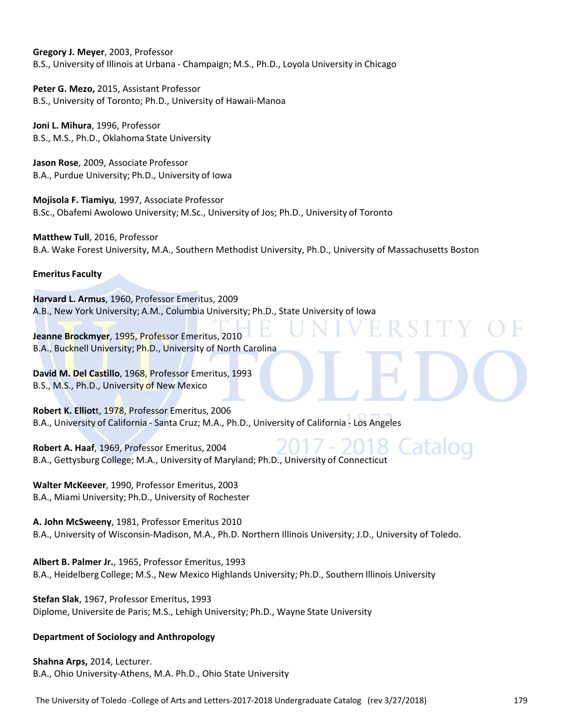**Gregory J. Meyer**, 2003, Professor B.S., University of Illinois at Urbana ‐ Champaign; M.S., Ph.D., Loyola University in Chicago

**Peter G. Mezo,** 2015, Assistant Professor B.S., University of Toronto; Ph.D., University of Hawaii‐Manoa

**Joni L. Mihura**, 1996, Professor B.S., M.S., Ph.D., Oklahoma State University

**Jason Rose**, 2009, Associate Professor B.A., Purdue University; Ph.D., University of Iowa

**Mojisola F. Tiamiyu**, 1997, Associate Professor B.Sc., Obafemi Awolowo University; M.Sc., University of Jos; Ph.D., University of Toronto

**Matthew Tull**, 2016, Professor B.A. Wake Forest University, M.A., Southern Methodist University, Ph.D., University of Massachusetts Boston

**Emeritus Faculty**

**Harvard L. Armus**, 1960, Professor Emeritus, 2009 A.B., New York University; A.M., Columbia University; Ph.D., State University of Iowa

**Jeanne Brockmyer**, 1995, Professor Emeritus, 2010 B.A., Bucknell University; Ph.D., University of North Carolina

**David M. Del Castillo**, 1968, Professor Emeritus, 1993 B.S., M.S., Ph.D., University of New Mexico

**Robert K. Elliot**t, 1978, Professor Emeritus, 2006 B.A., University of California ‐ Santa Cruz; M.A., Ph.D., University of California ‐ Los Angeles

**Robert A. Haaf**, 1969, Professor Emeritus, 2004 B.A., Gettysburg College; M.A., University of Maryland; Ph.D., University of Connecticut

**Walter McKeever**, 1990, Professor Emeritus, 2003 B.A., Miami University; Ph.D., University of Rochester

**A. John McSweeny**, 1981, Professor Emeritus 2010 B.A., University of Wisconsin‐Madison, M.A., Ph.D. Northern Illinois University; J.D., University of Toledo.

**Albert B. Palmer Jr.**, 1965, Professor Emeritus, 1993 B.A., Heidelberg College; M.S., New Mexico Highlands University; Ph.D., Southern Illinois University

**Stefan Slak**, 1967, Professor Emeritus, 1993 Diplome, Universite de Paris; M.S., Lehigh University; Ph.D., Wayne State University

### **Department of Sociology and Anthropology**

**Shahna Arps,** 2014, Lecturer. B.A., Ohio University‐Athens, M.A. Ph.D., Ohio State University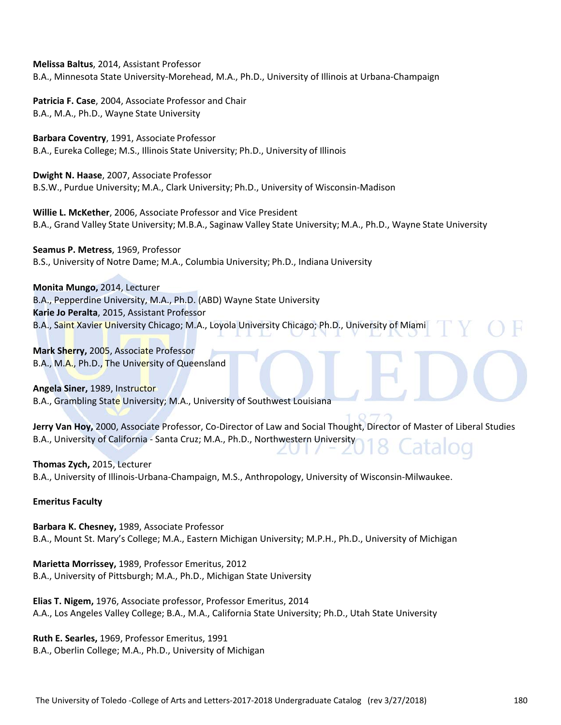**Melissa Baltus**, 2014, Assistant Professor B.A., Minnesota State University‐Morehead, M.A., Ph.D., University of Illinois at Urbana‐Champaign

**Patricia F. Case**, 2004, Associate Professor and Chair B.A., M.A., Ph.D., Wayne State University

**Barbara Coventry**, 1991, Associate Professor B.A., Eureka College; M.S., Illinois State University; Ph.D., University of Illinois

**Dwight N. Haase**, 2007, Associate Professor B.S.W., Purdue University; M.A., Clark University; Ph.D., University of Wisconsin‐Madison

**Willie L. McKether**, 2006, Associate Professor and Vice President B.A., Grand Valley State University; M.B.A., Saginaw Valley State University; M.A., Ph.D., Wayne State University

**Seamus P. Metress**, 1969, Professor B.S., University of Notre Dame; M.A., Columbia University; Ph.D., Indiana University

**Monita Mungo,** 2014, Lecturer

B.A., Pepperdine University, M.A., Ph.D. (ABD) Wayne State University **Karie Jo Peralta**, 2015, Assistant Professor B.A., Saint Xavier University Chicago; M.A., Loyola University Chicago; Ph.D., University of Miami

**Mark Sherry,** 2005, Associate Professor B.A., M.A., Ph.D., The University of Queensland

**Angela Siner,** 1989, Instructor B.A., Grambling State University; M.A., University of Southwest Louisiana

**Jerry Van Hoy,** 2000, Associate Professor, Co‐Director of Law and Social Thought, Director of Master of Liberal Studies B.A., University of California ‐ Santa Cruz; M.A., Ph.D., Northwestern University

**Thomas Zych,** 2015, Lecturer B.A., University of Illinois‐Urbana‐Champaign, M.S., Anthropology, University of Wisconsin‐Milwaukee.

### **Emeritus Faculty**

**Barbara K. Chesney,** 1989, Associate Professor B.A., Mount St. Mary's College; M.A., Eastern Michigan University; M.P.H., Ph.D., University of Michigan

**Marietta Morrissey,** 1989, Professor Emeritus, 2012 B.A., University of Pittsburgh; M.A., Ph.D., Michigan State University

**Elias T. Nigem,** 1976, Associate professor, Professor Emeritus, 2014 A.A., Los Angeles Valley College; B.A., M.A., California State University; Ph.D., Utah State University

**Ruth E. Searles,** 1969, Professor Emeritus, 1991 B.A., Oberlin College; M.A., Ph.D., University of Michigan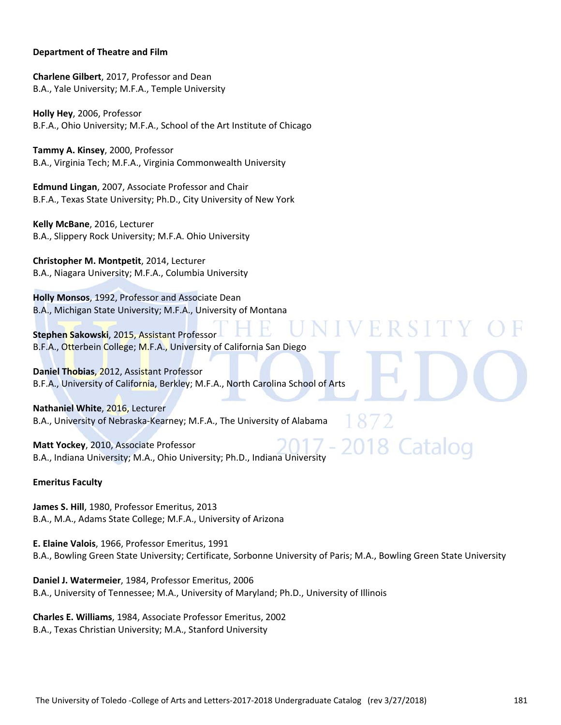## **Department of Theatre and Film**

**Charlene Gilbert**, 2017, Professor and Dean B.A., Yale University; M.F.A., Temple University

**Holly Hey**, 2006, Professor B.F.A., Ohio University; M.F.A., School of the Art Institute of Chicago

**Tammy A. Kinsey**, 2000, Professor B.A., Virginia Tech; M.F.A., Virginia Commonwealth University

**Edmund Lingan**, 2007, Associate Professor and Chair B.F.A., Texas State University; Ph.D., City University of New York

**Kelly McBane**, 2016, Lecturer B.A., Slippery Rock University; M.F.A. Ohio University

**Christopher M. Montpetit**, 2014, Lecturer B.A., Niagara University; M.F.A., Columbia University

**Holly Monsos**, 1992, Professor and Associate Dean B.A., Michigan State University; M.F.A., University of Montana

**Stephen Sakowski**, 2015, Assistant Professor B.F.A., Otterbein College; M.F.A., University of California San Diego

**Daniel Thobias**, 2012, Assistant Professor B.F.A., University of California, Berkley; M.F.A., North Carolina School of Arts

**Nathaniel White**, 2016, Lecturer B.A., University of Nebraska‐Kearney; M.F.A., The University of Alabama

**Matt Yockey**, 2010, Associate Professor B.A., Indiana University; M.A., Ohio University; Ph.D., Indiana University

## **Emeritus Faculty**

**James S. Hill**, 1980, Professor Emeritus, 2013 B.A., M.A., Adams State College; M.F.A., University of Arizona

**E. Elaine Valois**, 1966, Professor Emeritus, 1991 B.A., Bowling Green State University; Certificate, Sorbonne University of Paris; M.A., Bowling Green State University

**Daniel J. Watermeier**, 1984, Professor Emeritus, 2006 B.A., University of Tennessee; M.A., University of Maryland; Ph.D., University of Illinois

**Charles E. Williams**, 1984, Associate Professor Emeritus, 2002 B.A., Texas Christian University; M.A., Stanford University